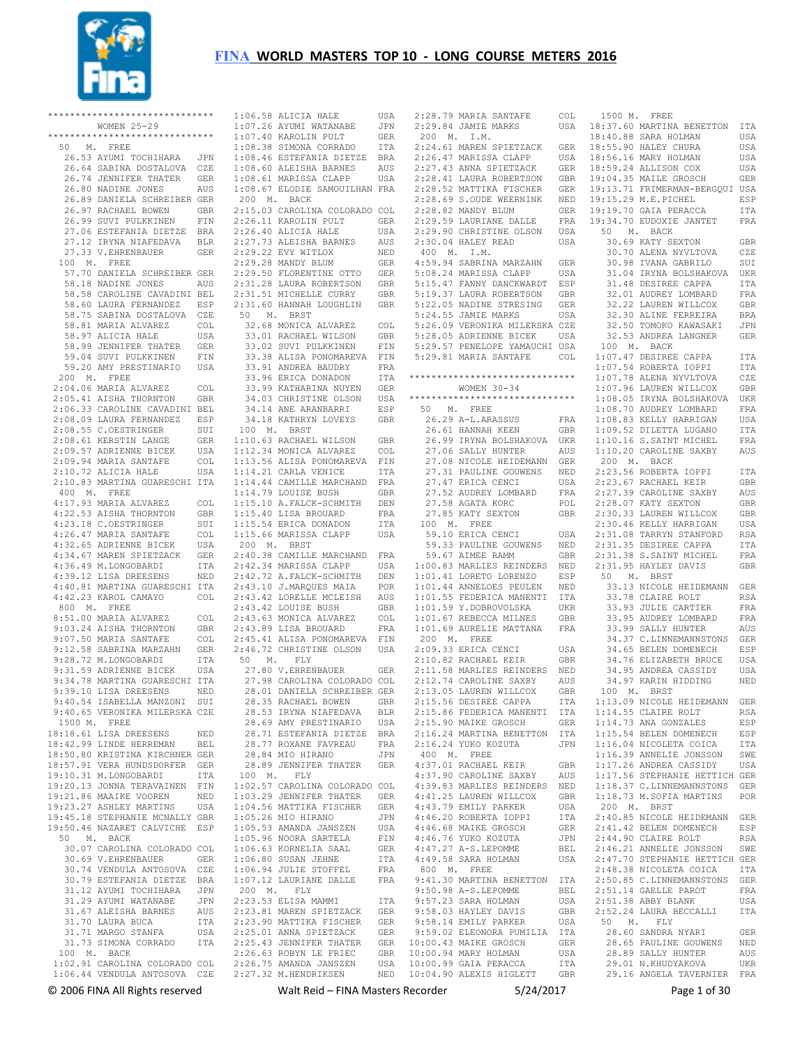

|           | ******************************                                |              | $1:06.58$ AL               |                 |
|-----------|---------------------------------------------------------------|--------------|----------------------------|-----------------|
|           | WOMEN 25-29                                                   |              | $1:07.26$ AY               |                 |
|           | ******************************                                |              | $1:07.40$ KA               |                 |
| 50        | M. FREE                                                       |              | $1:08.38$ SI               |                 |
|           | 26.53 AYUMI TOCHIHARA                                         | JPN          | 1:08.46 ES                 |                 |
|           | 26.64 SABINA DOSTALOVA                                        | CZE          | $1:08.60$ AL               |                 |
|           | 26.74 JENNIFER THATER                                         | GER          | $1:08.61$ MA               |                 |
|           | 26.80 NADINE JONES                                            | AUS          | $1:08.67$ EL               |                 |
|           | 26.89 DANIELA SCHREIBER GER                                   |              | 200<br>М.                  |                 |
|           | 26.97 RACHAEL BOWEN                                           | GBR          | 2:15.03 CA                 |                 |
|           | 26.99 SUVI PULKKINEN                                          | FIN          | 2:26.11 KA                 |                 |
|           | 27.06 ESTEFANIA DIETZE                                        | BRA          | $2:26.40$ AL               |                 |
|           | 27.12 IRYNA NIAFEDAVA                                         | BLR          | $2:27.73$ AL               |                 |
|           | 27.33 V.EHRENBAUER                                            | <b>GER</b>   | 2:29.22 EV                 |                 |
|           |                                                               |              | 2:29.28 MA                 |                 |
| 100 M.    | FREE                                                          |              |                            |                 |
|           | 57.70 DANIELA SCHREIBER GER                                   |              | 2:29.50 FL                 |                 |
|           | 58.18 NADINE JONES                                            | AUS          | 2:31.28 LA                 |                 |
|           | 58.58 CAROLINE CAVADINI BEL                                   |              | 2:31.51 MI                 |                 |
|           | 58.60 LAURA FERNANDEZ                                         | ESP          | $2:31.60$ HA               |                 |
|           | 58.75 SABINA DOSTALOVA                                        | CZE          | 50<br>Μ.                   |                 |
|           | 58.81 MARIA ALVAREZ                                           | COL          | 32.68 MO                   |                 |
|           | 58.97 ALICIA HALE                                             | USA          | 33.01 RA                   |                 |
|           | 58.99 JENNIFER THATER                                         | GER          | 33.02 SU                   |                 |
|           | 59.04 SUVI PULKKINEN                                          | FIN          | 33.38 AL                   |                 |
|           | 59.20 AMY PRESTINARIO                                         | USA          | 33.91                      | AN              |
| М.<br>200 | FREE                                                          |              | 33.96 ER                   |                 |
|           | 2:04.06 MARIA ALVAREZ                                         | COL          | 33.99 KA                   |                 |
|           | 2:05.41 AISHA THORNTON                                        | GBR          | 34.03 CH                   |                 |
|           | 2:06.33 CAROLINE CAVADINI BEL                                 |              | 34.14 AN                   |                 |
|           | 2:08.09 LAURA FERNANDEZ                                       | ESP          | 34.18 KA                   |                 |
|           | 2:08.55 C.OESTRINGER                                          | SUI          | 100 M.                     |                 |
| 2:08.61   | KERSTIN LANGE                                                 | GER          | $1:10.63$ RA               |                 |
|           | 2:09.57 ADRIENNE BICEK                                        | USA          | 1:12.34 MO                 |                 |
|           | 2:09.94 MARIA SANTAFE                                         | COL          | $1:13.56$ AL               |                 |
|           | 2:10.72 ALICIA HALE                                           | USA          | 1:14.21 CA                 |                 |
|           | 2:10.83 MARTINA GUARESCHI ITA                                 |              | 1:14.44 CA                 |                 |
| 400 M.    | FREE                                                          |              | 1:14.79                    | LO <sub>1</sub> |
|           | 4:17.93 MARIA ALVAREZ                                         | $_{\tt COL}$ | $1:15.10$ A.               |                 |
|           | 4:22.53 AISHA THORNTON                                        | GBR          | 1:15.40 LI                 |                 |
|           | 4:23.18 C.OESTRINGER                                          | SUI          | 1:15.54 ER                 |                 |
|           | 4:26.47 MARIA SANTAFE                                         | COL          | $1:15.66$ MA               |                 |
| 4:32.65   | ADRIENNE BICEK                                                | USA          | 200<br>М.                  |                 |
|           | 4:34.67 MAREN SPIETZACK                                       | GER          | 2:40.38 CA                 |                 |
|           | 4:36.49 M.LONGOBARDI                                          | ITA          | 2:42.34 MA                 |                 |
|           |                                                               |              |                            |                 |
|           | 4:39.12 LISA DREESENS                                         | NED          | 2:42.72 A.                 |                 |
|           | 4:40.81 MARTINA GUARESCHI ITA                                 |              | $2:43.10$ J.               |                 |
|           |                                                               | COL          |                            |                 |
| 800       | 4:42.23 KAROL CAMAYO                                          |              | $2:43.42$ LO               |                 |
| М.        | FREE                                                          |              | $2:43.42$ LO               |                 |
|           | 8:51.00 MARIA ALVAREZ                                         | COL          | 2:43.63 MO                 |                 |
|           | 9:03.24 AISHA THORNTON                                        | GBR          | 2:43.89 LI                 |                 |
|           | 9:07.50 MARIA SANTAFE                                         | COL          | 2:45.41                    | AL              |
|           | 9:12.58 SABRINA MARZAHN                                       | GER          | 2:46.72 CH                 |                 |
|           | 9:28.72 M.LONGOBARDI                                          | ITA          | 50<br>М.                   |                 |
|           | 9:31.59 ADRIENNE BICEK                                        | USA          | 27.80 V.                   |                 |
|           | 9:34.78 MARTINA GUARESCHI ITA                                 |              | 27.98 CA                   |                 |
|           | 9:39.10 LISA DREESENS                                         | NED          | 28.01                      | DA <sup>®</sup> |
| 9:40.54   | ISABELLA MANZONI                                              | SUI          | 28.35 RA                   |                 |
|           | 9:40.65 VERONIKA MILERSKA CZE                                 |              | 28.53 IR                   |                 |
| 1500 M.   | FREE                                                          |              | 28.69 AM                   |                 |
|           | 18:18.61 LISA DREESENS                                        | NED          | 28.71 ES                   |                 |
|           | 18:42.99 LINDE HERREMAN                                       | BEL          | 28.77 RO                   |                 |
|           | 18:50.80 KRISTINA KIRCHNER GER                                |              | 28.84 MI                   |                 |
|           | 18:57.91 VERA HUNDSDORFER GER                                 |              | 28.89 JE                   |                 |
|           | 19:10.31 M.LONGOBARDI                                         | ITA          | 100 M.                     |                 |
|           | 19:20.13 JONNA TERAVAINEN FIN                                 |              | $1:02.57$ CA               |                 |
|           | 19:21.86 MAAIKE VOOREN                                        | NED          | 1:03.29 JE                 |                 |
|           | 19:23.27 ASHLEY MARTINS                                       | USA          | $1:04.56$ MA               |                 |
|           | 19:45.18 STEPHANIE MCNALLY GBR                                |              | $1:05.26$ MI               |                 |
|           | 19:50.46 NAZARET CALVICHE ESP                                 |              | $1:05.53$ AM               |                 |
|           | 50 M. BACK                                                    |              | $1:05.96$ NO               |                 |
|           | 30.07 CAROLINA COLORADO COL                                   |              | $1:06.63$ KO               |                 |
|           | 30.69 V.EHRENBAUER                                            | GER          | $1:06.80$ SU               |                 |
|           | 30.74 VENDULA ANTOSOVA CZE                                    |              | 1:06.94 JU                 |                 |
|           | 30.79 ESTEFANIA DIETZE                                        | <b>BRA</b>   | $1:07.12$ LA               |                 |
|           | 31.12 AYUMI TOCHIHARA                                         | JPN          | 200 M.                     |                 |
|           | 31.29 AYUMI WATANABE                                          | JPN          | 2:23.53 EL                 |                 |
|           | 31.67 ALEISHA BARNES                                          | AUS          | 2:23.81 MA                 |                 |
|           | 31.70 LAURA BUCA                                              | ITA          | 2:23.90 MA                 |                 |
|           | 31.71 MARGO STANFA                                            | USA          | $2:25.01$ AN               |                 |
|           | 31.73 SIMONA CORRADO ITA                                      |              | 2:25.43 JE                 |                 |
| 100 M.    | BACK                                                          |              | 2:26.63 RO                 |                 |
|           | 1:02.91 CAROLINA COLORADO COL<br>1:06.44 VENDULA ANTOSOVA CZE |              | 2:26.75 AM<br>$2:27.32$ M. |                 |

ICIA HALE USA<br>UMI WATANABE JPN --<br>UMI WATANABE JPN<br>ROLIN PHLT GER ROLIN PULT GER<br>MONA CORRADO ITA MONA CORRADO TEFANIA DIETZE BRA EISHA BARNES AUS<br>RISSA CLAPP USA RISSA CLAPP ODIE SAMOUILHAN FRA **BACK**  2:15.03 CAROLINA COLORADO COL ROLIN PULT GER<br>ICIA HALE USA ICIA HALE EISHA BARNES AUS<br>Y WITLOX NED 2:29.22 EVY WITLOX NED NDY BLUM GER<br>ORENTINE OTTO GER ORENTINE OTTO GER<br>URA ROBERTSON GBR URA ROBERTSON GBR<br>CHELLE CURRY GBR CHELLE CURRY 2:31.60 HANNAH LOUGHLIN GBR 50 M. BRST NICA ALVAREZ COL NICA Anvarus<br>CHAEL WILSON GBR<br>VI PHLKKINEN FIN VI PULKKINEN --<br>DREA BAUDRY FRA TCA DONADON TTA THARINA NUYEN GER<br>RISTINE OLSON USA RISTINE OLSON E ARANBARRI ESP THRYN LOVEYS GBR 100 M. BRST CHAEL WILSON GBR NICA ALVAREZ COL 1:13.56 ALISA PONOMAREVA FIN RIA VENICE ITA MILLE MARCHAND FRA UISE BUSH GBR<br>FALCK-SCHMITH DEN FALCK-SCHMITH 1:15.40 LISA BROUARD FRA 1:15.54 ERICA DONADON ITA 1:15.66 MARISSA CLAPP USA 200 M. BRST MILLE MARCHAND FRA 2:43.10 J.MARQUES MAIA POR RELLE MCLEISH AUS 2:43.42 LOUISE BUSH GBR 2:43.63 MONICA ALVAREZ COL SA BROUARD FRA ISA PONOMAREVA FIN RISTINE OLSON USA 2:09.33 ERICA CENCI FLY 27.80 V.EHRENBAUER GER 27.98 CAROLINA COLORADO COL 28.01 DANIELA SCHREIBER GER CHAEL BOWEN GBR 28.53 IRYNA NIAFEDAVA BLR 28.69 AMY PRESTINARIO USA 28.71 ESTEFANIA DIETZE BRA 28.77 ROXANE FAVREAU FRA 28.84 MIO HIRANO JPN NNIFER THATER GER  $FT.Y$ ROLINA COLORADO COL NNIFER THATER GER TTIKA FISCHER O HIRANO ANDA JANSZEN ....<br>ORA SARTELA RNELIA SAAL SAN JEHNE ITA<br>LIE STOFFEL FRA LIE STOFFEL URIANE DALLE<br>FLY 200 M. FLY 2:23.53 ELISA MAMMI ITA REN SPIETZACK 2:23.90 MATTIKA FISCHER GER NA SPIETZACK GER<br>NNIFER THATER GER NNIFER THATER BYN LE FRIEC GBR<br>anda janszen – usa ANDA JANSZEN 2:27.32 M.HENDRIKSEN NED

 2:42.34 MARISSA CLAPP USA 2:42.72 A.FALCK-SCHMITH DEN 1:00.83 MARLIES REINDERS NED 1:01.41 LORETO LORENZO ESP 2:28.79 MARIA SANTAFE COL 200 M. I.M. 2:24.61 MAREN SPIETZACK GER 2:26.47 MARISSA CLAPP USA 2:27.43 ANNA SPIETZACK GER 2:28.41 LAURA ROBERTSON GBR  $2:28.82$  MANDY BLUM  $2:29.59$  LAURIANE DALLE 2:29.90 CHRISTINE OLSON USA 50 M. BACK 2:29.50 CHALCARD USA<br>2:30.04 HALEY READ USA 400 M. I.M. 4:59.94 SABRINA MARZAHN GER<br>5:08.24 MARISSA CLAPP – USA 5:08.24 MARISSA CLAPP USA 5:15.47 FANNY DANCKWARDT ESP 5:19.37 LAURA ROBERTSON GBR 5:22.05 NADINE STRESING GER 5:24.55 JAMIE MARKS USA 5:26.09 VERONIKA MILERSKA CZE 5:28.05 ADRIENNE BICEK USA 5:29.57 PENELOPE YAMAUCHI USA WOMEN 30-34 50 M. FREE 27.08 NICOLE HEIDEMANN GER 27.31 PAULINE GOUWENS NED 27.47 ERICA CENCI USA 27.52 AUDREY LOMBARD FRA 59.33 PAULINE GOUWENS NED 59.67 AIMEE RAMM GBR 1:01.44 ANNELOES PEULEN NED 1:01.55 FEDERICA MANENTI ITA 1:01.59 Y.DOBROVOLSKA UKR 1:01.67 REBECCA MILNES GBR 1:01.69 AURELIE MATTANA FRA 200 M. FREE 2:09.33 ERICA CENCI USA 2:10.82 RACHAEL KEIR GBR 2:11.58 MARLIES REINDERS NED 2:12.74 CAROLINE SAXBY AUS 2:13.05 LAUREN WILLCOX GBR 2:15.56 DESIREE CAPPA ITA 400 M. FREE<br>4:37.01 RACHAEL KEIR 4:37.01 RACHAEL KEIR GBR 4:37.90 CAROLINE SAXBY AUS 4:39.83 MARLIES REINDERS NED 4:41.25 LAUREN WILLCOX<br>4:43.79 EMILY PARKER 4:43.79 EMILY PARKER USA 4:46.20 ROBERTA IOPPI ITA 4:46.68 MAIKE GROSCH GER 4:46.76 YUKO KOZUTA JPN 4:47.27 A-S.LEPOMME BEL 4:49.58 SARA HOLMAN USA 800 M. FREE 9:41.30 MARTINA BENETTON ITA<br>9:50.98 A-S.LEPOMME BEL<br>9:57.23 SARA HOLMAN USA<br>9:58.03 HAYLEY DAVIS GBR 9:58.03 HAYLEY DAVIS<br>9:58.14 EMILY PARKER 9:59.02 ELEONORA PUMILIA ITA 10:00.43 MAIKE GROSCH GER 10:00.94 MARY HOLMAN USA<br>10:00.99 GAIA PERACCA ITA 10:00.99 GAIA PERACCA ITA 10:04.90 ALEXIS HIGLETT GBR

 33.38 ALISA PONOMAREVA FIN 5:29.81 MARIA SANTAFE COL 1:07.47 DESIREE CAPPA ITA 2:29.84 JAMIE MARKS USA 18:37.60 MARTINA BENETTON ITA 2:28.52 MATTIKA FISCHER GER 2:28.69 S.OUDE WEERNINK NED 19:13.71 FRIMERMAN-BERGQUI USA 19:15.29 M.E.PICHEL ESP \*\*\*\*\*\*\*\*\*\*\*\*\*\*\*\*\*\*\*\*\*\*\*\*\*\*\*\*\*\* 1:07.78 ALENA NYVLTOVA CZE \*\*\*\*\*\*\*\*\*\*\*\*\*\*\*\*\*\*\*\*\*\*\*\*\*\*\*\*\*\* 1:08.05 IRYNA BOLSHAKOVA UKR 26.29 A-L.ARASSUS FRA 26.61 HANNAH KEEN GBR 1:08.83 KELLY HARRIGAN USA 1:09.52 DILETTA LUGANO ITA 26.99 IRYNA BOLSHAKOVA UKR 27.06 SALLY HUNTER AUS 1:10.16 S.SAINT MICHEL FRA 1:10.20 CAROLINE SAXBY AUS 27.58 AGATA KORC POL 27.85 KATY SEXTON GBR 2:28.07 KATY SEXTON GBR 2:30.33 LAUREN WILLCOX GBR 100 M. FREE 59.10 ERICA CENCI USA 2:30.46 KELLY HARRIGAN USA 2:31.08 TARRYN STANFORD RSA 2:15.86 FEDERICA MANENTI ITA 2:15.90 MAIKE GROSCH GER 1:14.55 CLAIRE ROLT RSA 1:14.73 ANA GONZALES ESP 2:16.24 MARTINA BENETTON ITA 2:16.24 YUKO KOZUTA JPN 1:15.54 BELEN DOMENECH ESP 1:16.04 NICOLETA COICA ITA 1500 M. FREE 18:40.88 SARA HOLMAN USA<br>18:55 90 HALEY CHURA USA 18:55.90 HALEY CHURA USA<br>18:56.16 MARY HOLMAN USA<br>18:59.24 ALLISON COX USA<br>19:04.35 MAILE GROSCH GER 19:19.70 GAIA PERACCA ITA 19:34.70 EUDOXIE JANTET FRA 30.69 KATY SEXTON GBR<br>30.70 ALENA NYVLTOVA CZE 30.70 ALENA NYVLTOVA CZE 30.98 IVANA GABRILO SUI<br>31 04 IRYNA BOLSHAKOVA LIKR 31.04 IRYNA BOLSHAKOVA UKR<br>31.48 DESIREE CAPPA – ITA 31.48 DESIREE CAPPA 32.01 AUDREY LOMBARD FRA 32.22 LAUREN WILLCOX GBR 32.30 ALINE FERREIRA BRA 32.50 TOMOKO KAWASAKI JPN 32.53 ANDREA LANGNER GER 100 M. BACK 1:07.54 ROBERTA IOPPI ITA 1:07.96 LAUREN WILLCOX GBR 1:08.70 AUDREY LOMBARD FRA 200 M. BACK 2:23.56 ROBERTA IOPPI ITA 2:23.67 RACHAEL KEIR GBR 2:27.39 CAROLINE SAXBY AUS 2:31.35 DESIREE CAPPA ITA 2:31.38 S.SAINT MICHEL FRA<br>2:31.95 HAYLEY DAVIS GRR  $2:31.95$  HAYLEY DAVIS 50 M. BRST 33.13 NICOLE HEIDEMANN GER 33.78 CLAIRE ROLT RSA 33.93 JULIE CARTIER FRA 33.95 AUDREY LOMBARD FRA 33.99 SALLY HUNTER AUS 34.37 C.LINNEMANNSTONS GER<br>34.65 BELEN DOMENECH ESP 34.65 BELEN DOMENECH 34.76 ELIZABETH BRUCE USA 34.95 ANDREA CASSIDY USA 34.97 KARIN HIDDING NED 100 M. BRST 1:13.09 NICOLE HEIDEMANN GER 1:16.39 ANNELIE JONSSON SWE 1:17.26 ANDREA CASSIDY USA 1:17.56 STEPHANIE HETTICH GER 1:18.37 C.LINNEMANNSTONS GER 1:18.73 M.SOFIA MARTINS POR 200 M. BRST 2:40.85 NICOLE HEIDEMANN GER 2:41.42 BELEN DOMENECH ESP 2:44.90 CLAIRE ROLT RSA 2:46.21 ANNELIE JONSSON SWE 2:47.70 STEPHANIE HETTICH GER 2:48.38 NICOLETA COICA ITA 2:50.85 C.LINNEMANNSTONS GER 2:51.14 GAELLE PAROT FRA 2:51.38 ABBY BLANK USA 2:52.24 LAURA BECCALLI ITA 50 M. FLY 28.60 SANDRA NYARI GER<br>28.65 PAULLINE GOUWENS - NED 28.65 PAULINE GOUWENS 28.89 SALLY HUNTER AUS 29.01 N.KHUDYAKOVA 29.16 ANGELA TAVERNIER FRA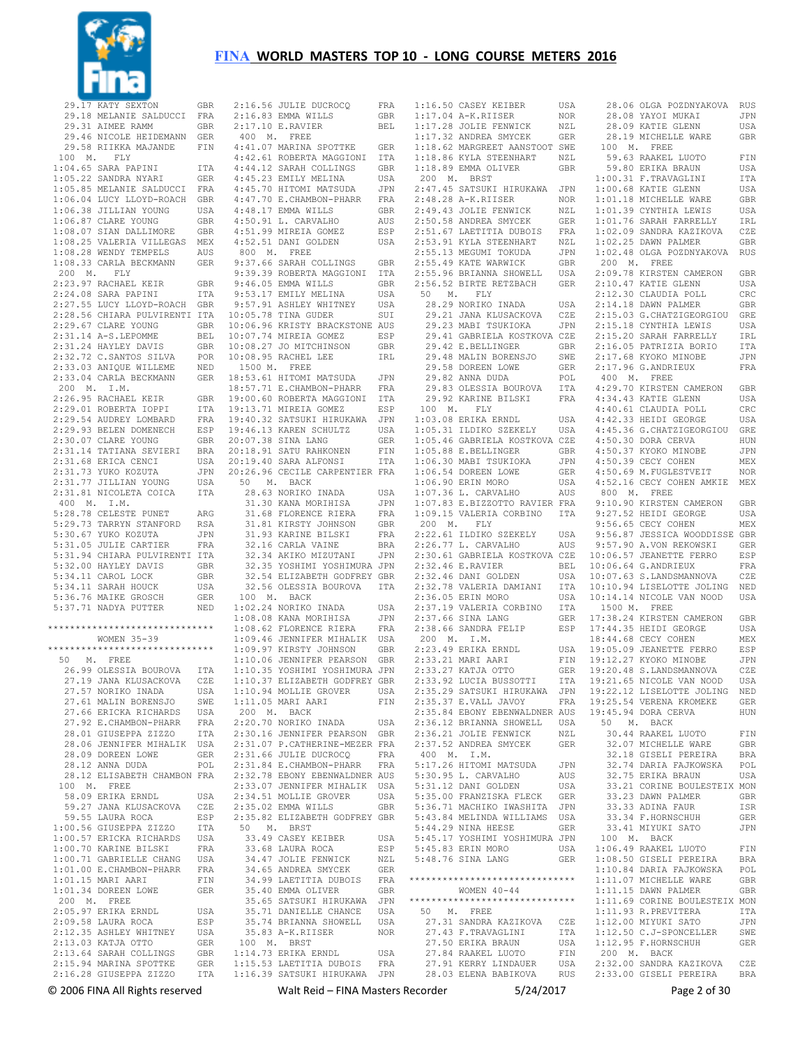

 29.17 KATY SEXTON GBR 29.18 MELANIE SALDUCCI FRA 29.31 AIMEE RAMM GBR 29.46 NICOLE HEIDEMANN GER 29.58 RIIKKA MAJANDE FIN 100 M. FLY 1:04.65 SARA PAPINI ITA 1:05.22 SANDRA NYARI GER 1:05.85 MELANIE SALDUCCI FRA 1:06.04 LUCY LLOYD-ROACH GBR 1:06.38 JILLIAN YOUNG USA 1:06.87 CLARE YOUNG GBR<br>1:08.07 STAN DALLIMORE GBR 1:08.07 SIAN DALLIMORE GBR 1:08.25 VALERIA VILLEGAS MEX<br>1:08.28 WENDY TEMPELS AUS  $1:08.28$  WENDY TEMPELS 1:08.33 CARLA BECKMANN GER<br>200 M FLY 200 M. FLY 2:23.97 RACHAEL KEIR GBR 2:24.08 SARA PAPINI ITA 2:27.55 LUCY LLOYD-ROACH GBR 2:28.56 CHIARA PULVIRENTI ITA 2:29.67 CLARE YOUNG GBR 2:31.14 A-S.LEPOMME BEL 2:31.24 HAYLEY DAVIS GBR 2:32.72 C.SANTOS SILVA POR 2:33.03 ANIQUE WILLEME NED 2:33.04 CARLA BECKMANN GER 200 M. I.M. 2:26.95 RACHAEL KEIR GBR 2:29.01 ROBERTA IOPPI ITA 2:29.54 AUDREY LOMBARD FRA 2:29.93 BELEN DOMENECH ESP<br>2:30.07 CLARE YOUNG GBR  $2 \cdot 30.07$  CLARE YOUNG 2:31.14 TATIANA SEVIERI BRA 2:31.68 ERICA CENCI USA 2:31.73 YUKO KOZUTA JPN 2:31.77 JILLIAN YOUNG USA 2:31.81 NICOLETA COICA ITA 400 M. I.M. 5:28.78 CELESTE PUNET ARG<br>5:29.73 TARRYN STANFORD RSA 5:29.73 TARRYN STANFORD 5:30.67 YUKO KOZUTA JPN 5:31.05 JULIE CARTIER FRA 5:31.94 CHIARA PULVIRENTI ITA 5:32.00 HAYLEY DAVIS GBR 5:34.11 CAROL LOCK GBR<br>5:34 11 SARAH HOUCK USA  $5.34$  11 SARAH HOUCK 5:36.76 MAIKE GROSCH GER 5:37.71 NADYA PUTTER NED \*\*\*\*\*\*\*\*\*\*\*\*\*\*\*\*\*\*\*\*\*\*\*\*\*\*\*\*\*\* WOMEN 35-39 \*\*\*\*\*\*\*\*\*\*\*\*\*\*\*\*\*\*\*\*\*\*\*\*\*\*\*\*\*\* 50 M. FREE 26.99 OLESSIA BOUROVA ITA 27.19 JANA KLUSACKOVA CZE 27.57 NORIKO INADA USA 27.61 MALIN BORENSJO SWE 27.66 ERICKA RICHARDS USA<br>27.92 E.CHAMBON-PHARR FRA 27.92 E.CHAMBON-PHARR 28.01 GIUSEPPA ZIZZO ITA 28.06 JENNIFER MIHALIK USA 28.09 DOREEN LOWE GER 28.12 ANNA DIIDA POL 28.12 ELISABETH CHAMBON FRA 100 M. FREE 58.09 ERIKA ERNDL USA 59.27 JANA KLUSACKOVA CZE<br>59.55 LAURA ROCA RSP 59.55 LAURA ROCA 1:00.56 GIUSEPPA ZIZZO ITA 1:00.57 ERICKA RICHARDS USA 1:00.70 KARINE BILSKI FRA 1:00.71 GABRIELLE CHANG USA<br>1:01.00 E.CHAMBON-PHARR FRA 1:01.00 E.CHAMBON-PHARR FRA 1:01.15 MARI AARI FIN 1:01.34 DOREEN LOWE GER 200 M. FREE 2:05.97 ERIKA ERNDL USA 2:09.58 LAURA ROCA ESP 2:12.35 ASHLEY WHITNEY USA<br>2:13.03 KATJA OTTO GER 2:13.03 KATJA OTTO 2:13.64 SARAH COLLINGS GBR 2:15.94 MARINA SPOTTKE 2:16.28 GIUSEPPA ZIZZO

 2:16.56 JULIE DUCROCQ FRA 2:16.83 EMMA WILLS GBR<br>2:17.10 E.RAVIER BEL  $2:17.10$  E.RAVIER 400 M. FREE 4:41.07 MARINA SPOTTKE GER 4:42.61 ROBERTA MAGGIONI ITA ed:<br>4:44.12 SARAH COLLINGS GBR<br>4:45.23 EMILY MELINA USA 4:45.23 EMILY MELINA USA<br>4:45.70 HITOMI MATSUDA JPN 4:45.70 HITOMI MATSUDA 4:47.70 E.CHAMBON-PHARR FRA 4:48.17 EMMA WILLS GBR 4:50.91 L. CARVALHO AUS 4:51.99 MIREIA GOMEZ ESP 4:52.51 DANI GOLDEN USA 800 M. FREE 9:37.66 SARAH COLLINGS GBR 9:39.39 ROBERTA MAGGIONI ITA 9:46.05 EMMA WILLS GBR<br>9:53.17 EMILY MELINA USA 9:53.17 EMILY MELINA 9:57.91 ASHLEY WHITNEY USA 10:05.78 TINA GUDER SUI 10:06.96 KRISTY BRACKSTONE AUS 10:07.74 MIREIA GOMEZ ESP 10:08.27 JO MITCHINSON GBR 10:08.95 RACHEL LEE IRL 1500 M. FREE 18:53.61 HITOMI MATSUDA JPN 18:57.71 E.CHAMBON-PHARR FRA 19:00.60 ROBERTA MAGGIONI ITA 19:13.71 MIREIA GOMEZ ESP 19:40.32 SATSUKI HIRUKAWA JPN 19:46.13 KAREN SCHULTZ USA<br>20:07 38 SINA LANG GER  $20 \cdot 07$  38 SINA LANG 20:18.91 SATU RAHKONEN FIN 20:19.40 SARA ALFONSI ITA 20:26.96 CECILE CARPENTIER FRA 50 M. BACK 28.63 NORIKO INADA USA 31.30 KANA MORIHISA JPN 31.68 FLORENCE RIERA FRA 31.81 KIRSTY JOHNSON GBR 31.93 KARINE BILSKI FRA 32.16 CARLA VAINE BRA 32.34 AKIKO MIZUTANI JPN 32.35 YOSHIMI YOSHIMURA JPN 32.54 ELIZABETH GODFREY GBR 32.56 OLESSIA BOUROVA ITA 100 M. BACK 1:02.24 NORIKO INADA USA 1:08.08 KANA MORIHISA JPN 1:08.62 FLORENCE RIERA FRA 1:09.46 JENNIFER MIHALIK USA 1:09.97 KIRSTY JOHNSON GBR 1:10.06 JENNIFER PEARSON GBR 1:10.35 YOSHIMI YOSHIMURA JPN 1:10.37 ELIZABETH GODFREY GBR 1:10.94 MOLLIE GROVER USA 1:10.05 MARI AARI FIN 200 M. BACK 2:20.70 NORIKO INADA USA 2:30.16 JENNIFER PEARSON GBR 2:31.07 P.CATHERINE-MEZER FRA 2:31.66 JULIE DUCROCQ FRA 2:31.84 E.CHAMBON-PHARR FRA 2:32.78 EBONY EBENWALDNER AUS 2:33.07 JENNIFER MIHALIK USA 2:34.51 MOLLIE GROVER USA 2:35.02 EMMA WILLS GBR 2:35.82 ELIZABETH GODFREY GBR 50 M. BRST 33.49 CASEY KEIBER USA 33.68 LAURA ROCA ESP 34.47 JOLIE FENWICK NZL<br>34.65 ANDREA SMYCEK GER 34.65 ANDREA SMYCEK 34.99 LAETITIA DUBOIS FRA<br>35.40 EMMA OLIVER GBR 35.40 EMMA OLIVER GBR 35.65 SATSUKI HIRUKAWA JPN 35.71 DANIELLE CHANCE USA 35.74 BRIANNA SHOWELL USA 35.83 A-K.RIISER 100 M. BRST 1:14.73 ERIKA ERNDL USA 1:15.53 LAETITIA DUBOIS FRA 1:16.39 SATSUKI HIRUKAWA JPN

 1:16.50 CASEY KEIBER USA 1:17.04 A-K.RIISER NOR 1:17.28 JOLIE FENWICK NZL<br>1:17.32 ANDREA SMYCEK GER 1:17.32 ANDREA SMYCEK 1:18.62 MARGREET AANSTOOT SWE 1:18.86 KYLA STEENHART NZL 1:18.89 EMMA OLIVER GBR 200 M. BRST 2:47.45 SATSUKI HIRUKAWA JPN  $2:48.28$  A-K.RIISER 2:49.43 JOLIE FENWICK NZL 2:50.58 ANDREA SMYCEK GER 2:51.67 LAETITIA DUBOIS FRA 2:53.91 KYLA STEENHART NZL<br>2:55.13 MEGUMI TOKUDA JPN 2:55.13 MEGUMI TOKUDA 2:55.49 KATE WARWICK GBR<br>2:55.96 BRIANNA SHOWELL USA<br>2:56.52 BIRTE RETZBACH GER 2:55.96 BRIANNA SHOWELL 2:56.52 BIRTE RETZBACH 50 M. FLY 28.29 NORIKO INADA USA 29.21 JANA KLUSACKOVA CZE 29.23 MABI TSUKIOKA JPN 29.41 GABRIELA KOSTKOVA CZE 29.42 E.BELLINGER GBR<br>29.48 MALIN BORENSJO SWE 29.48 MALIN BORENSJO 29.58 DOREEN LOWE GER 29.82 ANNA DUDA POL<br>29.83 OLESSIA BOUROVA ITA 29.83 OLESSIA BOUROVA 29.92 KARINE BILSKI FRA 4:34.43 KATIE GLENN USA 100 M. FLY 1:03.08 ERIKA ERNDL USA<br>1:05.31 ILDIKO SZEKELY USA  $1:05.31$  ILDIKO SZEKELY 1:05.46 GABRIELA KOSTKOVA CZE 1:05.88 E.BELLINGER GBR 1:06.30 MABI TSUKIOKA JPN 1:06.54 DOREEN LOWE GER<br>1·06.90 ERIN MORO USA 1:06.90 ERIN MORO USA<br>1:07.36 L. CARVALHO AUS 1:07.36 L. CARVALHO AUS 1:07.83 E.BIZZOTTO RAVIER FRA 1:09.15 VALERIA CORBINO ITA 200 M. FLY 2:22.61 ILDIKO SZEKELY 2:26.77 L. CARVALHO AUS 2:30.61 GABRIELA KOSTKOVA CZE 10:06.57 JEANETTE FERRO ESP 2:32.46 E.RAVIER BEL 2:32.46 DANI GOLDEN USA 2:32.78 VALERIA DAMIANI 2:36.05 ERIN MORO 2:37.19 VALERIA CORBINO ITA 2:37.66 SINA LANG GER 2:38.66 SANDRA FELIP ESP 200 M. I.M.  $2:23.49$  ERIKA ERNDL  $2:33.21$  MARI AARI 2:33.27 KATJA OTTO 2:33.92 LUCIA BUSSOTTI 2:35.29 SATSUKI HIRUKAWA JPN 2:35.37 E.VALL JAVOY FRA 2:35.84 EBONY EBENWALDNER AUS 2:36.12 BRIANNA SHOWELL USA 2:36.21 JOLIE FENWICK NZL 2:37.52 ANDREA SMYCEK GER 400 M. I.M. 5:17.26 HITOMI MATSUDA JPN 5:30.95 L. CARVALHO AUS 5:31.12 DANI GOLDEN USA 5:35.00 FRANZISKA FLECK GER 5:36.71 MACHIKO IWASHITA JPN 5:43.84 MELINDA WILLIAMS USA 5:44.29 NINA HEESE GER 5:45.17 YOSHIMI YOSHIMURA JPN 5:45.83 ERIN MORO USA  $5:48.76$  SINA LANG \*\*\*\*\*\*\*\*\*\*\*\*\*\*\*\*\*\*\*\*\*\*\*\*\*\*\*\*\*\* WOMEN 40-44 \*\*\*\*\*\*\*\*\*\*\*\*\*\*\*\*\*\*\*\*\*\*\*\*\*\*\*\*\*\* 50 M. FREE 27.31 SANDRA KAZIKOVA CZE 27.43 F.TRAVAGLINI ITA 27.50 ERIKA BRAUN 27.84 RAAKEL LUOTO FIN 27.91 KERRY LINDAUER USA 28.03 ELENA BABIKOVA RUS 2:32.00 SANDRA KAZIKOVA CZE 2:33.00 GISELI PEREIRA BRA

© 2006 FINA All Rights reserved Walt Reid – FINA Masters Recorder 5/24/2017 Page 2 of 30 28.06 OLGA POZDNYAKOVA RUS 28.08 YAYOI MUKAI JPN 28.09 KATIE GLENN USA<br>28.19 MICHELLE WARE GRR 28.19 MICHELLE WARE 100 M. FREE 59.63 RAAKEL LUOTO FIN 59.80 ERIKA BRAUN USA 1:00.31 F.TRAVAGLINI ITA 1:00.68 KATIE GLENN USA 1:01.18 MICHELLE WARE GBR 1:01.39 CYNTHIA LEWIS USA 1:01.76 SARAH FARRELLY IRL 1:02.09 SANDRA KAZIKOVA CZE 1:02.25 DAWN PALMER GBR 1:02.48 OLGA POZDNYAKOVA RUS 200 M. FREE 2:09.78 KIRSTEN CAMERON GBR<br>2:10.47 KATTE GLENN USA  $2:10.47$  KATIE GLENN 2:12.30 CLAUDIA POLL CRC 2:14.18 DAWN PALMER GBR 2:15.03 G.CHATZIGEORGIOU GRE 2:15.18 CYNTHIA LEWIS USA 2:15.20 SARAH FARRELLY IRL 2:16.05 PATRIZIA BORIO ITA 2:17.68 KYOKO MINOBE JPN 2:17.96 G.ANDRIEUX FRA 400 M. FREE 4:29.70 KIRSTEN CAMERON GBR 4:40.61 CLAUDIA POLL CRC 4:42.33 HEIDI GEORGE USA 4:45.36 G.CHATZIGEORGIOU GRE  $4 \cdot 50.30$  DORA CERVA 4:50.37 KYOKO MINOBE JPN 4:50.39 CECY COHEN MEX 4:50.69 M.FUGLESTVEIT NOR 4:52.16 CECY COHEN AMKIE MEX 800 M. FREE 9:10.90 KIRSTEN CAMERON GBR 9:27.52 HEIDI GEORGE USA 9:56.65 CECY COHEN MEX 9:56.87 JESSICA WOODDISSE GBR 9:57.90 A.VON REKOWSKI GER 10:06.64 G.ANDRIEUX FRA 10:07.63 S.LANDSMANNOVA CZE 10:10.94 LISELOTTE JOLING NED 10:14.14 NICOLE VAN NOOD USA 1500 M. FREE GER 17:38.24 KIRSTEN CAMERON GBR<br>ESP 17:44.35 HEIDI GEORGE USA ESP 17:44.35 HEIDI GEORGE 18:44.68 CECY COHEN MEX<br>19:05.09 JEANETTE FERRO ESP 19:05.09 JEANETTE FERRO ESP 19:12.27 KYOKO MINOBE JPN 19:20.48 S.LANDSMANNOVA CZE 19:21.65 NICOLE VAN NOOD USA 19:22.12 LISELOTTE JOLING NED 19:25.54 VERENA KROMEKE GER 19:45.94 DORA CERVA HUN 50 M. BACK 30.44 RAAKEL LUOTO FIN 32.07 MICHELLE WARE GBR 32.18 GISELI PEREIRA BRA 32.74 DARIA FAJKOWSKA POL 32.75 ERIKA BRAUN USA 33.21 CORINE BOULESTEIX MON<br>33.23 DAWN PALMER GBR 33.23 DAWN PALMER 33.33 ADINA FAUR ISR<br>33.34 F.HORNSCHUH GER 33.34 F.HORNSCHUH 33.41 MIYUKI SATO JPN 100 M. BACK 1:06.49 RAAKEL LUOTO FIN 1:08.50 GISELI PEREIRA BRA 1:10.84 DARIA FAJKOWSKA 1:11.07 MICHELLE WARE GBR<br>1:11.15 DAWN PALMER GBR 1:11.15 DAWN PALMER GBR 1:11.69 CORINE BOULESTEIX MON<br>1:11.93 R PREVITERA TTA  $1:11.93$  R.PREVITERA 1:12.00 MIYUKI SATO JPN 1:12.50 C.J-SPONCELLER SWE<br>1:12.95 F.HORNSCHUH GER USA 1:12.95 F.HORNSCHUH 200 M. BACK<br>2:32.00 SANDRA KAZIKOVA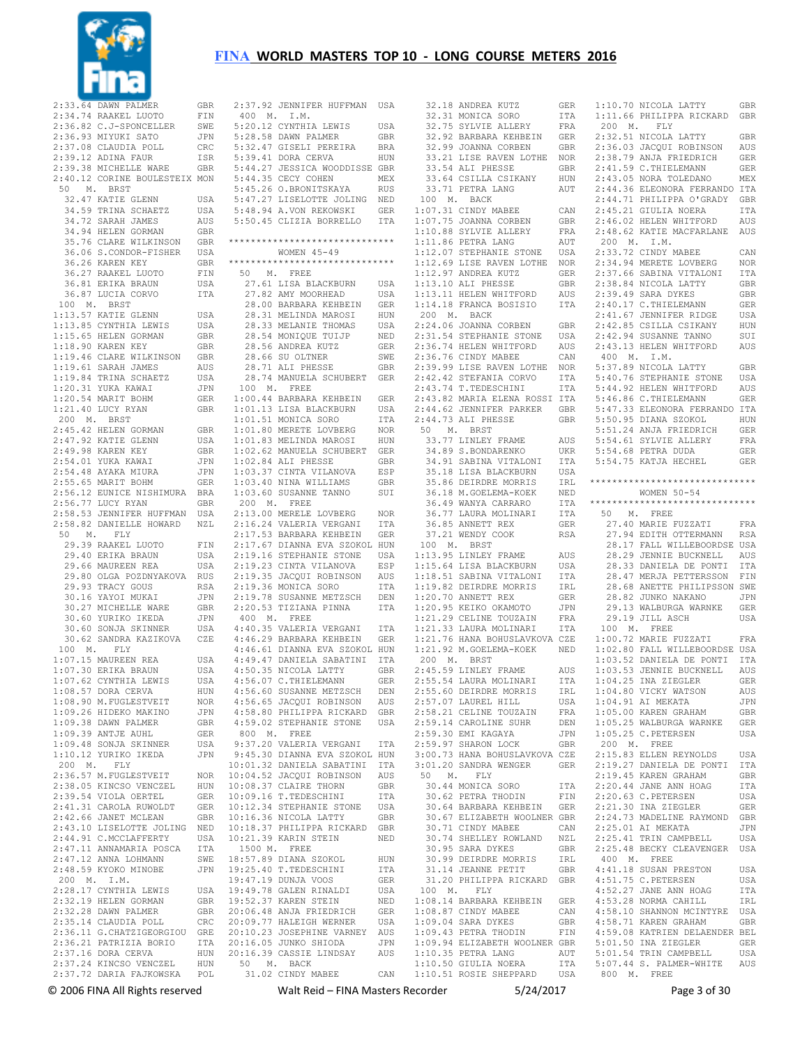

|             | $\begin{tabular}{llllll} 2:33.64 & {\tt DANN PALMER} & {\tt GBR} \\ 2:34.74 & {\tt RAKEL LUOTO} & {\tt FIN} \\ 2:36.82 & {\tt C.J-SPONCELLER} & {\tt SWE} \\ \hline \end{tabular}$                        |             |
|-------------|-----------------------------------------------------------------------------------------------------------------------------------------------------------------------------------------------------------|-------------|
|             |                                                                                                                                                                                                           |             |
|             |                                                                                                                                                                                                           |             |
|             |                                                                                                                                                                                                           |             |
|             |                                                                                                                                                                                                           |             |
|             |                                                                                                                                                                                                           |             |
|             | 2:36.93 MYUKI SATO JPN<br>2:36.93 MYUKI SATO JPN<br>2:37.08 CLAUDIA POLL CRC<br>2:39.12 ADINA FAUR ISR<br>2:39.38 MICHELLE WARE GBR                                                                       |             |
|             |                                                                                                                                                                                                           |             |
|             | 2:40.12 CORINE BOULESTEIX MON<br>50 M. BRST                                                                                                                                                               |             |
|             | 32.47 KATIE GLENN<br>34.59 TRINA SCHAETZ<br>34.72 SARAH JAMES<br>34.94 HELEN GORMAN<br>35.76 CLARE WILKINSON                                                                                              | USA         |
|             |                                                                                                                                                                                                           | USA         |
|             |                                                                                                                                                                                                           | AUS         |
|             |                                                                                                                                                                                                           | GBR         |
|             |                                                                                                                                                                                                           | GBR         |
|             |                                                                                                                                                                                                           |             |
|             |                                                                                                                                                                                                           |             |
|             |                                                                                                                                                                                                           |             |
|             |                                                                                                                                                                                                           |             |
|             | 33.70 CLANDR-FISHER USA<br>36.06 S.CONDOR-FISHER USA<br>36.26 KAREN KEY GBR<br>36.27 RAAKEL LUOTO FIN<br>36.81 ERIKA BRAUN USA<br>10.0 M. BRST<br>10.57 WATER CLENN USA                                   |             |
|             |                                                                                                                                                                                                           |             |
|             |                                                                                                                                                                                                           |             |
|             |                                                                                                                                                                                                           |             |
|             |                                                                                                                                                                                                           |             |
|             |                                                                                                                                                                                                           |             |
|             |                                                                                                                                                                                                           |             |
|             |                                                                                                                                                                                                           |             |
|             | 100 M. BKST<br>1:13.57 KATIE GLENN USA<br>1:13.85 CYNTHIA LEWIS USA<br>1:15.65 HELEN GORMAN GER<br>1:18.90 KAREN KEY GER<br>1:19.64 SARAH JAMES AUS<br>1:19.64 SARAH JAMES AUS<br>1:19.64 SARAH JAMES AUS |             |
|             |                                                                                                                                                                                                           | USA<br>JPN  |
|             |                                                                                                                                                                                                           |             |
|             | 1.19.61 SARAH JAMES<br>1:19.84 TRINA SCHAETZ<br>1:20.31 YUKA KAWAI<br>1:20.54 MARIT BOHM<br>1:10 MARIT BOHM                                                                                               | GER         |
|             | 1:21.40 LUCY RYAN                                                                                                                                                                                         | GBR         |
|             | 200 M. BRST                                                                                                                                                                                               |             |
|             |                                                                                                                                                                                                           |             |
|             |                                                                                                                                                                                                           |             |
|             |                                                                                                                                                                                                           |             |
|             |                                                                                                                                                                                                           | JPN         |
|             |                                                                                                                                                                                                           |             |
|             |                                                                                                                                                                                                           |             |
|             |                                                                                                                                                                                                           |             |
|             |                                                                                                                                                                                                           |             |
|             |                                                                                                                                                                                                           |             |
|             |                                                                                                                                                                                                           |             |
|             |                                                                                                                                                                                                           |             |
|             |                                                                                                                                                                                                           |             |
|             | 50 M. FLY                                                                                                                                                                                                 |             |
|             |                                                                                                                                                                                                           | ${\rm FIN}$ |
|             |                                                                                                                                                                                                           | USA         |
|             | 29.39 RAAKEL LUOTO<br>29.40 ERIKA BRAUN<br>29.66 MAUREEN REA                                                                                                                                              | USA         |
|             |                                                                                                                                                                                                           |             |
|             |                                                                                                                                                                                                           |             |
|             | 29.80 OLGA POZDNYAKOVA RUS<br>29.93 TRACY GOUS RSA<br>30.16 YAYOI MUKAI JPN                                                                                                                               |             |
|             |                                                                                                                                                                                                           |             |
|             |                                                                                                                                                                                                           |             |
|             |                                                                                                                                                                                                           |             |
|             |                                                                                                                                                                                                           |             |
|             | 30.27 MICHELLE WARE<br>30.60 YURIKO IKEDA JPN<br>30.60 SONJA SKINNER USA<br>30.62 SANDRA KAZIKOVA CZE                                                                                                     |             |
|             | 100 M. FLY<br>1:07.15 MAUREEN REA                                                                                                                                                                         | USA         |
|             | 1:07.15 MAUREEN REA<br>1:07.30 ERIKA BRAUN                                                                                                                                                                |             |
|             |                                                                                                                                                                                                           |             |
|             |                                                                                                                                                                                                           | HUN         |
|             |                                                                                                                                                                                                           | NOR         |
|             |                                                                                                                                                                                                           | JPN         |
|             | 1:08.90 M.FUGLESTVEIT<br>1:09.26 HIDEKO MAKINO<br>1:09.38 DAWN PALMER                                                                                                                                     | GBR         |
|             | $1:09.39$ ANTJE AUHL                                                                                                                                                                                      | GER         |
|             |                                                                                                                                                                                                           | USA         |
|             | 1:09.48 SONJA SKINNER<br>1:10.12 YURIKO IKEDA                                                                                                                                                             | JPN         |
| 200 M. FLY  |                                                                                                                                                                                                           |             |
|             | 2:36.57 M.FUGLESTVEIT                                                                                                                                                                                     | NOR         |
|             | 2:38.05 KINCSO VENCZEL                                                                                                                                                                                    | HUN         |
|             |                                                                                                                                                                                                           | <b>GER</b>  |
|             |                                                                                                                                                                                                           | GER         |
|             |                                                                                                                                                                                                           | GBR         |
|             | 2:39.54 VIOLA OERTEL<br>2:41.31 CAROLA RUWOLDT<br>2:42.66 JANET MCLEAN                                                                                                                                    | <b>NED</b>  |
|             | 2:43.10 LISELOTTE JOLING<br>2:44.91 C.MCCLAFFERTY                                                                                                                                                         | USA         |
|             | 2:47.11 ANNAMARIA POSCA                                                                                                                                                                                   | ITA         |
|             | 2:47.12 ANNA LOHMANN                                                                                                                                                                                      | SWE         |
|             | 2:48.59 KYOKO MINOBE                                                                                                                                                                                      | JPN         |
| 200 M. I.M. |                                                                                                                                                                                                           |             |
|             | 2:28.17 CYNTHIA LEWIS                                                                                                                                                                                     | USA         |
|             |                                                                                                                                                                                                           | GBR         |
|             | 2:32.19 HELEN GORMAN                                                                                                                                                                                      | GBR         |
|             | 2:32.28 DAWN PALMER<br>2:35.14 CLAUDIA POLL                                                                                                                                                               | CRC         |
|             | 2:36.11 G. CHATZIGEORGIOU GRE                                                                                                                                                                             |             |
|             |                                                                                                                                                                                                           | ITA         |
|             |                                                                                                                                                                                                           | HUN         |
|             | 2:36.21 PATRIZIA BORIO<br>2:37.16 DORA CERVA                                                                                                                                                              | HUN         |
|             | 2:37.24 KINCSO VENCZEL HUN<br>2:37.72 DARIA FAJKOWSKA POL                                                                                                                                                 |             |

| 2:37.92 JENNIFER HUFFMAN USA                                                                                                                                                                                                   |                   |
|--------------------------------------------------------------------------------------------------------------------------------------------------------------------------------------------------------------------------------|-------------------|
| $400$ M. I.M.                                                                                                                                                                                                                  | USA               |
| 5:20.12 CYNTHIA LEWIS                                                                                                                                                                                                          |                   |
| 5:28.58 DAWN PALMER                                                                                                                                                                                                            | GBR               |
|                                                                                                                                                                                                                                |                   |
|                                                                                                                                                                                                                                |                   |
| 9.12.120 STATES TRANSPORT STRAND BRAND STRAND BRAND STRAND STRAND STRAND STRAND STRAND STRAND STRAND STRAND STRAND STRAND STRAND STRAND STRAND STRAND STRAND STRAND STRAND STRAND STRAND STRAND STRAND STRAND STRAND STRAND ST |                   |
| 5:45.26 O.BRONITSKAYA<br>5:47 27 11000                                                                                                                                                                                         | MEX               |
|                                                                                                                                                                                                                                | RUS               |
|                                                                                                                                                                                                                                |                   |
|                                                                                                                                                                                                                                |                   |
| 5:47.27 LISELOTTE JOLING NED<br>5:48.94 A.VON REKOWSKI GER<br>5:50.45 CLIZIA BORRELLO ITA                                                                                                                                      |                   |
|                                                                                                                                                                                                                                |                   |
| *******************************                                                                                                                                                                                                |                   |
| WOMEN $45 - 49$                                                                                                                                                                                                                |                   |
| ******************************                                                                                                                                                                                                 |                   |
| 50 M. FREE                                                                                                                                                                                                                     |                   |
| 27.61 LISA BLACKBURN                                                                                                                                                                                                           | USA               |
| 27.82 AMY MOORHEAD                                                                                                                                                                                                             | USA               |
| 28.00 BARBARA KEHBEIN<br>28.31 MELINDA MAROSI                                                                                                                                                                                  | GER               |
|                                                                                                                                                                                                                                | HUN               |
| 28.33 MELANIE THOMAS<br>28.33 MELANIE THOMAS<br>28.54 MONIQUE TUIJP<br>28.56 ANDREA KUTZ<br>28.66 SU OLTNER<br>28.71 ALI PHESSE                                                                                                | USA               |
|                                                                                                                                                                                                                                | USA<br>NED<br>GER |
|                                                                                                                                                                                                                                |                   |
|                                                                                                                                                                                                                                | SWE               |
|                                                                                                                                                                                                                                | GBR               |
| 28.74 MANUELA SCHUBERT GER                                                                                                                                                                                                     |                   |
| $100$ M. FREE                                                                                                                                                                                                                  |                   |
| 1:00.44 BARBARA KEHBEIN GER<br>1:01.13 LISA BLACKBURN USA                                                                                                                                                                      |                   |
|                                                                                                                                                                                                                                |                   |
|                                                                                                                                                                                                                                | ITA               |
| 1:01.51 MONICA SORO<br>1:01.80 MERETE LOVBERG                                                                                                                                                                                  | NOR               |
| $1:01.83$ MELINDA MAROSI                                                                                                                                                                                                       | HUN               |
| $1:02.62$ MANUELA SCHUBERT                                                                                                                                                                                                     | GER               |
| $1:02.84$ ALI PHESSE                                                                                                                                                                                                           | GBR               |
|                                                                                                                                                                                                                                |                   |
| 1:03.37 CINTA VILANOVA ESP<br>1:03.40 NINA WILLIAMS GBR                                                                                                                                                                        |                   |
| $1:03.60$ SUSANNE TANNO                                                                                                                                                                                                        | SUI               |
| 200 M. FREE                                                                                                                                                                                                                    |                   |
| 2:13.00 MERELE LOVBERG                                                                                                                                                                                                         | NOR               |
| 2:16.24 VALERIA VERGANI                                                                                                                                                                                                        | ITA               |
|                                                                                                                                                                                                                                |                   |
| 2:16.24 VALENIA VENGANI 110<br>2:17.53 BARBARA KEHBEIN GER<br>2:17.67 DIANNA EVA SZOKOL HUN                                                                                                                                    |                   |
| 2:17.67 DIANNA BYA J-.<br>2:19.16 STEPHANIE STONE USA<br>2:19.16 STEPHANIE STONE ESP                                                                                                                                           |                   |
|                                                                                                                                                                                                                                |                   |
| 2:19.23 CINTA VILANOVA ESP<br>2:19.35 JACQUI ROBINSON AUS                                                                                                                                                                      |                   |
| 2:19.36 MONICA SORO                                                                                                                                                                                                            | ITA               |
|                                                                                                                                                                                                                                |                   |
| 2:19.78 SUSANNE METZSCH DEN<br>2:20.53 TIZIANA PINNA ITA                                                                                                                                                                       |                   |
| 400 M. FREE                                                                                                                                                                                                                    |                   |
|                                                                                                                                                                                                                                |                   |
| $\begin{tabular}{llllll} 4:40.35 & \texttt{VALERIA} & \texttt{VERGANI} & \texttt{ITA} \\ 4:46.29 & \texttt{BARBARA} & \texttt{KEHEEIN} & \texttt{GER} \end{tabular}$                                                           |                   |
|                                                                                                                                                                                                                                |                   |
|                                                                                                                                                                                                                                |                   |
| $\begin{tabular}{lllllllllll} 4:46.61 & DIANNA & EVA & SZOKOL & HUN \\ 4:49.47 & DANIELA & SABATINI & TTA \\ 4:50.35 & NICOLA & LATTY & GBR \\ 4:56.07 & C.THIELEMANN & GER \\ \end{tabular}$                                  |                   |
|                                                                                                                                                                                                                                |                   |
| 4:56.60 SUSANNE METZSCH                                                                                                                                                                                                        | DEN               |
| 4:56.65 JACQUI ROBINSON                                                                                                                                                                                                        | AUS               |
| 4:58.80 PHILIPPA RICKARD                                                                                                                                                                                                       | GBR               |
| 4:59.02 STEPHANIE STONE                                                                                                                                                                                                        | USA               |
| 800 M. FREE                                                                                                                                                                                                                    |                   |
| 9:37.20 VALERIA VERGANI                                                                                                                                                                                                        | ITA               |
| 9:45.30 DIANNA EVA SZOKOL HUN                                                                                                                                                                                                  |                   |
|                                                                                                                                                                                                                                |                   |
| 10:01.32 DANIELA SABATINI ITA<br>10:04.52 JACQUI ROBINSON AUS                                                                                                                                                                  |                   |
| 10:08.37 CLAIRE THORN                                                                                                                                                                                                          | GBR               |
| 10:09.16 T.TEDESCHINI                                                                                                                                                                                                          | ITA               |
| 10:12.34 STEPHANIE STONE                                                                                                                                                                                                       | USA               |
| $10:16.36$ NICOLA LATTY                                                                                                                                                                                                        | GBR               |
| 10:18.37 PHILIPPA RICKARD                                                                                                                                                                                                      |                   |
| 10:21.39 KARIN STEIN                                                                                                                                                                                                           | GBR               |
| 1500 M. FREE                                                                                                                                                                                                                   | NED               |
|                                                                                                                                                                                                                                |                   |
| 18:57.89 DIANA SZOKOL                                                                                                                                                                                                          | HUN               |
| 19:25.40 T.TEDESCHINI                                                                                                                                                                                                          | ITA               |
|                                                                                                                                                                                                                                | GER               |
| 19:47.19 DUNJA VOOS                                                                                                                                                                                                            | USA               |
| 19:49.78 GALEN RINALDI                                                                                                                                                                                                         | NED               |
| 19:52.37 KAREN STEIN                                                                                                                                                                                                           | GER               |
|                                                                                                                                                                                                                                |                   |
|                                                                                                                                                                                                                                |                   |
| 20:06.48 ANJA FRIEDRICH GER<br>20:09.77 HALEIGH WERNER USA<br>20:10.23 JOSEPHINE VARNEY AUS<br>20:16.05 JUNKO SHIODA                                                                                                           | JPN               |
|                                                                                                                                                                                                                                | AUS               |
| 20:16.39 CASSIE LINDSAY<br>50 M. BACK                                                                                                                                                                                          |                   |

|                                                | 32.18 ANDREA KUTZ | GER               |    | 1:10.70 NICOLA LATTY            | GBR |
|------------------------------------------------|-------------------|-------------------|----|---------------------------------|-----|
| 32.31 MONICA SORO                              |                   | ITA               |    | 1:11.66 PHILIPPA RICKARD        | GBR |
| 32.75 SYLVIE ALLERY                            |                   | 200<br>FRA        | М. | FLY                             |     |
| 32.92 BARBARA KEHBEIN                          |                   | GER               |    | 2:32.51 NICOLA LATTY            | GBR |
| 32.99 JOANNA CORBEN                            |                   | GBR               |    | 2:36.03 JACQUI ROBINSON         | AUS |
| 33.21 LISE RAVEN LOTHE                         |                   | NOR               |    | 2:38.79 ANJA FRIEDRICH          | GER |
| 33.54 ALI PHESSE                               |                   | GBR               |    | 2:41.59 C.THIELEMANN            | GER |
| 33.64 CSILLA CSIKANY                           |                   | HUN               |    | 2:43.05 NORA TOLEDANO           | MEX |
| 33.71 PETRA LANG                               |                   | AUT               |    | 2:44.36 ELEONORA FERRANDO ITA   |     |
| 100<br><b>M</b> .<br><b>BACK</b>               |                   |                   |    | 2:44.71 PHILIPPA O'GRADY        | GBR |
| 1:07.31 CINDY MABEE                            |                   | CAN               |    | 2:45.21 GIULIA NOERA            | ITA |
| 1:07.75 JOANNA CORBEN                          |                   | GBR               |    | 2:46.02 HELEN WHITFORD          | AUS |
| 1:10.88 SYLVIE ALLERY                          |                   | FRA               |    | 2:48.62 KATIE MACFARLANE        | AUS |
| 1:11.86 PETRA LANG                             |                   | AUT<br>200        | М. | I.M.                            |     |
| 1:12.07 STEPHANIE STONE                        |                   | USA               |    | 2:33.72 CINDY MABEE             | CAN |
| 1:12.69 LISE RAVEN LOTHE                       |                   | NOR               |    | 2:34.94 MERETE LOVBERG          | NOR |
| 1:12.97 ANDREA KUTZ                            |                   | GER               |    | 2:37.66 SABINA VITALONI         | ITA |
| 1:13.10 ALI PHESSE                             |                   | GBR               |    | 2:38.84 NICOLA LATTY            | GBR |
| 1:13.11 HELEN WHITFORD                         |                   | AUS               |    | 2:39.49 SARA DYKES              | GBR |
| 1:14.18 FRANCA BOSISIO                         |                   | ITA               |    | 2:40.17 C.THIELEMANN            | GER |
| 200<br>М.<br>BACK                              |                   |                   |    | 2:41.67 JENNIFER RIDGE          | USA |
| 2:24.06 JOANNA CORBEN                          |                   | GBR               |    | 2:42.85 CSILLA CSIKANY          | HUN |
| 2:31.54 STEPHANIE STONE                        |                   | USA               |    | 2:42.94 SUSANNE TANNO           | SUI |
| 2:36.74 HELEN WHITFORD                         |                   | AUS               |    | 2:43.13 HELEN WHITFORD          | AUS |
| 2:36.76 CINDY MABEE                            |                   | CAN<br>400        | Μ. | I.M.                            |     |
| 2:39.99 LISE RAVEN LOTHE                       |                   | NOR               |    | 5:37.89 NICOLA LATTY            | GBR |
| 2:42.42 STEFANIA CORVO                         |                   | ITA               |    | 5:40.76 STEPHANIE STONE         | USA |
| 2:43.74 T.TEDESCHINI                           |                   | ITA               |    | 5:44.92 HELEN WHITFORD          | AUS |
| 2:43.82 MARIA ELENA ROSSI                      |                   | ITA               |    | 5:46.86 C.THIELEMANN            | GER |
| 2:44.62 JENNIFER PARKER                        |                   | GBR               |    | 5:47.33 ELEONORA FERRANDO ITA   |     |
| 2:44.73 ALI PHESSE                             |                   | GBR               |    | 5:50.95 DIANA SZOKOL            | HUN |
| 50<br>М.<br>BRST                               |                   |                   |    | 5:51.24 ANJA FRIEDRICH          | GER |
| 33.77 LINLEY FRAME                             |                   | AUS               |    | 5:54.61 SYLVIE ALLERY           | FRA |
| 34.89 S. BONDARENKO                            |                   | <b>UKR</b>        |    | 5:54.68 PETRA DUDA              | GER |
| 34.91 SABINA VITALONI                          |                   | ITA               |    | 5:54.75 KATJA HECHEL            | GER |
| 35.18 LISA BLACKBURN                           |                   | USA               |    |                                 |     |
| 35.86 DEIRDRE MORRIS                           |                   | IRL               |    | ******************************  |     |
| 36.18 M. GOELEMA-KOEK                          |                   | NED               |    | WOMEN $50 - 54$                 |     |
| 36.49 WANYA CARRARO                            |                   | ITA               |    | ******************************  |     |
| 36.77 LAURA MOLINARI                           |                   | ITA<br>50         | М. | FREE                            |     |
| 36.85 ANNETT REX                               |                   | GER               |    | 27.40 MARIE FUZZATI             | FRA |
| 37.21 WENDY COOK                               |                   | RSA               |    | 27.94 EDITH OTTERMANN           | RSA |
| 100<br><b>BRST</b><br>м.                       |                   |                   |    | 28.17 FALL WILLEBOORDSE USA     |     |
| 1:13.95 LINLEY FRAME                           |                   | AUS               |    | 28.29 JENNIE BUCKNELL           | AUS |
| 1:15.64 LISA BLACKBURN                         |                   | USA               |    | 28.33 DANIELA DE PONTI          | ITA |
|                                                |                   |                   |    |                                 |     |
| 1:18.51 SABINA VITALONI                        |                   | ITA               |    | 28.47 MERJA PETTERSSON          | FIN |
| 1:19.82 DEIRDRE MORRIS                         |                   | IRL               |    | 28.68 ANETTE PHILIPSSON SWE     |     |
| 1:20.70 ANNETT REX                             |                   | GER               |    | 28.82 JUNKO NAKANO              | JPN |
| 1:20.95 KEIKO OKAMOTO                          |                   | JPN               |    | 29.13 WALBURGA WARNKE           | GER |
| 1:21.29 CELINE TOUZAIN                         |                   | FRA               |    | 29.19 JILL ASCH                 | USA |
| 1:21.33 LAURA MOLINARI                         |                   | 100<br>ITA        | М. | FREE                            |     |
| 1:21.76 HANA BOHUSLAVKOVA CZE                  |                   |                   |    | 1:00.72 MARIE FUZZATI           | FRA |
| 1:21.92 M.GOELEMA-KOEK                         |                   | NED               |    | 1:02.80 FALL WILLEBOORDSE USA   |     |
| 200<br>М.<br>BRST                              |                   |                   |    | 1:03.52 DANIELA DE PONTI        | ITA |
| 2:45.59 LINLEY FRAME                           |                   | AUS               |    | 1:03.53 JENNIE BUCKNELL         | AUS |
| 2:55.54 LAURA MOLINARI                         |                   | ITA               |    | 1:04.25 INA ZIEGLER             | GER |
| 2:55.60 DEIRDRE MORRIS                         |                   | IRL               |    | 1:04.80 VICKY WATSON            | AUS |
| 2:57.07 LAUREL HILL                            |                   | USA               |    | $1:04.91$ AI MEKATA             | JPN |
| 2:58.21 CELINE TOUZAIN                         |                   | FRA               |    | $1:05.00$ KAREN GRAHAM          | GBR |
| 2:59.14 CAROLINE SUHR                          |                   | DEN               |    | 1:05.25 WALBURGA WARNKE         | GER |
| 2:59.30 EMI KAGAYA                             |                   | JPN               |    | $1:05.25$ C. PETERSEN           | USA |
| 2:59.97 SHARON LOCK                            |                   | GBR               |    | 200 M. FREE                     |     |
| 3:00.73 HANA BOHUSLAVKOVA CZE                  |                   |                   |    | 2:15.83 ELLEN REYNOLDS          | USA |
| 3:01.20 SANDRA WENGER                          |                   | GER               |    | 2:19.27 DANIELA DE PONTI        | ITA |
| 50<br>М.<br>FLY                                |                   |                   |    | 2:19.45 KAREN GRAHAM            | GBR |
| 30.44 MONICA SORO                              |                   | ITA               |    | 2:20.44 JANE ANN HOAG           | ITA |
| 30.62 PETRA THODIN                             |                   | FIN               |    | 2:20.63 C.PETERSEN              | USA |
| 30.64 BARBARA KEHBEIN                          |                   | GER               |    | 2:21.30 INA ZIEGLER             | GER |
| 30.67 ELIZABETH WOOLNER GBR                    |                   |                   |    | 2:24.73 MADELINE RAYMOND        | GBR |
| 30.71 CINDY MABEE                              |                   | CAN               |    | 2:25.01 AI MEKATA               | JPN |
| 30.74 SHELLEY ROWLAND                          |                   | NZL               |    | 2:25.41 TRIN CAMPBELL           | USA |
| 30.95 SARA DYKES                               |                   | GBR               |    | 2:25.48 BECKY CLEAVENGER        | USA |
| 30.99 DEIRDRE MORRIS                           |                   | IRL               |    | 400 M. FREE                     |     |
| 31.14 JEANNE PETIT                             |                   | GBR               |    | 4:41.18 SUSAN PRESTON           | USA |
| 31.20 PHILIPPA RICKARD GBR                     |                   |                   |    | 4:51.75 C. PETERSEN             | USA |
| 100 M.<br>FLY                                  |                   |                   |    | 4:52.27 JANE ANN HOAG           | ITA |
| 1:08.14 BARBARA KEHBEIN                        |                   | GER               |    | 4:53.28 NORMA CAHILL            | IRL |
| 1:08.87 CINDY MABEE                            |                   | CAN               |    | 4:58.10 SHANNON MCINTYRE        | USA |
| $1:09.04$ SARA DYKES                           |                   | GBR               |    | 4:58.71 KAREN GRAHAM            | GBR |
| 1:09.43 PETRA THODIN                           |                   | FIN               |    | 4:59.08 KATRIEN DELAENDER BEL   |     |
| 1:09.94 ELIZABETH WOOLNER GBR                  |                   |                   |    | 5:01.50 INA ZIEGLER             | GER |
| $1:10.35$ PETRA LANG                           |                   | AUT               |    | 5:01.54 TRIN CAMPBELL           | USA |
| 1:10.50 GIULIA NOERA<br>1:10.51 ROSIE SHEPPARD |                   | ITA<br>USA<br>800 | Μ. | 5:07.44 S. PALMER-WHITE<br>FREE | AUS |

© 2006 FINA All Rights reserved Walt Reid – FINA Masters Recorder 5/24/2017 Page 3 of 30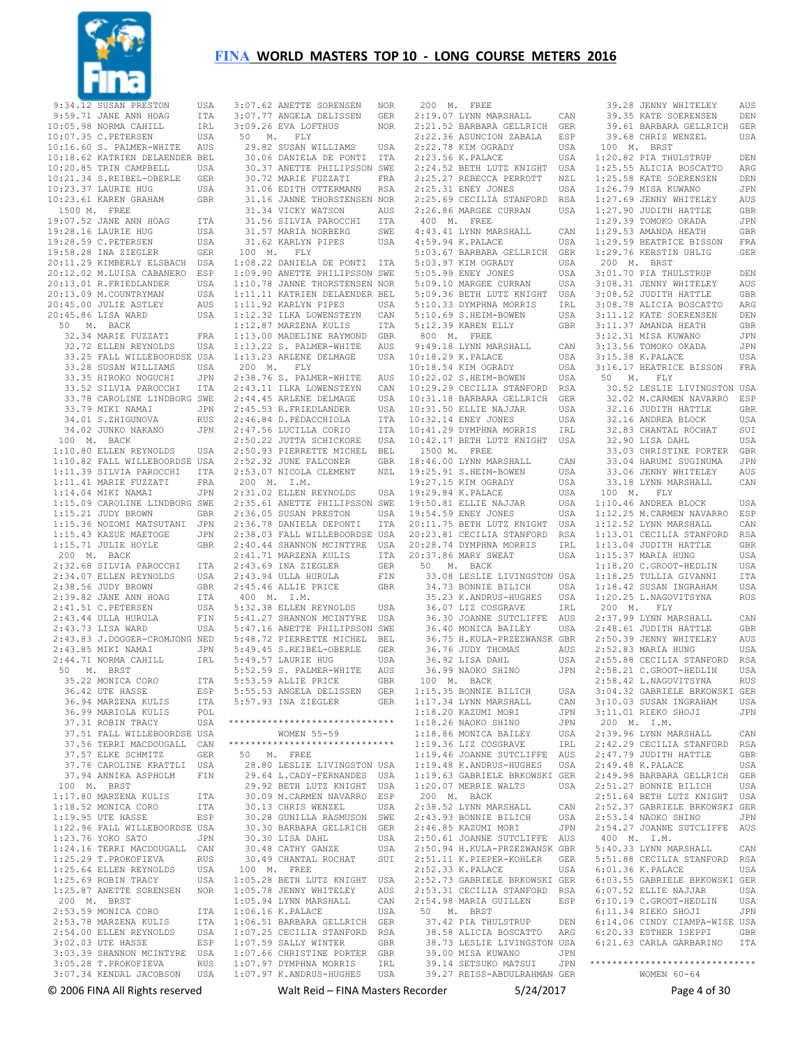

 9:34.12 SUSAN PRESTON USA 9:59.71 JANE ANN HOAG ITA 10:05.98 NORMA CAHILL IRL<br>10:07.35 C PETERSEN USA 10:07.35 C.PETERSEN USA<br>10:16.60 S. PALMER-WHITE AUS  $10:16.60$  S. PALMER-WHITE 10:18.62 KATRIEN DELAENDER BEL 10:20.85 TRIN CAMPBELL USA 10:21.34 S.REIBEL-OBERLE GER  $10:23.37$  LAURIE HUG 10:23.61 KAREN GRAHAM GBR 1500 M. FREE 19:07.52 JANE ANN HOAG ITA 19:28.16 LAURIE HUG USA 19:28.59 C.PETERSEN USA 19:58.28 INA ZIEGLER GER 20:11.29 KIMBERLY ELSBACH USA 20:12.02 M.LUISA CABANERO ESP<br>20:13.01 R.FRIEDLANDER USA  $20:13.01$  R.FRIEDLANDER 20:13.09 M.COUNTRYMAN USA 20:45.00 JULIE ASTLEY AUS 20:45.86 LISA WARD USA 50 M. BACK 32.34 MARIE FUZZATI FRA 32.72 ELLEN REYNOLDS USA 33.25 FALL WILLEBOORDSE USA 33.28 SUSAN WILLIAMS USA 33.35 HIROKO NOGUCHI JPN 33.52 SILVIA PAROCCHI ITA 33.78 CAROLINE LINDBORG SWE 33.79 MIKI NAMAI JPN 34.01 S.ZHIGUNOVA RUS 34.02 JUNKO NAKANO JPN 100 M. BACK 1:10.80 ELLEN REYNOLDS USA 1:10.82 FALL WILLEBOORDSE USA 1:11.39 SILVIA PAROCCHI ITA 1:11.41 MARIE FUZZATI FRA 1:14.04 MIKI NAMAI JPN 1:15.09 CAROLINE LINDBORG SWE 1:15.21 JUDY BROWN GBR 1:15.36 NOZOMI MATSUTANI JPN 1:15.43 KAZUE MAETOGE JPN 1:15.71 JULIE HOYLE GBR 200 M. BACK 2:32.68 SILVIA PAROCCHI ITA 2:34.07 ELLEN REYNOLDS USA  $2 \cdot 38$  56 JUDY BROWN GBR 2:39.82 JANE ANN HOAG ITA 2:41.51 C.PETERSEN USA  $2 \cdot 43$   $44$  III.I.A HURULA FIN 2:43.73 LISA WARD USA 2:43.83 J.DOGGER-CROMJONG NED 2:43.85 MIKI NAMAI JPN  $2 \cdot 44$  71 NORMA CAHILL TRI. 50 M. BRST 35.22 MONTCA CORO ITTA 36.42 UTE HASSE ESP 36.94 MARZENA KULIS ITA 36.99 MARIOLA KULIS POL<br>37.31 ROBIN TRACY USA 37.31 ROBIN TRACY 37.51 FALL WILLEBOORDSE USA 37.56 TERRI MACDOUGALL CAN 37.57 ELKE SCHMITZ GER 37.76 CAROLINE KRATTLI USA 37.94 ANNIKA ASPHOLM FIN 100 M. BRST 1:17.80 MARZENA KULIS ITA 1:18.52 MONICA CORO ITA  $1:19.95$  UTE HASSE 1:22.96 FALL WILLEBOORDSE USA 1:23.76 YOKO SATO JPN 1:24.16 TERRI MACDOUGALL CAN 1:25.29 T.PROKOFIEVA RUS<br>1:25.64 ELLEN REYNOLDS USA 1:25.64 ELLEN REYNOLDS 1:25.69 ROBIN TRACY USA<br>1:25.87 ANETTE SORENSEN NOR 1:25.87 ANETTE SORENSEN 200 M. BRST 2:53.59 MONICA CORO ITA 2:53.78 MARZENA KULIS ITA  $2:54.00$  ELLEN REYNOLDS USA<br>3:02.03.UTE HASSE 3:02.03 UTE HASSE 3:03.39 SHANNON MCINTYRE USA 3:05.28 T.PROKOFIEVA RUS 3:07.34 KENDAL JACOBSON USA

 3:07.62 ANETTE SORENSEN NOR 3:07.77 ANGELA DELISSEN GER  $3:09.26$  EVA LOFTHUS 50 M. FLY 29.82 SUSAN WILLIAMS USA 30.06 DANIELA DE PONTI ITA 30.37 ANETTE PHILIPSSON SWE<br>30.72 MARIE FUZZATI FRA<br>31.06 EDITH OTTEDMANN DON 30.72 MARIE FUZZATI 31.06 EDITH OTTERMANN RSA 31.16 JANNE THORSTENSEN NOR 31.34 VICKY WATSON AUS 31.56 SILVIA PAROCCHI ITA 31.57 MARIA NORBERG SWE 31.62 KARLYN PIPES USA 100 M. FLY 1:08.22 DANIELA DE PONTI ITA 1:09.90 ANETTE PHILIPSSON SWE 1:10.78 JANNE THORSTENSEN NOR 1:11.11 KATRIEN DELAENDER BEL 1:11.92 KARLYN PIPES USA 1:12.32 ILKA LOWENSTEYN CAN 1:12.87 MARZENA KULIS ITA 1:13.00 MADELINE RAYMOND GBR 1:13.22 S. PALMER-WHITE AUS 1:13.23 ARLENE DELMAGE USA 200 M. FLY 2:38.76 S. PALMER-WHITE AUS 2:43.11 ILKA LOWENSTEYN CAN<br>2:44.45 ARLENE DELMAGE USA  $2.44$  45 ARLENE DELMAGE 2:45.53 R.FRIEDLANDER USA 2:46.84 D.PEDACCHIOLA ITA 2:47.56 LUCILLA CORIO ITA 2:50.22 JUTTA SCHICKORE USA 2:50.93 PIERRETTE MICHEL BEL 2:52.32 JUNE FALCONER GBR 2:53.07 NICOLA CLEMENT NZL 200 M. I.M. 2:31.02 ELLEN REYNOLDS USA 2:35.61 ANETTE PHILIPSSON SWE 2:36.05 SUSAN PRESTON USA 2:36.78 DANIELA DEPONTI ITA 2:38.03 FALL WILLEBOORDSE USA 2:40.44 SHANNON MCINTYRE USA 2:41.71 MARZENA KULIS ITA 2:43.69 INA ZIEGLER GER  $2:43.94$  ULLA HURULA FIN 2:45.46 ALLIE PRICE GBR 400 M. I.M. 5:32.38 ELLEN REYNOLDS USA 5:41.27 SHANNON MCINTYRE USA 5:47.16 ANETTE PHILIPSSON SWE 5:48.72 PIERRETTE MICHEL BEL 5:49.45 S.REIBEL-OBERLE GER 5:49.57 LAURIE HUG USA 5:52.59 S. PALMER-WHITE AUS 5:53.59 ALLIE PRICE GBR 5:55.53 ANGELA DELISSEN GER 5:57.93 INA ZIEGLER GER \*\*\*\*\*\*\*\*\*\*\*\*\*\*\*\*\*\*\*\*\*\*\*\*\*\*\*\*\*\* WOMEN 55-59 \*\*\*\*\*\*\*\*\*\*\*\*\*\*\*\*\*\*\*\*\*\*\*\*\*\*\*\*\*\* 50 M. FREE 28.80 LESLIE LIVINGSTON USA 29.64 L.CADY-FERNANDES USA 29.92 BETH LUTZ KNIGHT USA 30.09 M.CARMEN NAVARRO ESP 30.13 CHRIS WENZEL USA 30.28 GUNILLA RASMUSON SWE 30.30 BARBARA GELLRICH GER 30.30 LISA DAHL USA 30.48 CATHY GANZE USA 30.49 CHANTAL ROCHAT SUI 100 M. FREE 1:05.28 BETH LUTZ KNIGHT USA 1:05.78 JENNY WHITELEY AUS 1:05.94 LYNN MARSHALL CAN<br>1:06.16 K PALACE USA  $1:06.16$  K.PALACE 1:06.51 BARBARA GELLRICH GER 1:07.25 CECILIA STANFORD RSA<br>1:07.59 SALLY WINTER GBR 1:07.59 SALLY WINTER GBR 1:07.66 CHRISTINE PORTER GBR 1:07.97 DYMPHNA MORRIS 1:07.97 K.ANDRUS-HUGHES USA

 200 M. FREE 2:19.07 LYNN MARSHALL CAN<br>2:21.52 BARBARA GELLRICH GER 2:21.52 BARBARA GELLRICH GER<br>2:22.36 ASUNCION ZABALA ESP 2:22.36 ASUNCION ZABALA ESP<br>2:22.78 KIM OGRADY USA  $2:22.78$  KIM OGRADY 2:23.56 K.PALACE USA 2:24.52 BETH LUTZ KNIGHT USA 2:25.27 REBECCA PERROTT NZL 2:25.31 ENEY JONES USA 2:25.69 CECILIA STANFORD RSA 2:26.86 MARGEE CURRAN USA 400 M. FREE 4:43.41 LYNN MARSHALL CAN 4:59.94 K.PALACE USA 5:03.67 BARBARA GELLRICH GER 5:03.97 KIM OGRADY USA<br>5:05.99 ENEY JONES USA 5:05.99 ENEY JONES USA<br>5.09.10 MARGEE CURRAN USA  $5:09.10$  MARGEE CURRAN 5:09.36 BETH LUTZ KNIGHT USA 5:10.33 DYMPHNA MORRIS IRL 5:10.69 S.HEIM-BOWEN USA 5:12.39 KAREN ELLY GBR 800 M. FREE 9:49 18 LYNN MARSHALL CAN 10:18.29 K.PALACE USA 10:18.54 KIM OGRADY USA 10:22.02 S.HEIM-BOWEN USA 10:29.29 CECILIA STANFORD RSA 10:31.18 BARBARA GELLRICH GER 10:31.50 ELLIE NAJJAR USA  $10 \cdot 32$  14 ENEY JONES USA 10:41.29 DYMPHNA MORRIS IRL 10:42.17 BETH LUTZ KNIGHT USA 1500 M. FREE 18:46.00 LYNN MARSHALL CAN 19:25.91 S.HEIM-BOWEN USA 19:27.15 KIM OGRADY USA  $19.29.84$  K. PALACE USA 19:50.81 ELLIE NAJJAR USA 19:54.59 ENEY JONES USA 20:11.75 BETH LUTZ KNIGHT USA 20:23.81 CECILIA STANFORD RSA 20:28.74 DYMPHNA MORRIS IRL 20:37.86 MARY SWEAT USA 50 M. BACK 33.08 LESLIE LIVINGSTON USA<br>34.73 RONNIE BILICH – USA 34.73 BONNIE BILICH 35.23 K.ANDRUS-HUGHES USA 36.07 LTZ COSGRAVE IRL 36.30 JOANNE SUTCLIFFE AUS 36.40 MONICA BAILEY USA 36.75 H.KULA-PRZEZWANSK GBR 36.76 JUDY THOMAS AUS 36.92 LISA DAHL USA<br>36.99 NAOKO SHINO JPN 36.99 NAOKO SHINO 100 M. BACK 1:15.35 BONNIE BILICH USA 1:17.34 LYNN MARSHALL CAN 1:17:01 2:1...<br>1:18.20 KAZUMI MORI JPN<br>1:18.26 NAOKO SHINO JPN  $1:18.26$  NAOKO SHINO 1:18.86 MONICA BAILEY USA 1:19.36 LIZ COSGRAVE IRL 1:19.46 JOANNE SUTCLIFFE AUS 1:19.48 K.ANDRUS-HUGHES USA 1:19.63 GABRIELE BRKOWSKI GER 1:20.07 MERRIE WALTS USA 200 M. BACK 2:38.52 LYNN MARSHALL CAN<br>2:43.93 BONNIE BILICH USA  $2:43.93$  BONNIE BILICH 2:46.85 KAZUMI MORI JPN 2:50.61 JOANNE SUTCLIFFE AUS 2:50.94 H.KULA-PRZEZWANSK GBR 2:51.11 K.PIEPER-KOHLER GER<br>2:52.33 K.PALACE USA 2:52.33 K.PALACE 2:52.73 GABRIELE BRKOWSKI GER 2:53.31 CECILIA STANFORD RSA 2:54.98 MARIA GUILLEN ESP 50 M. BRST 37.42 PIA THULSTRUP DEN 38.58 ALICIA BOSCATTO ARG 39.00 MISA KUWANO 39.14 SETSUKO MATSUI 39.27 REISS-ABDULRAHMAN GER

 38.73 LESLIE LIVINGSTON USA 6:21.63 CARLA GARBARINO ITA 39.28 JENNY WHITELEY AUS 39.35 KATE SOERENSEN DEN<br>39.61 BARBARA GELLRICH GER 39.61 BARBARA GELLRICH GER<br>39.68 CHRIS MENZEL UISA 39.68 CHRIS WENZEL 100 M. BRST 1:20.82 PIA THULSTRUP DEN 1:25.55 ALICIA BOSCATTO ARG 1:25.58 KATE SOERENSEN DEN  $1:26.79$  MISA KUWANO 1:27.69 JENNY WHITELEY AUS 1:27.90 JUDITH HATTLE GBR 1:29.39 TOMOKO OKADA JPN 1:29.53 AMANDA HEATH GBR 1:29.59 BEATRICE BISSON FRA 1:29.76 KERSTIN UHLIG GER 200 M. BRST 3:01.70 PIA THULSTRUP DEN<br>3:08.31 JENNY WHITELEY AUS 3:08.31 JENNY WHITELEY 3:08.52 JUDITH HATTLE GBR 3:08.78 ALICIA BOSCATTO ARG 3:11.12 KATE SOERENSEN DEN 3:11.37 AMANDA HEATH GBR<br>3:12 31 MISA KUWANO JIPN  $3:12.31$  MISA KUWANO 3:13.56 TOMOKO OKADA JPN 3:15.38 K.PALACE USA 3:16.17 BEATRICE BISSON FRA 50 M. FLY 30.52 LESLIE LIVINGSTON USA 32.02 M.CARMEN NAVARRO ESP 32.16 JUDITH HATTLE GBR<br>32.16 ANDREA BLOCK USA 32.16 ANDREA BLOCK USA<br>32.83 CHANTAL ROCHAT SUI 32.83 CHANTAL ROCHAT SUI<br>32.90 LISA DAHL SUSA 32.90 LISA DAHL 33.03 CHRISTINE PORTER GBR 33.04 HARUMI SUGINUMA JPN 33.06 JENNY WHITELEY AUS 33.18 LYNN MARSHALL CAN 100 M. FLY 1:10.46 ANDREA BLOCK USA 1:12.25 M.CARMEN NAVARRO ESP 1:12.52 LYNN MARSHALL CAN 1:13.01 CECILIA STANFORD RSA 1:13.04 JUDITH HATTLE GBR 1:15.37 MARIA HUNG USA 1:18.20 C.GROOT-HEDLIN USA 1:18.25 TULLIA GIVANNI ITA 1:18.42 SUSAN INGRAHAM USA 1:20.25 L.NAGOVITSYNA RUS 200 M. FLY 2:37.99 LYNN MARSHALL CAN 2:48.61 JUDITH HATTLE GBR 2:50.39 JENNY WHITELEY AUS<br>2:52.83 MARIA HUNG (USA  $2:52.83$  MARIA HUNG 2:55.88 CECILIA STANFORD RSA 2:58.21 C.GROOT-HEDLIN USA 2:58.42 L.NAGOVITSYNA RUS 3:04.32 GABRIELE BRKOWSKI GER 3:10.03 SUSAN INGRAHAM USA 3:11.01 RIEKO SHOJI JPN 200 M. I.M. 2:39.96 LYNN MARSHALL CAN 2:42.29 CECILIA STANFORD RSA 2:47.79 JUDITH HATTLE GBR 2:49.48 K.PALACE USA 2:49.98 BARBARA GELLRICH GER 2:51.27 BONNIE BILICH USA 2:51.64 BETH LUTZ KNIGHT USA 2:52.37 GABRIELE BRKOWSKI GER  $2:53.14$  NAOKO SHINO 2:54.27 JOANNE SUTCLIFFE AUS 400 M. I.M. 5:40.33 LYNN MARSHALL CAN 5:51.88 CECILIA STANFORD RSA 6:01.36 K.PALACE USA 6:03.55 GABRIELE BRKOWSKI GER 6:07.52 ELLIE NAJJAR 6:10.19 C.GROOT-HEDLIN USA<br>6:11 34 RIEKO SHOJI JPN 6:11.34 RIEKO SHOJI 6:14.06 CINDY CIAMPA-WISE USA 6:20.33 ESTHER ISEPPI GBR \*\*\*\*\*\*\*\*\*\*\*\*\*\*\*\*\*\*\*\*\*\*\*\*\*\*\*\*\*\* WOMEN 60-64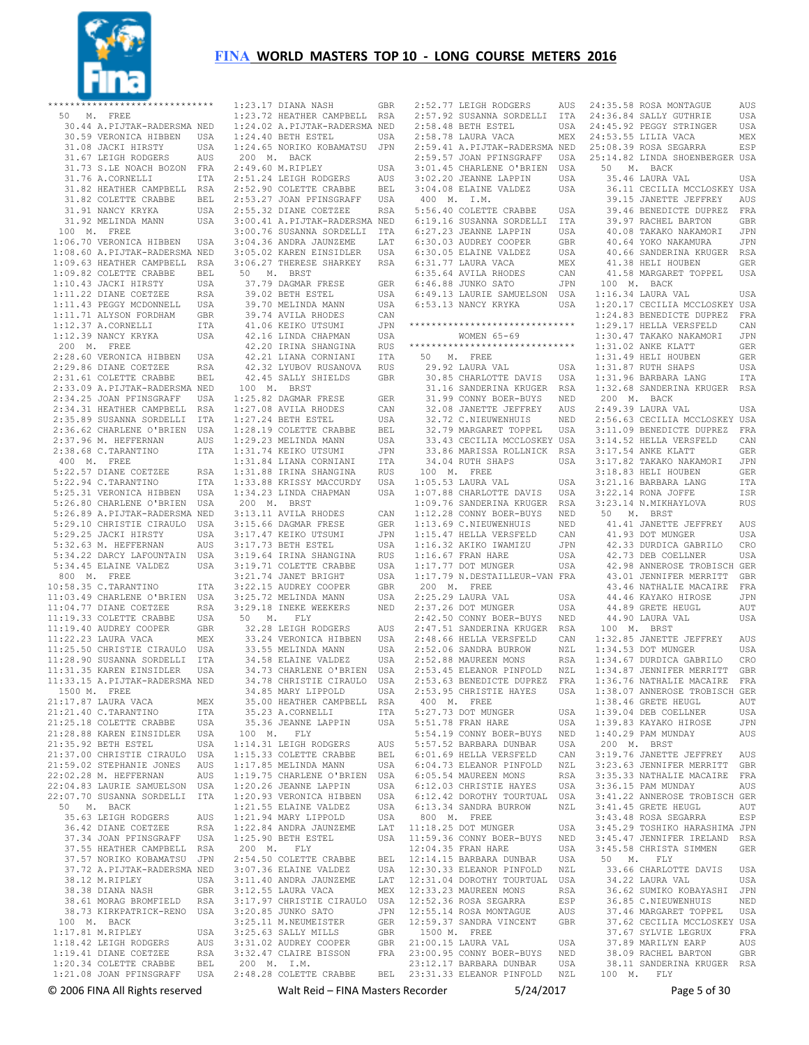

|              | ******************************                                                                                                        |                      | $1:$                           |
|--------------|---------------------------------------------------------------------------------------------------------------------------------------|----------------------|--------------------------------|
|              | 50 M. FREE                                                                                                                            |                      | 1:                             |
|              | 30.44 A.PIJTAK-RADERSMA NED                                                                                                           |                      | $1:$                           |
|              | 30.59 VERONICA HIBBEN USA<br>30.59 VERUNION HIRSTY<br>31.08 JACKI HIRSTY USA<br>31.67 LEIGH RODGERS AUS<br>31 73 S.LE NOACH BOZON FRA |                      | 1:<br>$\overline{1}$ :         |
|              |                                                                                                                                       |                      | $\overline{\phantom{0}}^2$     |
|              |                                                                                                                                       |                      | 2:                             |
|              | 31.76 A.CORNELLI                                                                                                                      | ITA                  | 2:                             |
|              | 31.82 HEATHER CAMPBELL RSA                                                                                                            |                      | 2:                             |
|              | 31.82 COLETTE CRABBE                                                                                                                  | $\operatorname{BEL}$ | 2:                             |
|              | 31.91 NANCY KRYKA<br>31.91 NANCY KRYKA USA<br>31.92 MELINDA MANN USA                                                                  |                      | 2:                             |
|              |                                                                                                                                       |                      | 3:                             |
|              | 100 M. FREE                                                                                                                           |                      | $3:$                           |
|              | 1:06.70 VERONICA HIBBEN USA<br>1:08.60 A.PIJTAK-RADERSMA NED                                                                          |                      | 3:<br>3:                       |
|              | 1:09.63 HEATHER CAMPBELL RSA                                                                                                          |                      | 3:                             |
|              |                                                                                                                                       |                      | - 5                            |
|              | 1:09.82 COLETTE CRABBE BEL<br>1:10.43 JACKI HIRSTY USA<br>1:11.22 DIANE COETZEE RSA                                                   |                      |                                |
|              |                                                                                                                                       |                      |                                |
|              |                                                                                                                                       | USA                  |                                |
|              | 1:11.43 PEGGY MCDONNELL<br>1:11.71 ALYSON FORDHAM<br>1:11.71 ALISON<br>1:12.37 A.CORNELLI                                             | GBR                  |                                |
|              |                                                                                                                                       | ITA                  |                                |
|              | 1:12.39 NANCY KRYKA                                                                                                                   | USA                  |                                |
| 200 M. FREE  | 2:28.60 VERONICA HIBBEN USA                                                                                                           |                      |                                |
|              | 2:29.86 DIANE COETZEE                                                                                                                 | <b>RSA</b>           |                                |
|              | 2:31.61 COLETTE CRABBE BEL                                                                                                            |                      |                                |
|              | 2:33.09 A.PIJTAK-RADERSMA NED                                                                                                         |                      | $\overline{\phantom{0}}$       |
|              | 2:34.25 JOAN PFINSGRAFF USA                                                                                                           |                      | 1:                             |
|              |                                                                                                                                       |                      | 1:                             |
|              | 2:34.25 JOAN PFINSONALL<br>2:34.31 HEATHER CAMPBELL RSA<br>2:34.31 HEATHER SORDELLI ITA                                               |                      | 1:                             |
|              |                                                                                                                                       |                      | 1:                             |
|              | 2:36.62 CHARLENE O'BRIEN USA<br>2:37.96 M. HEFFERNAN AUS<br>2:38.68 C.TARANTINO ITA                                                   |                      | 1:                             |
| 400 M. FREE  |                                                                                                                                       |                      | 1:<br>1:                       |
|              |                                                                                                                                       | RSA                  | 1:                             |
|              | 5:22.57 DIANE COETZEE<br>5:22.94 C.TARANTINO                                                                                          | ITA                  | $1:$                           |
|              | 5:25.31 VERONICA HIBBEN                                                                                                               | USA                  | 1:                             |
|              | 5:26.80 CHARLENE O'BRIEN USA                                                                                                          |                      | $\overline{2}$                 |
|              | 5:26.89 A.PIJTAK-RADERSMA NED                                                                                                         |                      | 3:                             |
|              | 5:29.10 CHRISTIE CIRAULO USA                                                                                                          |                      | 3:                             |
|              | 5:29.25 JACKI HIRSTY                                                                                                                  | USA                  | 3:                             |
|              | 5:32.63 M. HEFFERNAN                                                                                                                  | AUS                  | $3:$                           |
|              | 5:34.22 DARCY LAFOUNTAIN<br>5:34.45 ELAINE VALDEZ                                                                                     | USA<br>USA           | 3:<br>3:                       |
| 800 M. FREE  |                                                                                                                                       |                      | 3:                             |
|              | 10:58.35 C. TARANTINO                                                                                                                 | ITA                  | 3:                             |
|              | 11:03.49 CHARLENE O'BRIEN USA                                                                                                         |                      | 3:                             |
|              | 11:04.77 DIANE COETZEE                                                                                                                | RSA                  | 3:                             |
|              | 11:19.33 COLETTE CRABBE                                                                                                               | USA                  | $-5$                           |
|              | 11:19.40 AUDREY COOPER<br>11:22.23 LAURA VACA                                                                                         | GBR                  |                                |
|              |                                                                                                                                       | MEX                  |                                |
|              | 11:25.50 CHRISTIE CIRAULO                                                                                                             | USA                  |                                |
|              | 11:28.90 SUSANNA SORDELLI ITA<br>11:31.35 KAREN EINSIDLER USA                                                                         |                      |                                |
|              | 11:33.15 A.PIJTAK-RADERSMA NED                                                                                                        |                      |                                |
| 1500 M. FREE |                                                                                                                                       |                      |                                |
|              | 21:17.87 LAURA VACA                                                                                                                   | MEX                  |                                |
|              | 21:21.40 C.TARANTINO                                                                                                                  | ITA                  |                                |
|              | 21:25.18 COLETTE CRABBE                                                                                                               | USA                  |                                |
|              | 21:28.88 KAREN EINSIDLER                                                                                                              | USA                  | 1                              |
|              | 21:35.92 BETH ESTEL<br>21:37.00 CHRISTIE CIRAULO                                                                                      | USA<br>USA           | 1:<br>1:                       |
|              | 21:59.02 STEPHANIE JONES                                                                                                              | AUS                  | 1:                             |
|              | 22:02.28 M. HEFFERNAN                                                                                                                 | AUS                  | 1:                             |
|              | 22:04.83 LAURIE SAMUELSON                                                                                                             | USA                  | 1:                             |
|              | 22:07.70 SUSANNA SORDELLI                                                                                                             | ITA                  | 1:                             |
| 50 M.        | BACK                                                                                                                                  |                      | 1:                             |
|              | 35.63 LEIGH RODGERS                                                                                                                   | AUS                  | 1:                             |
|              | 36.42 DIANE COETZEE                                                                                                                   | RSA                  | 1:                             |
|              | 37.34 JOAN PFINSGRAFF                                                                                                                 | USA                  | $1$ :                          |
|              | 37.55 HEATHER CAMPBELL<br>37.57 NORIKO KOBAMATSU                                                                                      | RSA<br>JPN           | $\overline{\phantom{2}}$<br>2: |
|              | 37.72 A.PIJTAK-RADERSMA NED                                                                                                           |                      | 3:                             |
|              | 38.12 M.RIPLEY                                                                                                                        | USA                  | 3:                             |
|              | 38.38 DIANA NASH                                                                                                                      | GBR                  | 3:                             |
|              | 38.61 MORAG BROMFIELD                                                                                                                 | RSA                  | 3:                             |
|              | 38.73 KIRKPATRICK-RENO                                                                                                                | USA                  | 3:                             |
| 100 M. BACK  |                                                                                                                                       |                      | 3:                             |
|              | 1:17.81 M.RIPLEY                                                                                                                      | USA                  | 3:                             |
|              | 1:18.42 LEIGH RODGERS<br>1:19.41 DIANE COETZEE                                                                                        | AUS<br>RSA           | 3:<br>3:                       |
|              | 1:20.34 COLETTE CRABBE                                                                                                                | BEL                  | $\overline{2}$                 |
|              | 1:21.08 JOAN PFINSGRAFF                                                                                                               | USA                  | 2:                             |
|              |                                                                                                                                       |                      |                                |

 1:23.17 DIANA NASH GBR 1:23.72 HEATHER CAMPBELL RSA 1:24.02 A.PIJTAK-RADERSMA NED 24.40 BETH ESTEL USA 1:24.65 NORIKO KOBAMATSU JPN 200 M. BACK 2:49.60 M.RIPLEY USA 51.24 LEIGH RODGERS AUS<br>52.90 COLETTE CRABBE BEL 52.90 COLETTE CRABBE 2:53.27 JOAN PFINSGRAFF USA 2:55.32 DIANE COETZEE RSA 3:00.41 A.PIJTAK-RADERSMA NED 3:00.76 SUSANNA SORDELLI ITA 04.36 ANDRA JAUNZEME LAT<br>05.02 KAREN EINSIDLER LUSA 05.02 KAREN EINSIDLER 33:05 HIREN EINSTSEEN SON<br>06.27 THERESE SHARKEY RSA 50 M. BRST 37.79 DAGMAR FRESE GER 39.02 BETH ESTEL USA 39.70 MELINDA MANN USA 39.74 AVILA RHODES CAN 41.06 KEIKO UTSUMI JPN 42.16 LINDA CHAPMAN USA 42.20 IRINA SHANGINA RUS \*\*\*\*\*\*\*\*\*\*\*\*\*\*\*\*\*\*<br>42.21 LIANA CORNIANI ITA 50 M. FREE 42.21 LIANA CORNIANI 42.32 LYUBOV RUSANOVA RUS 42.45 SALLY SHIELDS GBR 100 M. BRST 1:25.82 DAGMAR FRESE GER 1:27.08 AVILA RHODES CAN 27.24 BETH ESTEL<br>28.19 COLETTE CRABBE 1:28.19 COLETTE CRABBE BEL 1:29.23 MELINDA MANN USA 28.19 CODBIID CILL<br>29.23 MELINDA MANN USA<br>31.74 KEIKO UTSUMI JPN 1:31.84 LIANA CORNIANI ITA 31.88 IRINA SHANGINA 33.88 KRISSY MACCURDY 34.23 LINDA CHAPMAN 200 M. BRST ..........<br>13.11 AVILA RHODES 3:15.66 DAGMAR FRESE GER 3:17.47 KEIKO UTSUMI JPN 3:17.73 BETH ESTEL USA 19.64 IRINA SHANGINA RUS<br>19.71 COLETTE CRABBE USA 19.71 COLETTE CRABBE USA<br>21.74 JANET BRIGHT USA 21.74 JANET BRIGHT USA<br>22.15 AUDREY COOPER GRR 3:22.15 AUDREY COOPER GBR 3:25.72 MELINDA MANN USA 29.12 MEDINDA HANN SUPPORT SUPPORT  $0 \quad M \quad FT.Y$  32.28 LEIGH RODGERS AUS 33.24 VERONICA HIBBEN USA<br>33.55 MELINDA MANN USA 33.55 MELINDA MANN USA 34.58 ELAINE VALDEZ USA 34.73 CHARLENE O'BRIEN USA 34.78 CHRISTIE CIRAULO USA 34.85 MARY LIPPOLD 35.00 HEATHER CAMPBELL RSA<br>35.23 A.CORNELLI ITA 35.23 A.CORNELLI ITA 35.36 JEANNE LAPPIN USA 100 M. FLY 14.31 LEIGH RODGERS 1:15.33 COLETTE CRABBE BEL<br>1:17.85 MELINDA MANN USA<br>1:19.75 CHARLENE O'BRIEN USA<br>1:20.26 JEANNE LAPPIN USA 1:20.93 VERONICA HIBBEN USA 20.55 ELAINE VALDEZ USA 21.94 MARY LIPPOLD 22.84 ANDRA JAUNZEME 1:25.90 BETH ESTEL USA 200 M. FLY 11:59.36 CONNY BOER-BUYS NED 12:04.35 FRAN HARE USA 2:54.50 COLETTE CRABBE BEL 12:14.15 BARBARA DUNBAR USA 3:07.36 ELAINE VALDEZ USA 37:33 BENTAE VABBE 3650<br>11.40 ANDRA JAUNZEME LAT<br>12.55 LAURA VACA MEX 12.55 LAURA VACA 3:17.97 CHRISTIE CIRAULO USA 12:52.36 ROSA SEGARRA ESP 3:20.85 JUNKO SATO JPN 3:25.11 M.NEUMEISTER GER 3:25.63 SALLY MILLS GBR 3:31.02 AUDREY COOPER GBR 32.47 CLAIRE BISSON

 200 M. I.M. 2:48.28 COLETTE CRABBE BEL 23:12.17 BARBARA DUNBAR USA 23:31.33 ELEANOR PINFOLD NZL 2:52.77 LEIGH RODGERS AUS 2:57.92 SUSANNA SORDELLI ITA 24:35.58 ROSA MONTAGUE AUS 2:58.48 BETH ESTEL USA 2:58.78 LAURA VACA MEX 3:01.45 CHARLENE O'BRIEN USA 3:02.20 JEANNE LAPPIN USA 3:04.08 ELAINE VALDEZ USA 400 M. I.M. 5:56.40 COLETTE CRABBE USA 6:19.16 SUSANNA SORDELLI ITA WOMEN 65-69 \*\*\*\*\*\*\*\*\*\*\*\*\*\*\*\*\*\*\*\*\*\*\*\*\*\*\*\*\*\* 50 M. FREE 29.92 LAURA VAL USA 32.72 C.NIEUWENHUIS NED 32.79 MARGARET TOPPEL USA 33.43 CECILIA MCCLOSKEY USA 33.86 MARISSA ROLLNICK RSA 34.04 RUTH SHAPS USA 100 M. FREE 1:05.53 LAURA VAL USA 1:07.88 CHARLOTTE DAVIS USA 1:12.28 CONNY BOER-BUYS NED 1:13.69 C.NIEUWENHUIS NED 1:15.47 HELLA VERSFELD CAN 1:16.32 AKIKO IWAMIZU JPN<br>1:16.67 FRAN HARE USA<br>1:17.77 DOT MUNGER USA<br>1:17.79 N.DESTAILLEUR-VAN FRA 200 M. FREE 2:25.29 LAURA VAL USA 2:37.26 DOT MUNGER USA<br>2:42.50 CONNY BOER-BUYS NED  $2:52.06$  SANDRA BURROW  $2:52.00$  drives  $=$   $2:52.88$  MAUREEN MONS 400 M. FREE 5:27.73 DOT MUNGER USA 5:51.78 FRAN HARE USA AUS 5:57.52 BARBARA DUNBAR USA 6:01.69 HELLA VERSFELD CAN 6:04.73 ELEANOR PINFOLD NZL 6:05.54 MAUREEN MONS RSA 6:12.03 CHRISTIE HAYES USA 6:12.42 DOROTHY TOURTUAL USA 6:13.34 SANDRA BURROW NZL 800 M. FREE 11:18.25 DOT MUNGER USA 12:30.33 ELEANOR PINFOLD NZL LAT 12:31.04 DOROTHY TOURTUAL USA 12:33.23 MAUREEN MONS RSA 12:55.14 ROSA MONTAGUE AUS 12:59.37 SANDRA VINCENT GBR GBR 1500 M. FREE<br>GBR 21:00.15 LAURA VAL 21:00.15 LAURA VAL USA 23:00.95 CONNY BOER-BUYS NED

 2:59.41 A.PIJTAK-RADERSMA NED 2:59.57 JOAN PFINSGRAFF USA 25:08.39 ROSA SEGARRA ESP 25:14.82 LINDA SHOENBERGER USA 6:27.23 JEANNE LAPPIN USA 6:30.03 AUDREY COOPER GBR 40.08 TAKAKO NAKAMORI JPN 40.64 YOKO NAKAMURA JPN 6:30.05 ELAINE VALDEZ USA 6:31.77 LAURA VACA MEX 6:35.64 AVILA RHODES CAN 6:46.88 JUNKO SATO JPN 41.58 MARGARET TOPPEL USA 100 M. BACK 6:49.13 LAURIE SAMUELSON USA 6:53.13 NANCY KRYKA USA 1:16.34 LAURA VAL USA 1:20.17 CECILIA MCCLOSKEY USA \*\*\*\*\*\*\*\*\*\*\*\*\*\*\*\*\*\*\*\*\*\*\*\*\*\*\*\*\*\* 1:29.17 HELLA VERSFELD CAN 30.85 CHARLOTTE DAVIS USA 31.16 SANDERINA KRUGER RSA 1:31.96 BARBARA LANG ITA 1:32.68 SANDERINA KRUGER RSA 31.99 CONNY BOER-BUYS NED 32.08 JANETTE JEFFREY AUS 200 M. BACK 2:49.39 LAURA VAL USA 1:09.76 SANDERINA KRUGER RSA 3:23.14 N.MIKHAYLOVA RUS 2:47.51 SANDERINA KRUGER RSA 2:48.66 HELLA VERSFELD CAN 100 M. BRST 1:32.85 JANETTE JEFFREY AUS 2:53.45 ELEANOR PINFOLD NZL 2:53.63 BENEDICTE DUPREZ FRA 1:34.87 JENNIFER MERRITT GBR 1:36.76 NATHALIE MACAIRE FRA 2:53.95 CHRISTIE HAYES USA 1:38.07 ANNEROSE TROBISCH GER 5:54.19 CONNY BOER-BUYS NED 1:40.29 PAM MUNDAY AUS 24:36.84 SALLY GUTHRIE USA 24:45.92 PEGGY STRINGER USA 24:53.55 LILIA VACA MEX 50 M. BACK 35.46 LAURA VAL USA 36.11 CECILIA MCCLOSKEY USA 39.15 JANETTE JEFFREY AUS 39.46 BENEDICTE DUPREZ FRA 39.97 RACHEL BARTON GBR 40.66 SANDERINA KRUGER RSA 41.38 HELI HOUBEN GER 1:24.83 BENEDICTE DUPREZ FRA 1:30.47 TAKAKO NAKAMORI JPN<br>1:31 02 ANKE KLATT GER 1:31.02 ANKE KLATT 1:31.49 HELI HOUBEN GER 1:31.87 RUTH SHAPS USA 1:31.87 RUTH SHAPS 2:56.63 CECILIA MCCLOSKEY USA 3:11.09 BENEDICTE DUPREZ FRA<br>3:14.52 HELLA VERSEELD CAN 3:14.52 HELLA VERSFELD 3:17.54 ANKE KLATT GER 3:17.82 TAKAKO NAKAMORI 3:18.83 HELI HOUBEN GER 3:21.16 BARBARA LANG ITA 3:22.14 RONA JOFFE ISR 50 M. BRST 41.41 JANETTE JEFFREY AUS 41.93 DOT MUNGER USA 42.33 DURDICA GABRILO CRO 42.73 DEB COELLNER USA 42.98 ANNEROSE TROBISCH GER 43.01 JENNIFER MERRITT GBR 43.46 NATHALIE MACAIRE FRA 44.46 KAYAKO HIROSE JPN 44.89 GRETE HEUGL AUT 44.90 LAURA VAL 1:34.53 DOT MUNGER USA 1:34.67 DURDICA GABRILO CRO 1:38.46 GRETE HEUGL AUT 1:39.04 DEB COELLNER USA<br>1:39.83 KAYAKO HIROSE JPN  $1:39.83$  KAYAKO HIROSE 200 M. BRST<br>3.19.76 JANETTE JEFFREY AUS 3:19.76 JANETTE JEFFREY AUS 3:23.63 JENNIFER MERRITT GBR 3:35.33 NATHALIE MACAIRE FRA 3:36.15 PAM MUNDAY AUS 3:41.22 ANNEROSE TROBISCH GER 3:41.45 GRETE HEUGL AUT<br>3:43.48 ROSA SEGARRA ESP 3:43.48 ROSA SEGARRA<br>USA 3:45.29 TOSHIKO HARA: 3:45.29 TOSHIKO HARASHIMA JPN 3:45.47 JENNIFER IRELAND RSA 3:45.58 CHRISTA SIMMEN GER 50 M. FLY 33.66 CHARLOTTE DAVIS USA 34.22 LAURA VAL USA 36.62 SUMIKO KOBAYASHI JPN science<br>36.85 C.NIEUWENHUIS – NED<br>37.46 MARGARET TOPPEL – USA 37.46 MARGARET TOPPEL 37.62 CECILIA MCCLOSKEY USA 37.67 SYLVIE LEGRUX FRA<br>37.89 MARTLYN EARP - AUS 37.89 MARILYN EARP 38.09 RACHEL BARTON GBR 38.11 SANDERINA KRUGER RSA 100 M. FLY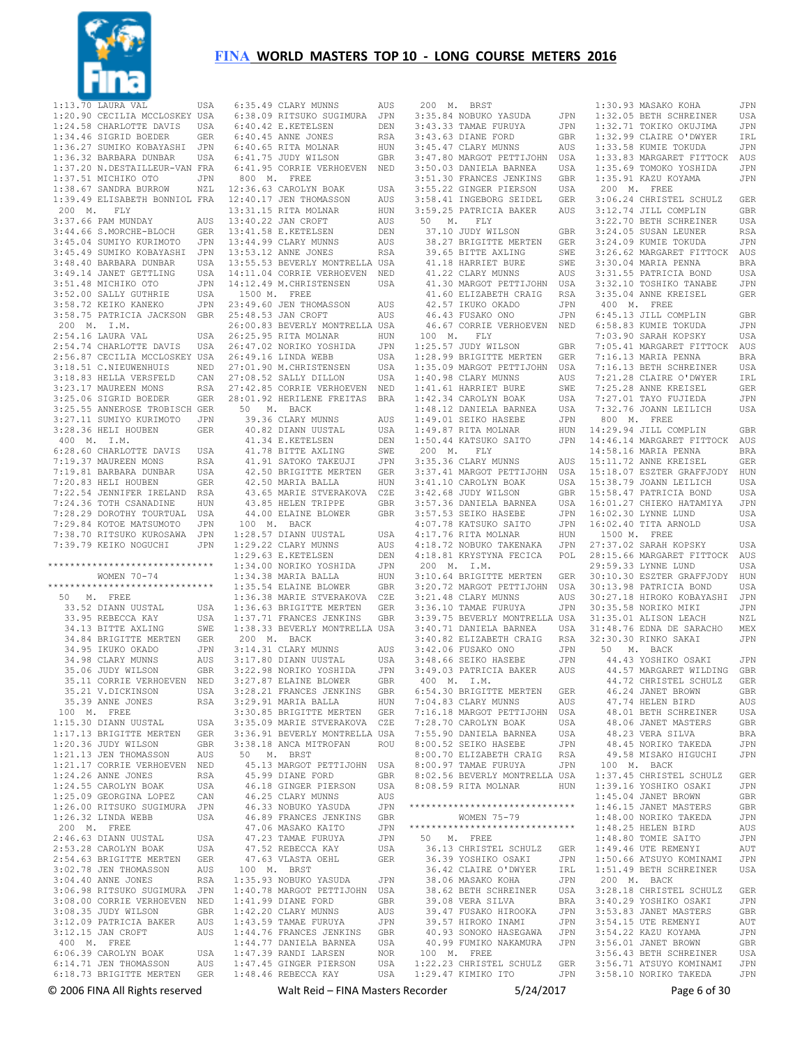

 1:13.70 LAURA VAL USA 1:20.90 CECILIA MCCLOSKEY USA 1:24.58 CHARLOTTE DAVIS USA<br>1:34.46 SIGRID BOEDER GER  $1:34.46$  SIGRID BOEDER 1:36.27 SUMIKO KOBAYASHI JPN 1:36.32 BARBARA DUNBAR USA 1:37.20 N.DESTAILLEUR-VAN FRA<br>1:37.51 MICHIKO OTO JPN 1:37.51 MICHIKO OTO 1:38.67 SANDRA BURROW NZL 1:39.49 ELISABETH BONNIOL FRA 200 M. FLY 3:37.66 PAM MUNDAY AUS 3:44.66 S.MORCHE-BLOCH GER 3:45.04 SUMIYO KURIMOTO JPN 3:45.49 SUMIKO KOBAYASHI JPN 3:48.40 BARBARA DUNBAR USA 3:49.14 JANET GETTLING USA<br>3:51.48 MICHIKO OTO JPN 3:51.48 MICHIKO OTO 3:52.00 SALLY GUTHRIE USA 3:58.72 KEIKO KANEKO JPN 3:58.75 PATRICIA JACKSON GBR 200 M. I.M. 2:54.16 LAURA VAL USA 2:54.74 CHARLOTTE DAVIS USA 2:56.87 CECILIA MCCLOSKEY USA 3:18.51 C.NIEUWENHUIS NED 3:18.83 HELLA VERSFELD CAN 3:23.17 MAUREEN MONS RSA 3:25.06 SIGRID BOEDER GER 3:25.55 ANNEROSE TROBISCH GER 3:27.11 SUMIYO KURIMOTO JPN 3:28.36 HELI HOUBEN GER 400 M. I.M. 6:28.60 CHARLOTTE DAVIS USA 7:19.37 MAUREEN MONS RSA 7:19.81 BARBARA DUNBAR USA 7:20.83 HELI HOUBEN GER 7:22.54 JENNIFER IRELAND RSA 7:24.36 TOTH CSANADINE HUN 7:28.29 DOROTHY TOURTUAL USA 7:29.84 KOTOE MATSUMOTO JPN 7:38.70 RITSUKO KUROSAWA JPN 7:39.79 KEIKO NOGUCHI JPN \*\*\*\*\*\*\*\*\*\*\*\*\*\*\*\*\*\*\*\*\*\*\*\*\*\*\*\*\*\* WOMEN 70-74 \*\*\*\*\*\*\*\*\*\*\*\*\*\*\*\*\*\*\*\*\*\*\*\*\*\*\*\*\*\* 50 M. FREE 33.52 DIANN UUSTAL USA 33.95 REBECCA KAY USA 34.13 BITTE AXLING SWE 34.84 BRIGITTE MERTEN GER<br>34.95 TKUKO OKADO JPN 34.95 IKUKO OKADO 34.98 CLARY MUNNS AUS 35.06 JUDY WILSON GBR 35.11 CORRIE VERHOEVEN NED 35.21 V.DICKINSON USA 35.39 ANNE JONES RSA 100 M. FREE 1:15.30 DIANN UUSTAL USA 1:17.13 BRIGITTE MERTEN GER 1:20.36 JUDY WILSON GBR 1:21.13 JEN THOMASSON AUS 1:21.17 CORRIE VERHOEVEN NED 1:24.26 ANNE JONES RSA 1:24.55 CAROLYN BOAK USA 1:25.09 GEORGINA LOPEZ CAN 1:26.00 RITSUKO SUGIMURA JPN  $1:26.32$  LINDA WEBB 200 M. FREE 2:46.63 DIANN UUSTAL USA 2:53.28 CAROLYN BOAK USA 2:54.63 BRIGITTE MERTEN GER<br>3:02.78 JEN THOMASSON AUS 3:02.78 JEN THOMASSON AUS 3:04.40 ANNE JONES RSA 3:06.98 RITSUKO SUGIMURA JPN 3:08.00 CORRIE VERHOEVEN NED<br>3:08.35 JUDY WILSON GBR 3:08.35 JUDY WILSON GBR 3:12.09 PATRICIA BAKER AUS 3:12.15 JAN CROFT AUS 400 M. FREE 6:06.39 CAROLYN BOAK USA<br>6:14.71 JEN THOMASSON AUS 6:14.71 JEN THOMASSON 6:18.73 BRIGITTE MERTEN GER

 6:35.49 CLARY MUNNS AUS 6:38.09 RITSUKO SUGIMURA JPN eració de la de la de la de la de la de la de la de la de la de la de la de la de la de la de la de la de la d<br>En 1960, el de la de la de la de la de la de la de la de la de la de la de la de la de la de la de la de la de 6:40.45 ANNE JONES RSA 6:40.65 RITA MOLNAR HUN 6:41.75 JUDY WILSON GBR 6:41.95 CORRIE VERHOEVEN NED 800 M. FREE 12:36.63 CAROLYN BOAK USA 12:40.17 JEN THOMASSON AUS 13:31.15 RITA MOLNAR HUN 13:40.22 JAN CROFT AUS<br>13:41.58 E.KETELSEN DEN 13:41.58 E.KETELSEN DEN 13:44.99 CLARY MUNNS AUS<br>13:53 12 ANNE JONES RSA  $13.53$   $12$  ANNE JONES 13:55.53 BEVERLY MONTRELLA USA 14:11.04 CORRIE VERHOEVEN NED 14:12.49 M.CHRISTENSEN USA 1500 M. FREE 23:49.60 JEN THOMASSON AUS 25:48.53 JAN CROFT AUS 26:00.83 BEVERLY MONTRELLA USA 26:25.95 RITA MOLNAR HUN 26:47.02 NORIKO YOSHIDA JPN 26:49.16 LINDA WEBB USA 27:01.90 M.CHRISTENSEN USA 27:08.52 SALLY DILLON USA 27:42.85 CORRIE VERHOEVEN NED 28:01.92 HERILENE FREITAS BRA 50 M. BACK 39.36 CLARY MUNNS AUS<br>40.82 DIANN UUSTAL USA 40.82 DIANN UUSTAL USA<br>41 34 E KETELSEN DEN 41.34 E. KETELSEN 41.78 BITTE AXLING SWE 41.91 SATOKO TAKEUJI JPN 42.50 BRIGITTE MERTEN GER 42.50 MARIA BALLA HUN 43.65 MARIE STVERAKOVA CZE 43.85 HELEN TRIPPE GBR 44.00 ELAINE BLOWER GBR 100 M. BACK 1:28.57 DIANN UUSTAL USA 1:29.22 CLARY MUNNS AUS 1:29.63 E.KETELSEN DEN<br>1:34 00 NORIKO YOSHIDA JPN 1:34.00 NORIKO YOSHIDA 1:34.38 MARIA BALLA HUN<br>1:35.54 ELAINE BLOWER GBR  $1:35.54$  ELAINE BLOWER 1:36.38 MARIE STVERAKOVA CZE 1:36.63 BRIGITTE MERTEN GER 1:37.71 FRANCES JENKINS GBR 1:38.33 BEVERLY MONTRELLA USA 200 M. BACK 3:14.31 CLARY MUNNS AUS 3:17.80 DIANN UUSTAL USA 3:22.98 NORIKO YOSHIDA JPN 3:27.87 ELAINE BLOWER GBR 3:28.21 FRANCES JENKINS GBR 3:29.91 MARIA BALLA HUN 3:30.85 BRIGITTE MERTEN GER 3:35.09 MARIE STVERAKOVA CZE 3:36.91 BEVERLY MONTRELLA USA 3:38.18 ANCA MITROFAN ROU 50 M. BRST 45.13 MARGOT PETTIJOHN USA 45.99 DIANE FORD GBR 46.18 GINGER PIERSON USA<br>46.25 CLARY MUNNS ANS 46.25 CLARY MUNNS AUS 46.33 NOBUKO YASUDA JPN<br>46.89 FRANCES JENKINS GBR 46.89 FRANCES JENKINS 47.06 MASAKO KAITO JPN 47.23 TAMAE FURUYA JPN 47.52 REBECCA KAY USA 47.63 VLASTA OEHL GER 100 M. BRST 1:35.93 NOBUKO YASUDA JPN 1:40.78 MARGOT PETTIJOHN 1:41.99 DIANE FORD GBR<br>1:42 20 CLARY MUNNS AUS  $1:42.20$  CLARY MUNNS 1:43.59 TAMAE FURUYA JPN 1:44.76 FRANCES JENKINS GBR  $1:44.77$  DANIELA BARNEA 1:47.39 RANDI LARSEN NOR<br>1:47.45 GINGER PIERSON USA  $1:47.45$  GINGER PIERSON 1:48.46 REBECCA KAY USA

 200 M. BRST 3:35.84 NOBUKO YASUDA JPN<br>3:43.33 TAMAE FURUYA JPN 3:43.33 TAMAE FURUYA JPN<br>3:43.63 DIANE FORD GBR 3:43.63 DIANE FORD GBR<br>3:45.47 CLARY MUNNS AUS  $3:45.47$  CLARY MUNNS 3:47.80 MARGOT PETTIJOHN USA 3:50.03 DANIELA BARNEA USA 3:51.30 FRANCES JENKINS GBR<br>3:55.22 GINGER PIERSON USA 3:55.22 GINGER PIERSON 3:58.41 INGEBORG SEIDEL GER 3:59.25 PATRICIA BAKER AUS 50 M. FLY 37.10 JUDY WILSON GBR 38.27 BRIGITTE MERTEN GER 39.65 BITTE AXLING SWE 41.18 HARRIET BURE SWE 41.22 CLARY MUNNS AUS<br>41.30 MARGOT PETTLIOHN LISA 41.30 MARGOT PETTIJOHN 41.60 ELIZABETH CRAIG RSA 42.57 IKUKO OKADO JPN 46.43 FUSAKO ONO JPN 46.67 CORRIE VERHOEVEN NED 100 M. FLY 1:25.57 JUDY WILSON GBR 1:28.99 BRIGITTE MERTEN GER 1:35.09 MARGOT PETTIJOHN USA 1:40.98 CLARY MUNNS AUS 1:41.61 HARRIET BURE SWE 1:42.34 CAROLYN BOAK USA 1:48.12 DANIELA BARNEA USA 1:49.01 SEIKO HASEBE JPN 1:49.87 RITA MOLNAR HUN<br>1:49.87 RITA MOLNAR HUN<br>1:50 44 KATSUKO SAITO JPN  $1:50.44$  KATSUKO SAITO 200 M. FLY 3:35.36 CLARY MUNNS AUS 3:37.41 MARGOT PETTIJOHN USA 3:41.10 CAROLYN BOAK USA 3:42.68 JUDY WILSON GBR 3:57.36 DANIELA BARNEA USA 3:57.53 SEIKO HASEBE JPN 4:07.78 KATSUKO SAITO JPN 4:17.76 RITA MOLNAR HUN 4:18.72 NOBUKO TAKENAKA JPN 4:18.81 KRYSTYNA FECICA POL 200 M. I.M. 3:10.64 BRIGITTE MERTEN GER 3:20.72 MARGOT PETTIJOHN USA 3:21.48 CLARY MUNNS AUS 3:36.10 TAMAE FURUYA JPN 3:39.75 BEVERLY MONTRELLA USA 3:40.71 DANIELA BARNEA USA 3:40.82 ELIZABETH CRAIG RSA<br>3:42.06 FUSAKO ONO JPN 3:42.06 FUSAKO ONO JPN 3:48.66 SEIKO HASEBE JPN 3:49.03 PATRICIA BAKER AUS 400 M. I.M. 6:54.30 BRIGITTE MERTEN GER 7:04.83 CLARY MUNNS AUS 7:16.18 MARGOT PETTIJOHN USA  $7:28.70$  CAROLYN BOAK 7:55.90 DANIELA BARNEA USA 8:00.52 SEIKO HASEBE JPN 8:00.70 ELIZABETH CRAIG RSA 8:00.97 TAMAE FURUYA JPN 8:02.56 BEVERLY MONTRELLA USA 8:08.59 RITA MOLNAR HUN 1:37.45 CHRISTEL SCHULZ GER 1:39.16 YOSHIKO OSAKI JPN \*\*\*\*\*\*\*\*\*\*\*\*\*\*\*\*\*\*\*\*\*\*\*\*\*\*\*\*\*\* WOMEN 75-79 \*\*\*\*\*\*\*\*\*\*\*\*\*\*\*\*\*\*\*\*\*\*\*\*\*\*\*\*\*\* 50 M. FREE 36.13 CHRISTEL SCHULZ GER 36.39 YOSHIKO OSAKI JPN<br>36.42 CLAIRE O'DWYER – IRL 36.42 CLAIRE O'DWYER 38.06 MASAKO KOHA JPN<br>38.62 BETH SCHREINER USA 38.62 BETH SCHREINER 39.08 VERA SILVA BRA<br>39.47 FUSAKO HIROOKA JPN 39.47 FUSAKO HIROOKA 39.57 HIROKO INAMI JPN 40.93 SONOKO HASEGAWA JPN 40.99 FUMIKO NAKAMURA JPN 100 M. FREE 1:22.23 CHRISTEL SCHULZ GER 1:29.47 KIMIKO ITO JPN

1:30.93 MASAKO KOHA JPN<br>1:32 05 BETH SCHREINER USA JPN 1:32.05 BETH SCHREINER USA 1:32.71 TOKIKO OKUJIMA JPN<br>1:32.99 CLAIRE O'DWYER TRL 1:32.99 CLAIRE O'DWYER IRL<br>1:33.58 KUMIE TOKUDA JPN  $1:33.58$  KUMIE TOKUDA 1:33.83 MARGARET FITTOCK AUS 1:35.69 TOMOKO YOSHIDA JPN 1:35.91 KAZU KOYAMA JPN 200 M. FREE 3:06.24 CHRISTEL SCHULZ GER 3:12.74 JILL COMPLIN GBR 3:22.70 BETH SCHREINER USA 3:24.05 SUSAN LEUNER RSA 3:24.09 KUMIE TOKUDA JPN 3:26.62 MARGARET FITTOCK AUS 3:30.04 MARIA PENNA BRA<br>3:31 55 PATRICIA BOND USA 3:31.55 PATRICIA BOND USA  $3:32.10$  TOSHIKO TANABE 3:35.04 ANNE KREISEL GER 400 M. FREE 6:45.13 JILL COMPLIN GBR 6:58.83 KUMIE TOKUDA JPN 7:03.90 SARAH KOPSKY USA 7:05.41 MARGARET FITTOCK AUS 7:16.13 MARIA PENNA BRA 7:16.13 BETH SCHREINER USA 7:21.28 CLAIRE O'DWYER IRL 7:25.28 ANNE KREISEL GER<br>7:27 01 TAYO FUJIEDA JPN  $7:27.01$  TAYO FUJIEDA 7:32.76 JOANN LEILICH USA 800 M. FREE HUN 14:29.94 JILL COMPLIN GBR<br>JPN 14:46 14 MARGARET FITTOCK AIIS  $14 \cdot 46$  14 MARGARET FITTOCK 14:58.16 MARIA PENNA BRA 15:11.72 ANNE KREISEL GER 15:18.07 ESZTER GRAFFJODY HUN 15:38.79 JOANN LEILICH USA 15:58.47 PATRICIA BOND USA 16:01.27 CHIEKO HATAMIYA JPN  $16 \cdot 02.30$  LYNNE LUND USA 16:02.40 TITA ARNOLD USA 1500 M. FREE 27:37.02 SARAH KOPSKY USA 28:15.66 MARGARET FITTOCK AUS 29:59.33 LYNNE LUND USA 30:10.30 ESZTER GRAFFJODY HUN 30:13.98 PATRICIA BOND USA 30:27.18 HIROKO KOBAYASHI JPN 30:35.58 NORIKO MIKI JPN 31:35.01 ALISON LEACH NZL 31:48.76 EDNA DE SARACHO MEX 32:30.30 RINKO SAKAI JPN 50 M. BACK 44.43 YOSHIKO OSAKI JPN 44.57 MARGARET WILDING GBR 44.72 CHRISTEL SCHULZ GER 46.24 JANET BROWN GBR 47.74 HELEN BIRD AUS 48.01 BETH SCHREINER USA<br>48.06 JANET MASTERS GBR 48.06 JANET MASTERS GBR 48.23 VERA SILVA BRA 48.45 NORIKO TAKEDA JPN 49.58 MISAKO HIGUCHI JPN 100 M. BACK<br>1·37 45 CHRISTEL SCHULZ 1:45.04 JANET BROWN GBR 1:46.15 JANET MASTERS GBR  $1:48.00$  NORIKO TAKEDA 1:48.25 HELEN BIRD AUS 1:48.80 TOMIE SAITO JPN 1:49.46 UTE REMENYI AUT 1:50.66 ATSUYO KOMINAMI JPN 1:51.49 BETH SCHREINER USA 200 M. BACK 3:28.18 CHRISTEL SCHULZ GER 3:40.29 YOSHIKO OSAKI JPN<br>3:53.83 JANET MASTERS GBR 3:53.83 JANET MASTERS GBR 3:54.15 UTE REMENYI AUT 3:54.22 KAZU KOYAMA JPN 3:56.01 JANET BROWN GBR 3:56.43 BETH SCHREINER USA 3:56.71 ATSUYO KOMINAMI 3:58.10 NORIKO TAKEDA JPN

© 2006 FINA All Rights reserved Walt Reid – FINA Masters Recorder 5/24/2017 Page 6 of 30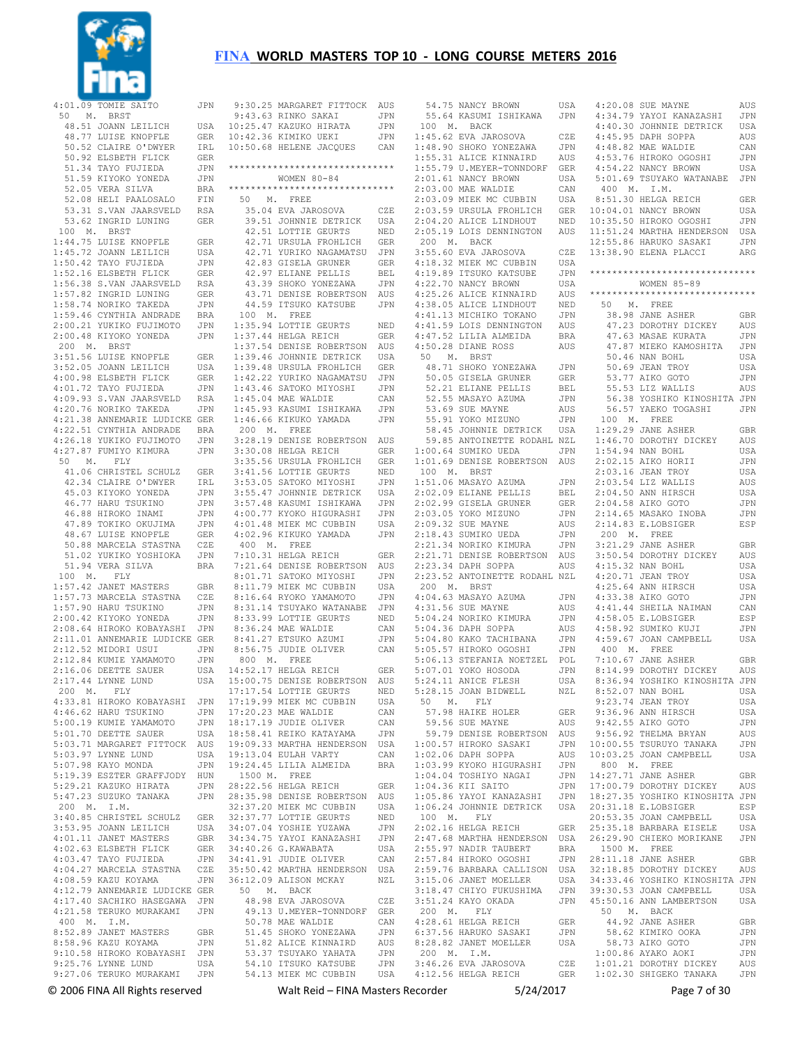

|             | 9:30.25 MARGARET FITTOCK AUS                           |            |
|-------------|--------------------------------------------------------|------------|
|             | 9:43.63 RINKO SAKAI                                    | JPN        |
|             | 10:25.47 KAZUKO HIRATA                                 | JPN        |
|             | 10:42.36 KIMIKO UEKI                                   | JPN        |
|             | 10:50.68 HELENE JACQUES                                | CAN        |
|             |                                                        |            |
|             | *******************************                        |            |
|             | WOMEN $80 - 84$                                        |            |
|             | *****************************                          |            |
|             | 50 M. FREE                                             |            |
|             | 35.04 EVA JAROSOVA                                     | CZE        |
|             | 39.51 JOHNNIE DETRICK                                  | USA        |
|             |                                                        | NED        |
|             | 42.51 LOTTIE GEURTS<br>42.71 URSULA FROHLICH           |            |
|             | 42.71 YURIKO NAGAMATSU                                 | GER        |
|             |                                                        | JPN        |
|             | 42.83 GISELA GRUNER                                    | GER        |
|             | 42.97 ELIANE PELLIS                                    | BEL        |
|             | 43.39 SHOKO YONEZAWA                                   | JPN        |
|             | 43.71 DENISE ROBERTSON AUS<br>44.59 ITSUKO KATSUBE JPN |            |
|             |                                                        |            |
|             | 100 M. FREE                                            |            |
|             | 1:35.94 LOTTIE GEURTS                                  | NED        |
|             | 1:37.44 HELGA REICH                                    | GER        |
|             | 1:37.54 DENISE ROBERTSON                               | AUS        |
|             | 1:39.46 JOHNNIE DETRICK<br>1:39.48 URSULA FROHLICH     | USA        |
|             |                                                        | GER        |
|             | 1:42.22 YURIKO NAGAMATSU                               | JPN        |
|             | 1:43.46 SATOKO MIYOSHI                                 | JPN        |
|             | 1:45.04 MAE WALDIE                                     | CAN        |
|             | 1:45.93 KASUMI ISHIKAWA                                | JPN        |
|             | 1:46.66 KIKUKO YAMADA                                  | JPN        |
| 200 M. FREE |                                                        |            |
|             | 3:28.19 DENISE ROBERTSON                               | AUS        |
|             | 3:30.08 HELGA REICH                                    | <b>GER</b> |
|             | 3:35.56 URSULA FROHLICH                                | GER        |
|             | 3:41.56 LOTTIE GEURTS                                  | NED        |
|             | 3:53.05 SATOKO MIYOSHI                                 | <b>JPN</b> |
|             | 3:55.47 JOHNNIE DETRICK                                | USA        |
|             | 3:57.48 KASUMI ISHIKAWA                                | JPN        |
|             | 4:00.77 KYOKO HIGURASHI<br>4:01.48 MIEK MC CUBBIN      | JPN        |
|             |                                                        | USA        |
|             | 4:02.96 KIKUKO YAMADA                                  | JPN        |
|             | 400 M. FREE                                            |            |
|             | 7:10.31 HELGA REICH                                    | GER        |
|             | 7:21.64 DENISE ROBERTSON                               | AUS        |
|             | 8:01.71 SATOKO MIYOSHI                                 | JPN        |
|             | 8:01.79 MIEK MC CUBBIN<br>8:11.79 MIEK MC CUBBIN       | USA        |
|             | 8:16.64 RYOKO YAMAMOTO                                 | JPN        |
|             | 8:31.14 TSUYAKO WATANABE                               | JPN        |
|             | 8:33.99 LOTTIE GEURTS                                  | NED        |
|             | 8:36.24 MAE WALDIE                                     | CAN        |
|             | 8:41.27 ETSUKO AZUMI                                   | JPN        |
|             | 8:56.75 JUDIE OLIVER                                   | CAN        |
|             | 800 M. FREE                                            |            |
|             | 14:52.17 HELGA REICH                                   | GER        |
|             | 15:00.75 DENISE ROBERTSON                              | AUS        |
|             | 17:17.54 LOTTIE GEURTS                                 |            |
|             | 17:19.99 MIEK MC CUBBIN                                | NED<br>USA |
|             | 17:20.23 MAE WALDIE                                    |            |
|             | 18:17.19 JUDIE OLIVER                                  | CAN<br>CAN |
|             | 18:58.41 REIKO KATAYAMA                                |            |
|             | 19:09.33 MARTHA HENDERSON                              | JPN<br>USA |
|             |                                                        |            |
|             | 19:13.04 EULAH VARTY                                   | CAN        |
|             | 19:24.45 LILIA ALMEIDA                                 | <b>BRA</b> |
|             | 1500 M. FREE                                           |            |
|             | 28:22.56 HELGA REICH                                   | GER        |
|             | 28:35.98 DENISE ROBERTSON                              | AUS        |
|             | 32:37.20 MIEK MC CUBBIN                                | USA        |
|             | 32:37.77 LOTTIE GEURTS<br>34:07.04 YOSHIE YUZAWA       | NED        |
|             |                                                        | JPN        |
|             | 34:34.75 YAYOI KANAZASHI                               | JPN        |
|             | 34:40.26 G. KAWABATA                                   | USA        |
|             | 34:41.91 JUDIE OLIVER                                  | CAN        |
|             | 35:50.42 MARTHA HENDERSON                              | USA        |
|             | 36:12.09 ALISON MCKAY                                  | NZL        |
|             | 50 M. BACK                                             |            |
|             | 48.98 EVA JAROSOVA                                     | CZE        |
|             | 49.13 U.MEYER-TONNDORF                                 | <b>GER</b> |
|             | 50.78 MAE WALDIE                                       | CAN        |
|             | 51.45 SHOKO YONEZAWA                                   | JPN        |
|             | 51.82 ALICE KINNAIRD                                   | AUS        |
|             | 53.37 TSUYAKO YAHATA                                   | JPN        |
|             | 54.10 ITSUKO KATSUBE                                   | JPN        |
|             | 54.13 MIEK MC CUBBIN                                   | USA        |

|             | 54.75 NANCY BROWN USA<br>55.64 KASUMI ISHIKAWA JPN                                                                                                                                                                                  |                    |                         |
|-------------|-------------------------------------------------------------------------------------------------------------------------------------------------------------------------------------------------------------------------------------|--------------------|-------------------------|
|             | 100 M. BACK                                                                                                                                                                                                                         |                    |                         |
|             |                                                                                                                                                                                                                                     |                    |                         |
|             | 1:45.62 EVA JAROSOVA<br>1:48.90 SHOKO YONEZAWA<br>1:55.31 ALICE KINNAIRD                                                                                                                                                            | CZE                |                         |
|             |                                                                                                                                                                                                                                     | JPN                |                         |
|             |                                                                                                                                                                                                                                     | AUS                |                         |
|             | 1:55.79 U.MEYER-TONNDORF GER<br>2:01.61 NANCY BROWN<br>2:03.00 MAE WALDIE CAN<br>2:03.00 MAE WALDIE CAN<br>2:03.09 MIEK MC CUBBIN USA<br>2:03.59 URSULA FROHLICH GER<br>2:04.20 ALICE LINDHOUT NED<br>2.05.19 LOIS DENNINGTON AUS   |                    |                         |
|             |                                                                                                                                                                                                                                     |                    |                         |
|             |                                                                                                                                                                                                                                     |                    |                         |
|             |                                                                                                                                                                                                                                     |                    |                         |
|             |                                                                                                                                                                                                                                     |                    | 1                       |
|             |                                                                                                                                                                                                                                     |                    | $1\,$                   |
|             |                                                                                                                                                                                                                                     | AUS                | 1                       |
|             | 2:05.19 LOIS DENNINGTON<br>200 M. BACK                                                                                                                                                                                              |                    | $\mathbf 1$             |
|             | 3:55.60 EVA JAROSOVA<br>4:18.32 MIEK MC CUBBIN<br>4:19.89 ITSUKO KATSUBE<br>4:22.70 NANCY BROWN                                                                                                                                     | $CZE$ 1            |                         |
|             |                                                                                                                                                                                                                                     | USA                |                         |
|             |                                                                                                                                                                                                                                     |                    | $\star$                 |
|             |                                                                                                                                                                                                                                     | JPN                |                         |
|             | 4:25.26 ALICE KINNAIRD                                                                                                                                                                                                              | $_{\tt USA}$       |                         |
|             |                                                                                                                                                                                                                                     | AUS                | $\star$                 |
|             |                                                                                                                                                                                                                                     | NED                |                         |
|             |                                                                                                                                                                                                                                     | $_{\rm JPN}$       |                         |
|             |                                                                                                                                                                                                                                     |                    |                         |
|             |                                                                                                                                                                                                                                     |                    |                         |
|             |                                                                                                                                                                                                                                     |                    |                         |
|             | 4:38.05 ALICE LINDHOUT<br>4:41.13 MICHIKO TOKANO JPN<br>4:41.13 MICHIKO TOKANO JPN<br>4:47.52 LILIA ALMEIDA BRA<br>4:50 28 DIANE ROSS AUS<br>50 M. BRST<br>50 M. BRST                                                               |                    |                         |
|             |                                                                                                                                                                                                                                     |                    |                         |
|             |                                                                                                                                                                                                                                     |                    |                         |
|             |                                                                                                                                                                                                                                     |                    |                         |
|             |                                                                                                                                                                                                                                     |                    |                         |
|             |                                                                                                                                                                                                                                     |                    |                         |
|             |                                                                                                                                                                                                                                     |                    |                         |
|             | 10 M. BRST<br>48.71 SHOKO YONEZAWA JPN<br>50.05 GISELA GRUNER GER<br>52.21 ELIANE PELLIS BEL<br>52.55 MASAYO AZUMA JPN<br>53.69 SUE MAYNE AUS<br>55.91 YOKO MIZUNO JPN<br>58.45 JOHNNIE DETRICK USA<br>58.45 JATOLINETTE PODAUL MYL |                    |                         |
|             |                                                                                                                                                                                                                                     |                    |                         |
|             | 59.85 ANTOINETTE RODAHL NZL                                                                                                                                                                                                         |                    |                         |
|             | 1:00.64 SUMIKO UEDA                                                                                                                                                                                                                 | JPN                |                         |
|             |                                                                                                                                                                                                                                     |                    |                         |
|             | 1:01.69 DENISE ROBERTSON AUS<br>100 M. BRST                                                                                                                                                                                         |                    |                         |
|             | 1:51.06 MASAYO AZUMA<br>2:02.09 ELIANE PELLIS<br>2:02.99 GISELA GRUNER<br>2:03.05 YOKO MIZUNO<br>2:03.32 SUE MAYNE<br>2:18.43 SUMIKO UEDA<br>2:18.43 SUMIKO UEDA                                                                    | JPN                |                         |
|             |                                                                                                                                                                                                                                     | BEL                |                         |
|             |                                                                                                                                                                                                                                     |                    |                         |
|             |                                                                                                                                                                                                                                     | GER                |                         |
|             |                                                                                                                                                                                                                                     | JPN                |                         |
|             |                                                                                                                                                                                                                                     | AUS                |                         |
|             |                                                                                                                                                                                                                                     | JPN                |                         |
|             |                                                                                                                                                                                                                                     |                    |                         |
|             |                                                                                                                                                                                                                                     |                    |                         |
|             | 2:21.34 NORIKO KIMURA                                                                                                                                                                                                               |                    |                         |
|             |                                                                                                                                                                                                                                     |                    |                         |
|             | 1991 - 1991 - 1992 - 1993 - 1994 - 1994 - 1994 - 1994 - 1994 - 1994 - 1994 - 1994 - 1994 - 1995 - 1994 - 1994 - 1995 - 1994 - 1994 - 1995 - 1995 - 1996 - 1997 - 1997 - 1997 - 1997 - 1997 - 1997 - 1997 - 1997 - 1997 - 1997       |                    |                         |
|             | 2:23.52 ANTOINETTE RODAHL NZL                                                                                                                                                                                                       |                    |                         |
| 200 M. BRST |                                                                                                                                                                                                                                     |                    |                         |
|             |                                                                                                                                                                                                                                     |                    |                         |
|             |                                                                                                                                                                                                                                     |                    |                         |
|             |                                                                                                                                                                                                                                     |                    |                         |
|             |                                                                                                                                                                                                                                     |                    |                         |
|             |                                                                                                                                                                                                                                     |                    |                         |
|             |                                                                                                                                                                                                                                     |                    |                         |
|             | 200 F. BANYO AZUMA JPN<br>4:31.56 SUE MAYNE AUS<br>5:04.24 NORIKO KIMURA JPN<br>5:04.36 DAPH SOPPA AUS<br>5:04.80 KAKO TACHIBANA JPN<br>5:05.57 HIROKO OGOSHI JPN<br>5.05.57 HIROKO OGOSHI JPN                                      |                    |                         |
|             |                                                                                                                                                                                                                                     |                    |                         |
|             |                                                                                                                                                                                                                                     |                    |                         |
|             | 910.13 STEFANIA NOETZEL POL<br>5:07.01 YOKO HOSODA JPN<br>5:24.11 ANICE FLESH USA<br>5:29.15 TOAN PIDWELL WAT<br>5:28.15 JOAN BIDWELL                                                                                               | NZL                |                         |
|             | 50 M. FLY                                                                                                                                                                                                                           |                    |                         |
|             |                                                                                                                                                                                                                                     | <b>GER</b>         |                         |
|             | 57.98 HAIKE HOLER                                                                                                                                                                                                                   | AUS                |                         |
|             | 59.56 SUE MAYNE                                                                                                                                                                                                                     |                    |                         |
|             | 59.79 DENISE ROBERTSON AUS                                                                                                                                                                                                          |                    |                         |
|             | 1:00.57 HIROKO SASAKI                                                                                                                                                                                                               | JPN                | $\mathbf{1}$            |
|             | $1:02.06$ DAPH SOPPA                                                                                                                                                                                                                | $\mathop{\rm AUS}$ | $1\,$                   |
|             | $1:02.06$ DAFN SOLIN<br>$1:03.99$ KYOKO HIGURASHI                                                                                                                                                                                   | JPN                |                         |
|             | $1:04.04$ TOSHIYO NAGAI                                                                                                                                                                                                             | JPN                | $1\,$                   |
|             | 1:04.36 KII SAITO                                                                                                                                                                                                                   | JPN                | 1                       |
|             |                                                                                                                                                                                                                                     |                    | $1\,$                   |
|             | 1:05.86 YAYOI KANAZASHI JPN<br>1:06.24 JOHNNIE DETRICK USA                                                                                                                                                                          |                    | $\overline{\mathbf{c}}$ |
| 100 M. FLY  |                                                                                                                                                                                                                                     |                    | $\overline{\mathbf{c}}$ |
|             | 2:02.16 HELGA REICH                                                                                                                                                                                                                 | GER                | $\overline{c}$          |
|             | 2:47.68 MARTHA HENDERSON USA                                                                                                                                                                                                        |                    | $\overline{\mathbf{c}}$ |
|             |                                                                                                                                                                                                                                     | BRA                |                         |
|             |                                                                                                                                                                                                                                     |                    | $\overline{\mathbf{c}}$ |
|             | 2:55.97 NADIR TAUBERT<br>2:57.84 HIROKO OGOSHI                                                                                                                                                                                      |                    | 3                       |
|             | 2:57.84 HIROKO OGOSHI JPN<br>2:59.76 BARBARA CALLISON USA                                                                                                                                                                           |                    |                         |
|             | 3:15.06 JANET MOELLER                                                                                                                                                                                                               | USA                | 3                       |
|             | 3:18.47 CHIYO FUKUSHIMA                                                                                                                                                                                                             | JPN                | 3                       |
|             | 3:51.24 KAYO OKADA                                                                                                                                                                                                                  | JPN 4              |                         |
| 200 M. FLY  |                                                                                                                                                                                                                                     |                    |                         |
|             | $4:28.61$ HELGA REICH                                                                                                                                                                                                               | GER                |                         |
|             |                                                                                                                                                                                                                                     | JPN                |                         |
|             | 4:28.61 HELGA ALL.<br>6:37.56 HARUKO SASAKI<br>8:28.82 JANET MOELLER                                                                                                                                                                | USA                |                         |
| 200 M. I.M. |                                                                                                                                                                                                                                     |                    |                         |
|             | 3:46.26 EVA JAROSOVA<br>$4:12.56$ HELGA REICH                                                                                                                                                                                       | CZE<br>GER         |                         |

| 4:01.09 TOMIE SAITO                                                                                                                                                                       | <b>JPN</b>        |            | 9:30.25 MARGARET FITTOCK                           | AUS               |             | 54.75 NANCY BROWN                                                      | USA               | 4:20.08 SUE MAYNE                                                                                                                                                           | AUS               |
|-------------------------------------------------------------------------------------------------------------------------------------------------------------------------------------------|-------------------|------------|----------------------------------------------------|-------------------|-------------|------------------------------------------------------------------------|-------------------|-----------------------------------------------------------------------------------------------------------------------------------------------------------------------------|-------------------|
| 50<br>M. BRST                                                                                                                                                                             |                   |            | 9:43.63 RINKO SAKAI                                | JPN               |             | 55.64 KASUMI ISHIKAWA                                                  | JPN               | 4:34.79 YAYOI KANAZASHI                                                                                                                                                     | JPN               |
| 48.51 JOANN LEILICH                                                                                                                                                                       | USA               |            | 10:25.47 KAZUKO HIRATA                             | JPN               |             | 100 M. BACK                                                            |                   | 4:40.30 JOHNNIE DETRICK                                                                                                                                                     | USA               |
| 48.77 LUISE KNOPFLE<br>50.52 CLAIRE O'DWYER                                                                                                                                               | <b>GER</b><br>IRL |            | 10:42.36 KIMIKO UEKI<br>10:50.68 HELENE JACQUES    | JPN<br>CAN        |             | 1:45.62 EVA JAROSOVA<br>1:48.90 SHOKO YONEZAWA                         | CZE<br>JPN        | 4:45.95 DAPH SOPPA<br>4:48.82 MAE WALDIE                                                                                                                                    | AUS<br>CAN        |
| 50.92 ELSBETH FLICK                                                                                                                                                                       | <b>GER</b>        |            |                                                    |                   |             | 1:55.31 ALICE KINNAIRD                                                 | AUS               | 4:53.76 HIROKO OGOSHI                                                                                                                                                       | <b>JPN</b>        |
| 51.34 TAYO FUJIEDA                                                                                                                                                                        | JPN               |            | ******************************                     |                   |             | 1:55.79 U.MEYER-TONNDORF                                               | <b>GER</b>        | 4:54.22 NANCY BROWN                                                                                                                                                         | USA               |
| 51.59 KIYOKO YONEDA                                                                                                                                                                       | JPN               |            | WOMEN $80 - 84$                                    |                   |             | 2:01.61 NANCY BROWN                                                    | USA               | 5:01.69 TSUYAKO WATANABE                                                                                                                                                    | <b>JPN</b>        |
| 52.05 VERA SILVA                                                                                                                                                                          | <b>BRA</b>        |            | ******************************                     |                   |             | 2:03.00 MAE WALDIE                                                     | CAN               | 400 M. I.M.                                                                                                                                                                 |                   |
| 52.08 HELI PAALOSALO                                                                                                                                                                      | FTN               | 50         | M. FREE                                            |                   |             | 2:03.09 MIEK MC CUBBIN                                                 | USA               | 8:51.30 HELGA REICH                                                                                                                                                         | <b>GER</b>        |
| 53.31 S.VAN JAARSVELD                                                                                                                                                                     | RSA               |            | 35.04 EVA JAROSOVA                                 | CZE               |             | 2:03.59 URSULA FROHLICH                                                | <b>GER</b>        | 10:04.01 NANCY BROWN                                                                                                                                                        | USA               |
| 53.62 INGRID LUNING                                                                                                                                                                       | <b>GER</b>        |            | 39.51 JOHNNIE DETRICK                              | USA               |             | 2:04.20 ALICE LINDHOUT<br>2:05.19 LOIS DENNINGTON                      | NED               | 10:35.50 HIROKO OGOSHI                                                                                                                                                      | JPN               |
| 100 M. BRST<br>1:44.75 LUISE KNOPFLE                                                                                                                                                      | <b>GER</b>        |            | 42.51 LOTTIE GEURTS<br>42.71 URSULA FROHLICH       | NED<br><b>GER</b> |             | 200 M. BACK                                                            | AUS               | 11:51.24 MARTHA HENDERSON<br>12:55.86 HARUKO SASAKI                                                                                                                         | USA<br><b>JPN</b> |
| 1:45.72 JOANN LEILICH                                                                                                                                                                     | USA               |            | 42.71 YURIKO NAGAMATSU                             | JPN               |             | 3:55.60 EVA JAROSOVA                                                   | CZE               | 13:38.90 ELENA PLACCI                                                                                                                                                       | ARG               |
| 1:50.42 TAYO FUJIEDA                                                                                                                                                                      | JPN               |            | 42.83 GISELA GRUNER                                | <b>GER</b>        |             | 4:18.32 MIEK MC CUBBIN                                                 | USA               |                                                                                                                                                                             |                   |
| 1:52.16 ELSBETH FLICK                                                                                                                                                                     | <b>GER</b>        |            | 42.97 ELIANE PELLIS                                | <b>BEL</b>        |             | 4:19.89 ITSUKO KATSUBE                                                 | <b>JPN</b>        | ******************************                                                                                                                                              |                   |
| 1:56.38 S.VAN JAARSVELD                                                                                                                                                                   | <b>RSA</b>        |            | 43.39 SHOKO YONEZAWA                               | JPN               |             | 4:22.70 NANCY BROWN                                                    | USA               | WOMEN 85-89                                                                                                                                                                 |                   |
| 1:57.82 INGRID LUNING                                                                                                                                                                     | <b>GER</b>        |            | 43.71 DENISE ROBERTSON                             | AUS               |             | 4:25.26 ALICE KINNAIRD                                                 | AUS               | ******************************                                                                                                                                              |                   |
| 1:58.74 NORIKO TAKEDA                                                                                                                                                                     | JPN<br><b>BRA</b> |            | 44.59 ITSUKO KATSUBE<br>100 M. FREE                | JPN               |             | 4:38.05 ALICE LINDHOUT                                                 | NED               | 50<br>M. FREE                                                                                                                                                               |                   |
| 1:59.46 CYNTHIA ANDRADE<br>2:00.21 YUKIKO FUJIMOTO                                                                                                                                        | JPN               |            | 1:35.94 LOTTIE GEURTS                              | NED               |             | 4:41.13 MICHIKO TOKANO<br>4:41.59 LOIS DENNINGTON                      | JPN<br>AUS        | 38.98 JANE ASHER<br>47.23 DOROTHY DICKEY                                                                                                                                    | GBR<br>AUS        |
| 2:00.48 KIYOKO YONEDA                                                                                                                                                                     | JPN               |            | 1:37.44 HELGA REICH                                | GER               |             | 4:47.52 LILIA ALMEIDA                                                  | BRA               | 47.63 MASAE KURATA                                                                                                                                                          | JPN               |
| 200 M. BRST                                                                                                                                                                               |                   |            | 1:37.54 DENISE ROBERTSON AUS                       |                   |             | 4:50.28 DIANE ROSS                                                     | AUS               | 47.87 MIEKO KAMOSHITA                                                                                                                                                       | <b>JPN</b>        |
| 3:51.56 LUISE KNOPFLE                                                                                                                                                                     | <b>GER</b>        |            | 1:39.46 JOHNNIE DETRICK                            | USA               | 50          | M. BRST                                                                |                   | 50.46 NAN BOHL                                                                                                                                                              | USA               |
| 3:52.05 JOANN LEILICH                                                                                                                                                                     | USA               |            | 1:39.48 URSULA FROHLICH                            | GER               |             | 48.71 SHOKO YONEZAWA                                                   | JPN               | 50.69 JEAN TROY                                                                                                                                                             | USA               |
| 4:00.98 ELSBETH FLICK                                                                                                                                                                     | <b>GER</b>        |            | 1:42.22 YURIKO NAGAMATSU                           | JPN               |             | 50.05 GISELA GRUNER                                                    | <b>GER</b>        | 53.77 AIKO GOTO                                                                                                                                                             | JPN               |
| 4:01.72 TAYO FUJIEDA                                                                                                                                                                      | JPN               |            | 1:43.46 SATOKO MIYOSHI                             | JPN               |             | 52.21 ELIANE PELLIS                                                    | <b>BEL</b>        | 55.53 LIZ WALLIS                                                                                                                                                            | AUS               |
| 4:09.93 S.VAN JAARSVELD<br>4:20.76 NORIKO TAKEDA                                                                                                                                          | <b>RSA</b><br>JPN |            | 1:45.04 MAE WALDIE<br>1:45.93 KASUMI ISHIKAWA      | CAN<br>JPN        |             | 52.55 MASAYO AZUMA<br>53.69 SUE MAYNE                                  | JPN<br>AUS        | 56.38 YOSHIKO KINOSHITA JPN<br>56.57 YAEKO TOGASHI                                                                                                                          | JPN               |
| 4:21.38 ANNEMARIE LUDICKE GER                                                                                                                                                             |                   |            | 1:46.66 KIKUKO YAMADA                              | JPN               |             | 55.91 YOKO MIZUNO                                                      | JPN               | 100 M. FREE                                                                                                                                                                 |                   |
| 4:22.51 CYNTHIA ANDRADE                                                                                                                                                                   | <b>BRA</b>        |            | 200 M. FREE                                        |                   |             | 58.45 JOHNNIE DETRICK                                                  | USA               | 1:29.29 JANE ASHER                                                                                                                                                          | <b>GBR</b>        |
| 4:26.18 YUKIKO FUJIMOTO                                                                                                                                                                   | JPN               |            | 3:28.19 DENISE ROBERTSON                           | AUS               |             | 59.85 ANTOINETTE RODAHL NZL                                            |                   | 1:46.70 DOROTHY DICKEY                                                                                                                                                      | AUS               |
| 4:27.87 FUMIYO KIMURA                                                                                                                                                                     | JPN               |            | 3:30.08 HELGA REICH                                | GER               |             | 1:00.64 SUMIKO UEDA                                                    | JPN               | 1:54.94 NAN BOHL                                                                                                                                                            | USA               |
| FLY<br>50<br>М.                                                                                                                                                                           |                   |            | 3:35.56 URSULA FROHLICH                            | <b>GER</b>        |             | 1:01.69 DENISE ROBERTSON AUS                                           |                   | 2:02.15 AIKO HORII                                                                                                                                                          | JPN               |
| 41.06 CHRISTEL SCHULZ                                                                                                                                                                     | <b>GER</b>        |            | 3:41.56 LOTTIE GEURTS                              | NED               | 100 M. BRST |                                                                        |                   | 2:03.16 JEAN TROY                                                                                                                                                           | USA               |
| 42.34 CLAIRE O'DWYER<br>45.03 KIYOKO YONEDA                                                                                                                                               | IRL<br>JPN        |            | 3:53.05 SATOKO MIYOSHI<br>3:55.47 JOHNNIE DETRICK  | JPN<br>USA        |             | 1:51.06 MASAYO AZUMA<br>2:02.09 ELIANE PELLIS                          | JPN<br><b>BEL</b> | 2:03.54 LIZ WALLIS<br>2:04.50 ANN HIRSCH                                                                                                                                    | AUS<br>USA        |
| 46.77 HARU TSUKINO                                                                                                                                                                        | JPN               |            | 3:57.48 KASUMI ISHIKAWA                            | JPN               |             | 2:02.99 GISELA GRUNER                                                  | <b>GER</b>        | 2:04.58 AIKO GOTO                                                                                                                                                           | JPN               |
| 46.88 HIROKO INAMI                                                                                                                                                                        | JPN               |            | 4:00.77 KYOKO HIGURASHI                            | JPN               |             | 2:03.05 YOKO MIZUNO                                                    | JPN               | 2:14.65 MASAKO INOBA                                                                                                                                                        | JPN               |
| 47.89 TOKIKO OKUJIMA                                                                                                                                                                      | JPN               |            | 4:01.48 MIEK MC CUBBIN                             | USA               |             | 2:09.32 SUE MAYNE                                                      | AUS               | 2:14.83 E.LOBSIGER                                                                                                                                                          | ESP               |
| 48.67 LUISE KNOPFLE                                                                                                                                                                       | <b>GER</b>        |            | 4:02.96 KIKUKO YAMADA                              | JPN               |             | 2:18.43 SUMIKO UEDA                                                    | JPN               | 200 M. FREE                                                                                                                                                                 |                   |
| 50.88 MARCELA STASTNA                                                                                                                                                                     | CZE               |            | 400 M. FREE                                        |                   |             | 2:21.34 NORIKO KIMURA                                                  | JPN               | 3:21.29 JANE ASHER                                                                                                                                                          | <b>GBR</b>        |
| 51.02 YUKIKO YOSHIOKA                                                                                                                                                                     | JPN               |            | 7:10.31 HELGA REICH                                | GER               |             | 2:21.71 DENISE ROBERTSON                                               | AUS               | 3:50.54 DOROTHY DICKEY                                                                                                                                                      | AUS               |
| 51.94 VERA SILVA<br>100 M.<br>FLY                                                                                                                                                         | <b>BRA</b>        |            | 7:21.64 DENISE ROBERTSON<br>8:01.71 SATOKO MIYOSHI | AUS<br>JPN        |             | 2:23.34 DAPH SOPPA<br>2:23.52 ANTOINETTE RODAHL NZL                    | AUS               | 4:15.32 NAN BOHL<br>4:20.71 JEAN TROY                                                                                                                                       | USA<br>USA        |
| 1:57.42 JANET MASTERS                                                                                                                                                                     | <b>GBR</b>        |            | 8:11.79 MIEK MC CUBBIN                             | USA               | 200 M. BRST |                                                                        |                   | 4:25.64 ANN HIRSCH                                                                                                                                                          | USA               |
| 1:57.73 MARCELA STASTNA                                                                                                                                                                   | CZE               |            | 8:16.64 RYOKO YAMAMOTO                             | JPN               |             | 4:04.63 MASAYO AZUMA                                                   | JPN               | 4:33.38 AIKO GOTO                                                                                                                                                           | JPN               |
| 1:57.90 HARU TSUKINO                                                                                                                                                                      | JPN               |            | 8:31.14 TSUYAKO WATANABE                           | JPN               |             | 4:31.56 SUE MAYNE                                                      | AUS               | 4:41.44 SHEILA NAIMAN                                                                                                                                                       | CAN               |
| 2:00.42 KIYOKO YONEDA                                                                                                                                                                     | JPN               |            | 8:33.99 LOTTIE GEURTS                              | NED               |             | 5:04.24 NORIKO KIMURA                                                  | JPN               | 4:58.05 E.LOBSIGER                                                                                                                                                          | ESP               |
| 2:08.64 HIROKO KOBAYASHI                                                                                                                                                                  | JPN               |            | 8:36.24 MAE WALDIE                                 | CAN               |             | 5:04.36 DAPH SOPPA                                                     | AUS               | 4:58.92 SUMIKO KUJI                                                                                                                                                         | JPN               |
| 2:11.01 ANNEMARIE LUDICKE GER<br>2:12.52 MIDORI USUI                                                                                                                                      | JPN               |            | 8:41.27 ETSUKO AZUMI<br>8:56.75 JUDIE OLIVER       | JPN<br>CAN        |             | 5:04.80 KAKO TACHIBANA<br>5:05.57 HIROKO OGOSHI                        | JPN<br><b>JPN</b> | 4:59.67 JOAN CAMPBELL<br>400 M. FREE                                                                                                                                        | USA               |
| 2:12.84 KUMIE YAMAMOTO                                                                                                                                                                    | JPN               |            | 800 M. FREE                                        |                   |             | 5:06.13 STEFANIA NOETZEL                                               | POL               | 7:10.67 JANE ASHER                                                                                                                                                          | <b>GBR</b>        |
| 2:16.06 DEETTE SAUER                                                                                                                                                                      | USA               |            | 14:52.17 HELGA REICH                               | GER               |             | 5:07.01 YOKO HOSODA                                                    | JPN               | 8:14.99 DOROTHY DICKEY                                                                                                                                                      | AUS               |
| 2:17.44 LYNNE LUND                                                                                                                                                                        | USA               |            | 15:00.75 DENISE ROBERTSON AUS                      |                   |             | 5:24.11 ANICE FLESH                                                    | USA               | 8:36.94 YOSHIKO KINOSHITA JPN                                                                                                                                               |                   |
| 200 M. FLY                                                                                                                                                                                |                   |            | 17:17.54 LOTTIE GEURTS                             | NED               |             | 5:28.15 JOAN BIDWELL                                                   | NZL               | 8:52.07 NAN BOHL                                                                                                                                                            | USA               |
| 4:33.81 HIROKO KOBAYASHI JPN 17:19.99 MIEK MC CUBBIN USA                                                                                                                                  |                   |            |                                                    |                   |             |                                                                        |                   |                                                                                                                                                                             |                   |
|                                                                                                                                                                                           |                   |            |                                                    |                   |             |                                                                        |                   |                                                                                                                                                                             |                   |
| 5:01.70 DEETTE SAUER                                                                                                                                                                      |                   |            |                                                    |                   |             |                                                                        |                   |                                                                                                                                                                             |                   |
|                                                                                                                                                                                           |                   |            |                                                    |                   |             |                                                                        |                   | 5:03.71 MARGARET FITTOCK AUS 19:09.33 MARTHA HENDERSON USA 1:00.57 HIROKO SASAKI JPN 10:00.55 TSURUYO TANAKA                                                                | JPN               |
| 5:03.97 LYNNE LUND                                                                                                                                                                        |                   |            |                                                    |                   |             | USA 19:13.04 EULAH VARTY CAN 1:02.06 DAPH SOPPA                        |                   | AUS 10:03.25 JOAN CAMPBELL                                                                                                                                                  | USA               |
| 5:07.98 KAYO MONDA                                                                                                                                                                        |                   |            |                                                    |                   |             | JPN 19:24.45 LILIA ALMEIDA BRA 1:03.99 KYOKO HIGURASHI JPN 800 M. FREE |                   |                                                                                                                                                                             |                   |
| 5:19.39 ESZTER GRAFFJODY HUN                                                                                                                                                              |                   |            |                                                    |                   |             |                                                                        |                   | HUN 1500 M. FREE 1:04.04 TOSHIYO NAGAI JPN 14:27.71 JANE ASHER<br>JPN 28:22.56 HELGA REICH GER 1:04.36 KII SAITO JPN 17:00.79 DOROTHY DICKEY                                | GBR               |
| 5:29.21 KAZUKO HIRATA                                                                                                                                                                     |                   |            |                                                    |                   |             |                                                                        |                   |                                                                                                                                                                             | AUS               |
| 5:47.23 SUZUKO TANAKA<br>200 M. I.M.                                                                                                                                                      |                   |            |                                                    |                   |             |                                                                        |                   | JPN 28:35.98 DENISE ROBERTSON AUS 1:05.86 YAYOI KANAZASHI JPN 18:27.35 YOSHIKO KINOSHITA JPN<br>32:37.20 MIEK MC CUBBIN USA 1:06.24 JOHNNIE DETRICK USA 20:31.18 E.LOBSIGER | ESP               |
| 3:40.85 CHRISTEL SCHULZ GER 32:37.77 LOTTIE GEURTS NED 100 M. FLY                                                                                                                         |                   |            |                                                    |                   |             |                                                                        |                   | 20:53.35 JOAN CAMPBELL                                                                                                                                                      | USA               |
|                                                                                                                                                                                           |                   |            |                                                    |                   |             |                                                                        |                   | 3:53.95 JOANN LEILICH USA 34:07.04 YOSHIE YUZAWA JPN 2:02.16 HELGA REICH GER 25:35.18 BARBARA EISELE USA                                                                    |                   |
|                                                                                                                                                                                           |                   |            |                                                    |                   |             |                                                                        |                   | 4:01.11 JANET MASTERS GBR 34:34.75 YAYOI KANAZASHI JPN 2:47.68 MARTHA HENDERSON USA 26:29.90 CHIEKO MORIKANE                                                                | JPN               |
| 4:02.63 ELSBETH FLICK GER 34:40.26 G.KAWABATA USA 2:55.97 NADIR TAUBERT BRA 1500 M. FREE<br>4:03.47 TAYO FUJIEDA JPN 34:41.91 JUDIE OLIVER CAN 2:57.84 HIROKO OGOSHI JPN 28:11.18 JANE AS |                   |            |                                                    |                   |             |                                                                        |                   |                                                                                                                                                                             |                   |
|                                                                                                                                                                                           |                   |            |                                                    |                   |             |                                                                        |                   | JPN 28:11.18 JANE ASHER                                                                                                                                                     | GBR               |
| 4:04.27 MARCELA STASTNA CZE 35:50.42 MARTHA HENDERSON USA 2:59.76 BARBARA CALLISON USA 32:18.85 DOROTHY DICKEY                                                                            |                   |            |                                                    |                   |             |                                                                        |                   |                                                                                                                                                                             | AUS               |
| 4:08.59 KAZU KOYAMA<br>4:12.79 ANNEMARIE LUDICKE GER                                                                                                                                      |                   | 50 M. BACK |                                                    |                   |             |                                                                        |                   | JPN 36:12.09 ALISON MCKAY NZL 3:15.06 JANET MOELLER USA 34:33.46 YOSHIKO KINOSHITA JPN<br>3:18.47 CHIYO FUKUSHIMA JPN 39:30.53 JOAN CAMPBELL                                | USA               |
|                                                                                                                                                                                           |                   |            |                                                    |                   |             |                                                                        |                   |                                                                                                                                                                             |                   |
|                                                                                                                                                                                           |                   |            |                                                    |                   |             |                                                                        |                   |                                                                                                                                                                             |                   |
|                                                                                                                                                                                           |                   |            |                                                    |                   |             |                                                                        |                   |                                                                                                                                                                             |                   |
|                                                                                                                                                                                           |                   |            |                                                    |                   |             |                                                                        |                   |                                                                                                                                                                             |                   |
|                                                                                                                                                                                           |                   |            |                                                    |                   |             |                                                                        |                   |                                                                                                                                                                             |                   |
|                                                                                                                                                                                           |                   |            |                                                    |                   |             |                                                                        |                   |                                                                                                                                                                             |                   |
|                                                                                                                                                                                           |                   |            |                                                    |                   |             |                                                                        |                   |                                                                                                                                                                             |                   |
|                                                                                                                                                                                           |                   |            |                                                    |                   |             |                                                                        |                   |                                                                                                                                                                             |                   |
| © 2006 FINA All Rights reserved Walt Reid - FINA Masters Recorder 5/24/2017                                                                                                               |                   |            |                                                    |                   |             |                                                                        |                   | Page 7 of 30                                                                                                                                                                |                   |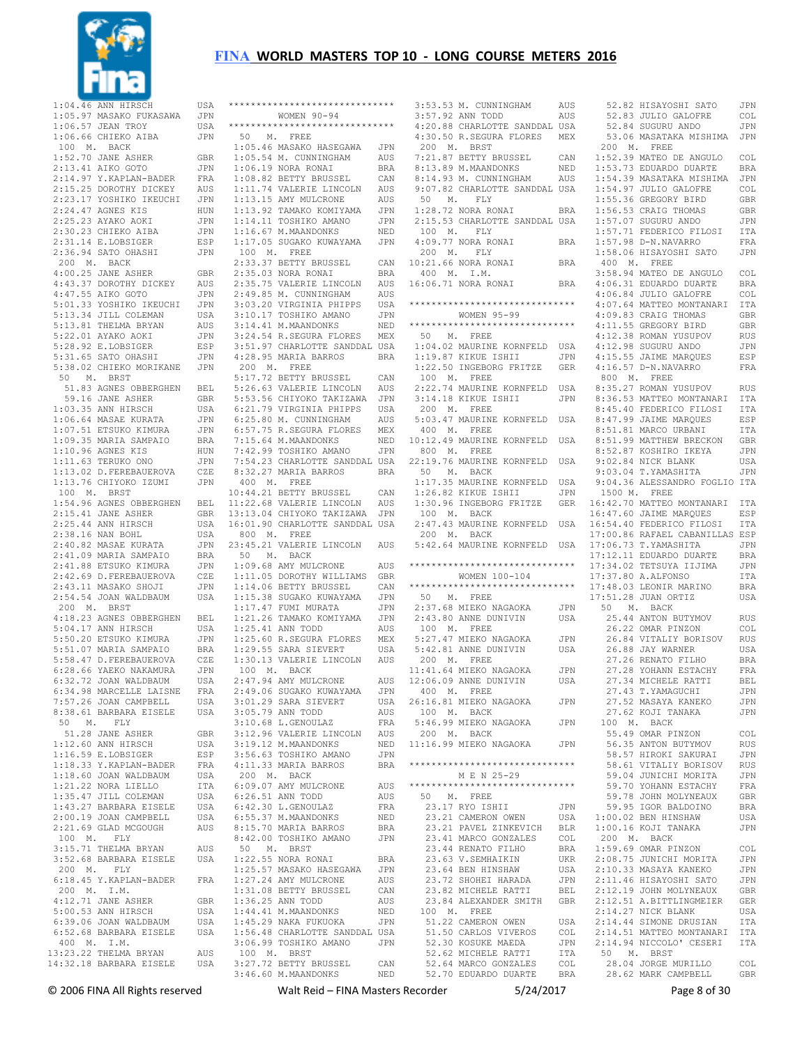

 $\star\star$ 

 $\star \star$ 

|                                                                                                                                                                                                                                                  | USA                   |
|--------------------------------------------------------------------------------------------------------------------------------------------------------------------------------------------------------------------------------------------------|-----------------------|
|                                                                                                                                                                                                                                                  | JPN                   |
| 1:04.46 ANN HIRSCH<br>1:05.97 MASAKO FUKASAWA<br>1:06.57 JEAN TROY<br>1:06.66 CHIEKO AIBA<br>100 M. BACK                                                                                                                                         | USA<br>$\mathtt{JPN}$ |
|                                                                                                                                                                                                                                                  |                       |
| 1:00 M. BACK<br>1.52.70 JANE ASHER GBR<br>2:13.41 AIKO GOTO JPN<br>2:14.97 Y.KAPLAN-BADER FRA<br>2:15.25 DOROTH DICKEY AUS<br>2:23.17 YOSHIKO IKEUCHI JPN<br>2:24.47 AGNES KIS HUN<br>2:25.23 AYAKO AOKI JPN<br>2:25.23 AYAKO AOKI JPN           |                       |
|                                                                                                                                                                                                                                                  |                       |
|                                                                                                                                                                                                                                                  |                       |
|                                                                                                                                                                                                                                                  |                       |
|                                                                                                                                                                                                                                                  |                       |
|                                                                                                                                                                                                                                                  |                       |
|                                                                                                                                                                                                                                                  | JPN                   |
| 2:24.47 AGNES KIS<br>2:25.23 AYAKO AOKI<br>2:30.23 CHIEKO AIBA<br>2:31.14 E.LOBSIGER                                                                                                                                                             | ESP                   |
| 2:36.94 SATO OHASHI                                                                                                                                                                                                                              | JPN                   |
| 200 M. BACK                                                                                                                                                                                                                                      |                       |
| $4:00.25$ JANE ASHER                                                                                                                                                                                                                             | GBR                   |
|                                                                                                                                                                                                                                                  |                       |
|                                                                                                                                                                                                                                                  |                       |
|                                                                                                                                                                                                                                                  | JPN                   |
|                                                                                                                                                                                                                                                  |                       |
| 4:00.25 JANE ASHER<br>4:47.55 AIKO GOTO JPN<br>4:47.55 AIKO GOTO JPN<br>5:01.33 YOSHIKO IKEUCHI JPN<br>5:13.34 JILL COLEMAN USA<br>5:13.81 THELMA BRYAN USA<br>5:22.01 AYAKO AOKI JPN<br>5:28.92 E.LOBSIGER ESP<br>5:31.65 SATO OHASHI JPN<br>5: |                       |
|                                                                                                                                                                                                                                                  |                       |
|                                                                                                                                                                                                                                                  |                       |
|                                                                                                                                                                                                                                                  |                       |
| 50 M. BRST                                                                                                                                                                                                                                       |                       |
| 51.83 AGNES OBBERGHEN BEL<br>59.16 JANE ASHER GBR                                                                                                                                                                                                |                       |
|                                                                                                                                                                                                                                                  |                       |
|                                                                                                                                                                                                                                                  | USA                   |
|                                                                                                                                                                                                                                                  | JPN<br>JPN            |
|                                                                                                                                                                                                                                                  | <b>BRA</b>            |
|                                                                                                                                                                                                                                                  | HUN                   |
|                                                                                                                                                                                                                                                  | JPN                   |
|                                                                                                                                                                                                                                                  | CZE                   |
|                                                                                                                                                                                                                                                  | JPN                   |
| 1:03.35 ANN HIRSCH<br>1:06.64 MASAE KURATA<br>1:07.51 ETSUKO KIMURA<br>1:09.35 MARIA SAMPAIO<br>1:10.96 AGNES KIS<br>1:11.63 TERUKO ONO<br>1:13.02 D.FEREBAUEROVA<br>1:13.76 CHIYOKO IZUMI<br>100 M. BRST<br>1:54 06 Y.                          |                       |
| 1:54.96 AGNES OBBERGHEN BEL<br>2:15.41 JANE ASHER GBR<br>2:25.44 ANN HIRSCH USA<br>2:38.16 NAN BOHL USA                                                                                                                                          |                       |
|                                                                                                                                                                                                                                                  |                       |
|                                                                                                                                                                                                                                                  |                       |
|                                                                                                                                                                                                                                                  | JPN                   |
|                                                                                                                                                                                                                                                  |                       |
|                                                                                                                                                                                                                                                  | BRA<br>JPN            |
|                                                                                                                                                                                                                                                  | CZE                   |
|                                                                                                                                                                                                                                                  | JPN                   |
|                                                                                                                                                                                                                                                  |                       |
| 2:30.10 MAN BOM<br>2:40.82 MASAE KURATA<br>2:41.09 MARIA SAMPAIO<br>2:41.88 ETSUKO KIMURA<br>2:42.69 D.FEREBAUEROVA<br>2:43.11 MASAKO SHOJI<br>2:54.54 JOAN WALDBAUM                                                                             | USA                   |
| 200 M. BRST                                                                                                                                                                                                                                      |                       |
|                                                                                                                                                                                                                                                  |                       |
| 4:18.23 AGNES OBBERGHEN BEL<br>5:04.17 ANN HIRSCH USA                                                                                                                                                                                            | USA<br>JPN            |
|                                                                                                                                                                                                                                                  | BRA                   |
|                                                                                                                                                                                                                                                  | CZE                   |
|                                                                                                                                                                                                                                                  | $\mathtt{JPN}$        |
|                                                                                                                                                                                                                                                  | USA                   |
| 4:18.23 AGNES UBBERGELN<br>5:04.17 ANN HIRSCH<br>5:50.20 ETSUKO KIMURA<br>5:51.07 MARIA SAMPAIO<br>5:58.47 D.FEREDABURA<br>6:28.66 YAEKO NAKAMURA<br>6:32.72 JOAN WALDBAUM<br>6:34.98 MARCELLE LAISNE                                            |                       |
|                                                                                                                                                                                                                                                  |                       |
| 0:54.98 MARCELLE LAISNE FRA<br>7:57.26 JOAN CAMPBELL USA<br>8:38.61 BARBARA EISELE USA<br>50 M FTV                                                                                                                                               |                       |
|                                                                                                                                                                                                                                                  | GBR                   |
|                                                                                                                                                                                                                                                  | USA                   |
| 50 M. FLY<br>51.28 JANE ASHER<br>1:12.60 ANN HIRSCH                                                                                                                                                                                              | ESP                   |
|                                                                                                                                                                                                                                                  | FRA                   |
|                                                                                                                                                                                                                                                  | USA                   |
|                                                                                                                                                                                                                                                  | ITA                   |
|                                                                                                                                                                                                                                                  | USA                   |
|                                                                                                                                                                                                                                                  | USA<br>USA            |
| 1:16.33 Y.KAPLABIGER<br>1:18.33 Y.KAPLAN-BADER<br>1:18.60 JOAN WALDBAUM<br>1:21.22 NORA LIELLO<br>1:35.47 JILL COLEMAN<br>1:43.27 BARBARA EISELE<br>2:00.19 JOAN CAMPBELL<br>2:20.19 JOAN CAMPBELL<br>2:21.69 GLAD MCGOUGH                       | AUS                   |
| 100 M. FLY                                                                                                                                                                                                                                       |                       |
|                                                                                                                                                                                                                                                  | AUS                   |
| 3:15.71 THELMA BRYAN<br>3:52.68 BARBARA EISELE                                                                                                                                                                                                   | USA                   |
| 200 M. FLY                                                                                                                                                                                                                                       |                       |
|                                                                                                                                                                                                                                                  |                       |
|                                                                                                                                                                                                                                                  | GBR                   |
| 6:18.45 Y.KAPLAN-BADER FRA<br>200 M. I.M.<br>4:12.71 JANE ASHER GBR                                                                                                                                                                              | USA                   |
| 4:12.71 JANE ASHER<br>5:00.53 ANN HIRSCH<br>9:00.99 ANN BIROCH<br>6:39.06 JOAN WALDBAUM                                                                                                                                                          | USA                   |
| 6:52.68 BARBARA EISELE                                                                                                                                                                                                                           | USA                   |
|                                                                                                                                                                                                                                                  |                       |
| 400 M. I.M.<br>13:23.22 THELMA BRYAN<br>14:32.18 BARBARA EISELE                                                                                                                                                                                  | AUS<br>USA            |

|             |                                                                                                                                             | ***************************** |
|-------------|---------------------------------------------------------------------------------------------------------------------------------------------|-------------------------------|
|             | WOMEN 90-94                                                                                                                                 |                               |
|             | *****************************                                                                                                               |                               |
|             | 50 M. FREE                                                                                                                                  |                               |
|             | $1:05.46$ MASAKO HASEGAWA                                                                                                                   | JPN                           |
|             | $1:05.54$ M. CUNNINGHAM                                                                                                                     | AUS                           |
|             | $1:06.19$ NORA RONAI                                                                                                                        | BRA                           |
|             | 1:00.19 NORA RONAI<br>1:08.82 BETTY BRUSSEL                                                                                                 | CAN                           |
|             | 1:11.74 VALERIE LINCOLN                                                                                                                     | AUS                           |
|             |                                                                                                                                             | AUS                           |
|             | 1:13.15 AMY MULCRONE<br>1:13.92 TAMAKO KOMIYAMA                                                                                             | JPN                           |
|             |                                                                                                                                             | JPN                           |
|             | 1:14.11 TOSHIKO AMANO<br>1:16.67 M.MAANDONKS                                                                                                | $\rm{NED}$                    |
|             | $1:17.05$ SUGAKO KUWAYAMA                                                                                                                   | JPN                           |
|             | 100 M. FREE                                                                                                                                 |                               |
|             | 2:33.37 BETTY BRUSSEL                                                                                                                       | CAN                           |
|             | 2:35.03 NORA RONAI                                                                                                                          | BRA                           |
|             |                                                                                                                                             | AUS                           |
|             |                                                                                                                                             | AUS                           |
|             | 2:35.75 VALERIE LINCOLN<br>2:49.85 M. CUNNINGHAM<br>3:03.20 VIRGINIA PHIPPS                                                                 | USA                           |
|             |                                                                                                                                             |                               |
|             | 3:10.17 TOSHIKO AMANO JPN<br>3:14.41 M.MAANDONKS NED<br>3:24.54 R.SEGURA FLORES MEX                                                         |                               |
|             |                                                                                                                                             |                               |
|             |                                                                                                                                             |                               |
|             | 3:51.97 CHARLOTTE SANDDAL USA<br>4:28.95 MARIA BARROS BRA                                                                                   |                               |
| 200 M. FREE |                                                                                                                                             |                               |
|             |                                                                                                                                             |                               |
|             | 5:17.72 BETTY BRUSSEL<br>$5:26.63$ VALERIE LINCOLN                                                                                          | CAN                           |
|             |                                                                                                                                             | AUS                           |
|             | 5:53.56 CHIYOKO TAKIZAWA<br>$6:21.79$ VIRGINIA PHIPPS<br>$\begin{array}{c}\n6:21.79 \\ \text{?} \quad \text{?} \quad \text{?}\n\end{array}$ | JPN                           |
|             |                                                                                                                                             | USA                           |
|             | 6:25.80 M. CUNNINGHAM                                                                                                                       | AUS                           |
|             | 6:57.75 R.SEGURA FLORES MEX                                                                                                                 |                               |
|             | 7:15.64 M.MAANDONKS<br>7:42.99 TOSHIKO AMANO                                                                                                | NED                           |
|             |                                                                                                                                             | JPN                           |
|             | 7:54.23 CHARLOTTE SANDDAL USA                                                                                                               |                               |
|             | 8:32.27 MARIA BARROS                                                                                                                        | BRA                           |
|             | $400$ $\,$ M. $\,$ FREE                                                                                                                     |                               |
|             | 10:44.21 BETTY BRUSSEL<br>11:22.68 VALERIE LINCOLN<br>13:13.04 CHIYOKO TAKIZAWA                                                             | CAN                           |
|             |                                                                                                                                             | AUS                           |
|             |                                                                                                                                             | JPN                           |
|             | 16:01.90 CHARLOTTE SANDDAL USA                                                                                                              |                               |
|             | $800$ $\,$ M. $\,$ FREE                                                                                                                     |                               |
|             | 23:45.21 VALERIE LINCOLN                                                                                                                    | AUS                           |
|             | 50 M. BACK                                                                                                                                  |                               |
|             |                                                                                                                                             |                               |
|             | 1:09.68 AMY MULCRONE                                                                                                                        | AUS                           |
|             | 1:11.05 DOROTHY WILLIAMS                                                                                                                    | GBR                           |
|             | 1:14.06 BETTY BRUSSEL                                                                                                                       | CAN                           |
|             | 1:15.38 SUGAKO KUWAYAMA                                                                                                                     | JPN                           |
|             | $1:17.47$ FUMI MURATA                                                                                                                       | $\mathtt{JPN}$                |
|             | 1:21.26 TAMAKO KOMIYAMA                                                                                                                     | JPN                           |
|             | 1:25.41 ANN TODD                                                                                                                            | AUS                           |
|             | $1:25.60$ R.SEGURA FLORES                                                                                                                   | MEX                           |
|             | 1:29.55 SARA SIEVERT                                                                                                                        | USA                           |
|             | 1:30.13 VALERIE LINCOLN AUS                                                                                                                 |                               |
|             | 100 M. BACK                                                                                                                                 |                               |
|             | 2:47.94 AMY MULCRONE                                                                                                                        | AUS                           |
|             | 2:49.06 SUGAKO KUWAYAMA                                                                                                                     | JPN                           |
|             | 3:01.29 SARA SIEVERT                                                                                                                        | USA                           |
|             | $3:05.79$ ANN TODD                                                                                                                          | AUS                           |
|             | $3:10.68$ L. GENOULAZ                                                                                                                       | FRA                           |
|             | 3:12.96 VALERIE LINCOLN                                                                                                                     | AUS                           |
|             | 3:19.12 M.MAANDONKS                                                                                                                         | NED                           |
|             | 3:56.63 TOSHIKO AMANO                                                                                                                       | $_{\rm JPN}$                  |
|             | 4:11.33 MARIA BARROS                                                                                                                        | <b>BRA</b>                    |
|             | 200 M. BACK                                                                                                                                 |                               |
|             | 6:09.07 AMY MULCRONE                                                                                                                        | AUS                           |
|             |                                                                                                                                             | AUS                           |
|             | 6:26.51 ANN TODD<br>6:42.30 L.GENOULAZ                                                                                                      | FRA                           |
|             | 6:55.37 M.MAANDONKS                                                                                                                         | NED                           |
|             | 8:15.70 MARIA BARROS<br>9:42.88 m                                                                                                           | BRA                           |
|             | 8:42.00 TOSHIKO AMANO                                                                                                                       | JPN                           |
| 50 M. BRST  |                                                                                                                                             |                               |
|             | 1:22.55 NORA RONAI                                                                                                                          | BRA                           |
|             | 1:25.57 MASAKO HASEGAWA                                                                                                                     | JPN                           |
|             |                                                                                                                                             | AUS                           |
|             | 1:27.24 AMY MULCRONE<br>1:31.08 BETTY BRUSSEL                                                                                               | CAN                           |
|             | 1:36.25 ANN TODD                                                                                                                            | AUS                           |
|             |                                                                                                                                             | NED                           |
|             | 1:44.41 M.MAANDONKS<br>1:45.29 NAKA FUKUOKA                                                                                                 | JPN                           |
|             | 1:56.48 CHARLOTTE SANDDAL USA                                                                                                               |                               |
|             | 3:06.99 TOSHIKO AMANO                                                                                                                       | JPN                           |
|             | 100 M. BRST<br>3:27.72 BETTY BRUSSEL                                                                                                        | CAN                           |

| $3:53.53 M.$ CUNNINGHAM                                                         | AUS                  |                         |
|---------------------------------------------------------------------------------|----------------------|-------------------------|
| 3:57.92 ANN TODD                                                                | AUS                  |                         |
| 4:20.88 CHARLOTTE SANDDAL USA                                                   |                      |                         |
| 4:30.50 R.SEGURA FLORES MEX                                                     |                      |                         |
|                                                                                 |                      |                         |
| 200 M. BRST                                                                     |                      |                         |
|                                                                                 | CAN                  | 1                       |
|                                                                                 | NED                  | $\mathbf{1}$            |
| 7:21.87 BETTY BRUSSEL<br>8:13.89 M.MAANDONKS<br>8:14.93 M. CUNNINGHAM           | AUS                  | $\,1\,$                 |
|                                                                                 |                      | $\mathbf{1}$            |
| 9:07.82 CHARLOTTE SANDDAL USA                                                   |                      |                         |
| 50 M. FLY                                                                       |                      | 1                       |
| 1:28.72 NORA RONAI                                                              | $_{\rm BRA}$         | $\mathbf 1$             |
| 2:15.53 CHARLOTTE SANDDAL USA                                                   |                      | $1\,$                   |
| 100 M. FLY                                                                      |                      | 1                       |
| $4:09.77$ NORA RONAI                                                            |                      | $\,1\,$                 |
|                                                                                 | <b>BRA</b>           |                         |
| 200 M. FLY                                                                      |                      | $\mathbf 1$             |
| $10:21.66$ NORA RONAI                                                           | $_{\rm BRA}$         |                         |
| 400 M. I.M.                                                                     |                      | 3                       |
| 16:06.71 NORA RONAI                                                             | <b>BRA</b>           | $\sqrt{4}$              |
|                                                                                 |                      | $\sqrt{4}$              |
| *****************************                                                   |                      |                         |
|                                                                                 |                      | $\sqrt{4}$              |
| WOMEN 95-99                                                                     |                      | $\sqrt{4}$              |
| *****************************                                                   |                      | $\sqrt{4}$              |
| $50$ M. FREE                                                                    |                      | $\sqrt{4}$              |
| 1:04.02 MAURINE KORNFELD USA                                                    |                      | $\sqrt{4}$              |
|                                                                                 |                      |                         |
| 1:19.87 KIKUE ISHII                                                             |                      | $\sqrt{4}$              |
| 1:19.87 KIKUE ISHII       JPN      4<br>1:22.50 INGEBORG FRITZE     GER      4  |                      |                         |
| 100 M. FREE                                                                     |                      |                         |
| 2:22.74 MAURINE KORNFELD                                                        | USA 8                |                         |
| 3:14.18 KIKUE ISHII                                                             | $\mathtt{JPN}$       | 8                       |
|                                                                                 |                      |                         |
| 200 M. FREE                                                                     |                      | 8                       |
| 5:03.47 MAURINE KORNFELD USA                                                    |                      | 8                       |
| 400 M. FREE                                                                     |                      | 8                       |
| 10:12.49 MAURINE KORNFELD USA 8                                                 |                      |                         |
| 800 M. FREE                                                                     |                      | 8                       |
| 22:19.76 MAURINE KORNFELD USA                                                   |                      |                         |
|                                                                                 |                      | 9                       |
| 50 M. BACK                                                                      |                      | 9                       |
| $1:17.35$ MAURINE KORNFELD USA                                                  |                      | $\overline{9}$          |
| 1:26.82 KIKUE ISHII                                                             | JPN                  |                         |
| 1:30.96 INGEBORG FRITZE GER 16                                                  |                      |                         |
|                                                                                 |                      |                         |
| 100 M. BACK                                                                     |                      | 16                      |
| 2:47.43 MAURINE KORNFELD USA                                                    |                      | 16                      |
| 200 M. BACK                                                                     |                      | 17                      |
| 5:42.64 MAURINE KORNFELD USA                                                    |                      | 17                      |
|                                                                                 |                      | 17                      |
| *****************************                                                   |                      | 17                      |
|                                                                                 |                      |                         |
| WOMEN 100-104                                                                   |                      | 17                      |
| *****************************                                                   |                      | 17                      |
| 50 M. FREE                                                                      |                      | 17                      |
| 2:37.68 MIEKO NAGAOKA                                                           | JPN                  |                         |
| 2:43.80 ANNE DUNIVIN                                                            |                      |                         |
|                                                                                 | USA                  |                         |
| 100 M. FREE                                                                     |                      |                         |
| 5:27.47 MIEKO NAGAOKA<br>5:42.81 ANNE DUNIVIN                                   | JPN                  |                         |
|                                                                                 | USA                  |                         |
| 200 M. FREE                                                                     |                      |                         |
|                                                                                 |                      |                         |
| 11:41.64 MIEKO NAGAOKA     JPN<br>12:06.09 ANNE DUNIVIN     USA                 |                      |                         |
|                                                                                 |                      |                         |
| 400 M. FREE                                                                     |                      |                         |
| 26:16.81 MIEKO NAGAOKA                                                          | JPN                  |                         |
| 100 M. BACK                                                                     |                      |                         |
| 5:46.99 MIEKO NAGAOKA                                                           | JPN                  |                         |
| 200 M. BACK                                                                     |                      |                         |
|                                                                                 |                      |                         |
| 11:16.99 MIEKO NAGAOKA                                                          | JPN                  |                         |
|                                                                                 |                      |                         |
| ******************************                                                  |                      |                         |
| M E N 25-29                                                                     |                      |                         |
| *****************************                                                   |                      |                         |
| 50 M. FREE                                                                      |                      |                         |
|                                                                                 |                      |                         |
| 23.17 RYO ISHII<br>23.17 RYO ISHII<br>23.21 CAMERON OWEN                        | JPN                  |                         |
|                                                                                 | USA                  | 1                       |
| 23.21 PAVEL ZINKEVICH BLR                                                       |                      | $\mathbf{1}$            |
|                                                                                 | COL                  |                         |
| 23.41 MARCO GONZALES<br>23.44 RENATO FILHO<br>23.63 V.SEMHAIKIN                 | BRA                  | 1                       |
|                                                                                 |                      |                         |
| 23.63 V.SEMHAIKIN<br>23.64 BEN HINSHAW                                          | UKR                  | $\overline{c}$          |
|                                                                                 | USA                  | $\overline{c}$          |
| 23.72 SHOHEI HARADA                                                             | JPN                  | $\overline{\mathbf{c}}$ |
| 23.82 MICHELE RATTI BEL<br>23.82 MICHELE RATTI BEL<br>23.84 ALEXANDER SMITH GBR |                      | $\overline{\mathbf{c}}$ |
|                                                                                 |                      |                         |
|                                                                                 | $\operatorname{BEL}$ |                         |
|                                                                                 |                      | $\overline{\mathbf{c}}$ |
| 100 M. FREE                                                                     |                      | $\overline{\mathbf{c}}$ |
| 51.22 CAMERON OWEN                                                              | USA                  | $\sqrt{2}$              |
|                                                                                 | COL                  | $\overline{c}$          |
| 51.22 CAMERON OWEN<br>51.50 CARLOS VIVEROS                                      |                      |                         |
| 52.30 KOSUKE MAEDA                                                              | JPN                  | $\overline{c}$          |
| 52.62 MICHELE RATTI<br>52.64 MARCO GONZALES COL                                 | ITA                  |                         |

52.82 HISAYOSHI SATO JPN<br>52.83 JULIO GALOFRE COL 52.83 JULIO GALOFRE 52.84 SUGURU ANDO JPN<br>53.06 MASATAKA MISHIMA JPN 53.06 MASATAKA MISHIMA 200 M. FREE 1:52.39 MATEO DE ANGULO COL 1:53.73 EDUARDO DUARTE BRA :54.39 MASATAKA MISHIMA 1:54.97 JULIO GALOFRE COL 1:55.36 GREGORY BIRD GBR 1:56.53 CRAIG THOMAS GBR 1:57.07 SUGURU ANDO JPN 1:57.71 FEDERICO FILOSI ITA 1:57.98 D-N.NAVARRO FRA 1:58.06 HISAYOSHI SATO JPN 400 M. FREE :58.94 MATEO DE ANGULO COL<br>:06.31 EDUARDO DUARTE RRA %106.31 EDUARDO DUARTE BRA<br>:06.84 JULIO GALOFRE COL :06.84 JULIO GALOFRE 4:07.64 MATTEO MONTANARI ITA 4:09.83 CRAIG THOMAS GBR :11.55 GREGORY BIRD GBR<br>:12.38 ROMAN YUSUPOV RUS :12.38 ROMAN YUSUPOV 4:12.98 SUGURU ANDO JPN 4:15.55 JAIME MARQUES ESP 4:16.57 D-N.NAVARRO FRA 800 M. FREE 8:35.27 ROMAN YUSUPOV RUS 8:36.53 MATTEO MONTANARI ITA 8:45.40 FEDERICO FILOSI ITA 8:47.99 JAIME MARQUES ESP :51.81 MARCO URBANI 8:51.99 MATTHEW BRECKON GBR 8:52.87 KOSHIRO IKEYA JPN 9:02.84 NICK BLANK USA 9:03.04 T.YAMASHITA JPN 9:04.36 ALESSANDRO FOGLIO ITA 1500 M. FREE 16:42.70 MATTEO MONTANARI ITA 16:47.60 JAIME MARQUES ESP 16:54.40 FEDERICO FILOSI ITA 17:00.86 RAFAEL CABANILLAS ESP 17:06.73 T.YAMASHITA JPN 17:12.11 EDUARDO DUARTE BRA:<br>17:34 02 TETSUYA ILJIMA LJPN :34.02 TETSUYA IIJIMA 17:37.80 A.ALFONSO ITA 17:48.03 LEONIR MARINO BRA 17:51.28 JUAN ORTIZ USA 50 M. BACK 25.44 ANTON BUTYMOV RUS 26.22 OMAR PINZON COL 26.84 VITALIY BORISOV RUS<br>26.88 JAY WARNER USA 26.88 JAY WARNER 27.26 RENATO FILHO BRA 27.28 YOHANN ESTACHY FRA 27.34 MICHELE RATTI BEL 27.43 T.YAMAGUCHI JPN 27.52 MASAYA KANEKO JPN 27.62 KOJI TANAKA JPN 100 M. BACK 55.49 OMAR PINZON COL 56.35 ANTON BUTYMOV RUS 58.57 HIROKI SAKURAI JPN 58.61 VITALIY BORISOV RUS 59.04 JUNICHI MORITA JPN 59.70 YOHANN ESTACHY FRA<br>59.78 JOHN MOLYNEAUX GBR 59.78 JOHN MOLYNEAUX 59.95 IGOR BALDOINO BRA<br>00.02 BEN HINSHAW USA  $:00.02$  BEN HINSHAW 1:00.16 KOJI TANAKA JPN 200 M. BACK 1:59.69 OMAR PINZON COL :08.75 JUNICHI MORITA <mark>JPN:10.33 MASAYA KANEKO</mark> JPN :10.33 MASAYA KANEKO 2:11.46 HISAYOSHI SATO JPN :12.19 JOHN MOLYNEAUX 12.51 A.BITTLINGMEIER GER<br>14.27 NICK BLANK USA  $:14.27$  NICK BLANK 2:14.44 SIMONE DRUSIAN ITA 2:14.51 MATTEO MONTANARI ITA :14.94 NICCOLO' CESERI 50 M. BRST 28.04 JORGE MURILLO COL 28.62 MARK CAMPBELL GBR

52.70 EDUARDO DUARTE BRA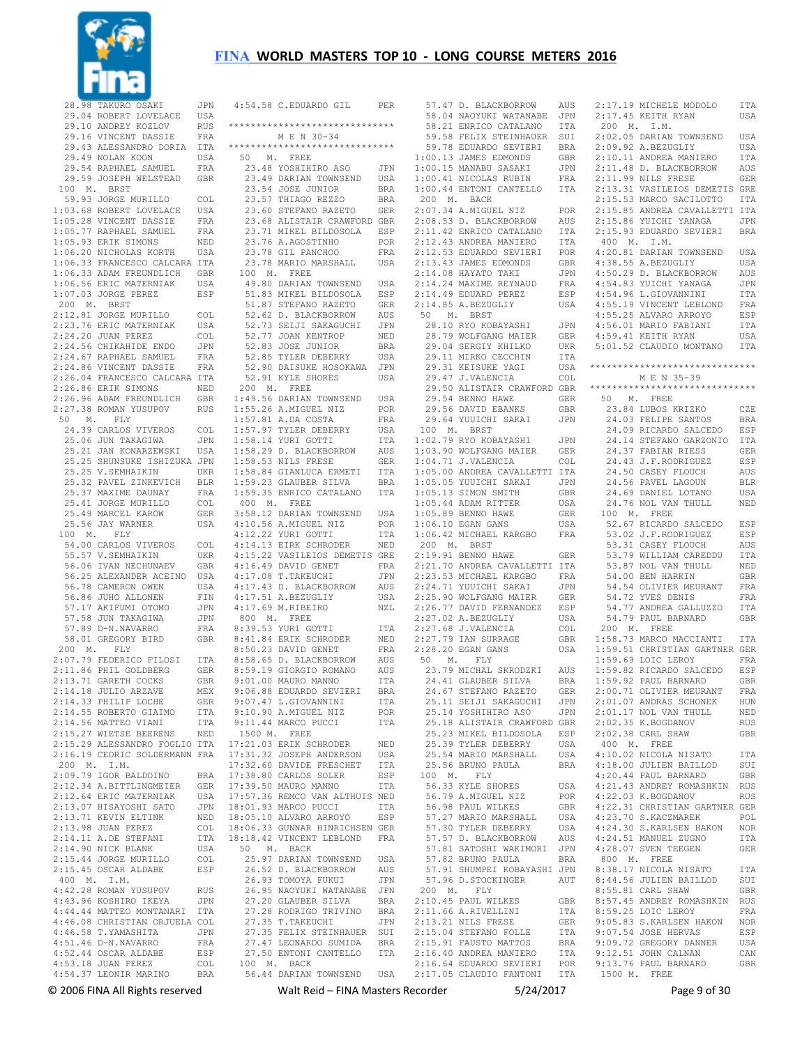

28.98 TAKURO OSAKI JPN<br>29.04 ROBERT LOVELACE USA 29.04 ROBERT LOVELACE 29.10 ANDREY KOZLOV RUS<br>29.16 VINCENT DASSIE REA 29.16 VINCENT DASSIE 29.43 ALESSANDRO DORIA ITA 29.49 NOLAN KOON USA 29.54 RAPHAEL SAMUEL FRA 29.59 JOSEPH WELSTEAD GBR 100 M. BRST 59.93 JORGE MURILLO COL 1:03.68 ROBERT LOVELACE USA 1:05.28 VINCENT DASSIE FRA 1:05.77 RAPHAEL SAMUEL FRA 1:05.93 ERIK SIMONS NED 1:06.20 NICHOLAS KORTH USA 1:06.33 FRANCESCO CALCARA ITA 1:06.33 ADAM FREUNDLICH GBR<br>1:06.56 ERIC MATERNIAK USA  $1:06.56$  ERIC MATERNIAK 1:07.03 JORGE PEREZ ESP 200 M. BRST 2:12.81 JORGE MURILLO COL 2:23.76 ERIC MATERNIAK USA 2:24.20 JUAN PEREZ COL 2:24.56 CHIKAHIDE ENDO JPN 2:24.67 RAPHAEL SAMUEL FRA 2:24.86 VINCENT DASSIE FRA 2:26.04 FRANCESCO CALCARA ITA 2:26.86 ERIK SIMONS NED 2:26.96 ADAM FREUNDLICH GBR 2:27.38 ROMAN YUSUPOV RUS 50 M. FLY 24.39 CARLOS VIVEROS COL<br>25 06 JUN TAKAGIWA JPN 25.06 JUN TAKAGIWA 25.21 JAN KONARZEWSKI USA 25.25 SHUNSUKE ISHIZUKA JPN 25.25 V.SEMHAIKIN UKR 25.32 PAVEL ZINKEVICH BLR 25.37 MAXIME DAUNAY FRA 25.41 JORGE MURILLO COL 25.49 MARCEL KAROW GER 25.56 JAY WARNER USA 100 M. FLY 54.00 CARLOS VIVEROS COL 55.57 V.SEMHAIKIN UKR 56.06 IVAN NECHUNAEV GBR 56.25 ALEXANDER ACEINO USA 56.78 CAMERON OWEN USA 56.86 JUHO ALLONEN FIN 57.17 AKIFUMI OTOMO JPN 57.58 JUN TAKAGIWA JPN 57.89 D-N.NAVARRO FRA 58.01 GREGORY BIRD GBR 200 M. FLY 2:07.79 FEDERICO FILOSI ITA 2:11.86 PHIL GOLDBERG GER 2:13.71 GARETH COCKS GBR 2:14.18 JULIO ARZAVE MEX 2:14.33 PHILIP LOCHE GER 2:14.55 ROBERTO GIAIMO ITA<br>2:14.56 MATTEO VIANI ITA  $2:14.56$  MATTEO VIANI 2:15.27 WIETSE BEERENS NED 2:15.29 ALESSANDRO FOGLIO ITA 2:16.19 CEDRIC SOLDERMANN FRA 200 M. I.M. 2:09.79 IGOR BALDOINO BRA 2:12.34 A.BITTLINGMEIER GER<br>2:12.64 ERIC MATERNIAK LISA  $2:12.64$  ERIC MATERNIAK 2:13.07 HISAYOSHI SATO JPN<br>2:13.71 KEVIN ELTINK NED  $2:13.71$  KEVIN ELTINK 2:13.98 JUAN PEREZ COL 2:14.11 A.DE STEFANI ITA 2:14.90 NICK BLANK USA 2:15.44 JORGE MURILLO COL<br>2:15.45 OSCAR ALDABE FSP  $2:15.45$  OSCAR ALDABE 400 M. I.M. 4:42.28 ROMAN YUSUPOV RUS 4:43.96 KOSHIRO IKEYA JPN 4:44.44 MATTEO MONTANARI ITA 4:46.08 CHRISTIAN ORJUELA COL 4:46.58 T.YAMASHITA JPN 4:51.46 D-N.NAVARRO 4:52.44 OSCAR ALDABE ESP<br>4:53.18 JUAN PEREZ COL  $4:53.18$  JUAN PEREZ 4:54.37 LEONIR MARINO BRA

| 4:54.58 C.EDUARDO GIL PER                                                                                           |              |
|---------------------------------------------------------------------------------------------------------------------|--------------|
|                                                                                                                     |              |
| ******************************                                                                                      |              |
| M E N 30-34                                                                                                         |              |
| ******************************                                                                                      |              |
| 50 M. FREE                                                                                                          |              |
| 23.48 YOSHIHIRO ASO<br>23.49 DARIAN TOWNSEND<br>23.49 DARIAN TOWNSEND                                               |              |
|                                                                                                                     | JPN<br>USA   |
| 23.54 JOSE JUNIOR                                                                                                   | <b>BRA</b>   |
| 23.57 THIAGO REZZO<br>23.60 STEFANO RAZETO                                                                          | <b>BRA</b>   |
|                                                                                                                     | GER          |
| 23.68 ALISTAIR CRAWFORD GBR                                                                                         |              |
| 23.71 MIKEL BILDOSOLA ESP                                                                                           |              |
|                                                                                                                     |              |
| 23.76 A.AGOSTINHO POR<br>23.78 GIL PANCHOO FRA<br>23.78 MARIO MARSHALL USA                                          |              |
|                                                                                                                     |              |
| 100 M. FREE                                                                                                         |              |
|                                                                                                                     |              |
| 49.80 DARIAN TOWNSEND USA<br>51.83 MIKEL BILDOSOLA ESP<br>51.87 STEFANO RAZETO GER                                  |              |
|                                                                                                                     |              |
|                                                                                                                     |              |
| 52.62 D. BLACKBORROW<br>52.73 SEIJI SAKAGUCHI JPN<br>52.77 JOAN KENTROP NED                                         |              |
|                                                                                                                     |              |
|                                                                                                                     |              |
| 52.83 JOSE JUNIOR<br>52.83 JOSE JUNIOR BRA<br>52.85 TYLER DEBERRY USA<br>52.90 DAISUKE HOSOKAWA JPN                 |              |
|                                                                                                                     |              |
|                                                                                                                     |              |
| 52.91 KYLE SHORES                                                                                                   | USA          |
| 200 M. FREE                                                                                                         |              |
| 1:49.56 DARIAN TOWNSEND USA                                                                                         |              |
| 1:55.26 A.MIGUEL NIZ<br>1:57.81 A.DA COSTA                                                                          | POR          |
|                                                                                                                     | FRA          |
|                                                                                                                     | USA          |
|                                                                                                                     | ITA          |
| 1:57.81 A.DA COSTA<br>1:57.97 TYLER DEBERRY<br>1:58.14 YURI GOTTI<br>1:58.29 D. BLACKBOROW<br>1:58.29 D. BLACKBOROW | AUS          |
| $1:58.53$ NILS FRESE                                                                                                | <b>GER</b>   |
|                                                                                                                     |              |
| 1:58.84 GIANLUCA ERMETI ITA<br>1:59.23 GLAUBER SILVA BRA<br>1:59.35 ENRICO CATALANO ITA                             |              |
|                                                                                                                     |              |
| $400$ M. FREE                                                                                                       |              |
| 3:58.12 DARIAN TOWNSEND<br>4:10.56 A.MIGUEL NIZ<br>4:12.22 YURI GOTTI                                               | USA          |
|                                                                                                                     | POR<br>ITA   |
| 4:14.13 EIRK SCHRODER                                                                                               |              |
| 4:15.22 VASILEIOS DEMETIS GRE                                                                                       | NED          |
| 4:16.49 DAVID GENET                                                                                                 |              |
|                                                                                                                     | FRA<br>JPN   |
| 4:17.08 T.TAKEUCHI<br>4:17.08 T.TAKEUCHI<br>4:17.43 D. BLACKBORROW                                                  | AUS          |
| 4:17.51 A.BEZUGLIY                                                                                                  | USA          |
| 4:17.69 M.RIBEIRO                                                                                                   | NZL          |
| 800 M. FREE                                                                                                         |              |
| 8:39.53 YURI GOTTI                                                                                                  | ITA          |
| 8:39.53 YURI GOTII<br>8:41.84 ERIK SCHRODER<br>------                                                               | NED          |
|                                                                                                                     | FRA          |
| 8:50.23 DAVID GENET<br>8:58.65 D. BLACKBORROW                                                                       | AUS          |
|                                                                                                                     | AUS          |
| 8:59.19 GIORGIO ROMANO<br>9:01.00 MAURO MANNO                                                                       | <b>ITA</b>   |
| 9:06.88 EDUARDO SEVIERI                                                                                             | BRA          |
| 9:07.47 L.GIOVANNINI                                                                                                | ITA          |
| 9:10.90 A.MIGUEL NIZ                                                                                                | POR          |
| 9:11.44 MARCO PUCCI                                                                                                 | ITA          |
| 1500 M. FREE                                                                                                        |              |
| 17:21.03 ERIK SCHRODER                                                                                              | NED          |
| 17:31.32 JOSEPH ANDERSON                                                                                            | USA          |
| 17:32.60 DAVIDE FRESCHET                                                                                            | ITA          |
| 17:38.80 CARLOS SOLER                                                                                               | ESP          |
| 17:39.50 MAURO MANNO                                                                                                | ITA          |
| 17:57.36 REMCO VAN ALTHUIS NED                                                                                      |              |
| 18:01.93 MARCO PUCCI                                                                                                | ITA          |
| 18:05.10 ALVARO ARROYO                                                                                              | ESP          |
| 18:06.33 GUNNAR HINRICHSEN GER                                                                                      |              |
| 18:18.42 VINCENT LEBLOND                                                                                            | FRA          |
| 50 M. BACK                                                                                                          |              |
| 25.97 DARIAN TOWNSEND                                                                                               | USA          |
| 26.52 D. BLACKBORROW                                                                                                | AUS          |
| 26.93 TOMOYA FUKUI                                                                                                  | JPN          |
| 26.95 NAOYUKI WATANABE                                                                                              | JPN          |
| 27.20 GLAUBER SILVA                                                                                                 | <b>BRA</b>   |
| 27.28 RODRIGO TRIVINO                                                                                               | <b>BRA</b>   |
| 27.35 T.TAKEUCHI                                                                                                    | JPN          |
| 27.35 FELIX STEINHAUER                                                                                              | $\verb SUI $ |
| 27.47 LEONARDO SUMIDA                                                                                               | BRA          |
| 27.50 ENTONI CANTELLO                                                                                               | ITA          |
| 100 M. BACK<br>56.44 DARIAN TOWNSEND                                                                                |              |
|                                                                                                                     | USA          |

|            | 57.47 D. BLACKBORROW                              | AUS        |             | 2:17.19 MICHELE MODOLO                          | ITA        |
|------------|---------------------------------------------------|------------|-------------|-------------------------------------------------|------------|
|            | 58.04 NAOYUKI WATANABE                            | JPN        |             | 2:17.45 KEITH RYAN                              | USA        |
|            | 58.21 ENRICO CATALANO                             | ITA        | 200 M.      | I.M.                                            |            |
|            | 59.58 FELIX STEINHAUER                            | SUI        |             | 2:02.05 DARIAN TOWNSEND                         | USA        |
|            | 59.78 EDUARDO SEVIERI                             | BRA        |             | 2:09.92 A.BEZUGLIY                              | USA        |
|            | 1:00.13 JAMES EDMONDS                             | GBR        |             | 2:10.11 ANDREA MANIERO                          | ITA        |
|            | 1:00.15 MANABU SASAKI                             | JPN        |             | 2:11.48 D. BLACKBORROW                          | AUS        |
|            | 1:00.41 NICOLAS RUBIN                             | FRA        |             | 2:11.99 NILS FRESE                              | GER        |
|            | 1:00.44 ENTONI CANTELLO                           | ITA        |             | 2:13.31 VASILEIOS DEMETIS GRE                   |            |
| 200 M.     | <b>BACK</b>                                       |            |             | 2:15.53 MARCO SACILOTTO                         | ITA        |
|            | 2:07.34 A.MIGUEL NIZ                              | POR        |             | 2:15.85 ANDREA CAVALLETTI ITA                   |            |
|            | 2:08.53 D. BLACKBORROW                            | AUS        |             | 2:15.86 YUICHI YANAGA                           | JPN        |
|            | 2:11.42 ENRICO CATALANO                           | ITA        |             | 2:15.93 EDUARDO SEVIERI                         | BRA        |
|            | 2:12.43 ANDREA MANIERO                            | ITA        | 400<br>М.   | I.M.                                            |            |
|            | 2:12.53 EDUARDO SEVIERI                           | POR        |             | 4:20.81 DARIAN TOWNSEND                         | USA        |
|            | 2:13.43 JAMES EDMONDS                             | GBR        |             | 4:38.55 A.BEZUGLIY                              | USA        |
|            | 2:14.08 HAYATO TAKI                               | JPN        |             | 4:50.29 D. BLACKBORROW                          | AUS        |
|            | 2:14.24 MAXIME REYNAUD                            | FRA        |             | 4:54.83 YUICHI YANAGA                           | JPN        |
|            | 2:14.49 EDUARD PEREZ                              | ESP        |             | 4:54.96 L.GIOVANNINI                            | ITA        |
|            | 2:14.85 A.BEZUGLIY                                | USA        |             | 4:55.19 VINCENT LEBLOND                         | FRA        |
| 50<br>М.   | BRST                                              |            |             | 4:55.25 ALVARO ARROYO                           | ESP        |
|            | 28.10 RYO KOBAYASHI                               | JPN        |             | 4:56.01 MARIO FABIANI                           | ITA        |
|            | 28.79 WOLFGANG MAIER                              | GER        |             | 4:59.41 KEITH RYAN                              | USA        |
|            | 29.04 SERGIY KHILKO                               | UKR        |             | 5:01.52 CLAUDIO MONTANO                         | ITA        |
|            | 29.11 MIRKO CECCHIN                               | <b>ITA</b> |             |                                                 |            |
|            | 29.31 KEISUKE YAGI                                | USA        |             | ******************************                  |            |
|            | 29.47 J.VALENCIA                                  | COL        |             | M E N 35-39                                     |            |
|            | 29.50 ALISTAIR CRAWFORD GBR                       |            |             | ******************************                  |            |
|            | 29.54 BENNO HAWE                                  | GER        | 50<br>М.    | FREE                                            |            |
|            | 29.56 DAVID EBANKS                                | GBR        |             | 23.84 LUBOS KRIZKO                              | CZE        |
|            | 29.64 YUUICHI SAKAI                               | JPN        |             | 24.03 FELIPE SANTOS                             | BRA        |
| 100 M.     | BRST                                              |            |             | 24.09 RICARDO SALCEDO                           | ESP        |
|            | 1:02.79 RYO KOBAYASHI                             | JPN        |             | 24.14 STEFANO GARZONIO                          | ITA        |
|            | 1:03.90 WOLFGANG MAIER                            | GER        |             | 24.37 FABIAN RIESS                              | GER        |
|            | $1:04.71$ J.VALENCIA                              | COL        |             | 24.43 J.F.RODRIGUEZ                             | ESP        |
|            | 1:05.00 ANDREA CAVALLETTI ITA                     |            |             | 24.50 CASEY FLOUCH                              | AUS        |
|            | 1:05.05 YUUICHI SAKAI                             | JPN        |             | 24.56 PAVEL LAGOUN                              | <b>BLR</b> |
|            | 1:05.13 SIMON SMITH                               | GBR        |             | 24.69 DANIEL LOTANO                             | USA        |
|            | 1:05.44 ADAM RITTER                               | USA        |             | 24.76 NOL VAN THULL                             | NED        |
|            | 1:05.89 BENNO HAWE                                | GER        | 100<br>М.   | FREE                                            |            |
|            | 1:06.10 EGAN GANS                                 | USA        |             | 52.67 RICARDO SALCEDO                           | ESP        |
|            | 1:06.42 MICHAEL KARGBO                            | FRA        |             | 53.02 J.F.RODRIGUEZ                             | ESP        |
|            |                                                   |            |             |                                                 |            |
|            |                                                   |            |             |                                                 |            |
| 200 M.     | BRST                                              |            |             | 53.31 CASEY FLOUCH                              | AUS        |
|            | 2:19.91 BENNO HAWE                                | GER        |             | 53.79 WILLIAM CAREDDU                           | ITA        |
|            | 2:21.70 ANDREA CAVALLETTI                         | ITA        |             | 53.87 NOL VAN THULL                             | NED        |
|            | 2:23.53 MICHAEL KARGBO                            | FRA        |             | 54.00 BEN HARKIN                                | GBR        |
|            | 2:24.71 YUUICHI SAKAI                             | JPN        |             | 54.54 OLIVIER MEURANT                           | FRA        |
|            | 2:25.90 WOLFGANG MAIER                            | GER        |             | 54.72 YVES DENIS                                | FRA        |
|            | 2:26.77 DAVID FERNANDEZ                           | ESP        |             | 54.77 ANDREA GALLUZZO                           | ITA        |
|            | 2:27.02 A.BEZUGLIY                                | USA        |             | 54.79 PAUL BARNARD                              | GBR        |
|            | 2:27.68 J.VALENCIA                                | COL        | 200 M.      | FREE                                            |            |
|            | 2:27.79 IAN SURRAGE                               | GBR        |             | 1:58.73 MARCO MACCIANTI                         | ITA        |
|            | 2:28.20 EGAN GANS                                 | USA        |             | 1:59.51 CHRISTIAN GARTNER GER                   |            |
| 50<br>М.   | FLY                                               |            |             | 1:59.69 LOIC LEROY                              | FRA        |
|            | 23.79 MICHAL SKRODZKI                             | AUS        |             | 1:59.82 RICARDO SALCEDO                         | ESP        |
|            | 24.41 GLAUBER SILVA                               | BRA        |             | 1:59.92 PAUL BARNARD                            | GBR        |
|            | 24.67 STEFANO RAZETO                              | GER        |             | 2:00.71 OLIVIER MEURANT                         | FRA        |
|            | 25.11 SEIJI SAKAGUCHI                             | JPN        |             | 2:01.07 ANDRAS SCHONEK                          | HUN        |
|            | 25.14 YOSHIHIRO ASO                               | JPN        |             | $2:01.17$ NOL VAN THULL                         | NED        |
|            | 25.18 ALISTAIR CRAWFORD GBR                       |            |             | 2:02.35 K.BOGDANOV                              | RUS        |
|            | 25.23 MIKEL BILDOSOLA                             | ESP        |             | $2:02.38$ CARL SHAW                             | GBR        |
|            | 25.39 TYLER DEBERRY                               | USA        | 400 M. FREE |                                                 |            |
|            | 25.54 MARIO MARSHALL                              | USA        |             | 4:10.02 NICOLA NISATO                           | ITA        |
|            | 25.56 BRUNO PAULA                                 | BRA        |             | 4:18.00 JULIEN BAILLOD                          | SUI        |
| 100 M.     | FLY<br>56.33 KYLE SHORES                          |            |             | 4:20.44 PAUL BARNARD                            | GBR        |
|            |                                                   | USA        |             | 4:21.43 ANDREY ROMASHKIN                        | <b>RUS</b> |
|            | 56.79 A.MIGUEL NIZ                                | POR        |             | 4:22.03 K.BOGDANOV                              | RUS        |
|            | 56.98 PAUL WILKES<br>57.27 MARIO MARSHALL         | GBR<br>USA |             | 4:22.31 CHRISTIAN GARTNER GER                   | POL        |
|            |                                                   | USA        |             | 4:23.70 S.KACZMAREK<br>4:24.30 S.KARLSEN HAKON  | NOR        |
|            | 57.30 TYLER DEBERRY<br>57.57 D. BLACKBORROW       | AUS        |             | 4:24.51 MANUEL ZUGNO                            | ITA        |
|            | 57.81 SATOSHI WAKIMORI JPN                        |            |             |                                                 | GER        |
|            | 57.82 BRUNO PAULA                                 | BRA        | 800 M. FREE | 4:28.07 SVEN TEEGEN                             |            |
|            |                                                   |            |             |                                                 | ITA        |
|            | 57.91 SHUMPEI KOBAYASHI JPN                       | AUT        |             | 8:38.17 NICOLA NISATO                           | SUI        |
| 200 M. FLY | 57.96 D.STOCKINGER                                |            |             | 8:44.56 JULIEN BAILLOD                          | GBR        |
|            |                                                   |            |             | 8:55.81 CARL SHAW                               |            |
|            | 2:10.45 PAUL WILKES                               | GBR<br>ITA |             | 8:57.45 ANDREY ROMASHKIN                        | RUS<br>FRA |
|            | 2:11.66 A.RIVELLINI<br>2:13.21 NILS FRESE         | GER        |             | 8:59.25 LOIC LEROY                              | NOR        |
|            | 2:15.04 STEFANO FOLLE                             | ITA        |             | 9:05.83 S.KARLSEN HAKON<br>9:07.54 JOSE HERVAS  |            |
|            |                                                   |            |             |                                                 | ESP        |
|            | 2:15.91 FAUSTO MATTOS                             | BRA        |             | 9:09.72 GREGORY DANNER                          | USA        |
|            | 2:16.40 ANDREA MANIERO<br>2:16.64 EDUARDO SEVIERI | ITA        |             | 9:12.51 JOHN CALNAN<br>POR 9:13.76 PAUL BARNARD | CAN<br>GBR |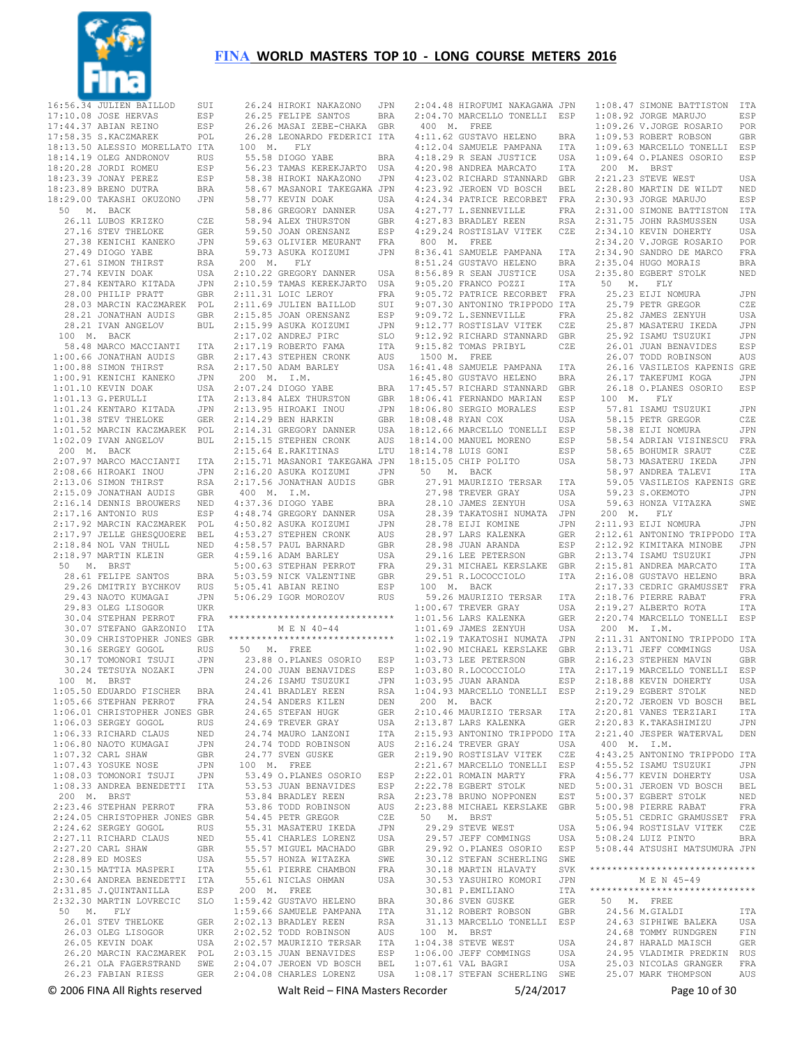

|       | 16:56.34 JULIEN BAILLOD                                                                                                                                                                                                      | SUI                                                    |                                  |
|-------|------------------------------------------------------------------------------------------------------------------------------------------------------------------------------------------------------------------------------|--------------------------------------------------------|----------------------------------|
|       | 17:10.08 JOSE HERVAS<br>17:44.37 ABIAN REINO<br>17:58.35 S.KACZMAREK                                                                                                                                                         | ESP                                                    |                                  |
|       |                                                                                                                                                                                                                              | ESP<br>POL                                             |                                  |
|       | 18:13.50 ALESSIO MORELLATO ITA                                                                                                                                                                                               |                                                        |                                  |
|       |                                                                                                                                                                                                                              | RUS                                                    |                                  |
|       | 18:14.19 OLEG ANDRONOV<br>18:20.28 JORDI ROMEU                                                                                                                                                                               | ESP                                                    |                                  |
|       | 18:23.39 JONAY PEREZ<br>18:23.89 BRENO DUTRA                                                                                                                                                                                 | ESP                                                    |                                  |
|       |                                                                                                                                                                                                                              | BRA                                                    |                                  |
|       | 18:29.00 TAKASHI OKUZONO                                                                                                                                                                                                     | JPN                                                    |                                  |
|       | 50 M. BACK                                                                                                                                                                                                                   |                                                        |                                  |
|       | 26.11 LUBOS KRIZKO<br>27.16 STEV THELOKE                                                                                                                                                                                     | CZE<br>GER                                             |                                  |
|       | 27.38 KENICHI KANEKO                                                                                                                                                                                                         | JPN                                                    |                                  |
|       | 27.49 DIOGO YABE                                                                                                                                                                                                             | <b>BRA</b>                                             |                                  |
|       | 27.61 SIMON THIRST                                                                                                                                                                                                           | RSA                                                    | í                                |
|       | 27.74 KEVIN DOAK                                                                                                                                                                                                             | USA                                                    | $\overline{2}$                   |
|       | 27.84 KENTARO KITADA JPN<br>28.00 PHILIP PRATT GBR                                                                                                                                                                           |                                                        | $\overline{2}$                   |
|       | 28.00 FHILLE INTERNATIONAL POL<br>28.03 MARCIN KACZMAREK POL<br>28.21 JONATHAN AUDIS GBR<br>28.21 JVAN ANGELOV BUL                                                                                                           | GBR                                                    | $\overline{2}$                   |
|       |                                                                                                                                                                                                                              |                                                        | $\overline{2}$<br>$\overline{2}$ |
|       |                                                                                                                                                                                                                              |                                                        | $\mathbf{2}$                     |
|       | 100 M. BACK                                                                                                                                                                                                                  |                                                        | $\mathbf{2}$                     |
|       |                                                                                                                                                                                                                              |                                                        | $\overline{2}$                   |
|       | 58.48 MARCO MACCIANTI ITA<br>1:00.66 JONATHAN AUDIS GBR                                                                                                                                                                      | $\mbox{GBR}$                                           | $\mathbf{2}$                     |
|       | 1:00.88 SIMON THIRST                                                                                                                                                                                                         | RSA                                                    | $\overline{2}$                   |
|       | 1:00.91 KENICHI KANEKO                                                                                                                                                                                                       | JPN                                                    | $\ddot{\phantom{a}}$             |
|       | 1:01.10 KEVIN DOAK                                                                                                                                                                                                           | USA                                                    | $\overline{2}$                   |
|       | $1:01.13$ G. PERULLI                                                                                                                                                                                                         | ITA<br>JPN                                             | $\overline{2}$<br>$\overline{2}$ |
|       | 1:01.24 KENTARO KITADA<br>1:01.38 STEV THELOKE                                                                                                                                                                               | GER                                                    | $\overline{2}$                   |
|       | 1:01.52 MARCIN KACZMAREK POL                                                                                                                                                                                                 |                                                        | $\overline{2}$                   |
|       | $1:02.09$ IVAN ANGELOV                                                                                                                                                                                                       | BUL                                                    | $\overline{2}$                   |
|       | 200 M. BACK                                                                                                                                                                                                                  |                                                        | $\overline{2}$                   |
|       | 2:07.97 MARCO MACCIANTI ITA                                                                                                                                                                                                  |                                                        | $\overline{2}$                   |
|       | 2:08.66 HIROAKI INOU                                                                                                                                                                                                         | $\begin{tabular}{cc} JPN & 2 \\ RSA & 2 \end{tabular}$ |                                  |
|       | 2:15.09 JONATHAN AUDIS<br>2:15.09 JONATHAN AUDIS<br>2:16.14 DENNIS BROWNT                                                                                                                                                    | GBR                                                    | $\mathcal{A}$                    |
|       |                                                                                                                                                                                                                              |                                                        | $\overline{4}$                   |
|       | 2:16.14 DENNIS BROUWERS NED<br>2:17.16 ANTONIO RUS ESP<br>2:17.92 MARCIN KACZMAREK POL                                                                                                                                       | ESP                                                    | $\overline{4}$                   |
|       |                                                                                                                                                                                                                              |                                                        | $\overline{4}$                   |
|       |                                                                                                                                                                                                                              |                                                        | $\overline{4}$                   |
|       | $\begin{tabular}{llllll} 2:17.97 & \texttt{JELLE} & \texttt{GHESQUOERE} & \texttt{BEL} \\ 2:18.84 & \texttt{NOL} & \texttt{VAN THULL} & & \texttt{NED} \\ 2:18.97 & \texttt{MARTIN KLEIN} & & \texttt{GER} \\ \end{tabular}$ |                                                        | $\overline{4}$                   |
|       |                                                                                                                                                                                                                              |                                                        | $\overline{4}$                   |
|       | 50 M. BRST                                                                                                                                                                                                                   |                                                        | 5<br>5 <sub>1</sub>              |
|       | 28.61 FELIPE SANTOS<br>28.61 FELIPE SANTOS BRA<br>29.26 DMITRIY BYCHKOV RUS<br>29.43 NAOTO KUMAGAI JPN                                                                                                                       |                                                        | 5 <sub>1</sub>                   |
|       |                                                                                                                                                                                                                              | JPN                                                    | $5\phantom{.}$                   |
|       | 29.43 NAOTO KUMAGAI<br>29.83 OLEG LISOGOR                                                                                                                                                                                    | UKR                                                    |                                  |
|       | 30.04 STEPHAN PERROT                                                                                                                                                                                                         | ${\tt FRA}$                                            | $***$                            |
|       | 30.07 STEFANO GARZONIO                                                                                                                                                                                                       | $_{\tt ITA}$                                           |                                  |
|       | 30.09 CHRISTOPHER JONES GBR                                                                                                                                                                                                  |                                                        | $***$                            |
|       | 30.16 SERGEY GOGOL<br>30.16 SERGEY GOGOL<br>30.17 TOMONORI TSUJI                                                                                                                                                             | RUS<br>JPN                                             | $\ddot{\phantom{a}}$             |
|       | 30.24 TETSUYA NOZAKI JPN                                                                                                                                                                                                     |                                                        |                                  |
|       | 100 M. BRST                                                                                                                                                                                                                  |                                                        |                                  |
| 1:05. | 50 EDUARDO FISCHER BRA                                                                                                                                                                                                       |                                                        |                                  |
|       | $1:05.66$ STEPHAN PERROT                                                                                                                                                                                                     | FRA                                                    |                                  |
|       | 1:06.01 CHRISTOPHER JONES GBR                                                                                                                                                                                                |                                                        |                                  |
|       | 1:06.03 SERGEY GOGOL<br>$1:06.33$ RICHARD CLAUS                                                                                                                                                                              | RUS<br>NED                                             |                                  |
|       | $1:06.80$ NAOTO KUMAGAI                                                                                                                                                                                                      | JPN                                                    |                                  |
|       | 1:07.32 CARL SHAW                                                                                                                                                                                                            | GBR                                                    |                                  |
|       | 1:07.43 YOSUKE NOSE                                                                                                                                                                                                          | JPN                                                    |                                  |
|       | 1:08.03 TOMONORI TSUJI                                                                                                                                                                                                       | JPN                                                    |                                  |
|       | $1:08.33$ ANDREA BENEDETTI                                                                                                                                                                                                   | ITA                                                    |                                  |
|       | 200 M. BRST                                                                                                                                                                                                                  |                                                        |                                  |
|       | 2:23.46 STEPHAN PERROT<br>2:24.05 CHRISTOPHER JONES GBR                                                                                                                                                                      | FRA                                                    |                                  |
|       | 2:24.62 SERGEY GOGOL                                                                                                                                                                                                         | RUS                                                    |                                  |
|       |                                                                                                                                                                                                                              | NED                                                    |                                  |
|       | 2:27.11 RICHARD CLAUS<br>2:27.20 CARL SHAW                                                                                                                                                                                   | <b>GBR</b>                                             |                                  |
|       | 2:28.89 ED MOSES                                                                                                                                                                                                             | USA                                                    |                                  |
|       | 2:30.15 MATTIA MASPERI                                                                                                                                                                                                       | ITA                                                    |                                  |
|       | 2:30.64 ANDREA BENEDETTI ITA                                                                                                                                                                                                 |                                                        |                                  |
|       | 2:31.85 J.QUINTANILLA                                                                                                                                                                                                        | ESP                                                    | $\ddot{\phantom{0}}$<br>1        |
|       | 2:32.30 MARTIN LOVRECIC SLO<br>50 M. FLY                                                                                                                                                                                     |                                                        | $\mathbf{1}$                     |
|       | 26.01 STEV THELOKE                                                                                                                                                                                                           | GER                                                    | $\mathbf{2}$                     |
|       | 26.03 OLEG LISOGOR                                                                                                                                                                                                           | UKR                                                    | $\overline{2}$                   |
|       | 26.05 KEVIN DOAK                                                                                                                                                                                                             | USA                                                    | $\mathbf{2}$                     |
|       | 26.20 MARCIN KACZMAREK                                                                                                                                                                                                       | POL                                                    | $\overline{2}$                   |
|       | 26.21 OLA FAGERSTRAND                                                                                                                                                                                                        | SWE                                                    | $\mathbf{2}$                     |
|       | 26.23 FABIAN RIESS                                                                                                                                                                                                           | GER                                                    | $\mathbf{2}$                     |

| 26.24 HIROKI NAKAZONO JPN<br>26.25 FELIPE SANTOS BRA<br>26.26 MASAI ZEBE-CHAKA GBR<br>26.28 LEONARDO FEDERICI ITA                                                                                                                                                                                                                                                                               |              |
|-------------------------------------------------------------------------------------------------------------------------------------------------------------------------------------------------------------------------------------------------------------------------------------------------------------------------------------------------------------------------------------------------|--------------|
|                                                                                                                                                                                                                                                                                                                                                                                                 |              |
|                                                                                                                                                                                                                                                                                                                                                                                                 |              |
|                                                                                                                                                                                                                                                                                                                                                                                                 |              |
| 100 M. FLY                                                                                                                                                                                                                                                                                                                                                                                      |              |
|                                                                                                                                                                                                                                                                                                                                                                                                 |              |
| 55.58 DIOGO YABE<br>56.23 TAMAS KEREKJARTO                                                                                                                                                                                                                                                                                                                                                      | BRA<br>USA   |
|                                                                                                                                                                                                                                                                                                                                                                                                 |              |
| 58.38 HIROKI NAKAZONO JPN<br>58.67 MASANORI TAKEGAWA JPN                                                                                                                                                                                                                                                                                                                                        |              |
|                                                                                                                                                                                                                                                                                                                                                                                                 |              |
| 58.77 KEVIN DOAK                                                                                                                                                                                                                                                                                                                                                                                | USA          |
|                                                                                                                                                                                                                                                                                                                                                                                                 | USA          |
|                                                                                                                                                                                                                                                                                                                                                                                                 | GBR          |
|                                                                                                                                                                                                                                                                                                                                                                                                 | ESP          |
|                                                                                                                                                                                                                                                                                                                                                                                                 | $_{\rm FRA}$ |
|                                                                                                                                                                                                                                                                                                                                                                                                 | JPN          |
| 30.77 KEVIN DOAK<br>58.86 GREGORY DANNER<br>58.94 ALEX THURSTON<br>59.50 JOAN ORENSANZ<br>59.63 OLIVIER MEURANT<br>59.73 ASUKA KOIZUMI<br>00 M. FLY<br>200 M. FLY                                                                                                                                                                                                                               |              |
| 2:10.22 GREGORY DANNER                                                                                                                                                                                                                                                                                                                                                                          | USA          |
|                                                                                                                                                                                                                                                                                                                                                                                                 |              |
|                                                                                                                                                                                                                                                                                                                                                                                                 |              |
| 2:10.22 GREGORY DANNER<br>2:10.59 TAMAS KEREXJARTO USA<br>2:11.31 LOIC LEROY USA<br>2:11.31 LOIC LEROY FRA<br>2:11.69 JULIEN BAILLOD SUI<br>2:15.85 JOAN ORENSANZ ESP<br>2:17.02 ANDREJ PIRC SLO<br>2:17.13 STEPHEN CRONK AUS<br>2:17.13 STEPHEN CRONK                                                                                                                                          |              |
|                                                                                                                                                                                                                                                                                                                                                                                                 |              |
|                                                                                                                                                                                                                                                                                                                                                                                                 |              |
|                                                                                                                                                                                                                                                                                                                                                                                                 |              |
|                                                                                                                                                                                                                                                                                                                                                                                                 |              |
|                                                                                                                                                                                                                                                                                                                                                                                                 |              |
|                                                                                                                                                                                                                                                                                                                                                                                                 |              |
| 2:17.50 ADAM BARLEY                                                                                                                                                                                                                                                                                                                                                                             | USA          |
| 200 M. I.M.                                                                                                                                                                                                                                                                                                                                                                                     |              |
| 200 M. I.M.<br>2:07.24 DIOGO YABE<br>2:13.84 ALEX THURSTON<br>2:13.95 HIROAKI INOU<br>2:14.29 BEN HARKIN<br>2:14.31 GREGORY DANNER                                                                                                                                                                                                                                                              | <b>BRA</b>   |
|                                                                                                                                                                                                                                                                                                                                                                                                 | GBR          |
|                                                                                                                                                                                                                                                                                                                                                                                                 | JPN          |
|                                                                                                                                                                                                                                                                                                                                                                                                 | GBR          |
|                                                                                                                                                                                                                                                                                                                                                                                                 | USA          |
|                                                                                                                                                                                                                                                                                                                                                                                                 | AUS          |
| 2:15.15 STEPHEN CRONK<br>2:15.64 E.RAKITINAS                                                                                                                                                                                                                                                                                                                                                    |              |
|                                                                                                                                                                                                                                                                                                                                                                                                 | LTU          |
| 2:15.71 MASANORI TAKEGAWA JPN                                                                                                                                                                                                                                                                                                                                                                   |              |
| 2:16.20 ASUKA KOIZUMI                                                                                                                                                                                                                                                                                                                                                                           | JPN          |
| 2:17.56 JONATHAN AUDIS GBR                                                                                                                                                                                                                                                                                                                                                                      |              |
| $400$ $\,$ M. $\,$ I.M.                                                                                                                                                                                                                                                                                                                                                                         |              |
| $\begin{tabular}{lllllllllll} \texttt{+.57.56 DIOGO YABE} & \texttt{BRA} \\ \texttt{4:48.74 GREGORY DANNER} & \texttt{USA} \\ \texttt{4:50.82 ASUKA KOIZUMI} & \texttt{JPN} \\ \texttt{4:53.27 STEPHEN CRONK} & \texttt{AUS} \\ \texttt{4:58.57 P null BARNB} & \texttt{GBR} \\ \texttt{4:59.16 ADAM BARNEY} & \texttt{USA} \\ \texttt{5:00.63 STFPHANN PNNT} & \texttt{NNNT} \\ \end{tabular}$ |              |
|                                                                                                                                                                                                                                                                                                                                                                                                 |              |
|                                                                                                                                                                                                                                                                                                                                                                                                 |              |
|                                                                                                                                                                                                                                                                                                                                                                                                 |              |
|                                                                                                                                                                                                                                                                                                                                                                                                 |              |
|                                                                                                                                                                                                                                                                                                                                                                                                 | USA<br>FRA   |
|                                                                                                                                                                                                                                                                                                                                                                                                 |              |
|                                                                                                                                                                                                                                                                                                                                                                                                 | GBR          |
|                                                                                                                                                                                                                                                                                                                                                                                                 | ESP          |
|                                                                                                                                                                                                                                                                                                                                                                                                 | <b>RUS</b>   |
|                                                                                                                                                                                                                                                                                                                                                                                                 |              |
| *****************************                                                                                                                                                                                                                                                                                                                                                                   |              |
| M E N 40-44                                                                                                                                                                                                                                                                                                                                                                                     |              |
| ******************************                                                                                                                                                                                                                                                                                                                                                                  |              |
| 50 M. FREE                                                                                                                                                                                                                                                                                                                                                                                      |              |
|                                                                                                                                                                                                                                                                                                                                                                                                 |              |
|                                                                                                                                                                                                                                                                                                                                                                                                 |              |
|                                                                                                                                                                                                                                                                                                                                                                                                 |              |
| 23.88 O.PLANES OSORIO ESP<br>24.00 JUAN BENAVIDES ESP<br>24.26 ISAMU TSUZUKI JPN<br>24.41 BEADLEY BEEN BSA                                                                                                                                                                                                                                                                                      |              |
| 24.41 BRADLEY REEN                                                                                                                                                                                                                                                                                                                                                                              | <b>RSA</b>   |
| 24.54 ANDERS KILEN                                                                                                                                                                                                                                                                                                                                                                              | DEN          |
| 24.65 STEFAN HUGK<br>24.69 TREVER GRAY                                                                                                                                                                                                                                                                                                                                                          | GER          |
|                                                                                                                                                                                                                                                                                                                                                                                                 | USA          |
| 24.74 MAURO LANZONI                                                                                                                                                                                                                                                                                                                                                                             | ITA          |
| 24.74 TODD ROBINSON                                                                                                                                                                                                                                                                                                                                                                             | AUS          |
| 24.77 SVEN GUSKE                                                                                                                                                                                                                                                                                                                                                                                | GER          |
| 100 M. FREE                                                                                                                                                                                                                                                                                                                                                                                     |              |
|                                                                                                                                                                                                                                                                                                                                                                                                 | ESP          |
| 53.49 O.PLANES OSORIO<br>53.53 JUAN BENAVIDES                                                                                                                                                                                                                                                                                                                                                   |              |
|                                                                                                                                                                                                                                                                                                                                                                                                 |              |
| 53.84 BRADLEY REEN<br>53.86 TODD ROBINSON                                                                                                                                                                                                                                                                                                                                                       | ESP          |
| 54.45 PETR GREGOR                                                                                                                                                                                                                                                                                                                                                                               | <b>RSA</b>   |
|                                                                                                                                                                                                                                                                                                                                                                                                 | AUS          |
|                                                                                                                                                                                                                                                                                                                                                                                                 | CZE          |
| 55.31 MASATERU IKEDA                                                                                                                                                                                                                                                                                                                                                                            | JPN          |
| 55.41 CHARLES LORENZ                                                                                                                                                                                                                                                                                                                                                                            | USA          |
| 55.57 MIGUEL MACHADO                                                                                                                                                                                                                                                                                                                                                                            | GBR          |
|                                                                                                                                                                                                                                                                                                                                                                                                 | SWE          |
|                                                                                                                                                                                                                                                                                                                                                                                                 | FRA          |
|                                                                                                                                                                                                                                                                                                                                                                                                 | USA          |
| 55.57 HONZA WITAZKA<br>55.61 PIERRE CHAMBON<br>55.61 NICLAS OHMAN<br>200 M. FREE                                                                                                                                                                                                                                                                                                                |              |
|                                                                                                                                                                                                                                                                                                                                                                                                 | BRA          |
|                                                                                                                                                                                                                                                                                                                                                                                                 | ITA          |
| 1:59.42 GUSTAVO HELENO<br>1:59.66 SAMUELE PAMPANA                                                                                                                                                                                                                                                                                                                                               | RSA          |
| 2:02.13 BRADLEY REEN                                                                                                                                                                                                                                                                                                                                                                            |              |
|                                                                                                                                                                                                                                                                                                                                                                                                 | AUS          |
| 2:02.15 DIADALI NADA<br>2:02.52 TODD ROBINSON<br>2:02.57 MAURIZIO TERSAR                                                                                                                                                                                                                                                                                                                        | ITA          |
| 2:03.15 JUAN BENAVIDES                                                                                                                                                                                                                                                                                                                                                                          | ESP          |
| 2:04.07 JEROEN VD BOSCH<br>2:04.08 CHARLES LORENZ USA                                                                                                                                                                                                                                                                                                                                           | BEL          |

 2:04.48 HIROFUMI NAKAGAWA JPN 2:04.70 MARCELLO TONELLI ESP 1:08.47 SIMONE BATTISTON ITA 1:08.92 JORGE MARUJO ESP 400 M. FREE 800 M. FREE 8:36.41 SAMUELE PAMPANA ITA 8:51.24 GUSTAVO HELENO BRA 8:56.89 R SEAN JUSTICE USA 9:05.20 FRANCO POZZI ITA 9:05.72 PATRICE RECORBET FRA 9:07.30 ANTONINO TRIPPODO ITA 9:09.72 L.SENNEVILLE FRA 9:12.77 ROSTISLAV VITEK CZE 9:12.92 RICHARD STANNARD GBR 9:15.82 TOMAS PRIBYL CZE 1500 M. FREE 16:41.48 SAMUELE PAMPANA ITA 16:45.80 GUSTAVO HELENO BRA 17:45.57 RICHARD STANNARD GBR 18:06.41 FERNANDO MARIAN ESP 100 M. FLY<br>18:06.80 SERGIO MORALES ESP 57.81 ISAMUT 18:08.48 RYAN COX USA 18:12.66 MARCELLO TONELLI ESP 18:14.00 MANUEL MORENO ESP 18:14.78 LUIS GONI ESP 18:14.78 LUIS GONI ESP<br>18:15.05 CHIP POLITO USA 50 M. BACK<br>27.91 MAURIZIO TERSAR ITA<br>27.98 TREVER GRAY USA<br>28.10 JAMES ZENYUH USA 28.39 TAKATOSHI NUMATA JPN 200 M. FLY 100 M. BACK 59.26 MAURIZIO TERSAR ITA 1:00.67 TREVER GRAY USA 1:01.56 LARS KALENKA GER 1:01.69 JAMES ZENYUH USA 1:02.90 MICHAEL KERSLAKE GBR<br>1:03.73 LEE PETERSON GBR<br>1:03.80 R.LOCOCCIOLO ITA<br>1:03.95 JUAN ARANDA ESP 200 M. BACK 2:16.24 TREVER GRAY USA 2:19.90 ROSTISLAV VITEK CZE 2:21.67 MARCELLO TONELLI ESP 2:22.01 ROMAIN MARTY FRA 2:22.78 EGBERT STOLK NED 29.57 JEFF COMMINGS USA 29.92 O.PLANES OSORIO ESP 30.12 STEFAN SCHERLING SWE 30.18 MARTIN HLAVATY SVK 30.53 YASUHIRO KOMORI JPN 30.81 P.EMILIANO ITA 30.86 SVEN GUSKE GER 50 M. FREE 100 M. BRST 1:04.38 STEVE WEST USA 1:06.00 JEFF COMMINGS USA 1:07.61 VAL BAGRI USA<br>1:08.17 STEFAN SCHERLING SWE

 4:11.62 GUSTAVO HELENO BRA 1:09.53 ROBERT ROBSON GBR 4:12.04 SAMUELE PAMPANA ITA 4:18.29 R SEAN JUSTICE USA 1:09.63 MARCELLO TONELLI ESP 1:09.64 O.PLANES OSORIO ESP 4:20.98 ANDREA MARCATO ITA 200 M. BRST<br>4:23.02 RICHARD STANNARD GBR 2:21.23 STEVE WEST USA 4:23.92 JEROEN VD BOSCH BEL 4:24.34 PATRICE RECORBET FRA 2:28.80 MARTIN DE WILDT NED 2:30.93 JORGE MARUJO ESP 4:27.77 L.SENNEVILLE FRA 4:27.83 BRADLEY REEN RSA 2:31.00 SIMONE BATTISTON ITA 2:31.75 JOHN RASMUSSEN USA 4:29.24 ROSTISLAV VITEK CZE 2:34.10 KEVIN DOHERTY USA 28.78 EIJI KOMINE JPN 28.97 LARS KALENKA GER 2:11.93 EIJI NOMURA JPN 2:12.61 ANTONINO TRIPPODO ITA 28.98 JUAN ARANDA ESP 29.16 LEE PETERSON GBR 2:12.92 KIMITAKA MINOBE JPN 2:13.74 ISAMU TSUZUKI JPN 29.31 MICHAEL KERSLAKE GBR 29.51 R.LOCOCCIOLO ITA 2:15.81 ANDREA MARCATO ITA 2:16.08 GUSTAVO HELENO BRA 1:02.19 TAKATOSHI NUMATA JPN 2:11.31 ANTONINO TRIPPODO ITA 1:04.93 MARCELLO TONELLI ESP 2:19.29 EGBERT STOLK NED 2:10.46 MAURIZIO TERSAR ITA 2:13.87 LARS KALENKA GER 2:20.81 VANES TERZIARI ITA 2:20.83 K.TAKASHIMIZU JPN 2:15.93 ANTONINO TRIPPODO ITA 2:21.40 JESPER WATERVAL DEN 2:23.78 BRUNO NOPPONEN EST 2:23.88 MICHAEL KERSLAKE GBR 5:00.98 PIERRE RABAT FRA 50 M. BRST 29.29 STEVE WEST USA 5:05.51 CEDRIC GRAMUSSET FRA 5:06.94 ROSTISLAV VITEK CZE 31.12 ROBERT ROBSON GBR 24.56 M.GIALDI ITA<br>31.13 MARCELLO TONELLI ESP 24.63 SIPHIWE BALEKA USA<br>100 M. BRST 24.68 TOMMY RUNDGREN FIN 1:09.26 V.JORGE ROSARIO POR 2:34.20 V.JORGE ROSARIO POR 2:34.90 SANDRO DE MARCO FRA 2:35.04 HUGO MORAIS BRA 2:35.80 EGBERT STOLK NED<br>
50 M. FLY<br>
25.23 EIJI NOMURA JPN<br>
25.79 PETR GREGOR CZE 25.82 JAMES ZENYUH USA 25.87 MASATERU IKEDA JPN 25.92 ISAMU TSUZUKI JPN 26.01 JUAN BENAVIDES ESP 26.07 TODD ROBINSON AUS essentials<br>26.16 VASILEIOS KAPENIS GRE<br>26.17 TAKEFUMI KOGA – JPN 26.17 TAKEFUMI KOGA JPN 26.18 O.PLANES OSORIO ESP 57.81 ISAMU TSUZUKI JPN<br>58.15 PETR GREGOR - CZE 57.81 ISAMO ISSUED.<br>58.15 PETR GREGOR CZE<br>58.38 ELII NOMURA JIPN 58.38 EIJI NOMURA 58.54 ADRIAN VISINESCU FRA 58.65 BOHUMIR SRAUT CZE 58.73 MASATERU IKEDA JPN 58.97 ANDREA TALEVI ITA<br>59.05 VASILEIOS KAPENIS GRE<br>59.23 S.OKEMOTO JPN<br>59.63 HONZA VITAZKA SWE 2:17.33 CEDRIC GRAMUSSET FRA 2:18.76 PIERRE RABAT FRA 2:19.27 ALBERTO ROTA ITA 2:20.74 MARCELLO TONELLI ESP 200 M. I.M. 2:13.71 JEFF COMMINGS<br>2:16.23 STEPHEN MAVIN GBR<br>2:17.19 MARCELLO TONELLI ESP<br>2:18.88 KEVIN DOHERTY USA 2:20.72 JEROEN VD BOSCH BEL 400 M. I.M. 4:43.25 ANTONINO TRIPPODO ITA 4:55.52 ISAMU TSUZUKI JPN 4:56.77 KEVIN DOHERTY USA 5:00.31 JEROEN VD BOSCH BEL 5:00.37 EGBERT STOLK NED 5:08.24 LUIZ PINTO BRA 5:08.44 ATSUSHI MATSUMURA JPN \*\*\*\*\*\*\*\*\*\*\*\*\*\*\*\*\*\*\*\*\*\*\*\*\*\*\*\*\*\* M E N 45-49 \*\*\*\*\*\*\*\*\*\*\*\*\*\*\*\*\*\*\*\*\*\*\*\*\*\*\*\*\*\* 24.87 HARALD MAISCH GER 24.95 VLADIMIR PREDKIN RUS 25.03 NICOLAS GRANGER FRA 25.03 NICOLAS GRANGEL.<br>25.07 MARK THOMPSON AUS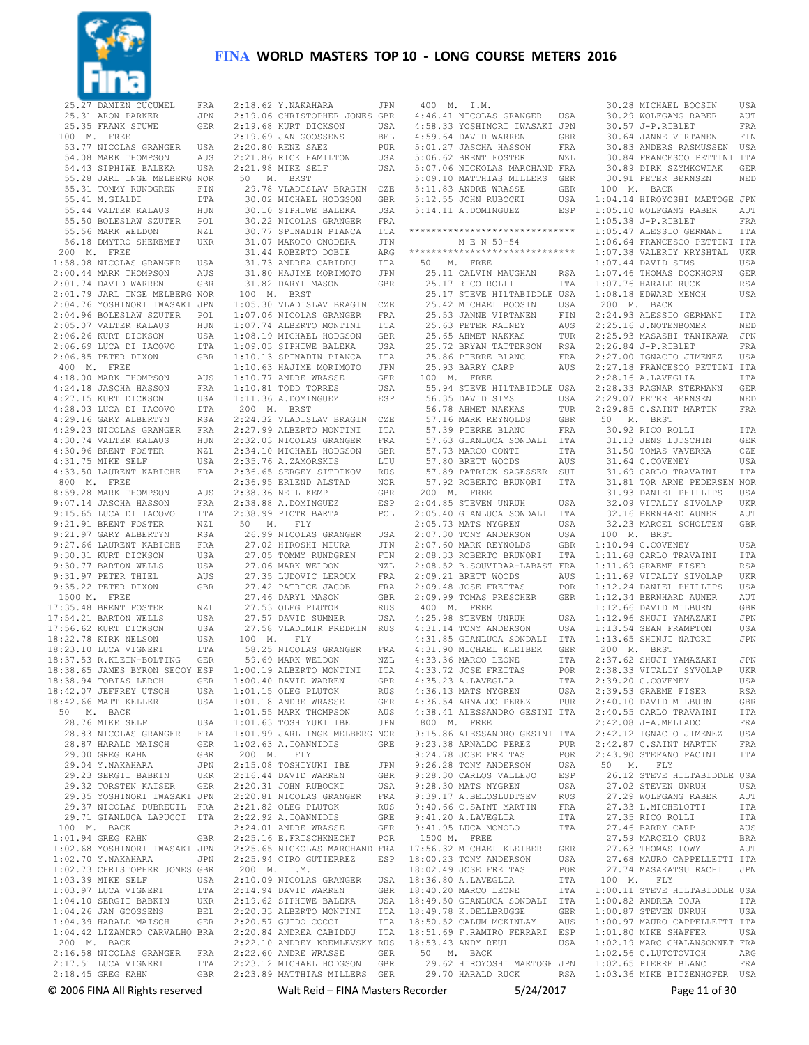

| 25.27 DAMIEN CUCUMEL<br>25.31 ARON PARKER | FRA        | 2:18.62 Y.NAKAHARA            | JPN        |
|-------------------------------------------|------------|-------------------------------|------------|
|                                           |            |                               |            |
|                                           |            | 2:19.06 CHRISTOPHER JONES     |            |
|                                           | JPN        |                               | GBR        |
| 25.35 FRANK STUWE                         | GER        | 2:19.68 KURT DICKSON          | USA        |
| 100<br><b>M.</b><br>FREE                  |            | 2:19.69 JAN GOOSSENS          | BEL        |
|                                           |            |                               |            |
| 53.77 NICOLAS GRANGER                     | USA        | 2:20.80 RENE SAEZ             | PUR        |
| 54.08 MARK THOMPSON                       | AUS        | 2:21.86 RICK HAMILTON         | USA        |
|                                           |            |                               |            |
| 54.43 SIPHIWE BALEKA                      | USA        | 2:21.98 MIKE SELF             | USA        |
| 55.28 JARL INGE MELBERG NOR               |            | 50                            |            |
|                                           |            | М.<br>BRST                    |            |
| 55.31 TOMMY RUNDGREN                      | FIN        | 29.78 VLADISLAV BRAGIN        | CZE        |
|                                           |            |                               |            |
| 55.41 M.GIALDI                            | ITA        | 30.02 MICHAEL HODGSON         | GBR        |
| 55.44 VALTER KALAUS                       | HUN        | 30.10 SIPHIWE BALEKA          | USA        |
|                                           |            |                               |            |
| 55.50 BOLESLAW SZUTER                     | POL        | 30.22 NICOLAS GRANGER         | FRA        |
| 55.56 MARK WELDON                         | NZL        | 30.77 SPINADIN PIANCA         | ITA        |
|                                           |            |                               |            |
| 56.18 DMYTRO SHEREMET                     | UKR        | 31.07 MAKOTO ONODERA          | JPN        |
| 200<br>М.<br>FREE                         |            | 31.44 ROBERTO DOBIE           | ARG        |
|                                           |            |                               |            |
| 1:58.08 NICOLAS GRANGER                   | USA        | 31.73 ANDREA CABIDDU          | ITA        |
| 2:00.44 MARK THOMPSON                     | AUS        | 31.80 HAJIME MORIMOTO         | JPN        |
|                                           |            |                               |            |
| 2:01.74 DAVID WARREN                      | GBR        | 31.82 DARYL MASON             | GBR        |
| 2:01.79 JARL INGE MELBERG                 | NOR        | М.<br>100<br>BRST             |            |
|                                           |            |                               |            |
| 2:04.76 YOSHINORI IWASAKI                 | JPN        | 1:05.30 VLADISLAV BRAGIN      | CZE        |
| 2:04.96 BOLESLAW SZUTER                   | POL        | 1:07.06 NICOLAS GRANGER       | FRA        |
|                                           |            |                               |            |
| 2:05.07 VALTER KALAUS                     | HUN        | 1:07.74 ALBERTO MONTINI       | ITA        |
| 2:06.26 KURT DICKSON                      | USA        | 1:08.19 MICHAEL HODGSON       | GBR        |
|                                           |            |                               |            |
| 2:06.69 LUCA DI IACOVO                    | ITA        | 1:09.03 SIPHIWE BALEKA        | USA        |
| 2:06.85 PETER DIXON                       | <b>GBR</b> | 1:10.13 SPINADIN PIANCA       | <b>ITA</b> |
|                                           |            |                               |            |
| 400<br>М.<br>FREE                         |            | 1:10.63 HAJIME MORIMOTO       | JPN        |
| 4:18.00 MARK THOMPSON                     | AUS        | 1:10.77 ANDRE WRASSE          | GER        |
|                                           |            |                               |            |
| 4:24.18 JASCHA HASSON                     | FRA        | 1:10.81 TODD TORRES           | USA        |
| 4:27.15 KURT DICKSON                      | USA        | 1:11.36 A.DOMINGUEZ           | ESP        |
|                                           |            |                               |            |
| 4:28.03 LUCA DI IACOVO                    | ITA        | 200 M.<br>BRST                |            |
| 4:29.16 GARY ALBERTYN                     | RSA        | 2:24.32 VLADISLAV BRAGIN      | CZE        |
|                                           |            |                               |            |
| 4:29.23 NICOLAS GRANGER                   | FRA        | 2:27.99 ALBERTO MONTINI       | ITA        |
| 4:30.74 VALTER KALAUS                     | HUN        | 2:32.03 NICOLAS GRANGER       | FRA        |
|                                           |            |                               |            |
| 4:30.96 BRENT FOSTER                      | NZL        | 2:34.10 MICHAEL HODGSON       | GBR        |
| 4:31.75 MIKE SELF                         | USA        | 2:35.76 A.ZAMORSKIS           | LTU        |
|                                           |            |                               |            |
| 4:33.50 LAURENT KABICHE                   | FRA        | 2:36.65 SERGEY SITDIKOV       | <b>RUS</b> |
| 800<br>М.<br>FREE                         |            | 2:36.95 ERLEND ALSTAD         | NOR        |
|                                           |            |                               |            |
| 8:59.28 MARK THOMPSON                     | AUS        | 2:38.36 NEIL KEMP             | GBR        |
| 9:07.14 JASCHA HASSON                     | FRA        | 2:38.88 A.DOMINGUEZ           | ESP        |
|                                           |            |                               |            |
| 9:15.65 LUCA DI IACOVO                    | ITA        | 2:38.99 PIOTR BARTA           | POL        |
| 9:21.91 BRENT FOSTER                      | NZL        | 50<br>Μ.<br>FLY               |            |
|                                           |            |                               |            |
| 9:21.97 GARY ALBERTYN                     | RSA        | 26.99 NICOLAS GRANGER         | USA        |
| 9:27.66 LAURENT KABICHE                   |            | 27.02 HIROSHI MIURA           |            |
|                                           | FRA        |                               | JPN        |
| 9:30.31 KURT DICKSON                      | USA        | 27.05 TOMMY RUNDGREN          | FIN        |
| 9:30.77 BARTON WELLS                      | USA        | 27.06 MARK WELDON             | NZL        |
|                                           |            |                               |            |
| 9:31.97 PETER THIEL                       | AUS        | 27.35 LUDOVIC LEROUX          | FRA        |
| 9:35.22 PETER DIXON                       | GBR        |                               |            |
|                                           |            |                               |            |
|                                           |            | 27.42 PATRICE JACOB           | FRA        |
|                                           |            |                               |            |
| 1500 M.<br>FREE                           |            | 27.46 DARYL MASON             | GBR        |
| 17:35.48 BRENT FOSTER                     | NZL        | 27.53 OLEG PLUTOK             | RUS        |
| 17:54.21 BARTON WELLS                     | USA        |                               |            |
|                                           |            | 27.57 DAVID SUMNER            | USA        |
| 17:56.62 KURT DICKSON                     | USA        | 27.58 VLADIMIR PREDKIN        | RUS        |
|                                           |            | 100<br>м.<br>FLY              |            |
| 18:22.78 KIRK NELSON                      | USA        |                               |            |
| 18:23.10 LUCA VIGNERI                     | ITA        | 58.25 NICOLAS GRANGER         | FRA        |
| 18:37.53 R.KLEIN-BOLTING                  | GER        | 59.69 MARK WELDON             | NZL        |
|                                           |            |                               |            |
| 18:38.65 JAMES BYRON SECOY                | ESP        | 1:00.19 ALBERTO MONTINI       | ITA        |
|                                           |            |                               |            |
| 18:38.94 TOBIAS LERCH                     | GER        | 1:00.40 DAVID WARREN          | <b>GBR</b> |
| 18:42.07 JEFFREY UTSCH                    | USA        | $1:01.15$ OLEG PLUTOK         | RUS        |
| 18:42.66 MATT KELLER                      |            | 1:01.18 ANDRE WRASSE          | GER        |
|                                           | USA        |                               |            |
| M. BACK<br>50                             |            | 1:01.55 MARK THOMPSON         | AUS        |
| 28.76 MIKE SELF                           |            | 1:01.63 TOSHIYUKI IBE         | JPN        |
|                                           | USA        |                               |            |
| 28.83 NICOLAS GRANGER                     | FRA        | 1:01.99 JARL INGE MELBERG NOR |            |
|                                           |            |                               |            |
| 28.87 HARALD MAISCH                       | GER        | $1:02.63$ A.IOANNIDIS         | GRE        |
| 29.00 GREG KAHN                           | GBR        | 200 M.<br>FLY                 |            |
|                                           |            |                               |            |
| 29.04 Y.NAKAHARA                          | JPN        | 2:15.08 TOSHIYUKI IBE         | JPN        |
| 29.23 SERGII BABKIN                       | <b>UKR</b> | 2:16.44 DAVID WARREN          | GBR        |
|                                           |            |                               |            |
| 29.32 TORSTEN KAISER                      | GER        | 2:20.31 JOHN RUBOCKI          | USA        |
| 29.35 YOSHINORI IWASAKI JPN               |            | 2:20.81 NICOLAS GRANGER       | FRA        |
|                                           |            |                               |            |
| 29.37 NICOLAS DUBREUIL FRA                |            | 2:21.82 OLEG PLUTOK           | RUS        |
| 29.71 GIANLUCA LAPUCCI                    | ITA        | 2:22.92 A.IOANNIDIS           | GRE        |
|                                           |            |                               |            |
| 100 M.<br>BACK                            |            | 2:24.01 ANDRE WRASSE          | GER        |
| 1:01.94 GREG KAHN                         | GBR        | 2:25.16 E.FRISCHKNECHT        | POR        |
|                                           |            |                               |            |
| 1:02.68 YOSHINORI IWASAKI JPN             |            | 2:25.65 NICKOLAS MARCHAND FRA |            |
| 1:02.70 Y.NAKAHARA                        | JPN        | 2:25.94 CIRO GUTIERREZ        | ESP        |
|                                           |            |                               |            |
| 1:02.73 CHRISTOPHER JONES GBR             |            | 200 M. I.M.                   |            |
| 1:03.39 MIKE SELF                         | USA        | 2:10.09 NICOLAS GRANGER       | USA        |
|                                           |            |                               |            |
| 1:03.97 LUCA VIGNERI                      | ITA        | 2:14.94 DAVID WARREN          | GBR        |
| 1:04.10 SERGII BABKIN                     |            |                               | USA        |
|                                           | UKR        | 2:19.62 SIPHIWE BALEKA        |            |
| 1:04.26 JAN GOOSSENS                      | BEL        | 2:20.33 ALBERTO MONTINI       | ITA        |
| 1:04.39 HARALD MAISCH                     | GER        | 2:20.57 GUIDO COCCI           | ITA        |
|                                           |            |                               |            |
| 1:04.42 LIZANDRO CARVALHO BRA             |            | 2:20.84 ANDREA CABIDDU        | ITA        |
| 200 M.<br><b>BACK</b>                     |            |                               |            |
|                                           |            | 2:22.10 ANDREY KREMLEVSKY RUS |            |
| 2:16.58 NICOLAS GRANGER                   | FRA        | 2:22.60 ANDRE WRASSE          | GER        |
| 2:17.51 LUCA VIGNERI                      | ITA        | 2:23.12 MICHAEL HODGSON       | GBR        |
| 2:18.45 GREG KAHN                         | GBR        | 2:23.89 MATTHIAS MILLERS      | GER        |

 400 M. I.M. 4:46.41 NICOLAS GRANGER USA 4:58.33 YOSHINORI IWASAKI JPN 4:59.64 DAVID WARREN GBR<br>5:01.27 JASCHA HASSON FRA 5:01.27 JASCHA HASSON FRA 5:06.62 BRENT FOSTER NZL 5:07.06 NICKOLAS MARCHAND FRA 5:09.10 MATTHIAS MILLERS GER 5:11.83 ANDRE WRASSE GER 5:12.55 JOHN RUBOCKI USA 100 M. BACK 1:04.14 HIROYOSHI MAETOGE JPN 5:14.11 A.DOMINGUEZ ESP \*\*\*\*\*\*\*\*\*\*\*\*\*\*\*\*\*\*\*\*\*\*\*\*\*\*\*\*\*\* M E N 50-54 \*\*\*\*\*\*\*\*\*\*\*\*\*\*\*\*\*\*\*\*\*\*\*\*\*\*\*\*\*\* 50 M. FREE 25.11 CALVIN MAUGHAN RSA<br>25.17 RICO ROLLI ITA 25.17 RICO ROLLI 25.17 STEVE HILTABIDDLE USA 25.42 MICHAEL BOOSIN USA 25.53 JANNE VIRTANEN FIN<br>25.63 PETER RAINEY AUS  $25.63$  PETER RAINEY 25.65 AHMET NAKKAS TUR 25.72 BRYAN TATTERSON RSA 25.86 PIERRE BLANC FRA 25.93 BARRY CARP AUS 2:27.00 IGNACIO JIMENEZ USA 2:27.18 FRANCESCO PETTINI ITA ----.<br>25.93 BARRY CARP<br>100 M. FREE 55.94 STEVE HILTABIDDLE USA 2:28.33 RAGNAR STERMANN GER 56.35 DAVID SIMS USA 56.78 AHMET NAKKAS TUR 57.16 MARK REYNOLDS GBR<br>57.39 PIERRE BLANC FRA 57.39 PIERRE BLANC 57.63 GIANLUCA SONDALI ITA 57.73 MARCO CONTI ITA 57.80 BRETT WOODS AUS 57.89 PATRICK SAGESSER SUI 57.92 ROBERTO BRUNORI ITA 200 M. FREE 2:04.85 STEVEN UNRUH USA 2:05.40 GIANLUCA SONDALI ITA 2:05.73 MATS NYGREN USA<br>2:05.73 MATS NYGREN USA<br>2:07.30 TONY ANDERSON USA  $2:07.30$  TONY ANDERSON 2:07.60 MARK REYNOLDS GBR 2:08.33 ROBERTO BRUNORI ITA 2:08.52 B.SOUVIRAA-LABAST FRA 2:09.21 BRETT WOODS AUS 2:09.21 BREIT WOODS<br>2:09.48 JOSE FREITAS POR 2:09.99 TOMAS PRESCHER GER 400 M. FREE 4:25.98 STEVEN UNRUH USA<br>4:31.14 TONY ANDERSON USA 4:31.14 TONY ANDERSON USA 4:31.85 GIANLUCA SONDALI ITA 4:31.90 MICHAEL KLEIBER GER<br>4:33.36 MARCO LEONE ITA 4:33.36 MARCO LEONE ITA<br>4:33.72 JOSE FREITAS POR<br>4:35.23 A.LAVEGLIA ITA 4:33.72 JOSE FREITAS 4:35.23 A.LAVEGLIA<br>4:36.13 MATS NYGREN 4:36.13 MATS NYGREN USA 4:36.54 ARNALDO PEREZ PUR 4:38.41 ALESSANDRO GESINI ITA 2:40.55 CARLO TRAVAINI ITA 800 M. FREE 9:15.86 ALESSANDRO GESINI ITA 9:23.38 ARNALDO PEREZ PUR 9:24.78 JOSE FREITAS POR 9:26.28 TONY ANDERSON USA 9:28.30 CARLOS VALLEJO ESP 9:28.30 MATS NYGREN USA<br>9:39.17 A.BELOSLUDTSEV RUS 9:39.17 A.BELOSLUDTSEV 9:40.66 C.SAINT MARTIN FRA<br>9:41.20 A.LAVEGLIA ITA 9:41.20 A.LAVEGLIA ITA 9:41.95 LUCA MONOLO ITA 1500 M. FREE 17:56.32 MICHAEL KLEIBER GER 18:00.23 TONY ANDERSON USA<br>18:02.49 JOSE FREITAS POR<br>18:36.80 A.LAVEGLIA ITA 18:02.49 JOSE FREITAS POR 18:36.80 A.LAVEGLIA ITA 18:40.20 MARCO LEONE ITA 18:49.50 GIANLUCA SONDALI ITA<br>18:49.78 K DELLBRUGGE GER 18:49.78 K.DELLBRUGGE GER 18:50.52 CALUM MCKINLAY AUS 18:51.69 F.RAMIRO FERRARI ESP 18:53.43 ANDY REUL USA 50 M. BACK 29.62 HIROYOSHI MAETOGE JPN 29.70 HARALD RUCK RSA

30.28 MICHAEL BOOSIN USA 30.29 WOLFGANG RABER 30.57 J-P.RIBLET FRA 30.64 JANNE VIRTANEN 30.83 ANDERS RASMUSSEN USA 30.84 FRANCESCO PETTINI ITA 30.89 DIRK SZYMKOWIAK GER 30.91 PETER BERNSEN NED 1:05.10 WOLFGANG RABER AUT 1:05.38 J-P.RIBLET FRA 1:05.47 ALESSIO GERMANI ITA 1:06.64 FRANCESCO PETTINI ITA 1:07.38 VALERIY KRYSHTAL UKR  $1:07.44$  DAVID SIMS USA<br> $1:07.46$  Thomas Dockhorn GER 1:07.46 THOMAS DOCKHORN GER<br>1:07.76 HARALD RUCK RSA 1:07.76 HARALD RUCK RSA<br>1:08.18 EDWARD MENCH USA  $1:08.18$  EDWARD MENCH 200 M. BACK 2:24.93 ALESSIO GERMANI ITA 2:25.16 J.NOTENBOMER NED 2:25.93 MASASHI TANIKAWA JPN<br>2:26.84 J-P RIBLET FRA  $2.26.84$  J-P RIBLET 2:28.16 A.LAVEGLIA ITA 2:29.07 PETER BERNSEN NED 2:29.85 C.SAINT MARTIN FRA 50 M. BRST 30.92 RICO ROLLI ITA<br>31.13 JENS LUTSCHIN GER 31.13 JENS LUTSCHIN GER 31.50 TOMAS VAVERKA CZE 31.64 C.COVENEY USA 31.69 CARLO TRAVAINI ITA 31.81 TOR ARNE PEDERSEN NOR 31.93 DANIEL PHILLIPS USA 32.09 VITALIY SIVOLAP UKR 32.16 BERNHARD AUNER AUT 32.23 MARCEL SCHOLTEN GBR 100 M. BRST 1:10.94 C.COVENEY USA 1:11.68 CARLO TRAVAINI ITA 1:11.69 GRAEME FISER RSA 1:11.69 VITALIY SIVOLAP UKR<br>1:12 24 DANIEL PHILLIPS USA  $1.12.24$  DANIEL PHILLIPS 1:12.34 BERNHARD AUNER AUT 1:12.66 DAVID MILBURN GBR 1:12.96 SHUJI YAMAZAKI JPN 1:13.54 SEAN FRAMPTON USA 1:13.65 SHINJI NATORI JPN 200 M. BRST 2:37.62 SHUJI YAMAZAKI JPN 2:38.33 VITALIY SYVOLAP UKR 2:39.20 C.COVENEY USA 2:39.53 GRAEME FISER RSA 2:40.10 DAVID MILBURN GBR 2:42.08 J-A.MELLADO FRA 2:42.12 IGNACIO JIMENEZ USA 2:42.87 C.SAINT MARTIN FRA 2:43.90 STEFANO PACINI ITA 50 M. FLY .<br>26.12 STEVE HILTABIDDLE USA 27.02 STEVEN UNRUH USA 27.29 WOLFGANG RABER AUT 27.33 L.MICHELOTTI ITA<br>27.35 RICO ROLLI ITA 27.35 RICO ROLLI 27.46 BARRY CARP AUS 27.59 MARCELO CRUZ BRA 27.63 THOMAS LOWY AUT 27.68 MAURO CAPPELLETTI ITA 27.74 MASAKATSU RACHI JPN 100 M. FLY 1:00.11 STEVE HILTABIDDLE USA 1:00.82 ANDREA TOJA ITA 1:00.87 STEVEN UNRUH USA 1:00.97 MAURO CAPPELLETTI ITA 1:01.80 MIKE SHAFFER USA 1:02.19 MARC CHALANSONNET FRA 1:02.56 C.LUTOTOVICH ARG<br>1:02.65 PIERRE BLANC FRA  $1:02.65$  PIERRE BLANC 1:03.36 MIKE BITZENHOFER USA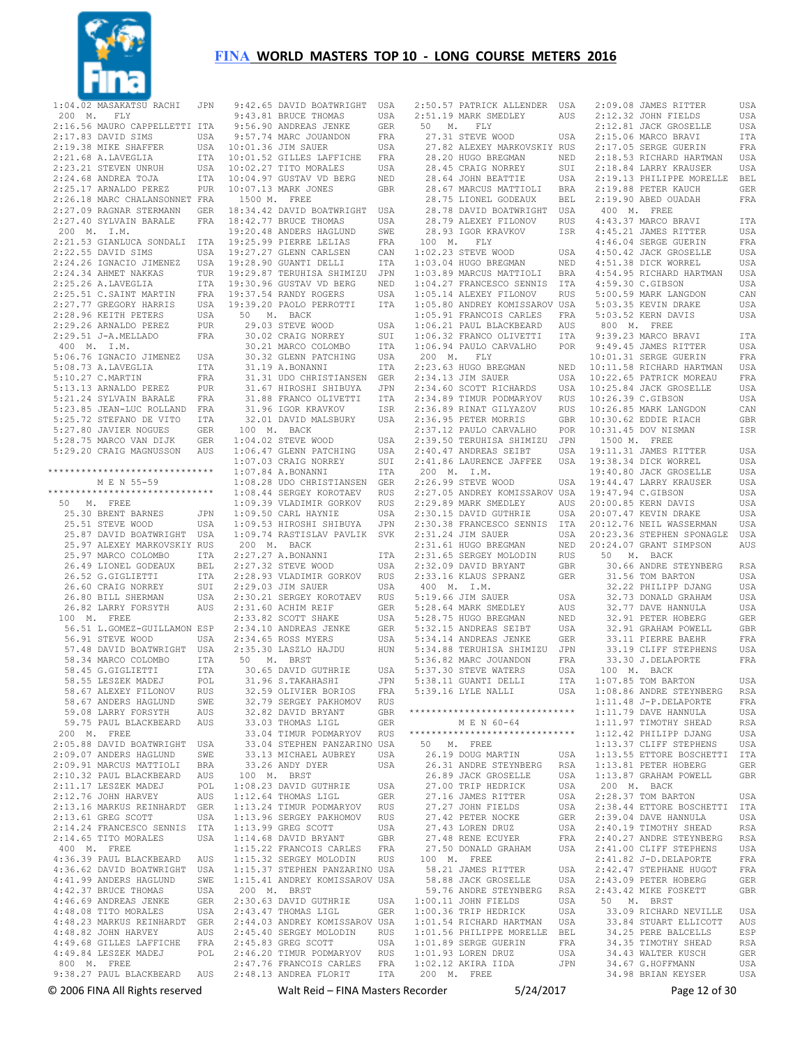

| 1:04.02 MASAKATSU RACHI JPN 9:                                                                                                                                                                |                                                                   |                      |
|-----------------------------------------------------------------------------------------------------------------------------------------------------------------------------------------------|-------------------------------------------------------------------|----------------------|
| 200 M. FLY                                                                                                                                                                                    |                                                                   | 9:                   |
|                                                                                                                                                                                               |                                                                   |                      |
| 2:16.56 MAURO CAPPELLETTI ITA<br>2:17.83 DAVID SIMS USA<br>2:19.38 MIKE SHAFFER USA<br>2:21.68 A.LAVEGLIA ITA                                                                                 | 3:<br>9:<br>9:<br>32:<br>USA 10:<br>USA 10:<br>UTA 7<br>PUR<br>FF |                      |
|                                                                                                                                                                                               |                                                                   |                      |
| 2:21.68 A.LAVEGLIA                                                                                                                                                                            |                                                                   |                      |
| 2:23.21 STEVEN UNRUH<br>2:24.68 ANDREA TOJA                                                                                                                                                   |                                                                   |                      |
|                                                                                                                                                                                               |                                                                   |                      |
| 2:25.17 ARNALDO PEREZ PUR<br>2:25.17 ARNALDO PEREZ PUR 10:<br>2:26.18 MARC CHALANSONNET FRA 1<br>2:27.40 SYLVAIN BARALE FRA 18:<br>2:27.40 SYLVAIN BARALE FRA 18:                             |                                                                   |                      |
|                                                                                                                                                                                               |                                                                   |                      |
|                                                                                                                                                                                               |                                                                   |                      |
|                                                                                                                                                                                               |                                                                   |                      |
| 200 M. I.M.                                                                                                                                                                                   |                                                                   | 19:                  |
| 2:21.53 GIANLUCA SONDALI ITA 19:                                                                                                                                                              |                                                                   |                      |
|                                                                                                                                                                                               |                                                                   |                      |
|                                                                                                                                                                                               |                                                                   |                      |
|                                                                                                                                                                                               |                                                                   |                      |
| 2:25.26 A.LAVEGLIA 177A 19:<br>2:25.51 C.SAINT MARTIN FRA 19:<br>2:27.77 GREGORY HARRIS USA 19:                                                                                               |                                                                   |                      |
|                                                                                                                                                                                               |                                                                   |                      |
|                                                                                                                                                                                               |                                                                   |                      |
| 2:28.96 KEITH PETERS                                                                                                                                                                          | USA<br>PUR                                                        | ∴.                   |
| 2:29.26 ARNALDO PEREZ PUR<br>2:29.51 J-A.MELLADO FRA                                                                                                                                          |                                                                   |                      |
|                                                                                                                                                                                               |                                                                   |                      |
| 400 M. I.M.                                                                                                                                                                                   |                                                                   |                      |
|                                                                                                                                                                                               |                                                                   |                      |
|                                                                                                                                                                                               |                                                                   |                      |
| 5:10.27 C.MARTIN                                                                                                                                                                              | FRA                                                               |                      |
| 5:13.13 ARNALDO PEREZ                                                                                                                                                                         | PUR                                                               |                      |
|                                                                                                                                                                                               |                                                                   |                      |
|                                                                                                                                                                                               |                                                                   |                      |
|                                                                                                                                                                                               |                                                                   |                      |
| 5:21.24 SYLVAIN BARALE<br>5:21.24 SYLVAIN BARALE FRA<br>5:23.85 JEAN-LUC ROLLAND FRA<br>5:25.72 STEFANO DE VITO ITA<br>5:27.80 JAVIER NOGUES GER<br>5:28.75 MARCO VAN DIJK GER                |                                                                   | $\mathbf{1}$         |
|                                                                                                                                                                                               |                                                                   | $\overline{1}$ :     |
| 5:29.20 CRAIG MAGNUSSON AUS                                                                                                                                                                   |                                                                   | 1:                   |
|                                                                                                                                                                                               |                                                                   | 1:                   |
|                                                                                                                                                                                               |                                                                   |                      |
| M E N 55-59                                                                                                                                                                                   |                                                                   | $\mathbf{1}$ :       |
| ******************************                                                                                                                                                                |                                                                   | 1:                   |
| 50 M. FREE                                                                                                                                                                                    |                                                                   | $\mathbf{1}$ :       |
|                                                                                                                                                                                               |                                                                   | $\mathbf{1}$ :       |
|                                                                                                                                                                                               |                                                                   | 1:                   |
| 25.30 BRENT BARNES JPN<br>25.51 STEVE WOOD USA<br>25.87 DAVID BOATWRIGHT USA                                                                                                                  |                                                                   | 1:                   |
| 25.97 ALEXEY MARKOVSKIY ROS<br>25.97 ALEXEY MARKOVSKIY ROS<br>25.97 MARCO COLOMBO ITA<br>26.49 LIONEL GODEAUX BEL<br>26.52 G.GOLIETTI ITA<br>26.60 CRAIG NORREY SUI<br>26.80 BILL SHERMAN USA |                                                                   | ź                    |
|                                                                                                                                                                                               |                                                                   | 2:                   |
|                                                                                                                                                                                               |                                                                   | 2:                   |
|                                                                                                                                                                                               |                                                                   | 2:                   |
| 26.60 CRAIG NORREY<br>26.80 BILL SHERMAN                                                                                                                                                      | SUI<br>USA                                                        | 2:                   |
|                                                                                                                                                                                               |                                                                   | 2:                   |
| 26.82 LARRY FORSYTH                                                                                                                                                                           | $\mathop{\rm AUS}$                                                | 2:                   |
| 100 M. FREE                                                                                                                                                                                   |                                                                   | 2:                   |
| 56.51 L.GOMEZ-GUILLAMON ESP                                                                                                                                                                   |                                                                   | 2:                   |
| 56.91 STEVE WOOD                                                                                                                                                                              | $_{\tt USA}$                                                      | 2:                   |
|                                                                                                                                                                                               |                                                                   | 2:                   |
|                                                                                                                                                                                               |                                                                   | $\ddot{\phantom{0}}$ |
|                                                                                                                                                                                               |                                                                   |                      |
|                                                                                                                                                                                               |                                                                   |                      |
| 58.67 ALEXEY FILONOV                                                                                                                                                                          | <b>RUS</b>                                                        |                      |
| 58.67 ANDERS HAGLUND                                                                                                                                                                          | SWE                                                               |                      |
| 59.08 LARRY FORSYTH                                                                                                                                                                           | AUS                                                               |                      |
| 59.75 PAUL BLACKBEARD AUS                                                                                                                                                                     |                                                                   |                      |
| 200 M.<br>FREE                                                                                                                                                                                |                                                                   |                      |
| 2:05.88 DAVID BOATWRIGHT                                                                                                                                                                      | USA                                                               |                      |
| 2:09.07 ANDERS HAGLUND                                                                                                                                                                        | SWE                                                               |                      |
| 2:09.91 MARCUS MATTIOLI                                                                                                                                                                       | <b>BRA</b>                                                        |                      |
| 2:10.32 PAUL BLACKBEARD<br>2:11.17 LESZEK MADEJ                                                                                                                                               | AUS                                                               | $\mathbf{1}$         |
|                                                                                                                                                                                               | POL                                                               | 1:                   |
| 2:12.76 JOHN HARVEY                                                                                                                                                                           | AUS                                                               | 1:                   |
| 2:13.16 MARKUS REINHARDT                                                                                                                                                                      | GER                                                               | 1:                   |
| 2:13.61 GREG SCOTT                                                                                                                                                                            | USA                                                               | 1:                   |
| 2:14.24 FRANCESCO SENNIS ITA                                                                                                                                                                  |                                                                   | $1:$                 |
| 2:14.65 TITO MORALES                                                                                                                                                                          | USA                                                               | 1:                   |
| 400 M. FREE                                                                                                                                                                                   |                                                                   | 1:                   |
| 4:36.39 PAUL BLACKBEARD AUS                                                                                                                                                                   |                                                                   | 1:                   |
| 4:36.62 DAVID BOATWRIGHT                                                                                                                                                                      | USA                                                               | $1:$                 |
| 4:41.99 ANDERS HAGLUND                                                                                                                                                                        | SWE                                                               | 1:                   |
| 4:42.37 BRUCE THOMAS                                                                                                                                                                          | USA                                                               | 2                    |
| 4:46.69 ANDREAS JENKE                                                                                                                                                                         | GER                                                               | 2:                   |
| 4:48.08 TITO MORALES                                                                                                                                                                          | USA                                                               | 2:                   |
| 4:48.23 MARKUS REINHARDT GER                                                                                                                                                                  |                                                                   | 2:                   |
| 4:48.82 JOHN HARVEY                                                                                                                                                                           | AUS                                                               | $\overline{2}$ :     |
| 4:49.68 GILLES LAFFICHE                                                                                                                                                                       | FRA                                                               | $\overline{2}$ :     |
| 4:49.84 LESZEK MADEJ                                                                                                                                                                          | POL                                                               | 2:                   |
| 800 M. FREE                                                                                                                                                                                   |                                                                   | $\mathbf{2}$ :       |
| 9:38.27 PAUL BLACKBEARD                                                                                                                                                                       | AUS                                                               | 2:                   |
|                                                                                                                                                                                               |                                                                   |                      |

|               | 9:42.65 DAVID BOATWRIGHT                                                            | USA          |
|---------------|-------------------------------------------------------------------------------------|--------------|
|               | 9:43.81 BRUCE THOMAS                                                                | USA          |
|               | 9:56.90 ANDREAS JENKE                                                               | GER          |
|               | 9:57.74 MARC JOUANDON                                                               | FRA          |
|               |                                                                                     |              |
|               | 10:01.36 JIM SAUER                                                                  | USA          |
|               | 10:01.52 GILLES LAFFICHE                                                            | FRA          |
|               | 10:02.27 TITO MORALES                                                               | USA          |
|               | 10:04.97 GUSTAV VD BERG                                                             | NED          |
|               | 10:07.13 MARK JONES                                                                 | <b>GBR</b>   |
|               |                                                                                     |              |
| 1500 M. FREE  |                                                                                     |              |
|               | 18:34.42 DAVID BOATWRIGHT USA                                                       |              |
|               | 18:42.77 BRUCE THOMAS                                                               | USA          |
|               | 19:20.48 ANDERS HAGLUND                                                             | SWE          |
|               | 19:25.99 PIERRE LELIAS                                                              | FRA          |
|               | 19:27.27 GLENN CARLSEN                                                              |              |
|               |                                                                                     | CAN          |
|               | 19:28.90 GUANTI DELLI                                                               | ITA          |
|               | 19:29.87 TERUHISA SHIMIZU                                                           | JPN          |
|               | 19:30.96 GUSTAV VD BERG                                                             | NED          |
|               | 19:37.54 RANDY ROGERS                                                               | USA          |
|               | 19:39.20 PAOLO PERROTTI                                                             | <b>ITA</b>   |
|               | 50 M. BACK                                                                          |              |
|               |                                                                                     |              |
|               | 29.03 STEVE WOOD                                                                    | USA          |
|               | 30.02 CRAIG NORREY                                                                  | SUI          |
|               | 30.21 MARCO COLOMBO                                                                 | ITA          |
|               | 30.32 GLENN PATCHING                                                                | USA          |
|               | 31.19 A.BONANNI                                                                     | <b>ITA</b>   |
|               |                                                                                     |              |
|               | 31.31 UDO CHRISTIANSEN GER                                                          |              |
|               | 31.67 HIROSHI SHIBUYA                                                               | JPN          |
|               | 31.88 FRANCO OLIVETTI                                                               | <b>ITA</b>   |
|               | 31.96 IGOR KRAVKOV                                                                  | ISR          |
|               | 32.01 DAVID MALSBURY                                                                | USA          |
|               | 100 M. BACK                                                                         |              |
|               |                                                                                     |              |
|               | 1:04.02 STEVE WOOD                                                                  | USA          |
|               | 1:06.47 GLENN PATCHING                                                              | USA          |
|               | $1:07.03$ CRAIG NORREY                                                              | SUI          |
|               | $1:07.84$ A.BONANNI                                                                 | ITA          |
|               | 1:08.28 UDO CHRISTIANSEN                                                            | GER          |
|               |                                                                                     |              |
|               | 1:08.44 SERGEY KOROTAEV                                                             | <b>RUS</b>   |
|               | 1:09.39 VLADIMIR GORKOV                                                             | <b>RUS</b>   |
|               | 1:09.50 CARL HAYNIE                                                                 | USA          |
|               | 1:09.53 HIROSHI SHIBUYA                                                             | JPN          |
|               | 1:09.74 RASTISLAV PAVLIK SVK                                                        |              |
|               | 200 M. BACK                                                                         |              |
|               | 2:27.27 A.BONANNI                                                                   |              |
|               |                                                                                     | ITA          |
|               | 2:27.32 STEVE WOOD                                                                  | USA          |
|               |                                                                                     |              |
|               | 2:28.93 VLADIMIR GORKOV                                                             | <b>RUS</b>   |
|               | 2:29.03 JIM SAUER                                                                   | USA          |
|               |                                                                                     |              |
|               | 2:30.21 SERGEY KOROTAEV                                                             | <b>RUS</b>   |
|               | 2:31.60 ACHIM REIF                                                                  | <b>GER</b>   |
|               | 2:33.82 SCOTT SHAKE                                                                 | USA          |
|               | 2:34.10 ANDREAS JENKE                                                               | GER          |
|               | 2:34.65 ROSS MYERS                                                                  | USA          |
|               | 2:35.30 LASZLO HAJDU                                                                | HUN          |
|               |                                                                                     |              |
|               | 50 M. BRST                                                                          | USA          |
|               | 30.65 DAVID GUTHRIE                                                                 |              |
|               | 31.96 S.TAKAHASHI                                                                   | JPN          |
|               | 32.59 OLIVIER BORIOS                                                                | FRA          |
|               | 32.79 SERGEY PAKHOMOV                                                               | RUS          |
|               | 32.82 DAVID BRYANT                                                                  | GBR          |
|               |                                                                                     | GER          |
|               | 33.03 THOMAS LIGL                                                                   |              |
|               |                                                                                     |              |
|               | 33.04 TIMUR PODMARYOV RUS<br>33.04 STEPHEN PANZARINO USA                            |              |
|               | 33.13 MICHAEL AUBREY                                                                | USA          |
|               | 33.26 ANDY DYER                                                                     | USA          |
|               | 100 M. BRST                                                                         |              |
|               | 1:08.23 DAVID GUTHRIE                                                               | USA          |
|               |                                                                                     | <b>GER</b>   |
|               |                                                                                     |              |
|               |                                                                                     | RUS          |
|               | 1:12.64 THOMAS LIGL<br>1:13.24 TIMUR PODMARYOV<br>1:13.96 SERGEY PAKHOMOV           | RUS          |
|               | $1:13.99$ GREG SCOTT                                                                | USA          |
|               | $1:14.68$ DAVID BRYANT                                                              | $\mbox{GBR}$ |
|               | 1:15.22 FRANCOIS CARLES                                                             | FRA          |
|               | 1:15.32 SERGEY MOLODIN RUS                                                          |              |
|               |                                                                                     |              |
|               | 1:15.37 STEPHEN PANZARINO USA                                                       |              |
|               | 1:15.41 ANDREY KOMISSAROV USA                                                       |              |
| $200$ M. BRST |                                                                                     |              |
|               | 2:30.63 DAVID GUTHRIE                                                               | USA          |
|               | 2:43.47 THOMAS LIGL                                                                 | GER          |
|               | 2:44.03 ANDREY KOMISSAROV USA                                                       |              |
|               |                                                                                     | RUS          |
|               | 2:45.40 SERGEY MOLODIN                                                              |              |
|               | 2:45.83 GREG SCOTT                                                                  | USA          |
|               | 2:46.20 TIMUR PODMARYOV                                                             |              |
|               | 2:46.20 TIMUR PODMARYOV RUS<br>2:47.76 FRANCOIS CARLES FRA<br>2:48.13 ANDREA FLORIT | ITA          |

 2:50.57 PATRICK ALLENDER USA 2:51.19 MARK SMEDLEY AUS 50 M. FLY 27.31 STEVE WOOD USA 27.82 ALEXEY MARKOVSKIY RUS 28.20 HUGO BREGMAN NED 28.45 CRAIG NORREY SUI 28.64 JOHN BEATTIE USA 28.67 MARCUS MATTIOLI BRA 28.75 LIONEL GODEAUX BEL 28.78 DAVID BOATWRIGHT USA 28.79 ALEXEY FILONOV RUS 28.93 IGOR KRAVKOV ISR 100 M. FLY  $1 \cdot 02.23$  STEVE WOOD  $1:03.04$  HUGO BREGMAN 1:03.89 MARCUS MATTIOLI BRA 1:04.27 FRANCESCO SENNIS ITA 4:54.95 RICHARD HARTMAN USA 4:59.30 C.GIBSON USA 1:05.14 ALEXEY FILONOV RUS 1:05.80 ANDREY KOMISSAROV USA 1:05.91 FRANCOIS CARLES FRA 1:06.21 PAUL BLACKBEARD AUS 5:03.52 KERN DAVIS USA 800 M. FREE 1:06.32 FRANCO OLIVETTI ITA 1:06.94 PAULO CARVALHO POR 200 M. FLY 2:23.63 HUGO BREGMAN NED 10:11.58 RICHARD HARTMAN USA 2:34.13 JIM SAUER USA 2:34.60 SCOTT RICHARDS USA 10:22.65 PATRICK MOREAU FRA 10:25.84 JACK GROSELLE USA 2:34.89 TIMUR PODMARYOV RUS 2:36.89 RINAT GILYAZOV RUS 10:26.39 C.GIBSON USA 10:26.85 MARK LANGDON CAN 2:36.95 PETER MORRIS GBR 2:37.12 PAULO CARVALHO POR 2:39.50 TERUHISA SHIMIZU JPN 2:40.47 ANDREAS SEIBT USA 19:11.31 JAMES RITTER USA 2:41.86 LAURENCE JAFFEE USA 19:38.34 DICK WORREL USA 200 M. I.M. 2:26.99 STEVE WOOD USA 2:27.05 ANDREY KOMISSAROV USA 2:29.89 MARK SMEDLEY AUS 2:30.15 DAVID GUTHRIE USA 20:00.85 KERN DAVIS USA 20:07.47 KEVIN DRAKE USA 2:30.38 FRANCESCO SENNIS ITA 2:31.24 JIM SAUER USA 2:31.61 HUGO BREGMAN NED 2:31.65 SERGEY MOLODIN RUS 2:32.09 DAVID BRYANT GBR 2:33.16 KLAUS SPRANZ GER 400 M. I.M. 5:19.66 JIM SAUER USA 5:28.64 MARK SMEDLEY AUS 5:28.75 HUGO BREGMAN NED 5:32.15 ANDREAS SEIBT USA 5:34.14 ANDREAS JENKE GER 5:34.88 TERUHISA SHIMIZU JPN<br>5:36.82 MARC JOUANDON FRA<br>5:37.30 STEVE WATERS USA<br>5:37.30 STEVE NALLI ITA<br>5:39.16 LYLE NALLI USA \*\*\*\*\*\*\*\*\*\*\*\*\*\*\*\*\*\*\*\*\*\*\*\*\*\*\*\*\*\* 1:11.79 DAVE HANNULA USA M E N 60-64 \*\*\*\*\*\*\*\*\*\*\*\*\*\*\*\*\*\*\*\*\*\*\*\*\*\*\*\*\*\* 1:12.42 PHILIPP DJANG USA 50 M. FREE 26.19 DOUG MARTIN USA 26.31 ANDRE STEYNBERG RSA 26.89 JACK GROSELLE USA 27.00 TRIP HEDRICK USA 1:13.87 GRAHAM POWELL GBR 200 M. BACK 27.16 JAMES RITTER USA 2:28.37 TOM BARTON USA 2:38.44 ETTORE BOSCHETTI ITA 27.27 JOHN FIELDS USA 27.42 PETER NOCKE GER 27.43 LOREN DRUZ USA 27.48 RENE ECUYER FRA 27.50 DONALD GRAHAM USA 2:41.00 CLIFF STEPHENS USA 100 M. FREE<br>
58.21 JAMES RITTER USA<br>
58.88 JACK GROSELLE USA<br>
59.76 ANDRE STEYNBERG RSA<br>
1:00.11 JOHN FIELDS USA<br>
1:00.36 TRIP HEDRICK USA<br>
1:01.54 RICHARD HARTMAN USA 1:01.56 PHILIPPE MORELLE BEL 1:01.89 SERGE GUERIN FRA<br>1:01.93 LOREN DRUZ USA 1:01.93 LOREN DRUZ USA 1:02.12 AKIRA IIDA JPN 200 M. FREE 2:09.08 JAMES RITTER USA 2:12.32 JOHN FIELDS USA 2:12.81 JACK GROSELLE USA 2:15.06 MARCO BRAVI ITA 2:17.05 SERGE GUERIN FRA 2:18.53 RICHARD HARTMAN USA 2:18.44 LARRY KRAUSER USA 2:19.91 BEL 2:19.90 ABED OUADAH FRA 400 M. FREE 4:43.37 MARCO BRAVI ITA 4:45.21 JAMES RITTER USA 4:46.04 SERGE GUERIN FRA<br>4:50.42 JACK GROSELLE LISA 4:50.42 JACK GROSELLE USA 4:51.38 DICK WORREL USA 5:00.59 MARK LANGDON CAN 5:03.35 KEVIN DRAKE USA 9:39.23 MARCO BRAVI ITA 9:49.45 JAMES RITTER USA 10:01.31 SERGE GUERIN FRA 10:30.62 EDDIE RIACH GBR 10:31.45 DOV NISMAN ISR 1500 M. FREE 19:40.80 JACK GROSELLE USA 19:44.47 LARRY KRAUSER USA 19:47.94 C.GIBSON USA 20:12.76 NEIL WASSERMAN USA 20:23.36 STEPHEN SPONAGLE USA 20:24.07 GRANT SIMPSON AUS 50 M. BACK 30.66 ANDRE STEYNBERG RSA 31.56 TOM BARTON USA 32.22 PHILIPP DJANG USA 32.73 DONALD GRAHAM USA 32.77 DAVE HANNULA USA 32.91 PETER HOBERG GER 32.91 GRAHAM POWELL GBR 33.11 PIERRE BAEHR FRA 33.19 CLIFF STEPHENS USA 33.30 J.DELAPORTE FRA 100 M. BACK 1:07.85 TOM BARTON USA 1:08.86 ANDRE STEYNBERG RSA 1:11.48 J-P.DELAPORTE FRA 1:11.97 TIMOTHY SHEAD RSA 1:13.37 CLIFF STEPHENS USA 1:13.55 ETTORE BOSCHETTI ITA 1:13.81 PETER HOBERG GER 2:39.04 DAVE HANNULA USA 2:40.19 TIMOTHY SHEAD RSA 2:40.27 ANDRE STEYNBERG RSA 2:41.82 J-D.DELAPORTE FRA<br>
2:42.47 STEPHANE HUGOT FRA<br>
2:43.09 PETER HOBERG GER<br>
2:43.42 MIKE FOSKETT GBR<br>
50 M. BRST<br>
33.09 RICHARD NEVILLE USA<br>
33.84 STUART ELLICOTT AUS 34.25 PERE BALCELLS ESP 34.35 TIMOTHY SHEAD 34.43 WALTER KUSCH GER<br>34.67 G HOFFMANN USA 34.67 G.HOFFMANN 34.98 BRIAN KEYSER USA

© 2006 FINA All Rights reserved Walt Reid – FINA Masters Recorder 5/24/2017 Page 12 of 30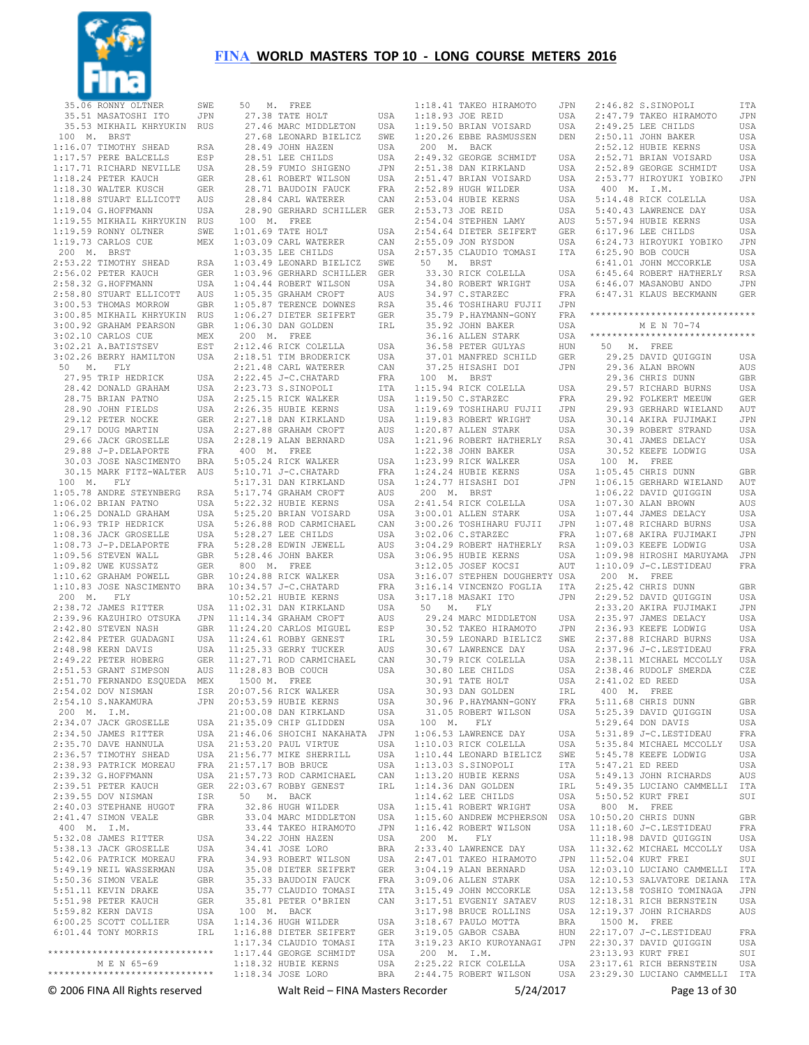

|             | ******************************                   |                   |             | 1:18.34 JOSE LORO                                      | BRA        |             | 2:44.75 ROBERT WILSON                            | U.          |
|-------------|--------------------------------------------------|-------------------|-------------|--------------------------------------------------------|------------|-------------|--------------------------------------------------|-------------|
|             | ******************************<br>M E N 65-69    |                   |             | 1:17.44 GEORGE SCHMIDT<br>1:18.32 HUBIE KERNS          | USA<br>USA | 200 M. I.M. | 2:25.22 RICK COLELLA                             | U.          |
|             |                                                  |                   |             | 1:17.34 CLAUDIO TOMASI                                 | ITA        |             | 3:19.23 AKIO KUROYANAGI                          | JI          |
|             | 6:01.44 TONY MORRIS                              |                   |             | IRL 1:16.88 DIETER SEIFERT                             |            |             | GER 3:19.05 GABOR CSABA                          | HU          |
|             | 6:00.25 SCOTT COLLIER                            | USA               |             | 1:14.36 HUGH WILDER                                    |            |             | USA 3:18.67 PAULO MOTTA                          | BF          |
|             | 5:59.82 KERN DAVIS                               | USA               | 100 M. BACK |                                                        |            |             | 3:17.98 BRUCE ROLLINS                            | U.          |
|             | 5:51.98 PETER KAUCH                              | GER               |             | 35.81 PETER O'BRIEN                                    | CAN        |             | 3:17.51 EVGENIY SATAEV                           | Rl          |
|             | 5:51.11 KEVIN DRAKE                              | USA               |             | 35.77 CLAUDIO TOMASI                                   |            |             | ITA 3:15.49 JOHN MCCORKLE                        | U.          |
|             | 5:49.19 NEIL WASSERMAN<br>5:50.36 SIMON VEALE    | USA<br>GBR        |             | 35.08 DIETER SEIFERT<br>35.33 BAUDOIN FAUCK            | FRA        |             | GER 3:04.19 ALAN BERNARD<br>3:09.06 ALLEN STARK  | U.S<br>U.   |
|             | 5:42.06 PATRICK MOREAU                           | FRA               |             | 34.93 ROBERT WILSON                                    |            |             | USA 2:47.01 TAKEO HIRAMOTO                       | JI          |
|             | 5:38.13 JACK GROSELLE                            | USA               |             | 34.41 JOSE LORO                                        |            |             | BRA 2:33.40 LAWRENCE DAY                         | U.          |
|             | 5:32.08 JAMES RITTER                             | USA               |             | 34.22 JOHN HAZEN                                       | USA        | 200 M.      | FLY                                              |             |
| 400 M. I.M. |                                                  |                   |             | 33.44 TAKEO HIRAMOTO                                   |            |             | JPN 1:16.42 ROBERT WILSON                        | U.          |
|             | 2:41.47 SIMON VEALE                              | GBR               |             | 33.04 MARC MIDDLETON                                   |            |             | USA 1:15.60 ANDREW MCPHERSON US                  |             |
|             | 2:40.03 STEPHANE HUGOT                           | FRA               |             | 32.86 HUGH WILDER                                      | USA        |             | 1:15.41 ROBERT WRIGHT                            | U.S         |
|             | 2:39.55 DOV NISMAN                               | ISR               | 50 M. BACK  |                                                        |            |             | 1:14.62 LEE CHILDS                               | U.          |
|             | 2:39.51 PETER KAUCH                              |                   |             | GER 22:03.67 ROBBY GENEST                              | IRL        |             | 1:14.36 DAN GOLDEN                               | ΙF          |
|             | 2:39.32 G.HOFFMANN                               |                   |             | USA 21:57.73 ROD CARMICHAEL                            | CAN        |             | 1:13.20 HUBIE KERNS                              | U.          |
|             | 2:38.93 PATRICK MOREAU                           |                   |             | FRA 21:57.17 BOB BRUCE                                 |            |             | USA 1:13.03 S.SINOPOLI                           | IJ          |
|             | 2:36.57 TIMOTHY SHEAD                            |                   |             | USA 21:53.20 PAUL VIRTUE<br>USA 21:56.77 MIKE SHERRILL |            |             | USA 1:10.44 LEONARD BIELICZ                      | U.<br>SV    |
|             | 2:34.50 JAMES RITTER<br>2:35.70 DAVE HANNULA     |                   |             | USA 21:46.06 SHOICHI NAKAHATA JPN                      |            |             | 1:06.53 LAWRENCE DAY<br>USA 1:10.03 RICK COLELLA | U.          |
|             | 2:34.07 JACK GROSELLE                            |                   |             | USA 21:35.09 CHIP GLIDDEN                              | USA        | 100 M.      | FLY                                              |             |
| 200 M. I.M. |                                                  |                   |             | 21:00.08 DAN KIRKLAND                                  | USA        |             | 31.05 ROBERT WILSON                              | U.          |
|             | 2:54.10 S.NAKAMURA                               | JPN               |             | 20:53.59 HUBIE KERNS                                   | USA        |             | 30.96 P.HAYMANN-GONY                             | FF          |
|             | 2:54.02 DOV NISMAN                               | ISR               |             | 20:07.56 RICK WALKER                                   | USA        |             | 30.93 DAN GOLDEN                                 | ΙF          |
|             | 2:51.70 FERNANDO ESQUEDA                         | MEX               | 1500 M.     | FREE                                                   |            |             | 30.91 TATE HOLT                                  | U.          |
|             | 2:51.53 GRANT SIMPSON                            | AUS               |             | 11:28.83 BOB COUCH                                     | USA        |             | 30.80 LEE CHILDS                                 | U.          |
|             | 2:49.22 PETER HOBERG                             | <b>GER</b>        |             | 11:27.71 ROD CARMICHAEL                                | CAN        |             | 30.79 RICK COLELLA                               | U.          |
|             | 2:48.98 KERN DAVIS                               | USA               |             | 11:25.33 GERRY TUCKER                                  | AUS        |             | 30.67 LAWRENCE DAY                               | U.          |
|             | 2:42.84 PETER GUADAGNI                           | USA               |             | 11:24.61 ROBBY GENEST                                  | IRL        |             | 30.59 LEONARD BIELICZ                            | SV          |
|             | 2:42.80 STEVEN NASH                              | GBR               |             | 11:24.20 CARLOS MIGUEL                                 | ESP        |             | 30.52 TAKEO HIRAMOTO                             | JI          |
|             | 2:39.96 KAZUHIRO OTSUKA                          | JPN               |             | 11:14.34 GRAHAM CROFT                                  | AUS        |             | 29.24 MARC MIDDLETON                             | U.          |
|             | 2:38.72 JAMES RITTER                             | USA               |             | 11:02.31 DAN KIRKLAND                                  | USA        | 50<br>Μ.    | FLY                                              |             |
| 200 M.      | FLY                                              |                   |             | 10:52.21 HUBIE KERNS                                   | USA        |             | 3:17.18 MASAKI ITO                               | JI          |
|             | 1:10.83 JOSE NASCIMENTO                          | <b>BRA</b>        |             | 10:34.57 J-C. CHATARD                                  | FRA        |             | 3:16.14 VINCENZO FOGLIA                          | IJ          |
|             | 1:10.62 GRAHAM POWELL                            | GBR               |             | 10:24.88 RICK WALKER                                   | USA        |             | 3:16.07 STEPHEN DOUGHERTY US                     |             |
|             | 1:09.82 UWE KUSSATZ                              | GER               |             | 800 M. FREE                                            |            |             | 3:12.05 JOSEF KOCSI                              | Αl          |
|             | 1:08.73 J-P.DELAPORTE<br>1:09.56 STEVEN WALL     | FRA<br><b>GBR</b> |             | 5:28.28 EDWIN JEWELL<br>5:28.46 JOHN BAKER             | AUS<br>USA |             | 3:04.29 ROBERT HATHERLY<br>3:06.95 HUBIE KERNS   | R.<br>U.    |
|             | 1:08.36 JACK GROSELLE                            | USA               |             | 5:28.27 LEE CHILDS                                     | USA        |             | 3:02.06 C.STARZEC                                | $F$ F       |
|             | 1:06.93 TRIP HEDRICK                             | USA               |             | 5:26.88 ROD CARMICHAEL                                 | CAN        |             | 3:00.26 TOSHIHARU FUJII                          | JI          |
|             | 1:06.25 DONALD GRAHAM                            | USA               |             | 5:25.20 BRIAN VOISARD                                  | USA        |             | 3:00.01 ALLEN STARK                              | U.          |
|             | 1:06.02 BRIAN PATNO                              | USA               |             | 5:22.32 HUBIE KERNS                                    | USA        |             | 2:41.54 RICK COLELLA                             | U.          |
|             | 1:05.78 ANDRE STEYNBERG                          | RSA               |             | 5:17.74 GRAHAM CROFT                                   | AUS        | 200 M. BRST |                                                  |             |
| 100 M.      | FLY                                              |                   |             | 5:17.31 DAN KIRKLAND                                   | USA        |             | 1:24.77 HISASHI DOI                              | JI          |
|             | 30.15 MARK FITZ-WALTER                           | AUS               |             | 5:10.71 J-C. CHATARD                                   | FRA        |             | 1:24.24 HUBIE KERNS                              | U.          |
|             | 30.03 JOSE NASCIMENTO                            | BRA               |             | 5:05.24 RICK WALKER                                    | USA        |             | 1:23.99 RICK WALKER                              | U.          |
|             | 29.88 J-P.DELAPORTE                              | FRA               | 400 M. FREE |                                                        |            |             | 1:22.38 JOHN BAKER                               | U.          |
|             | 29.66 JACK GROSELLE                              | USA               |             | 2:28.19 ALAN BERNARD                                   | USA        |             | 1:21.96 ROBERT HATHERLY                          | R.          |
|             | 29.17 DOUG MARTIN                                | USA               |             | 2:27.88 GRAHAM CROFT                                   | AUS        |             | 1:20.87 ALLEN STARK                              | U.          |
|             | 29.12 PETER NOCKE                                | GER               |             | 2:27.18 DAN KIRKLAND                                   | USA        |             | 1:19.83 ROBERT WRIGHT                            | U.          |
|             | 28.90 JOHN FIELDS                                | USA               |             | 2:26.35 HUBIE KERNS                                    | USA        |             | 1:19.69 TOSHIHARU FUJII                          | JI          |
|             | 28.75 BRIAN PATNO                                | USA               |             | 2:25.15 RICK WALKER                                    | USA        |             | 1:19.50 C.STARZEC                                | $_{\rm FF}$ |
|             | 28.42 DONALD GRAHAM                              | USA               |             | 2:23.73 S.SINOPOLI                                     | ITA        |             | 1:15.94 RICK COLELLA                             | U.          |
|             | 27.95 TRIP HEDRICK                               | USA               |             | 2:22.45 J-C. CHATARD                                   | FRA        | 100 M. BRST |                                                  |             |
| 50<br>Μ.    | FLY                                              |                   |             | 2:21.48 CARL WATERER                                   | CAN        |             | 37.25 HISASHI DOI                                | JI          |
|             | 3:02.26 BERRY HAMILTON                           | USA               |             | 2:18.51 TIM BRODERICK                                  | USA<br>USA |             | 37.01 MANFRED SCHILD                             | H<br>GE     |
|             | 3:02.10 CARLOS CUE<br>3:02.21 A.BATISTSEV        | MEX<br>EST        |             | 200 M. FREE<br>2:12.46 RICK COLELLA                    |            |             | 36.16 ALLEN STARK<br>36.58 PETER GULYAS          | U.S         |
|             | 3:00.92 GRAHAM PEARSON                           | GBR               |             | 1:06.30 DAN GOLDEN                                     | IRL        |             | 35.92 JOHN BAKER                                 | U.          |
|             | 3:00.85 MIKHAIL KHRYUKIN                         | <b>RUS</b>        |             | 1:06.27 DIETER SEIFERT                                 | GER        |             | 35.79 P.HAYMANN-GONY                             | FF          |
|             | 3:00.53 THOMAS MORROW                            | GBR               |             | 1:05.87 TERENCE DOWNES                                 | RSA        |             | 35.46 TOSHIHARU FUJII                            | JI          |
|             | 2:58.80 STUART ELLICOTT                          | AUS               |             | 1:05.35 GRAHAM CROFT                                   | AUS        |             | 34.97 C.STARZEC                                  | $F$ F       |
|             | 2:58.32 G.HOFFMANN                               | USA               |             | 1:04.44 ROBERT WILSON                                  | USA        |             | 34.80 ROBERT WRIGHT                              | U.          |
|             | 2:56.02 PETER KAUCH                              | <b>GER</b>        |             | 1:03.96 GERHARD SCHILLER                               | <b>GER</b> |             | 33.30 RICK COLELLA                               | US.         |
|             | 2:53.22 TIMOTHY SHEAD                            | RSA               |             | 1:03.49 LEONARD BIELICZ                                | SWE        | 50<br>М.    | BRST                                             |             |
| 200 M. BRST |                                                  |                   |             | 1:03.35 LEE CHILDS                                     | USA        |             | 2:57.35 CLAUDIO TOMASI                           | IJ          |
|             | 1:19.73 CARLOS CUE                               | MEX               |             | 1:03.09 CARL WATERER                                   | CAN        |             | 2:55.09 JON RYSDON                               | U.          |
|             | 1:19.55 MIKHAIL KHRYUKIN<br>1:19.59 RONNY OLTNER | <b>RUS</b><br>SWE |             | 100 M. FREE<br>$1:01.69$ TATE HOLT                     | USA        |             | 2:54.04 STEPHEN LAMY<br>2:54.64 DIETER SEIFERT   | Αl<br>GE    |
|             | 1:19.04 G.HOFFMANN                               | USA               |             | 28.90 GERHARD SCHILLER                                 | <b>GER</b> |             | 2:53.73 JOE REID                                 | U.          |
|             | 1:18.88 STUART ELLICOTT                          | AUS               |             | 28.84 CARL WATERER                                     | CAN        |             | 2:53.04 HUBIE KERNS                              | U.          |
|             | 1:18.30 WALTER KUSCH                             | GER               |             | 28.71 BAUDOIN FAUCK                                    | FRA        |             | 2:52.89 HUGH WILDER                              | U.          |
|             | 1:18.24 PETER KAUCH                              | GER               |             | 28.61 ROBERT WILSON                                    | USA        |             | 2:51.47 BRIAN VOISARD                            | U.          |
|             | 1:17.71 RICHARD NEVILLE                          | USA               |             | 28.59 FUMIO SHIGENO                                    | JPN        |             | 2:51.38 DAN KIRKLAND                             | U.S         |
|             | 1:17.57 PERE BALCELLS                            | ESP               |             | 28.51 LEE CHILDS                                       | USA        |             | 2:49.32 GEORGE SCHMIDT                           | U.S         |
|             | 1:16.07 TIMOTHY SHEAD                            | <b>RSA</b>        |             | 28.49 JOHN HAZEN                                       | USA        | 200 M.      | BACK                                             |             |
| 100 M.      | BRST                                             |                   |             | 27.68 LEONARD BIELICZ                                  | SWE        |             | 1:20.26 EBBE RASMUSSEN                           | DE          |
|             | 35.51 MASATOSHI ITO<br>35.53 MIKHAIL KHRYUKIN    | JPN<br><b>RUS</b> |             | 27.38 TATE HOLT<br>27.46 MARC MIDDLETON                | USA<br>USA |             | 1:18.93 JOE REID<br>1:19.50 BRIAN VOISARD        | U.<br>U.    |
|             | 35.06 RONNY OLTNER                               | SWE               | 50<br>Μ.    | FREE                                                   |            |             | 1:18.41 TAKEO HIRAMOTO                           | JI          |
|             |                                                  |                   |             |                                                        |            |             |                                                  |             |

|                                                                                                                                                                                                                                                                         | JPN        |
|-------------------------------------------------------------------------------------------------------------------------------------------------------------------------------------------------------------------------------------------------------------------------|------------|
| 1:18.93 JOE REID                                                                                                                                                                                                                                                        | USA        |
|                                                                                                                                                                                                                                                                         | USA        |
|                                                                                                                                                                                                                                                                         |            |
| 200 M. BACK                                                                                                                                                                                                                                                             |            |
| 200 M. BACK<br>2:51.38 DAN KIRKLAND<br>2:51.38 DAN KIRKLAND<br>2:51.47 BRIAN VOISARD<br>2:52.89 HUGH WILDER<br>2:53.73 JOE REID<br>2:53.73 JOE REID<br>2.54.04 STEPHEN LAMY                                                                                             | USA        |
|                                                                                                                                                                                                                                                                         | USA        |
|                                                                                                                                                                                                                                                                         | USA        |
|                                                                                                                                                                                                                                                                         | USA        |
|                                                                                                                                                                                                                                                                         | USA        |
|                                                                                                                                                                                                                                                                         | USA        |
|                                                                                                                                                                                                                                                                         | AUS        |
| 2:53.73 JOE REID<br>2:54.04 STEPHEN LAMY<br>2:54.64 DIETER SEIFERT<br>55.64 DIETER SEIFERT                                                                                                                                                                              | <b>GER</b> |
| 2:55.09 JON RYSDON                                                                                                                                                                                                                                                      | USA        |
| 2:57.35 CLAUDIO TOMASI                                                                                                                                                                                                                                                  | ITA        |
| 50 M. BRST                                                                                                                                                                                                                                                              |            |
| 33.30 RICK COLELLA                                                                                                                                                                                                                                                      | USA        |
| 33.30 KICK COLELLA<br>34.80 ROBERT WRIGHT<br>34 97 C STARZEC                                                                                                                                                                                                            | USA        |
| 34.97 C.STARZEC                                                                                                                                                                                                                                                         | FRA        |
| 35.46 TOSHIMARD FUJII<br>35.79 P.HAYMANN-GONY<br>35.92 JOHN BAKER<br>36.16 ALLEN STARK<br>36.58 PETER GULYAS                                                                                                                                                            | JPN        |
|                                                                                                                                                                                                                                                                         | FRA        |
|                                                                                                                                                                                                                                                                         | USA        |
|                                                                                                                                                                                                                                                                         | USA        |
|                                                                                                                                                                                                                                                                         | HUN        |
| 37.01 MANFRED SCHILD                                                                                                                                                                                                                                                    |            |
| 37.25 HISASHI DOI                                                                                                                                                                                                                                                       | GER        |
|                                                                                                                                                                                                                                                                         | JPN        |
| 100 M. BRST                                                                                                                                                                                                                                                             |            |
| 1:15.94 RICK COLELLA                                                                                                                                                                                                                                                    | USA        |
| 1:19.50 C.STARZEC                                                                                                                                                                                                                                                       | FRA        |
|                                                                                                                                                                                                                                                                         | JPN        |
|                                                                                                                                                                                                                                                                         | USA        |
|                                                                                                                                                                                                                                                                         | USA        |
|                                                                                                                                                                                                                                                                         | <b>RSA</b> |
|                                                                                                                                                                                                                                                                         | USA        |
| 1:19.69 TOSHTHARU FUJIT<br>1:19.69 TOSHTHARU FUJIT<br>1:19.83 ROBERT WRIGHT<br>1:20.87 ALLEN STARK<br>1:21.96 ROBERT HATHERLY<br>1:23.99 RICK WALKER<br>1:23.99 RICK WALKER                                                                                             | USA        |
|                                                                                                                                                                                                                                                                         | USA        |
| 1:24.24 HUBIE KERNS<br>1:24.77 HISASHI DOI                                                                                                                                                                                                                              | <b>JPN</b> |
| 200 M. BRST                                                                                                                                                                                                                                                             |            |
| 2:41.54 RICK COLELLA<br>2:00.01 ALLEN STARK                                                                                                                                                                                                                             | USA        |
| 3:00.01 ALLEN STARK                                                                                                                                                                                                                                                     | USA        |
| 3:00.26 TOSHIHARU FUJII                                                                                                                                                                                                                                                 | JPN        |
| 3:02.06 C.STARZEC                                                                                                                                                                                                                                                       | FRA        |
| 3:04.29 ROBERT HATHERLY RSA<br>3:06.95 HUBIE KERNS USA<br>3:12.05 JOSEF KOCSI AUT                                                                                                                                                                                       |            |
|                                                                                                                                                                                                                                                                         |            |
| 3:12.05 JOSEF KOCSI AUT<br>3:16.07 STEPHEN DOUGHERTY USA<br>3:16.14 VINCENZO FOGLIA ITA                                                                                                                                                                                 |            |
|                                                                                                                                                                                                                                                                         |            |
|                                                                                                                                                                                                                                                                         |            |
| 3:17.18 MASAKI ITO                                                                                                                                                                                                                                                      | JPN        |
| 50 M. FLY                                                                                                                                                                                                                                                               |            |
| 29.24 MARC MIDDLETON<br>30.52 TAKEO HIRAMOTO                                                                                                                                                                                                                            | USA        |
|                                                                                                                                                                                                                                                                         | JPN        |
|                                                                                                                                                                                                                                                                         | SWE        |
|                                                                                                                                                                                                                                                                         |            |
|                                                                                                                                                                                                                                                                         |            |
|                                                                                                                                                                                                                                                                         | USA        |
|                                                                                                                                                                                                                                                                         | USA        |
|                                                                                                                                                                                                                                                                         | USA        |
|                                                                                                                                                                                                                                                                         | USA        |
| 30.59 LEONARD BIELICZ<br>30.67 LAWRENCE DAY<br>30.79 RICK COLELLA<br>30.80 LEE CHILDS<br>30.91 TATE HOLT<br>30.93 DAN GOLDEN<br>30.93 DAN GOLDEN                                                                                                                        | IRL        |
|                                                                                                                                                                                                                                                                         |            |
| 30.96 P.HAYMANN-GONY FRA<br>31.05 ROBERT WILSON USA                                                                                                                                                                                                                     |            |
| $100$ M, FLY                                                                                                                                                                                                                                                            |            |
|                                                                                                                                                                                                                                                                         |            |
|                                                                                                                                                                                                                                                                         |            |
|                                                                                                                                                                                                                                                                         |            |
|                                                                                                                                                                                                                                                                         |            |
|                                                                                                                                                                                                                                                                         |            |
|                                                                                                                                                                                                                                                                         |            |
|                                                                                                                                                                                                                                                                         |            |
|                                                                                                                                                                                                                                                                         |            |
|                                                                                                                                                                                                                                                                         |            |
| 106.53 LAWRENCE DAY USA<br>1:06.53 LAWRENCE DAY USA<br>1:10.03 RICK COLELLA USA<br>1:10.44 LEONARD BIELICZ SWE<br>1:13.03 S.SINOPOLI ITA<br>1:13.20 HUBIE KERNS USA<br>1:14.36 DAN GOLDEN IRL<br>1:14.62 LEE CHILDS USA<br>1:15.41 ROBERT WRIG<br>1:16.42 ROBERT WILSON | USA        |
| $200$ $\,$ M, $\,$ $\,$ FLY                                                                                                                                                                                                                                             |            |
|                                                                                                                                                                                                                                                                         | USA        |
|                                                                                                                                                                                                                                                                         | JPN        |
|                                                                                                                                                                                                                                                                         | USA        |
| 2:33.40 LAWRENCE DAY<br>2:47.01 TAKEO HIRAMOTO<br>3:04.19 ALAN BERNARD<br>3:09.06 ALLEN STARK                                                                                                                                                                           | USA        |
|                                                                                                                                                                                                                                                                         | USA        |
| 3:15.49 JOHN MCCORKLE                                                                                                                                                                                                                                                   | RUS        |
|                                                                                                                                                                                                                                                                         | USA        |
|                                                                                                                                                                                                                                                                         | <b>BRA</b> |
| 3:17.51 EVGENIY SATAEV<br>3:17.51 EVGENIY SATAEV<br>3:17.98 BRUCE ROLLINS<br>3:18.67 PAULO MOTTA<br>3:19.05 GABOR CSABA                                                                                                                                                 | HUN        |
| 3:19.23 AKIO KUROYANAGI JPN                                                                                                                                                                                                                                             |            |
|                                                                                                                                                                                                                                                                         |            |
| 200 M. I.M.<br>2:25.22 RICK COLELLA<br>2:44.75 ROBERT WILSON                                                                                                                                                                                                            | USA<br>USA |

| 2:46.82 S.SINOPOLI                                                          | ITA        |
|-----------------------------------------------------------------------------|------------|
| 2:47.79 TAKEO HIRAMOTO                                                      | JPN        |
| 2:49.25 LEE CHILDS                                                          | USA        |
| $2:50.11$ JOHN BAKER                                                        | USA        |
|                                                                             | USA        |
| 2:52.12 HUBIE KERNS<br>2:52.71 BRIAN VOISARD                                | USA        |
| 2:52.89 GEORGE SCHMIDT                                                      | USA        |
| 2:53.77 HIROYUKI YOBIKO                                                     | JPN        |
| 400 M. I.M.                                                                 |            |
| 5:14.48 RICK COLELLA                                                        | USA        |
| 5:40.43 LAWRENCE DAY<br>5:57.94 HUBIE KERNS                                 | USA        |
|                                                                             | USA        |
| 6:17.96 LEE CHILDS                                                          | USA        |
| 6:24.73 HIROYUKI YOBIKO                                                     | JPN        |
| 6:25.90 BOB COUCH                                                           | USA        |
|                                                                             | USA        |
| $6:25.90$ BOB COOCH<br>$6:41.01$ JOHN MCCORKLE<br>$6:45.64$ ROBERT HATHERLY | RSA        |
| $6:46.07$ MASANOBU ANDO                                                     | JPN        |
| 6:47.31 KLAUS BECKMANN                                                      | GER        |
|                                                                             |            |
| ******************************                                              |            |
| M E N 70-74<br>*****************************                                |            |
|                                                                             |            |
| 50 M. FREE                                                                  |            |
| 29.25 DAVID OUIGGIN                                                         | USA        |
| 29.36 ALAN BROWN                                                            | AUS        |
| 29.36 CHRIS DUNN<br>29.57 RICHARD BURNS                                     | GBR        |
| 29.92 FOLKERT MEEUW                                                         | USA        |
|                                                                             | GER<br>AUT |
| 29.93 GERHARD WIELAND<br>30.14 AKIRA FUJIMAKI                               | JPN        |
|                                                                             | USA        |
|                                                                             | USA        |
| 30.39 ROBERT STRAND<br>30.41 JAMES DELACY<br>30.52 KEEFE LODWIG             | USA        |
| 100 M. FREE                                                                 |            |
| $1:05.45$ CHRIS DUNN                                                        | GBR        |
| $1:06.15$ GERHARD WIELAND                                                   | AUT        |
| $1:06.22$ DAVID QUIGGIN                                                     | USA        |
| $1:07.30$ ALAN BROWN                                                        | AUS        |
| 1:07.44 JAMES DELACY                                                        | USA        |
| 1:07.48 RICHARD BURNS                                                       | USA        |
|                                                                             | JPN        |
| 1:07.68 AKIRA FUJIMAKI<br>1:09.03 KEEFE LODWIG                              | USA        |
| 1:09.98 HIROSHI MARUYAMA                                                    | JPN        |
| 1:10.09 J-C.LESTIDEAU                                                       |            |
|                                                                             | FRA        |
| 200 M. FREE                                                                 |            |
| 2:25.42 CHRIS DUNN                                                          | GBR        |
| 2:29.52 DAVID QUIGGIN                                                       | USA        |
| 2:33.20 AKIRA FUJIMAKI                                                      | JPN        |
| 2:35.97 JAMES DELACY                                                        | USA        |
| 2:36.93 KEEFE LODWIG                                                        | USA        |
|                                                                             | USA        |
| 2:37.88 RICHARD BURNS<br>2:37.96 J-C.LESTIDEAU                              | FRA        |
|                                                                             | USA        |
| 2:38.11 MICHAEL MCCOLLY<br>2:38.46 RUDOLF SMERDA                            | CZE        |
| 2:41.02 ED REED                                                             | USA        |
| 400<br>М.<br>FREE                                                           |            |
| 5:11.68 CHRIS DUNN                                                          | GBR        |
| 5:25.39 DAVID QUIGGIN                                                       | USA<br>USA |
| 5:29.64 DON DAVIS                                                           | FRA        |
| 5:31.89 J-C.LESTIDEAU<br>5:35.84 MICHAEL MCCOLLY                            | USA        |
|                                                                             | USA        |
| 5:45.78 KEEFE LODWIG                                                        | USA        |
| 5:47.21 ED REED<br>5:49.13 JOHN RICHARDS                                    | AUS        |
| 5:49.35 LUCIANO CAMMELLI                                                    | ITA        |
| 5:50.52 KURT FREI                                                           | SUI        |
| 800 M. FREE                                                                 |            |
| 10:50.20 CHRIS DUNN                                                         | GBR        |
| 11:18.60 J-C.LESTIDEAU                                                      | FRA        |
| $11:18.98$ DAVID QUIGGIN                                                    | USA        |
| 11:32.62 MICHAEL MCCOLLY                                                    | USA        |
| 11:52.04 KURT FREI                                                          | SUI        |
| 12:03.10 LUCIANO CAMMELLI                                                   | ITA        |
| 12:10.53 SALVATORE DEIANA                                                   | ITA        |
| 12:13.58 TOSHIO TOMINAGA                                                    | JPN<br>USA |
|                                                                             | AUS        |
| 12:18.31 RICH BERNSTEIN<br>12:19.37 JOHN RICHARDS<br>1500 M. FREE           |            |
|                                                                             | FRA        |
| 22:17.07 J-C.LESTIDEAU<br>22:30.37 DAVID QUIGGIN                            | USA        |
| 23:13.93 KURT FREI                                                          | SUI        |
| 23:17.61 RICH BERNSTEIN                                                     | USA        |
| 23:29.30 LUCIANO CAMMELLI                                                   | ITA        |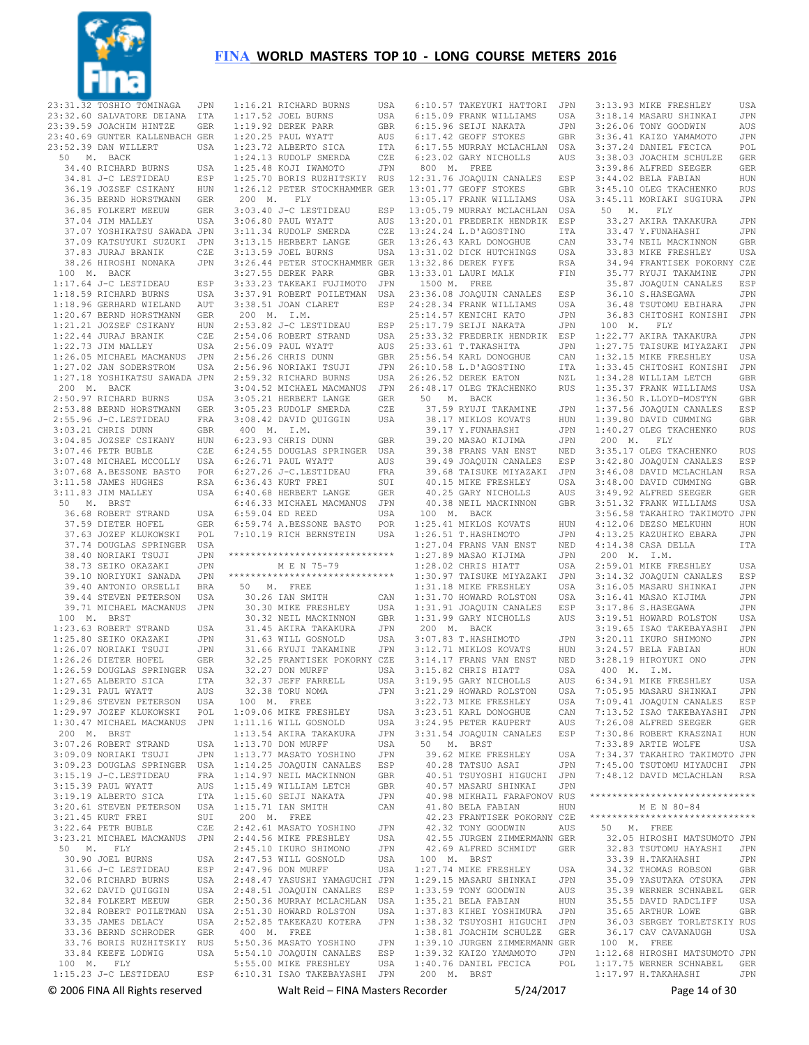

23:31.32 TOSHIO TOMINAGA JPN 23:32.60 SALVATORE DEIANA ITA 23:39.59 JOACHIM HINTZE GER 23:40.69 GUNTER KALLENBACH GER 23:52.39 DAN WILLERT USA 50 M. BACK 34.40 RICHARD BURNS USA 34.81 J-C LESTIDEAU ESP 36.19 JOZSEF CSIKANY HUN 36.35 BERND HORSTMANN GER 36.85 FOLKERT MEEUW GER 37.04 JIM MALLEY USA 37.07 YOSHIKATSU SAWADA JPN 37.09 KATSUYUKI SUZUKI JPN 37.83 JURAJ BRANIK CZE 38.26 HIROSHI NONAKA JPN 100 M. BACK 1:17.64 J-C LESTIDEAU ESP 1:18.59 RICHARD BURNS USA 1:18.96 GERHARD WIELAND AUT 1:20.67 BERND HORSTMANN GER 1:21.21 JOZSEF CSIKANY HUN 1:22.44 JURAJ BRANIK CZE 1:22.73 JIM MALLEY USA 1:26.05 MICHAEL MACMANUS JPN 1:27.02 JAN SODERSTROM USA 1:27.18 YOSHIKATSU SAWADA JPN 200 M. BACK 2:50.97 RICHARD BURNS USA 2:53.88 BERND HORSTMANN GER 2:55.96 J-C.LESTIDEAU FRA 3:03.21 CHRIS DUNN GBR<br>3:04 85 JOZSEF CSIKANY HUN 3:04.85 JOZSEF CSIKANY HUN 3:07.46 PETR BUBLE CZE 3:07.48 MICHAEL MCCOLLY USA 3:07.68 A.BESSONE BASTO POR 3:11.58 JAMES HUGHES RSA 3:11.83 JIM MALLEY USA 50 M. BRST 36.68 ROBERT STRAND USA 37.59 DIETER HOFEL GER<br>37.63 JOZEF KLUKOWSKI POL 37.63 JOZEF KLUKOWSKT 37.74 DOUGLAS SPRINGER USA 38.40 NORIAKI TSUJI JPN 38.73 SEIKO OKAZAKI JPN 39.10 NORIYUKI SANADA JPN 39.40 ANTONIO ORSELLI BRA 39.44 STEVEN PETERSON USA 39.71 MICHAEL MACMANUS JPN 100 M. BRST 1:23.63 ROBERT STRAND USA 1:25.80 SEIKO OKAZAKI JPN  $1:26.07$  NORIAKI TSUJI 1:26.26 DIETER HOFEL GER 1:26.59 DOUGLAS SPRINGER USA 1:27.65 ALBERTO SICA ITA 1:29.31 PAUL WYATT AUS 1:29.86 STEVEN PETERSON USA 1:29.97 JOZEF KLUKOWSKI POL 1:30.47 MICHAEL MACMANUS JPN 200 M. BRST 3:07.26 ROBERT STRAND USA 3:09.09 NORIAKI TSUJI JPN 3:09.23 DOUGLAS SPRINGER USA 3:15.19 J-C.LESTIDEAU FRA 3:15.39 PAUL WYATT AUS<br>3:19.19 ALBERTO SICA TTA 3:19.19 ALBERTO SICA 3:20.61 STEVEN PETERSON USA<br>3:21.45 KURT FRET SUT 3:21.45 KURT FREI SUI 3:22.64 PETR BUBLE CZE 3:23.21 MICHAEL MACMANUS JPN 50 M. FLY 30.90 JOEL BURNS USA 31.66 J-C LESTIDEAU ESP 32.06 RICHARD BURNS USA<br>32.62 DAVID OUIGGIN USA 32.62 DAVID QUIGGIN 32.84 FOLKERT MEEUW GER 32.84 ROBERT POILETMAN USA 33.35 JAMES DELACY USA 33.36 BERND SCHRODER GER 33.76 BORIS RUZHITSKIY RUS 33.84 KEEFE LODWIG USA 100 M. FLY 1:15.23 J-C LESTIDEAU ESP 6:10.31 ISAO TAKEBAYASHI JPN

 1:16.21 RICHARD BURNS USA 1:17.52 JOEL BURNS USA<br>1:19.92 DEREK PARR GBR 1:19.92 DEREK PARR GBR<br>1:20.25 PAUL WYATT AUS 1:20.25 PAUL WYATT AUS<br>1:23.72 ALBERTO SICA ITA  $1:23.72$  ALBERTO SICA 1:24.13 RUDOLF SMERDA CZE 1:25.48 KOJI IWAMOTO JPN 1:25.70 BORIS RUZHITSKIY RUS 1:26.12 PETER STOCKHAMMER GER 200 M. FLY 3:03.40 J-C LESTIDEAU ESP  $3:06.80$  PAUL WYATT 3:11.34 RUDOLF SMERDA CZE 3:13.15 HERBERT LANGE GER<br>3:13.59 JOEL BURNS USA  $3.13.59$  JOEL BURNS 3:26.44 PETER STOCKHAMMER GER 3:27.55 DEREK PARR 3:33.23 TAKEAKI FUJIMOTO JPN 3:37.91 ROBERT POILETMAN USA 3:38.51 JOAN CLARET ESP 200 M. I.M. 2:53.82 J-C LESTIDEAU ESP 2:54.06 ROBERT STRAND USA 2:56.09 PAUL WYATT AUS 2:56.26 CHRIS DUNN GBR 2:56.96 NORIAKI TSUJI JPN 2:59.32 RICHARD BURNS USA 3:04.52 MICHAEL MACMANUS JPN 3:05.21 HERBERT LANGE GER 3:05.23 RUDOLF SMERDA CZE 3:08.42 DAVID QUIGGIN USA 400 M. I.M. 6:23.93 CHRIS DUNN GBR 6:24.55 DOUGLAS SPRINGER USA 6:26.71 PAUL WYATT AUS 6:27.26 J-C.LESTIDEAU FRA 6:36.43 KURT FREI SUI 6:40.68 HERBERT LANGE GER 6:46.33 MICHAEL MACMANUS JPN 6:59.04 ED REED USA 6:59.74 A.BESSONE BASTO POR 7:10.19 RICH BERNSTEIN USA \*\*\*\*\*\*\*\*\*\*\*\*\*\*\*\*\*\*\*\*\*\*\*\*\*\*\*\*\*\* M E N 75-79 ..<br>\*\*\*\*\*\*\*\*\*\*\*\*\*\*\*\* 50 M. FREE 30.26 IAN SMITH CAN 30.30 MIKE FRESHLEY USA 30.32 NEIL MACKINNON GBR 31.45 AKIRA TAKAKURA JPN 31.63 WILL GOSNOLD USA<br>31.66 RYUJI TAKAMINE JPN 31.66 RYUJI TAKAMINE 32.25 FRANTISEK POKORNY CZE 32.27 DON MURFF 32.37 JEFF FARRELL USA<br>32.38 TORU NOMA JPN 32.38 TORU NOMA 100 M. FREE 1:09.06 MIKE FRESHLEY USA<br>1:11.16 WILL GOSNOLD USA  $1:11.16$  WILL GOSNOLD 1:13.54 AKIRA TAKAKURA JPN 1:13.70 DON MURFF USA 1:13.77 MASATO YOSHINO JPN 1:14.25 JOAQUIN CANALES ESP 1:14.97 NEIL MACKINNON GBR 1:15.49 WILLIAM LETCH GBR<br>1:15.60 SEIJI NAKATA JIPN  $1:15.60$  SEIJI NAKATA 1:15.71 IAN SMITH CAN 200 M. FREE 2:42.61 MASATO YOSHINO JPN 2:44.56 MIKE FRESHLEY USA 2:45.10 IKURO SHIMONO JPN 2:47.53 WILL GOSNOLD USA<br>2:47.96 DON MURFF USA 2:47.96 DON MURFF 2:48.47 YASUSHI YAMAGUCHI JPN 2:48.51 JOAQUIN CANALES ESP 2:50.36 MURRAY MCLACHLAN USA 2:51.30 HOWARD ROLSTON USA 2:52.85 TAKEKAZU KOTERA JPN 400 M. FREE 5:50.36 MASATO YOSHINO JPN 5:54.10 JOAQUIN CANALES ESP<br>5:55.00 MIKE FRESHLEY USA 5:55.00 MIKE FRESHLEY

 6:10.57 TAKEYUKI HATTORI JPN 6:15.09 FRANK WILLIAMS USA 6:15.96 SEIJI NAKATA JPN<br>6:17.42 GEOEF STOKES GER 6:17.42 GEOFF STOKES 6:17.55 MURRAY MCLACHLAN USA 6:23.02 GARY NICHOLLS AUS 800 M. FREE 12:31.76 JOAQUIN CANALES ESP 13:01.77 GEOFF STOKES GBR 13:05.17 FRANK WILLIAMS USA 13:05.79 MURRAY MCLACHLAN USA 13:20.01 FREDERIK HENDRIK ESP 13:24.24 L.D'AGOSTINO ITA 13:26.43 KARL DONOGHUE CAN 13:31.02 DICK HUTCHINGS 13:32.86 DEREK FYFE RSA 13:33.01 LAURI MALK FIN 1500 M. FREE 23:36.08 JOAQUIN CANALES ESP 24:28.34 FRANK WILLIAMS USA 25:14.57 KENICHI KATO JPN 25:17.79 SEIJI NAKATA JPN 25:33.32 FREDERIK HENDRIK ESP 25:33.61 T.TAKASHITA JPN 25:56.54 KARL DONOGHUE CAN 26:10.58 L.D'AGOSTINO ITA 26:26.52 DEREK EATON NZL 26:48.17 OLEG TKACHENKO RUS 50 M. BACK 37.59 RYUJI TAKAMINE JPN<br>38.17 MIKLOS KOVATS – HUN 38.17 MIKLOS KOVATS 39.17 Y.FUNAHASHI JPN 39.20 MASAO KIJIMA JPN 39.38 FRANS VAN ENST NED 39.49 JOAQUIN CANALES ESP 39.68 TAISUKE MIYAZAKI JPN 40.15 MIKE FRESHLEY USA 40.25 GARY NICHOLLS AUS 40.38 NEIL MACKINNON GBR 100 M. BACK 1:25.41 MIKLOS KOVATS HUN 1:26.51 T.HASHIMOTO JPN 1:27.04 FRANS VAN ENST NED 1:27.89 MASAO KIJIMA JPN 1:28.02 CHRIS HIATT USA 1:30.97 TAISUKE MIYAZAKI JPN 1:31.18 MIKE FRESHLEY USA 1:31.70 HOWARD ROLSTON USA 1:31.91 JOAQUIN CANALES ESP 1:31.99 GARY NICHOLLS AUS 200 M. BACK 3:07.83 T.HASHIMOTO JPN 3:12.71 MIKLOS KOVATS 3:14.17 FRANS VAN ENST NED 3:15.82 CHRIS HIATT USA 3:19.95 GARY NICHOLLS AUS 3:21.29 HOWARD ROLSTON USA 3:22.73 MIKE FRESHLEY USA 3:23.51 KARL DONOGHUE CAN<br>3:24.95 PETER KAUPERT AUS 3:24.95 PETER KAUPERT 3:31.54 JOAQUIN CANALES ESP 50 M. BRST 39.62 MIKE FRESHLEY USA 40.28 TATSUO ASAI JPN 40.51 TSUYOSHI HIGUCHI JPN 40.57 MASARU SHINKAI JPN 40.98 MIKHAIL FARAFONOV RUS 41.80 BELA FABIAN HUN 42.23 FRANTISEK POKORNY CZE 42.32 TONY GOODWIN AUS 42.55 JURGEN ZIMMERMANN GER 42.69 ALFRED SCHMIDT GER 100 M. BRST 1:27.74 MIKE FRESHLEY USA 1:29.15 MASARU SHINKAI JPN  $1:33.59$  TONY GOODWIN 1:35.21 BELA FABIAN HUN<br>1:37.83 KIHEI YOSHIMURA JPN 1:37.83 KIHEI YOSHIMURA 1:38.32 TSUYOSHI HIGUCHI JPN 1:38.81 JOACHIM SCHULZE GER 1:39.10 JURGEN ZIMMERMANN GER 1:39.32 KAIZO YAMAMOTO JPN 1:40.76 DANIEL FECICA 200 M. BRST

3:13.93 MIKE FRESHLEY USA<br>3:18.14 MASARII SHINKAT JEN 3:18.14 MASARU SHINKAI 3:26.06 TONY GOODWIN AUS<br>3:36.41 KATZO YAMAMOTO JIPN 3:36.41 KAIZO YAMAMOTO 3:37.24 DANIEL FECICA POL 3:38.03 JOACHIM SCHULZE GER 3:39.86 ALFRED SEEGER GER 3:44.02 BELA FABIAN HUN 3:45.10 OLEG TKACHENKO RUS 3:45.11 MORIAKI SUGIURA JPN 50 M. FLY 33.27 AKIRA TAKAKURA JPN 33.47 Y.FUNAHASHI JPN 33.74 NEIL MACKINNON GBR<br>33.83 MIKE FRESHLEY USA 33.83 MIKE FRESHLEY **34.94 FRANTISEK POKORNY CZE**<br>35.77 RYUJI TAKAMINE. JPN 35.77 RYUJI TAKAMINE JPN 35.87 JOAQUIN CANALES ESP<br>36.10 S.HASEGAWA JPN 36.10 S.HASEGAWA 36.48 TSUTOMU EBIHARA JPN 36.83 CHITOSHI KONISHI JPN 100 M. FLY 1:22.77 AKIRA TAKAKURA JPN 1:27.75 TAISUKE MIYAZAKI JPN 1:32.15 MIKE FRESHLEY USA 1:33.45 CHITOSHI KONISHI JPN 1:34.28 WILLIAM LETCH GBR 1:35.37 FRANK WILLIAMS USA 1:36.50 R.LLOYD-MOSTYN GBR 1:37.56 JOAQUIN CANALES ESP 1:39.80 DAVID CUMMING GBR 1:40.27 OLEG TKACHENKO RUS 200 M. FLY 3:35.17 OLEG TKACHENKO RUS 3:42.80 JOAQUIN CANALES ESP 3:46.08 DAVID MCLACHLAN RSA 3:48.00 DAVID CUMMING GBR 3:49.92 ALFRED SEEGER GER 3:51.32 FRANK WILLIAMS USA 3:56.58 TAKAHIRO TAKIMOTO JPN<br>4:12.06 DEZSO MELKUHN HUN 4:12.06 DEZSO MELKUHN 4:13.25 KAZUHIKO EBARA JPN 4:14.38 CASA DELLA ITA 200 M. I.M. 2:59.01 MIKE FRESHLEY USA 3:14.32 JOAQUIN CANALES ESP 3:16.05 MASARU SHINKAI JPN 3:16.41 MASAO KIJIMA JPN 3:17.86 S.HASEGAWA JPN 3:19.51 HOWARD ROLSTON USA 3:19.65 ISAO TAKEBAYASHI JPN 3:20.11 IKURO SHIMONO JPN<br>3:24.57 BELA FABIAN HUN  $3:24.57$  BELA FABIAN 3:28.19 HIROYUKI ONO JPN 400 M. I.M. 6:34.91 MIKE FRESHLEY USA 7:05.95 MASARU SHINKAI JPN 7:09.41 JOAQUIN CANALES ESP 7:13.52 ISAO TAKEBAYASHI JPN 7:26.08 ALFRED SEEGER GER 7:30.86 ROBERT KRASZNAI 7:33.89 ARTIE WOLFE USA 7:34.37 TAKAHIRO TAKIMOTO JPN 7:45.00 TSUTOMU MIYAUCHI JPN 7:48.12 DAVID MCLACHLAN RSA \*\*\*\*\*\*\*\*\*\*\*\*\*\*\*\*\*\*\*\*\*\*\*\*\*\*\*\*\*\* M E N 80-84 \*\*\*\*\*\*\*\*\*\*\*\*\*\*\*\*\*\*\*\*\*\*\*\*\*\*\*\*\*\* 50 M. FREE 32.05 HIROSHI MATSUMOTO JPN 32.83 TSUTOMU HAYASHI JPN 33.39 H.TAKAHASHI JPN 34.32 THOMAS ROBSON GBR 35.09 YASUTAKA OTSUKA JPN<br>35.39 WERNER SCHNABEL GER 35.39 WERNER SCHNABEL 35.55 DAVID RADCLIFF USA<br>35.65 ARTHUR LOWE GBR 35.65 ARTHUR LOWE 36.03 SERGEY TORLETSKIY RUS 36.17 CAV CAVANAUGH USA 100 M. FREE 1:12.68 HIROSHI MATSUMOTO JPN 1:17.75 WERNER SCHNABEL GER 1:17.97 H.TAKAHASHI JPN

© 2006 FINA All Rights reserved Walt Reid – FINA Masters Recorder 5/24/2017 Page 14 of 30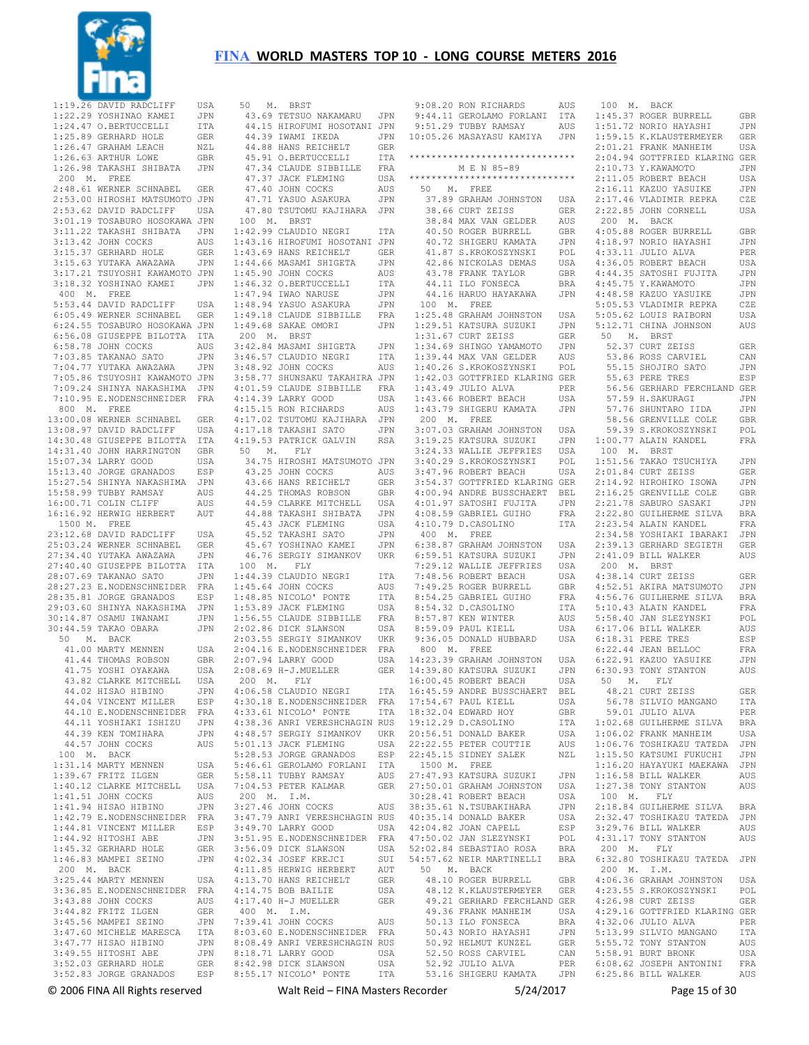

 $***$ 



| 1:19.26  |                               |                             | 50 I              |
|----------|-------------------------------|-----------------------------|-------------------|
|          | DAVID RADCLIFF                | USA                         |                   |
|          |                               |                             |                   |
| 1:22.29  | YOSHINAO KAMEI                | JPN                         | 43.6              |
|          | 1:24.47 O.BERTUCCELLI         | ITA                         | 44.1              |
|          |                               |                             |                   |
|          | 1:25.89 GERHARD HOLE          | GER                         | 44.3              |
|          | 1:26.47 GRAHAM LEACH          | NZL                         | 44.8              |
|          |                               |                             |                   |
|          | 1:26.63 ARTHUR LOWE           | GBR                         | 45.9              |
|          | 1:26.98 TAKASHI SHIBATA       | JPN                         | 47.3              |
|          |                               |                             |                   |
| 200 M.   | FREE                          |                             | 47.3              |
|          |                               |                             |                   |
|          | 2:48.61 WERNER SCHNABEL       | GER                         | 47.4              |
|          | 2:53.00 HIROSHI MATSUMOTO     | JPN                         | 47.7              |
|          |                               |                             |                   |
|          | 2:53.62 DAVID RADCLIFF        | USA                         | 47.8              |
|          | 3:01.19 TOSABURO HOSOKAWA JPN |                             | 100 I             |
|          |                               |                             |                   |
|          | 3:11.22 TAKASHI SHIBATA       | JPN                         | 1:42.9            |
|          |                               |                             |                   |
|          | 3:13.42 JOHN COCKS            | AUS                         | 1:43.1            |
|          | 3:15.37 GERHARD HOLE          | GER                         | 1:43.6            |
|          |                               |                             |                   |
|          | 3:15.63 YUTAKA AWAZAWA        | JPN                         | 1:44.6            |
| 3:17.21  | TSUYOSHI KAWAMOTO             | JPN                         | 1:45.9            |
|          |                               |                             |                   |
| 3:18.32  | YOSHINAO KAMEI                | JPN                         | 1:46.3            |
|          |                               |                             |                   |
|          | 400 M. FREE                   |                             | 1:47.9            |
|          | 5:53.44 DAVID RADCLIFF        | USA                         | 1:48.9            |
|          |                               |                             |                   |
|          | 6:05.49 WERNER SCHNABEL       | GER                         | 1:49.1            |
|          | 6:24.55 TOSABURO HOSOKAWA JPN |                             | 1:49.6            |
|          |                               |                             |                   |
|          | 6:56.08 GIUSEPPE BILOTTA      | ITA                         | $200$ I           |
|          | 6:58.78 JOHN COCKS            | AUS                         | 3:42.8            |
|          |                               |                             |                   |
| 7:03.85  | TAKANAO SATO                  | JPN                         | 3:46.5            |
|          | 7:04.77 YUTAKA AWAZAWA        |                             |                   |
|          |                               | JPN                         | 3:48.9            |
|          | 7:05.86 TSUYOSHI KAWAMOTO     | JPN                         | 3:58.7            |
|          |                               |                             |                   |
| 7:09.24  | SHINYA NAKASHIMA              | JPN                         | 4:01.5            |
| 7:10.95  | E.NODENSCHNEIDER              | FRA                         | 4:14.3            |
|          |                               |                             |                   |
| 800 M.   | FREE                          |                             | 4:15.1            |
|          |                               |                             |                   |
|          | 13:00.08 WERNER SCHNABEL      | <b>GER</b>                  | 4:17.0            |
|          | 13:08.97 DAVID RADCLIFF       | USA                         | 4:17.1            |
|          |                               |                             |                   |
|          | 14:30.48 GIUSEPPE BILOTTA     | ITA                         | 4:19.5            |
|          | 14:31.40 JOHN HARRINGTON      | GBR                         | 50 I              |
|          |                               |                             |                   |
|          | 15:07.34 LARRY GOOD           | USA                         | 34.7              |
|          | 15:13.40 JORGE GRANADOS       | ESP                         | 43.2              |
|          |                               |                             |                   |
|          | 15:27.54 SHINYA NAKASHIMA     | JPN                         | 43.6              |
|          |                               |                             |                   |
|          | 15:58.99 TUBBY RAMSAY         | AUS                         | 44.2              |
|          | 16:00.71 COLIN CLIFF          | $\mathop{\rm AUS}\nolimits$ | 44.5              |
|          |                               |                             |                   |
| 16:16.92 | HERWIG HERBERT                | AUT                         | 44.8              |
| 1500 M.  | FREE                          |                             | 45.4              |
|          |                               |                             |                   |
|          | 23:12.68 DAVID RADCLIFF       | USA                         | 45.5              |
|          | 25:03.24 WERNER SCHNABEL      | <b>GER</b>                  | 45.6              |
|          |                               |                             |                   |
|          |                               |                             |                   |
|          |                               |                             |                   |
|          | 27:34.40 YUTAKA AWAZAWA       | JPN                         | 46.7              |
|          | 27:40.40 GIUSEPPE BILOTTA     | ITA                         | 100 I             |
|          |                               |                             |                   |
|          | 28:07.69 TAKANAO SATO         | JPN                         | 1:44.3            |
|          | 28:27.23 E.NODENSCHNEIDER     | FRA                         | 1:45.6            |
|          |                               |                             |                   |
|          | 28:35.81 JORGE GRANADOS       | ESP                         | 1:48.8            |
| 29:03.60 | SHINYA NAKASHIMA              | JPN                         | 1:53.8            |
|          |                               |                             |                   |
|          | 30:14.87 OSAMU IWANAMI        | JPN                         | 1:56.5            |
|          | 30:44.59 TAKAO OBARA          | JPN                         | 2:02.8            |
|          |                               |                             |                   |
| 50 M.    | <b>BACK</b>                   |                             | 2:03.5            |
|          | 41.00 MARTY MENNEN            | USA                         | 2:04.1            |
|          |                               |                             |                   |
|          | 41.44 THOMAS ROBSON           | GBR                         | 2:07.9            |
|          | 41.75 YOSHI OYAKAWA           | USA                         |                   |
|          |                               |                             | 2:08.6            |
|          | 43.82 CLARKE MITCHELL         | USA                         | 200<br>I          |
|          | 44.02 HISAO HIBINO            | JPN                         | 4:06.5            |
|          |                               |                             |                   |
|          | 44.04 VINCENT MILLER          | ESP                         | 4:30.1            |
|          |                               |                             |                   |
|          | 44.10 E.NODENSCHNEIDER        | FRA                         | 4:33.6            |
|          | 44.11 YOSHIAKI ISHIZU         | JPN                         | 4:38.3            |
|          |                               |                             |                   |
|          | 44.39 KEN TOMIHARA            | JPN                         | 4:48.5            |
|          | 44.57 JOHN COCKS              | AUS                         | 5:01.1            |
|          |                               |                             |                   |
|          | 100 M. BACK                   |                             | 5:28.5            |
|          | 1:31.14 MARTY MENNEN          | USA                         | 5:46.6            |
|          |                               |                             |                   |
|          | 1:39.67 FRITZ ILGEN           | GER                         | 5:58.1            |
|          | 1:40.12 CLARKE MITCHELL       | USA                         |                   |
|          |                               |                             | 7:04.5            |
|          | 1:41.51 JOHN COCKS            | AUS                         |                   |
|          |                               | JPN                         |                   |
|          | $1:41.94$ HISAO HIBINO        |                             | $200$ 1<br>3:27.4 |
|          | 1:42.79 E.NODENSCHNEIDER FRA  |                             | 3:47.7            |
|          | 1:44.81 VINCENT MILLER        | ESP                         | 3:49.7            |
|          |                               |                             |                   |
|          | 1:44.92 HITOSHI ABE           | JPN                         | 3:51.9            |
|          | 1:45.32 GERHARD HOLE          | GER                         | 3:56.0            |
|          |                               |                             |                   |
|          | 1:46.83 MAMPEI SEINO          | JPN                         | 4:02.3            |
| 200 M.   | BACK                          |                             | 4:11.8            |
|          |                               |                             |                   |
|          | 3:25.44 MARTY MENNEN          | USA                         | 4:13.7            |
|          |                               |                             | 4:14.7            |
|          | 3:36.85 E.NODENSCHNEIDER FRA  |                             |                   |
|          | 3:43.88 JOHN COCKS            | AUS                         | 4:17.4            |
|          |                               |                             |                   |
|          | 3:44.82 FRITZ ILGEN           | GER                         | 400 I             |
|          | 3:45.56 MAMPEI SEINO          | JPN                         | 7:39.4            |
|          |                               |                             |                   |
|          | 3:47.60 MICHELE MARESCA       | ITA                         | 8:03.6            |
|          |                               | JPN                         | 8:08.4            |
|          | $3:47.77$ HISAO HIBINO        |                             |                   |
|          | 3:49.55 HITOSHI ABE           | JPN                         | 8:18.7            |
|          | 3:52.03 GERHARD HOLE          | GER                         |                   |
|          | 3:52.83 JORGE GRANADOS        | ESP                         | 8:42.9<br>8:55.1' |

|  | 50 M. BRST                                                                                                                                                                                                                                                |            |
|--|-----------------------------------------------------------------------------------------------------------------------------------------------------------------------------------------------------------------------------------------------------------|------------|
|  | 43.69 TETSUO NAKAMARU JPN                                                                                                                                                                                                                                 |            |
|  |                                                                                                                                                                                                                                                           |            |
|  |                                                                                                                                                                                                                                                           |            |
|  | 44.15 HEROFUM HOSOTANI JPN<br>44.39 IWAMI IKEDA JPN<br>44.39 IWAMI IKEDA JPN<br>44.88 HANS REICHELT GER<br>45.91 O.BERTUCCELLI ITA<br>47.34 CLAUDE SIBBILLE FRA                                                                                           |            |
|  |                                                                                                                                                                                                                                                           |            |
|  |                                                                                                                                                                                                                                                           |            |
|  | 47.37 JACK FLEMING<br>47.40 JOHN COCKS<br>47.71 YASUO ASAKURA                                                                                                                                                                                             | USA        |
|  |                                                                                                                                                                                                                                                           | AUS        |
|  |                                                                                                                                                                                                                                                           | JPN        |
|  | 47.80 TSUTOMU KAJIHARA JPN                                                                                                                                                                                                                                |            |
|  | 100 M. BRST                                                                                                                                                                                                                                               |            |
|  | 1:42.99 CLAUDIO NEGRI                                                                                                                                                                                                                                     | <b>ITA</b> |
|  | 1:43.16 HIROFUMI HOSOTANI JPN                                                                                                                                                                                                                             |            |
|  |                                                                                                                                                                                                                                                           | GER<br>JPN |
|  |                                                                                                                                                                                                                                                           |            |
|  |                                                                                                                                                                                                                                                           |            |
|  |                                                                                                                                                                                                                                                           |            |
|  |                                                                                                                                                                                                                                                           |            |
|  |                                                                                                                                                                                                                                                           |            |
|  |                                                                                                                                                                                                                                                           |            |
|  | 1:43.69 HANS REICHELT<br>1:44.66 MASAMI SHIGELT<br>1:44.66 MASAMI SHIGELT<br>1:45.90 JOHN COCKS<br>1:46.32 O.BERTUCCELLI ITA<br>1:46.94 IWAO NANUSE<br>1:48.94 YASUO ASAKURA JPN<br>1:49.18 CLAUDE SIBBILLE FRA<br>1:49.18 CLAUDE SIBBILLE FRA<br>1:49.18 |            |
|  | 200 M. BRST                                                                                                                                                                                                                                               |            |
|  |                                                                                                                                                                                                                                                           |            |
|  |                                                                                                                                                                                                                                                           |            |
|  |                                                                                                                                                                                                                                                           |            |
|  |                                                                                                                                                                                                                                                           |            |
|  |                                                                                                                                                                                                                                                           |            |
|  |                                                                                                                                                                                                                                                           |            |
|  |                                                                                                                                                                                                                                                           |            |
|  |                                                                                                                                                                                                                                                           |            |
|  | 4:17.18 TAKASHI SATO<br>4:19.53 PATRICK GALVIN                                                                                                                                                                                                            | JPN        |
|  |                                                                                                                                                                                                                                                           | RSA        |
|  | 50 M. FLY<br>34.75 HIROSHI MATSUMOTO JPN                                                                                                                                                                                                                  |            |
|  |                                                                                                                                                                                                                                                           |            |
|  |                                                                                                                                                                                                                                                           |            |
|  |                                                                                                                                                                                                                                                           |            |
|  |                                                                                                                                                                                                                                                           |            |
|  |                                                                                                                                                                                                                                                           |            |
|  |                                                                                                                                                                                                                                                           |            |
|  |                                                                                                                                                                                                                                                           |            |
|  |                                                                                                                                                                                                                                                           |            |
|  |                                                                                                                                                                                                                                                           |            |
|  | 99.25 JOHN COCKS AND STRING AND SERVICE AND SERVICE AND SERVED AS THOMAS ROBSON GBR 44.59 CLARKE MITCHELL USA 45.86 TAKASHI SHEMING USA 45.52 TAKASHI SATO APPIND 45.52 TAKASHI SATO 45.67 YOSHINAO FALLS                                                 |            |
|  | 45.67 YOSHINAO KAMEI<br>46.76 SERGIY SIMANKOV                                                                                                                                                                                                             | JPN<br>UKR |
|  | 100 M. FLY                                                                                                                                                                                                                                                |            |
|  | $1:44.39$ CLAUDIO NEGRI                                                                                                                                                                                                                                   | ITA        |
|  | 1:45.64 JOHN COCKS                                                                                                                                                                                                                                        | ITA<br>AUS |
|  |                                                                                                                                                                                                                                                           |            |
|  |                                                                                                                                                                                                                                                           |            |
|  | 1:48.85 NICOLO' PONTE TTA<br>1:56.58 JACK FLEMING USA<br>1:56.55 CLAUDE SIBBILLE FRA<br>2:02.86 DICK SIBBILLE FRA                                                                                                                                         |            |
|  | 2:02.86 DICK SLAWSON                                                                                                                                                                                                                                      | USA        |
|  |                                                                                                                                                                                                                                                           |            |
|  | 2:02:00 Dich Dimitson<br>2:03.55 SERGIY SIMANKOV UKR<br>2:04.16 E.NODENSCHNEIDER FRA                                                                                                                                                                      |            |
|  | 2:07.94 LARRY GOOD USA<br>2:08.69 H-J.MUELLER GER                                                                                                                                                                                                         |            |
|  | $200$ M. FLY                                                                                                                                                                                                                                              |            |
|  | 4:06.58 CLAUDIO NEGRI                                                                                                                                                                                                                                     | ITA        |
|  |                                                                                                                                                                                                                                                           |            |
|  | 4:30.18 E.NODENSCHNEIDER FRA                                                                                                                                                                                                                              |            |
|  |                                                                                                                                                                                                                                                           |            |
|  |                                                                                                                                                                                                                                                           |            |
|  |                                                                                                                                                                                                                                                           |            |
|  |                                                                                                                                                                                                                                                           |            |
|  |                                                                                                                                                                                                                                                           |            |
|  | 4:30.18 E.NODENSCHNEIDEN<br>4:38.36 ANRIVERSECHAGIN RUS<br>4:38.36 ANRIVERSECHAGIN RUS<br>4:48.57 SERGIY SIMANKOV UKR<br>5:01.13 JACK FLEMING USA<br>5:28.53 JORGE GRANADOS ESP<br>5:46.61 GEROLAMO FORLANI ITA<br>5:46.61 GEROLAMO FORLANI ITA           | AUS        |
|  | -<br>198.11 TUBBY RAMSAY<br>7.04.53 PETER KALMAR<br>$7:04.53$ PETER KALMAR                                                                                                                                                                                | <b>GER</b> |
|  | 200 M. I.M.                                                                                                                                                                                                                                               |            |
|  | 3:27.46 JOHN COCKS                                                                                                                                                                                                                                        | AUS        |
|  | 3:47.79 ANRI VERESHCHAGIN RUS                                                                                                                                                                                                                             |            |
|  | 3:49.70 LARRY GOOD                                                                                                                                                                                                                                        | USA        |
|  |                                                                                                                                                                                                                                                           |            |
|  |                                                                                                                                                                                                                                                           |            |
|  | 3:51.95 E.NODENSCHNEIDER FRA<br>3:56.09 DICK SLAWSON USA<br>4:02.34 JOSEF KREJCI SUI                                                                                                                                                                      |            |
|  |                                                                                                                                                                                                                                                           |            |
|  |                                                                                                                                                                                                                                                           |            |
|  | 4:11.85 HERWIG HERBERT AUT<br>4:13.70 HANS REICHELT GER<br>4:14.75 BOB BAILIE USA<br>$4:14.75$ BOB BAILIE                                                                                                                                                 | USA        |
|  | $4:17.40$ H-J MUELLER                                                                                                                                                                                                                                     | GER        |
|  | 400 M. I.M.                                                                                                                                                                                                                                               |            |
|  | 7:39.41 JOHN COCKS                                                                                                                                                                                                                                        | AUS        |
|  |                                                                                                                                                                                                                                                           |            |
|  |                                                                                                                                                                                                                                                           |            |
|  | 9:03.60 E.NODENSCHNEIDER FRA<br>8:08.49 ANRI VERESHCHAGIN RUS<br>8:18.71 LARRY GOOD USA<br>8:42.98 DICK SLAWSON USA<br>8:55.17 NICOLO' PONTE                                                                                                              |            |

| 9:44.11 GEROLAMO FORLANI<br>ITA<br>9:51.29 TUBBY RAMSAY<br>AUS<br>10:05.26 MASAYASU KAMIYA<br><b>JPN</b><br>******************************<br>M E N 85-89<br>******************************<br>50<br>Μ.<br>FREE<br>37.89 GRAHAM JOHNSTON<br>USA<br>38.66 CURT ZEISS<br>GER<br>38.84 MAX VAN GELDER<br>AUS<br>40.50 ROGER BURRELL<br>GBR<br>40.72 SHIGERU KAMATA<br>JPN<br>41.87 S.KROKOSZYNSKI<br>POL<br>42.86 NICKOLAS DEMAS<br>USA<br>43.78 FRANK TAYLOR<br>GBR<br>44.11<br>ILO FONSECA<br><b>BRA</b><br>44.16<br>HARUO HAYAKAWA<br>JPN<br>100 M.<br>FREE<br>1:25.48 GRAHAM JOHNSTON<br>USA<br>1:29.51 KATSURA SUZUKI<br>JPN<br>1:31.67 CURT ZEISS<br>GER | 1:45.37<br>$\mathbb R$<br>$1:51.72$ N<br>1:59.15K<br>2:01.21<br>$\mathbb F$<br>2:04.94<br>G<br>2:10.73<br>Υ<br>2:11.05 R<br>2:16.11<br>К<br>2:17.46<br>V<br>$2:22.85$ J<br>200<br>Μ.<br>4:05.88R<br>4:18.97<br>N<br>4:33.11<br>J<br>4:36.05 R<br>4:44.35<br>S<br>4:45.75<br>Υ |
|-------------------------------------------------------------------------------------------------------------------------------------------------------------------------------------------------------------------------------------------------------------------------------------------------------------------------------------------------------------------------------------------------------------------------------------------------------------------------------------------------------------------------------------------------------------------------------------------------------------------------------------------------------------|-------------------------------------------------------------------------------------------------------------------------------------------------------------------------------------------------------------------------------------------------------------------------------|
|                                                                                                                                                                                                                                                                                                                                                                                                                                                                                                                                                                                                                                                             |                                                                                                                                                                                                                                                                               |
|                                                                                                                                                                                                                                                                                                                                                                                                                                                                                                                                                                                                                                                             |                                                                                                                                                                                                                                                                               |
|                                                                                                                                                                                                                                                                                                                                                                                                                                                                                                                                                                                                                                                             |                                                                                                                                                                                                                                                                               |
|                                                                                                                                                                                                                                                                                                                                                                                                                                                                                                                                                                                                                                                             |                                                                                                                                                                                                                                                                               |
|                                                                                                                                                                                                                                                                                                                                                                                                                                                                                                                                                                                                                                                             |                                                                                                                                                                                                                                                                               |
|                                                                                                                                                                                                                                                                                                                                                                                                                                                                                                                                                                                                                                                             |                                                                                                                                                                                                                                                                               |
|                                                                                                                                                                                                                                                                                                                                                                                                                                                                                                                                                                                                                                                             |                                                                                                                                                                                                                                                                               |
|                                                                                                                                                                                                                                                                                                                                                                                                                                                                                                                                                                                                                                                             |                                                                                                                                                                                                                                                                               |
|                                                                                                                                                                                                                                                                                                                                                                                                                                                                                                                                                                                                                                                             |                                                                                                                                                                                                                                                                               |
|                                                                                                                                                                                                                                                                                                                                                                                                                                                                                                                                                                                                                                                             |                                                                                                                                                                                                                                                                               |
|                                                                                                                                                                                                                                                                                                                                                                                                                                                                                                                                                                                                                                                             |                                                                                                                                                                                                                                                                               |
|                                                                                                                                                                                                                                                                                                                                                                                                                                                                                                                                                                                                                                                             |                                                                                                                                                                                                                                                                               |
|                                                                                                                                                                                                                                                                                                                                                                                                                                                                                                                                                                                                                                                             |                                                                                                                                                                                                                                                                               |
|                                                                                                                                                                                                                                                                                                                                                                                                                                                                                                                                                                                                                                                             |                                                                                                                                                                                                                                                                               |
|                                                                                                                                                                                                                                                                                                                                                                                                                                                                                                                                                                                                                                                             |                                                                                                                                                                                                                                                                               |
|                                                                                                                                                                                                                                                                                                                                                                                                                                                                                                                                                                                                                                                             |                                                                                                                                                                                                                                                                               |
|                                                                                                                                                                                                                                                                                                                                                                                                                                                                                                                                                                                                                                                             |                                                                                                                                                                                                                                                                               |
|                                                                                                                                                                                                                                                                                                                                                                                                                                                                                                                                                                                                                                                             |                                                                                                                                                                                                                                                                               |
|                                                                                                                                                                                                                                                                                                                                                                                                                                                                                                                                                                                                                                                             |                                                                                                                                                                                                                                                                               |
|                                                                                                                                                                                                                                                                                                                                                                                                                                                                                                                                                                                                                                                             | 4:48.58 K                                                                                                                                                                                                                                                                     |
|                                                                                                                                                                                                                                                                                                                                                                                                                                                                                                                                                                                                                                                             | 5:05.53<br>V                                                                                                                                                                                                                                                                  |
|                                                                                                                                                                                                                                                                                                                                                                                                                                                                                                                                                                                                                                                             | 5:05.62<br>L                                                                                                                                                                                                                                                                  |
|                                                                                                                                                                                                                                                                                                                                                                                                                                                                                                                                                                                                                                                             | 5:12.71<br>C                                                                                                                                                                                                                                                                  |
|                                                                                                                                                                                                                                                                                                                                                                                                                                                                                                                                                                                                                                                             | 50<br>Μ.                                                                                                                                                                                                                                                                      |
| 1:34.69<br>SHINGO YAMAMOTO<br>JPN                                                                                                                                                                                                                                                                                                                                                                                                                                                                                                                                                                                                                           | 52.37<br>$\mathsf{C}$                                                                                                                                                                                                                                                         |
| 1:39.44<br>MAX VAN GELDER<br>AUS                                                                                                                                                                                                                                                                                                                                                                                                                                                                                                                                                                                                                            | 53.86<br>R                                                                                                                                                                                                                                                                    |
| 1:40.26<br>S.KROKOSZYNSKI<br>POL                                                                                                                                                                                                                                                                                                                                                                                                                                                                                                                                                                                                                            | 55.15<br>S                                                                                                                                                                                                                                                                    |
|                                                                                                                                                                                                                                                                                                                                                                                                                                                                                                                                                                                                                                                             |                                                                                                                                                                                                                                                                               |
| 1:42.03<br>GOTTFRIED KLARING GER                                                                                                                                                                                                                                                                                                                                                                                                                                                                                                                                                                                                                            | 55.63<br>P                                                                                                                                                                                                                                                                    |
| 1:43.49<br>JULIO ALVA<br>PER                                                                                                                                                                                                                                                                                                                                                                                                                                                                                                                                                                                                                                | 56.56<br>G                                                                                                                                                                                                                                                                    |
| 1:43.66<br>USA<br>ROBERT BEACH                                                                                                                                                                                                                                                                                                                                                                                                                                                                                                                                                                                                                              | 57.59<br>Η                                                                                                                                                                                                                                                                    |
| 1:43.79<br>SHIGERU KAMATA<br>JPN                                                                                                                                                                                                                                                                                                                                                                                                                                                                                                                                                                                                                            | 57.76<br>S                                                                                                                                                                                                                                                                    |
| 200 M.<br>FREE                                                                                                                                                                                                                                                                                                                                                                                                                                                                                                                                                                                                                                              | 58.56<br>G                                                                                                                                                                                                                                                                    |
| 3:07.03<br>GRAHAM JOHNSTON<br>USA                                                                                                                                                                                                                                                                                                                                                                                                                                                                                                                                                                                                                           | 59.39<br>S                                                                                                                                                                                                                                                                    |
| 3:19.25 KATSURA SUZUKI<br>JPN                                                                                                                                                                                                                                                                                                                                                                                                                                                                                                                                                                                                                               | 1:00.77<br>Α                                                                                                                                                                                                                                                                  |
| 3:24.33 WALLIE JEFFRIES<br>USA                                                                                                                                                                                                                                                                                                                                                                                                                                                                                                                                                                                                                              | 100<br>М.                                                                                                                                                                                                                                                                     |
| 3:40.29 S.KROKOSZYNSKI<br>POL                                                                                                                                                                                                                                                                                                                                                                                                                                                                                                                                                                                                                               | 1:51.56<br>T                                                                                                                                                                                                                                                                  |
|                                                                                                                                                                                                                                                                                                                                                                                                                                                                                                                                                                                                                                                             |                                                                                                                                                                                                                                                                               |
| 3:47.96<br>ROBERT BEACH<br>USA                                                                                                                                                                                                                                                                                                                                                                                                                                                                                                                                                                                                                              | $2:01.84$ C                                                                                                                                                                                                                                                                   |
| 3:54.37<br>GOTTFRIED KLARING<br>GER                                                                                                                                                                                                                                                                                                                                                                                                                                                                                                                                                                                                                         | 2:14.92<br>Η                                                                                                                                                                                                                                                                  |
| 4:00.94<br>ANDRE BUSSCHAERT<br>BEL                                                                                                                                                                                                                                                                                                                                                                                                                                                                                                                                                                                                                          | 2:16.25<br>G                                                                                                                                                                                                                                                                  |
| 4:01.97<br>SATOSHI FUJITA<br>JPN                                                                                                                                                                                                                                                                                                                                                                                                                                                                                                                                                                                                                            | 2:21.78<br>S                                                                                                                                                                                                                                                                  |
| 4:08.59 GABRIEL GUIHO<br>FRA                                                                                                                                                                                                                                                                                                                                                                                                                                                                                                                                                                                                                                | 2:22.80G                                                                                                                                                                                                                                                                      |
| 4:10.79<br>D.CASOLINO<br>ITA                                                                                                                                                                                                                                                                                                                                                                                                                                                                                                                                                                                                                                | 2:23.54<br>Α                                                                                                                                                                                                                                                                  |
| 400 M.<br>FREE                                                                                                                                                                                                                                                                                                                                                                                                                                                                                                                                                                                                                                              | 2:34.58<br>Υ                                                                                                                                                                                                                                                                  |
| 6:38.87<br>GRAHAM JOHNSTON<br>USA                                                                                                                                                                                                                                                                                                                                                                                                                                                                                                                                                                                                                           | $2:39.13$ G                                                                                                                                                                                                                                                                   |
| 6:59.51<br>KATSURA SUZUKI<br>JPN                                                                                                                                                                                                                                                                                                                                                                                                                                                                                                                                                                                                                            | 2:41.09<br>B                                                                                                                                                                                                                                                                  |
| 7:29.12 WALLIE JEFFRIES<br>USA                                                                                                                                                                                                                                                                                                                                                                                                                                                                                                                                                                                                                              | 200<br>М.                                                                                                                                                                                                                                                                     |
| 7:48.56<br>ROBERT BEACH<br>USA                                                                                                                                                                                                                                                                                                                                                                                                                                                                                                                                                                                                                              | 4:38.14<br>C                                                                                                                                                                                                                                                                  |
| 7:49.25 ROGER BURRELL                                                                                                                                                                                                                                                                                                                                                                                                                                                                                                                                                                                                                                       | 4:52.51                                                                                                                                                                                                                                                                       |
| GBR                                                                                                                                                                                                                                                                                                                                                                                                                                                                                                                                                                                                                                                         | Α                                                                                                                                                                                                                                                                             |
| 8:54.25<br>GABRIEL GUIHO<br>FRA                                                                                                                                                                                                                                                                                                                                                                                                                                                                                                                                                                                                                             | 4:56.76<br>G                                                                                                                                                                                                                                                                  |
| 8:54.32<br>D.CASOLINO<br>ITA                                                                                                                                                                                                                                                                                                                                                                                                                                                                                                                                                                                                                                | 5:10.43<br>Α                                                                                                                                                                                                                                                                  |
|                                                                                                                                                                                                                                                                                                                                                                                                                                                                                                                                                                                                                                                             | 5:58.40<br>J                                                                                                                                                                                                                                                                  |
| 8:57.87<br>KEN WINTER<br>AUS                                                                                                                                                                                                                                                                                                                                                                                                                                                                                                                                                                                                                                |                                                                                                                                                                                                                                                                               |
| 8:59.09<br>PAUL KIELL<br>USA                                                                                                                                                                                                                                                                                                                                                                                                                                                                                                                                                                                                                                | 6:17.06B                                                                                                                                                                                                                                                                      |
| 9:36.05<br>DONALD HUBBARD<br>USA                                                                                                                                                                                                                                                                                                                                                                                                                                                                                                                                                                                                                            | 6:18.31<br>P                                                                                                                                                                                                                                                                  |
| 800<br>Μ.                                                                                                                                                                                                                                                                                                                                                                                                                                                                                                                                                                                                                                                   | $6:22.44$ J                                                                                                                                                                                                                                                                   |
| FREE<br>14:23.39<br>GRAHAM JOHNSTON<br>USA                                                                                                                                                                                                                                                                                                                                                                                                                                                                                                                                                                                                                  | 6:22.91<br>К                                                                                                                                                                                                                                                                  |
| JPN                                                                                                                                                                                                                                                                                                                                                                                                                                                                                                                                                                                                                                                         |                                                                                                                                                                                                                                                                               |
| 14:39.80 KATSURA SUZUKI                                                                                                                                                                                                                                                                                                                                                                                                                                                                                                                                                                                                                                     | $6:30.93$ T                                                                                                                                                                                                                                                                   |
| 16:00.45<br>ROBERT BEACH<br>USA                                                                                                                                                                                                                                                                                                                                                                                                                                                                                                                                                                                                                             | 50<br>Μ.                                                                                                                                                                                                                                                                      |
| 16:45.59 ANDRE BUSSCHAERT<br>BEL                                                                                                                                                                                                                                                                                                                                                                                                                                                                                                                                                                                                                            | 48.21 C                                                                                                                                                                                                                                                                       |
| 17:54.67 PAUL KIELL<br>USA                                                                                                                                                                                                                                                                                                                                                                                                                                                                                                                                                                                                                                  | 56.78 S                                                                                                                                                                                                                                                                       |
| 18:32.04 EDWARD HOY<br>GBR                                                                                                                                                                                                                                                                                                                                                                                                                                                                                                                                                                                                                                  | 59.01<br>J                                                                                                                                                                                                                                                                    |
| 19:12.29 D. CASOLINO<br>ITA                                                                                                                                                                                                                                                                                                                                                                                                                                                                                                                                                                                                                                 | $1:02.68$ G                                                                                                                                                                                                                                                                   |
| 20:56.51 DONALD BAKER<br>USA                                                                                                                                                                                                                                                                                                                                                                                                                                                                                                                                                                                                                                | 1:06.02<br>F                                                                                                                                                                                                                                                                  |
| 22:22.55 PETER COUTTIE<br>AUS                                                                                                                                                                                                                                                                                                                                                                                                                                                                                                                                                                                                                               | $1:06.76$ T                                                                                                                                                                                                                                                                   |
| 22:45.15<br>SIDNEY SALEK<br>NZL                                                                                                                                                                                                                                                                                                                                                                                                                                                                                                                                                                                                                             | 1:15.50K                                                                                                                                                                                                                                                                      |
| 1500 M.<br>FREE                                                                                                                                                                                                                                                                                                                                                                                                                                                                                                                                                                                                                                             | $1:16.20$ H                                                                                                                                                                                                                                                                   |
| 27:47.93 KATSURA SUZUKI<br>JPN                                                                                                                                                                                                                                                                                                                                                                                                                                                                                                                                                                                                                              | $1:16.58$ B                                                                                                                                                                                                                                                                   |
|                                                                                                                                                                                                                                                                                                                                                                                                                                                                                                                                                                                                                                                             |                                                                                                                                                                                                                                                                               |
| 27:50.01 GRAHAM JOHNSTON<br>USA                                                                                                                                                                                                                                                                                                                                                                                                                                                                                                                                                                                                                             | $1:27.38$ T                                                                                                                                                                                                                                                                   |
| 30:28.41 ROBERT BEACH<br>USA                                                                                                                                                                                                                                                                                                                                                                                                                                                                                                                                                                                                                                | 100<br>М.                                                                                                                                                                                                                                                                     |
| 38:35.61 N.TSUBAKIHARA<br>JPN                                                                                                                                                                                                                                                                                                                                                                                                                                                                                                                                                                                                                               | 2:18.84G                                                                                                                                                                                                                                                                      |
| 40:35.14 DONALD BAKER<br>USA                                                                                                                                                                                                                                                                                                                                                                                                                                                                                                                                                                                                                                | $2:32.47$ T                                                                                                                                                                                                                                                                   |
| 42:04.82 JOAN CAPELL<br>ESP                                                                                                                                                                                                                                                                                                                                                                                                                                                                                                                                                                                                                                 | 3:29.76 B                                                                                                                                                                                                                                                                     |
| 47:50.02 JAN SLEZYNSKI<br>POL                                                                                                                                                                                                                                                                                                                                                                                                                                                                                                                                                                                                                               | $4:31.17$ T                                                                                                                                                                                                                                                                   |
| BRA                                                                                                                                                                                                                                                                                                                                                                                                                                                                                                                                                                                                                                                         | 200<br>М.                                                                                                                                                                                                                                                                     |
| <b>BRA</b>                                                                                                                                                                                                                                                                                                                                                                                                                                                                                                                                                                                                                                                  | $6:32.80$ T                                                                                                                                                                                                                                                                   |
| 50<br>Μ.<br>BACK                                                                                                                                                                                                                                                                                                                                                                                                                                                                                                                                                                                                                                            | М.<br>200                                                                                                                                                                                                                                                                     |
| 48.10 ROGER BURRELL<br>GBR                                                                                                                                                                                                                                                                                                                                                                                                                                                                                                                                                                                                                                  | $4:06.36$ G                                                                                                                                                                                                                                                                   |
| 48.12 K.KLAUSTERMEYER                                                                                                                                                                                                                                                                                                                                                                                                                                                                                                                                                                                                                                       | 4:23.55S                                                                                                                                                                                                                                                                      |
| ${\tt GER}$                                                                                                                                                                                                                                                                                                                                                                                                                                                                                                                                                                                                                                                 |                                                                                                                                                                                                                                                                               |
| 49.21 GERHARD FERCHLAND GER                                                                                                                                                                                                                                                                                                                                                                                                                                                                                                                                                                                                                                 | 4:26.98 C                                                                                                                                                                                                                                                                     |
| 52:02.84 SEBASTIAO ROSA<br>54:57.62 NEIR MARTINELLI<br>49.36 FRANK MANHEIM<br>USA                                                                                                                                                                                                                                                                                                                                                                                                                                                                                                                                                                           | $4:29.16$ G                                                                                                                                                                                                                                                                   |
| 50.13 ILO FONSECA<br>BRA                                                                                                                                                                                                                                                                                                                                                                                                                                                                                                                                                                                                                                    | $4:32.06$ J                                                                                                                                                                                                                                                                   |
| 50.43 NORIO HAYASHI<br>JPN                                                                                                                                                                                                                                                                                                                                                                                                                                                                                                                                                                                                                                  | 5:13.99<br>S                                                                                                                                                                                                                                                                  |
| 50.92 HELMUT KUNZEL<br>GER                                                                                                                                                                                                                                                                                                                                                                                                                                                                                                                                                                                                                                  | 5:55.72<br>T                                                                                                                                                                                                                                                                  |
| 52.50 ROSS CARVIEL<br>CAN                                                                                                                                                                                                                                                                                                                                                                                                                                                                                                                                                                                                                                   | 5:58.91<br>B                                                                                                                                                                                                                                                                  |
| 52.92 JULIO ALVA<br>PER<br>53.16 SHIGERU KAMATA<br>JPN                                                                                                                                                                                                                                                                                                                                                                                                                                                                                                                                                                                                      | 6:08.62<br>J<br>$6:25.86$ B                                                                                                                                                                                                                                                   |

 1:45.37 ROGER BURRELL GBR 10RIO HAYASHI JPN<br>1.KLAUSTERMEYER GER .<br>1999.NEXTERMEYER GER KANK MANHEIM RANK MANHEIM SOTTFRIED KLARING GER<br>..KAWAMOTO JPN 2:10.73 AMAMOTO JPN<br>2:10.73 DEACH USA EXOBERT BEACH USA<br>CAZUO YASUIKE JPN 2:16.11 YASUIKE 2:17.46 VLADIMIR REPKA CZE TOHN CORNELL USA **BACK**  4:05.88 ROGER BURRELL GBR 4:18.97 NORIO HAYASHI JPN .<br>1988 - THOR PER VORERT BEACH .<br>20 AM BEACH USA.<br>34TOSHI FILITTA JPN .<br>300 SATOSHI FUJITA JPN<br>3.5 SAMAMOTO .<br>4200 YASUIKE JPN.<br>4200 YASUIKE JPN. .<br>Azuo yasuike JPN<br>JRADIMIR REPKA CZE LADIMIR REPKA OUIS RAIBORN USA 5:12.71 CHINA JOHNSON AUS 50 M. BRST 52.37 CURT ZEISS GER ERREAN CONTRO CONTRO SANTO CANTENAL CANTENT CANTEN CANTEN CANTEN CANTEN CANTEN CANTEN CANTEN CANTEN CANTEN CAN<br>SECOND CANTEN CONTROL CONTROLLER CONTROLLER CONTROLLER CONTROLLER CONTROLLER CONTROLLER CONTROLLER CONTROLLER HOJIRO SATO ERE TRES ESP ERHARD FERCHLAND GER<br>5 SAKURAGI SAKURAGI .<br>HUNTARO IIDA JPN:<br>ERENVILLE COLE GBR FRENVILLE COLE GBR<br>S.KROKOSZYNSKI POL .<br>59.39 KROKOSZYNSKI POL **1.AIN KANDEL**  100 M. BRST 1:51.56 TAKAO TSUCHIYA JPN .<br>2:001.84 CURT ZEISS GER<br>2:01.84 CURT COMA :<br>IROHIKO ISOWA JPN<br>ERENVILLE COLE GBR RENVILLE COLE 2:21.78 SABURO SASAKI JPN :<br>2020 GUILHERME SILVA BRA 2:23.54 ALAIN KANDEL FRA 2:34.58 YOSHIAKI IBARAKI JPN ERHARD SEGIETH GER external and the set of the set of the set of the set of the set of the set of the set of the set of the set o<br>AUS **BRST** .<br>1988 VER GER<br>1988 MATSUMOTO GER .... -----<br>KIRA MATSUMOTO 4:56.76 GUILHERME SILVA BRA 5:10.43 ALAIN KANDEL FRA 5:58.40 JAN SLEZYNSKI POL **STILL WALKER** AUS endent tres<br>Fran Belliochtes er Esperantische Esperantische Esperantische Esperantische Esperantische Esperantische Esper<br>Esperantische Esperantische Esperantische Esperantische Esperantische Esperantische Esperantische Es FEAN BELLOC 6:22.91 KAZUO YASUIKE JPN ONY STANTON AUS 50 M. FLY 48.21 CURT ZEISS GER 56.78 SILVIO MANGANO ITA .<br>59.01 JULIO ALVA PER<br>59.1 DERA PERA .<br>JUILHERME SILVA BRA<br>"RANK MANHEIM USA .<br>RANK MANHEIM 1:06.76 TOSHIKAZU TATEDA JPN 1:15.50 KATSUMI FUKUCHI JPN 1:16.20 HAYAYUKI MAEKAWA JPN 1ILL WALKER AUS TONY STANTON AUS  $FLY$ .<br>2011 BRA GUILHER SILVA BRA<br>2021 BATEDA JPN OSHIKAZU TATEDA 3.71.T. WALKER AUS ONY STANTON AUS  $FT.Y$  6:32.80 TOSHIKAZU TATEDA JPN  $\mathtt I$  .  $\mathtt M$  . .<br>1:KROKOSZYNSKI POL .KROKOSZYNSKI 4:26.98 CURT ZEISS GER 4:29.16 GOTTFRIED KLARING GER 4:32.06 JULIO ALVA PER SILVIO MANGANO ITA<br>TONY STANTON AUS ONY STANTON .<br>SURT BRONK USA<br>JOSEPH ANTONINI FRA OSEPH ANTONINI 6:25.86 BILL WALKER AUS

**BACK**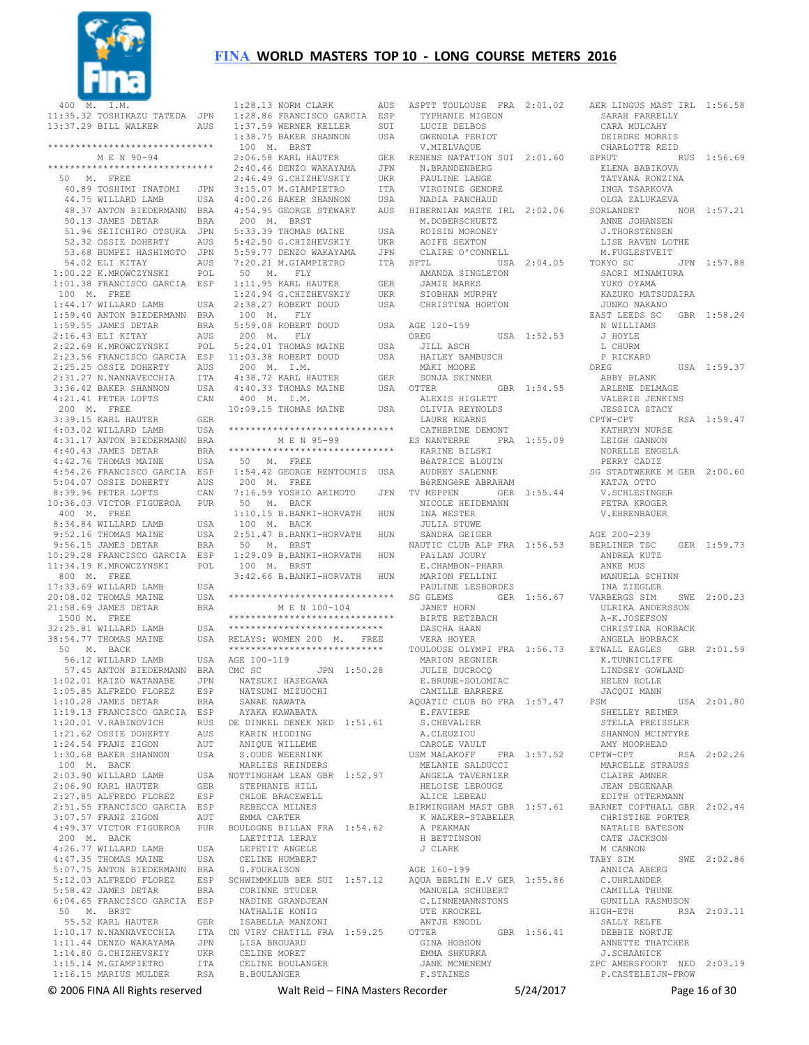

 400 M. I.M. 11:35.32 TOSHIKAZU TATEDA JPN 13:37.29 BILL WALKER AUS \*\*\*\*\*\*\*\*\*\*\*\*\*\*\*\*\*\*\*\*\*\*\*\*\*\*\*\*\*\* M E N 90-94 \*\*\*\*\*\*\*\*\*\*\*\*\*\*\*\*\*\*\*\*\*\*\*\*\*\*\*\*\*\* 50 M. FREE 40.89 TOSHIMI INATOMI JPN 44.75 WILLARD LAMB USA 48.37 ANTON BIEDERMANN BRA 50.13 JAMES DETAR BRA 51.96 SEIICHIRO OTSUKA JPN 52.32 OSSIE DOHERTY AUS 53.68 BUMPEI HASHIMOTO JPN 54.02 ELI KITAY AUS 1:00.22 K.MROWCZYNSKI POL 1:01.38 FRANCISCO GARCIA ESP 100 M. FREE 1:44.17 WILLARD LAMB USA 1:59.40 ANTON BIEDERMANN BRA 1:59.55 JAMES DETAR BRA 2:16.43 ELI KITAY AUS 2:22.69 K.MROWCZYNSKI POL 2:25.25 OSSIE DOHERTY AUS 2:31.27 N.NANNAVECCHIA ITA 3:36.42 BAKER SHANNON USA 4:21.41 PETER LOFTS CAN 200 M. FREE<br>3:39.15 KARL HAUTER 4:31.17 ANTON BIEDERMANN BRA 4:40.43 JAMES DETAR BRA 4:42.76 THOMAS MAINE USA 4:54.26 FRANCISCO GARCIA ESP 5:04.07 OSSIE DOHERTY AUS 8:39.96 PETER LOFTS CAN 10:36.03 VICTOR FIGUEROA PUR 400 M. FREE 8:34.84 WILLARD LAMB USA 9:52.16 THOMAS MAINE USA 9:56.15 JAMES DETAR BRA 10:29.28 FRANCISCO GARCIA ESP 11:34.19 K.MROWCZYNSKI POL 800 M. FREE  $17.33.69$  WILLARD LAMB USA  $20:08.02$  THOMAS MAINE 21:58.69 JAMES DETAR BRA 1500 M. FREE 32:25.81 WILLARD LAMB USA 38:54.77 THOMAS MAINE USA 50 M. BACK 56.12 WILLARD LAMB USA 57.45 ANTON BIEDERMANN BRA 1:02.01 KAIZO WATANABE JPN 1:05.85 ALFREDO FLOREZ ESP 1:10.28 JAMES DETAR BRA 1:19.13 FRANCISCO GARCIA ESP<br>1:20.01 V.RABINOVICH RUS  $1:20.01$  V.RABINOVICH 1:21.62 OSSIE DOHERTY AUS 1:24.54 FRANZ ZIGON AUT 1:30.68 BAKER SHANNON USA 100 M. BACK  $2:03.90$  WILLARD LAMB 2:06.90 KARL HAUTER GER<br>2:27 85 ALEBEDO FLOREZ ESP 2:27.85 ALFREDO FLOREZ 2:51.55 FRANCISCO GARCIA ESP<br>3:07.57 FRANZ ZIGON AUT 3:07.57 FRANZ ZIGON 200 M. BACK 4:26.77 WILLARD LAMB USA 4:47.35 THOMAS MAINE USA 5:07.75 ANTON BIEDERMANN BRA 5:58.42 JAMES DETAR BRA 6:04.65 FRANCISCO GARCIA ESP 50 M. BRST 55.52 KARL HAUTER GER 1:10.17 N.NANNAVECCHIA  $1:11.44$  DENZO WAKAYAMA 1:11.44 Dines ....<br>1:14.80 G.CHIZHEVSKIY UKR<br>1:15.14 M.GIAMPIETRO TTA  $1:15.14$  M. GIAMPIETRO 1:16.15 MARIUS MULDER RSA

 2:23.56 FRANCISCO GARCIA ESP 11:03.38 ROBERT DOUD USA 3:39.15 KARL HAUTER GER 4:03.02 WILLARD LAMB USA \*\*\*\*\*\*\*\*\*\*\*\*\*\*\*\*\*\*\*\*\*\*\*\*\*\*\*\*\*\* 4:49.37 VICTOR FIGUEROA PUR BOULOGNE BILLAN FRA 1:54.62 5:12.03 ALFREDO FLOREZ ESP SCHWIMMKLUB BER SUI 1:57.12 AQUA BERLIN E.V GER 1:55.86  $1:28.13$  NORM CLARK 1:28.86 FRANCISCO GARCIA ESP<br>1:37.59 WERNER KELLER SUI 1:20.00 francesser<br>1:37.59 WERNER KELLER SUI<br>1:38.75 BAKER SHANNON USA  $1:38.75$  BAKER SHANNON 100 M. BRST  $2:06.58$  KARL HAUTER 2:40.46 DENZO WAKAYAMA JPN 2:46.49 G.CHIZHEVSKIY UKR 3:15.07 M.GIAMPIETRO ITA 4:00.26 BAKER SHANNON USA 4:54.95 GEORGE STEWART 200 M. BRST 5:33.39 THOMAS MAINE USA 5:42.50 G.CHIZHEVSKIY UKR  $5.59$  77 DENZO WAKAYAMA  $7:20.21$  M.GIAMPIETRO 50 M. FLY 1:11.95 KARL HAUTER GER<br>1:24.94 G.CHIZHEVSKIY UKR 1:24.94 G.CHIZHEVSKIY UKR 2:38.27 ROBERT DOUD USA 100 M. FLY  $5:59.08$  ROBERT DOUD 200 M. FLY 5:24.01 THOMAS MAINE USA<br>11:03.38 ROBERT DOUD USA 200 M. I.M. 4:38.72 KARL HAUTER GER 4:40.33 THOMAS MAINE USA OTTER 400 M. I.M. 10:09.15 THOMAS MAINE USA M F. N 95-99 \*\*\*\*\*\*\*\*\*\*\*\*\*\*\*\*\*\*\*\*\*\*\*\*\*\*\*\*\*\* 50 M. FREE 1:54.42 GEORGE RENTOUMIS USA 200 M. FREE 7:16.59 YOSHIO AKIMOTO JPN TV MEPPEN GER 1:55.44 50 M. BACK 1:10.15 B.BANKI-HORVATH HUN 100 M. BACK 2:51.47 B.BANKI-HORVATH HUN 50 M. BRST 1:29.09 B.BANKI-HORVATH HUN 100 M. BRST 3:42.66 B.BANKI-HORVATH HUN \*\*\*\*\*\*\*\*\*\*\*\*\*\*\*\*\*\*\*\*\*\*\*\*\*\*\*\*\*\* M E N 100-104 \*\*\*\*\*\*\*\*\*\*\*\*\*\*\*\*\*\*\*\*\*\*\*\*\*\*\*\*\*\* \*\*\*\*\*\*\*\*\*\*\*\*\*\*\*\*\*\*\*\*\*\*\*\*\*\*\*\* RELAYS: WOMEN 200 M. FREE \*\*\*\*\*\*\*\*\*\*\*\*\*\*\*\*\*\*\*\*\*\*\*\*\*\*\*\* AGE 100-119 CMC SC JPN 1:50.28 NATSUKI HASEGAWA NATSUMI MIZUOCHI SANAE NAWATA AYAKA KAWABATA DE DINKEL DENEK NED 1:51.61 KARIN HIDDING ANIQUE WILLEME S. OUDE WEERNINK MARLIES REINDERS USA NOTTINGHAM LEAN GBR 1:52.97 STEPHANIE HILL CHLOE BRACEWELL REBECCA MILNES EMMA CARTER LAETITIA LERAY LEPETIT ANGELE CELINE HUMBERT G.FOURAISON CORINNE STUDER NADINE GRANDJEAN NATHALIE KONIG ISABELLA MANZONI ITA CN VIRY CHATILL FRA 1:59.25 OTTER JPN LISA BROUARD CELINE MORET CELINE BOULANGER CELINE ...<br>B.BOULANGER

ASPTT TOULOUSE FRA 2:01.02 AER LINGUS MAST IRL 1:56.58 TYPHANIE MIGEON LUCIE DELBOS GWENOLA PERIOT V.MIELVAQUE N.BRANDENBERG PAULINE LANGE VIRGINIE GENDRE NADIA PANCHAUD AUS HIBERNIAN MASTE IRL 2:02.06 SORLANDET M.DOBERSCHUETZ ROISIN MORONEY AOIFE SEXTON CLAIRE O'CONNELL AMANDA SINGLETON JAMIE MARKS SIOBHAN MURPHY CHRISTINA HORTON USA AGE 120-159 OREG USA 1:52.53 JILL ASCH HAILEY BAMBUSCH MAKI MOORE SONJA SKINNER OTTER GBR 1:54.55 ALEXIS HIGLETT OLIVIA REYNOLDS LAURE KEARNS CATHERINE DEMONT ES NANTERRE FRA 1:55.09 KARINE BILSKI BéATRICE BLOUIN AUDREY SALENNE BéRENGèRE ABRAHAM NICOLE HEIDEMANN INA WESTER JULIA STUWE SANDRA GEIGER PAïLAN JOURY E.CHAMBON-PHARR MARION FELLINI PAULINE LESBORDES JANET HORN BIRTE RETZBACH DASCHA HAAN VERA HOYER MARION REGNIER JULIE DUCROCQ E.BRUNE-SOLOMIAC CAMILLE BARRERE AQUATIC CLUB BO FRA 1:57.47 PSM E.FAVIERE S.CHEVALIER A.CLEUZIOU CAROLE VAULT MELANIE SALDUCCI ANGELA TAVERNIER HELOISE LEROUGE ALICE LEBEAU K WALKER-STABELER<br>A PEAKMAN H BETTINSON J CLARK AGE 160-199 MANUELA SCHUBERT C. LINNEMANNSTONS UTE KROCKEL ANT.TE KNODL GBR 1:56.41 GINA HOBSON EMMA SHKURKA JANE MCMENEMY F.STAINES

RENENS NATATION SUI 2:01.60 SPRUT RUS 1:56.69 SFTL USA 2:04.05 TOKYO SC JPN 1:57.88 NAUTIC CLUB ALP FRA 1:56.53 BERLINER TSC GER 1:59.73 SG GLEMS GER 1:56.67 VARBERGS SIM SWE 2:00.23 TOULOUSE OLYMPI FRA 1:56.73 ETWALL EAGLES GBR 2:01.59 USM MALAKOFF FRA 1:57.52 CPTW-CPT RSA 2:02.26 BIRMINGHAM MAST GBR 1:57.61 BARNET COPTHALL GBR 2:02.44 SARAH FARRELLY CARA MULCAHY DEIRDRE MORRIS CHARLOTTE REID<br>PRUT RUS 1:56.69 ELENA BABIKOVA TATYANA RONZINA INGA TSARKOVA OLGA ZALUKAEVA NOR 1:57.21 ANNE JOHANSEN J.THORSTENSEN LISE RAVEN LOTHE M.FUGLESTVEIT SAORI MINAMIURA YUKO OYAMA KAZUKO MATSUDAIRA JUNKO NAKANO EAST LEEDS SC GBR 1:58.24 N WILLIAMS J HOYLE L CHURM P RICKARD<br>OREG USA 1:59.37 ABBY BLANK ARLENE DELMAGE VALERIE JENKINS JESSICA STACY<br>CPTW-CPT RSA 1:59.47 KATHRYN NURSE LEIGH GANNON NORELLE ENGELA PERRY CADIZ SG STADTWERKE M GER 2:00.60 KATJA OTTO V.SCHLESINGER PETRA KROGER V.EHRENBAUER AGE 200-239 ANDREA KUTZ ANKE MUS MANUELA SCHINN INA ZIEGLER ULRIKA ANDERSSON A-K.JOSEFSON CHRISTINA HORBACK ANGELA HORBACK K.TUNNICLIFFE LINDSEY GOWLAND HELEN ROLLE JACQUI MANN  $PISA$  2:01.80 SHELLEY REIMER STELLA PREISSLER SHANNON MCINTYRE AMY MOORHEAD MARCELLE STRAUSS CLAIRE AMNER JEAN DEGENAAR EDITH OTTERMANN CHRISTINE PORTER NATALIE BATESON CATE JACKSON M CANNON TABY SIM SWE 2:02.86 ANNICA ABERG C.UHRLANDER CAMILLA THUNE GUNILLA RASMUSON<br>HIGH-ETH RSA RSA 2:03.11 SALLY RELFE DEBBIE NORTJE ANNETTE THATCHER J.SCHAANICK ZPC AMERSFOORT NED 2:03.19 P.CASTELEIJN-FROW

© 2006 FINA All Rights reserved Walt Reid – FINA Masters Recorder 5/24/2017 Page 16 of 30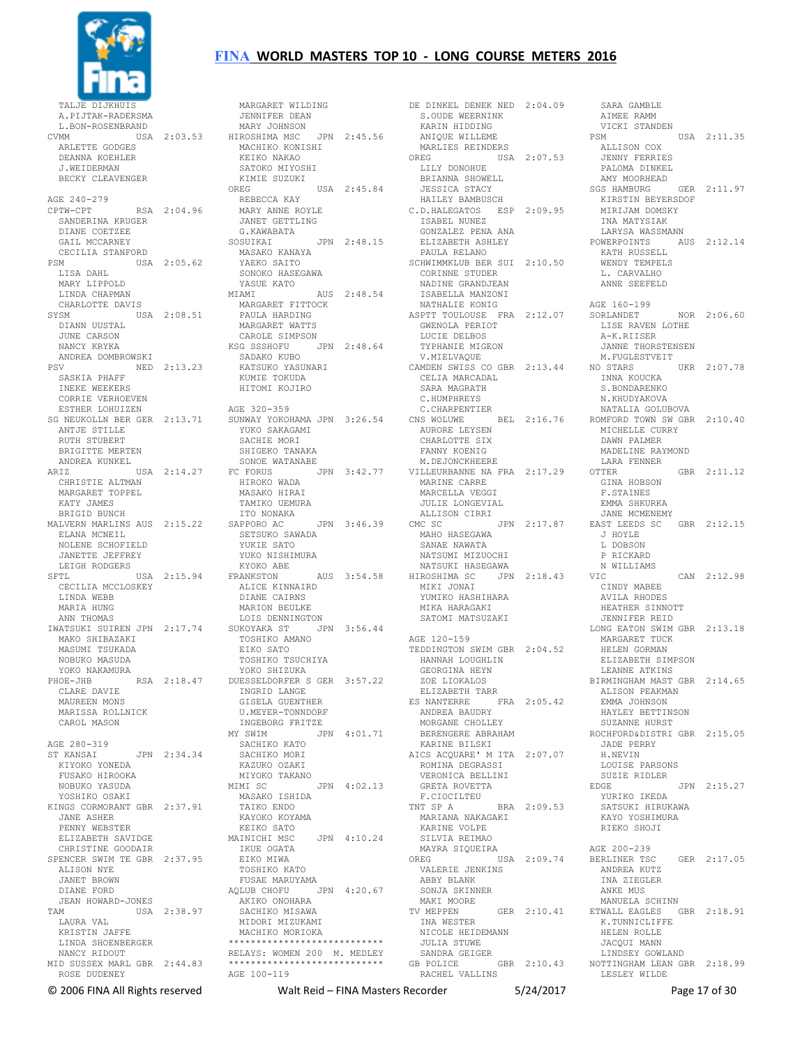

 TALJE DIJKHUIS A.PIJTAK-RADERSMA L.BON-ROSENBRAND ARLETTE GODGES DEANNA KOEHLER J.WEIDERMAN BECKY CLEAVENGER AGE 240-279 CPTW-CPT RSA 2:04.96 SANDERINA KRUGER DIANE COETZEE GAIL MCCARNEY CECILIA STANFORD PSM USA 2:05.62 LISA DAHL MARY LIPPOLD LINDA CHAPMAN CHARLOTTE DAVIS SYSM USA 2:08.51 YSM<br>DIANN UUSTAL JUNE CARSON NANCY KRYKA ANDREA DOMBROWSKI PSV NED 2:13.23 SASKIA PHAFF INEKE WEEKERS CORRIE VERHOEVEN ESTHER LOHUIZEN ANTJE STILLE RUTH STUBERT BRIGITTE MERTEN ANDREA KUNKEL CHRISTIE ALTMAN MARGARET TOPPEL KATY JAMES BRIGID BUNCH MALVERN MARLINS AUS 2:15.22 ELANA MCNETI. NOLENE SCHOFIELD JANETTE JEFFREY LEIGH RODGERS SFTL USA 2:15.94 FRANKSTON CECILIA MCCLOSKEY LINDA WEBB MARIA HUNG ANN THOMAS MAKO SHIBAZAKI MASUMI TSUKADA NOBUKO MASUDA YOKO NAKAMURA CLARE DAVIE MAUREEN MONS MARISSA ROLLNICK CAROL MASON AGE 280-319 ST KANSAI JPN 2:34.34 KIYOKO YONEDA FUSAKO HIROOKA NOBUKO YASUDA YOSHIKO OSAKI KINGS CORMORANT GBR 2:37.91 JANE ASHER PENNY WEBSTER CHRISTINE GOODAIR SPENCER SWIM TE GBR 2:37.95 ALISON NYE JANET BROWN DIANE FORD JEAN HOWARD-JONES TAM USA 2:38.97 LAURA VAL KRISTIN JAFFE LINDA SHOENBERGER NANCY RIDOUT MID SUSSEX MARL GBR 2:44.83 ROSE DUDENEY

# **FINA WORLD MASTERS TOP 10 - LONG COURSE METERS 2016**

CVMM USA 2:03.53 MARY JOHNSON HIROSHIMA MSC JPN 2:45.56 SG NEUKOLLN BER GER 2:13.71 SUNWAY YOKOHAMA JPN 3:26.54 ARIZ USA 2:14.27 FC FORUS JPN 3:42.77 IWATSUKI SUIREN JPN 2:17.74 SUKOYAKA ST JPN 3:56.44 PHOE-JHB RSA 2:18.47 DUESSELDORFER S GER 3:57.22 ELIZABETH SAVIDGE MAINICHI MSC JPN 4:10.24 MARGARET WILDING JENNIFER DEAN MACHIKO KONISHI KEIKO NAKAO SATOKO MIYOSHI KIMIE SUZUKI<br>OREG USA 2:45.84 REBECCA KAY MARY ANNE ROYLE JANET GETTLING G.KAWABATA SOSUIKAI JPN 2:48.15 MASAKO KANAYA YAEKO SAITO SONOKO HASEGAWA YASUE KATO<br>MIAMI AUS 2:48.54 MARGARET FITTOCK PAULA HARDING MARGARET WATTS CAROLE SIMPSON KSG SSSHOFU JPN 2:48.64 SADAKO KUBO KATSUKO YASUNARI KUMIE TOKUDA HITOMI KOJIRO AGE 320-359 YUKO SAKAGAMI SACHIE MORI<br>SHIGEKO TANAKA SONOE WATANABE HIROKO WADA MASAKO HIRAI TAMIKO UEMURA ITO NONAKA SAPPORO AC JPN 3:46.39 SETSUKO SAWADA<br>WWWTD SATO YUKIE SATO YUKO NISHIMURA KYOKO ABE FRANKSTON AUS 3:54.58 NATSUKI HASEGAWA HIROSHIMA SC JPN 2:18.43 ALICE KINNAIRD DIANE CAIRNS MARION BEULKE LOIS DENNINGTON TOSHIKO AMANO EIKO SATO TOSHIKO TSUCHIYA YOKO SHIZUKA INGRID LANGE GISELA GUENTHER<br>U.MEYER-TONNDORF U.MEYER-TONNDORF INGEBORG FRITZE MY SWIM JPN 4:01.71 SACHIKO KATO SACHIKO MORI KAZUKO OZAKI MIYOKO TAKANO MIMI SC JPN 4:02.13 MASAKO ISHIDA TAIKO ENDO KAYOKO KOYAMA KEIKO SATO IKUE OGATA EIKO MIWA TOSHIKO KATO FUSAE MARUYAMA AQLUB CHOFU JPN 4:20.67 AKIKO ONOHARA SACHIKO MISAWA MIDORI MIZUKAMI MACHIKO MORIOKA \*\*\*\*\*\*\*\*\*\*\*\*\*\*\*\*\*\*\*\*\*\*\*\*\*\*\*\* RELAYS: WOMEN 200 M. MEDLEY \*\*\*\*\*\*\*\*\*\*\*\*\*\*\*\*\*\*\*\*\*\*\*\*\*\*\*\* AGE 100-119

DE DINKEL DENEK NED 2:04.09 S.OUDE WEERNINK<br>S.OUDE WEERNINK<br>KADIN ... KARIN HIDDING<br>ANIQUE WILLEME MARLIES REINDERS OREG USA 2:07.53 LILY DONOHUE BRIANNA SHOWELL JESSICA STACY HAILEY BAMBUSCH C.D.HALEGATOS ESP 2:09.95 ISABEL NUNEZ GONZALEZ PENA ANA ELIZABETH ASHLEY PAULA RELANO SCHWIMMKLUB BER SUI 2:10.50 CORINNE STUDER NADINE GRANDJEAN ISABELLA MANZONI NATHALIE KONIG ASPTT TOULOUSE FRA 2:12.07 SORLANDET NOR 2:06.60 GWENOLA PERIOT LUCIE DELBOS TYPHANIE MIGEON V.MIELVAQUE CAMDEN SWISS CO GBR 2:13.44 NO STARS UKR 2:07.78 CELIA MARCADAL SARA MAGRATH C.HUMPHREYS C.CHARPENTIER<br>CNS WOLUWE CNS WOLUWE BEL 2:16.76 ROMFORD TOWN SW GBR 2:10.40 AURORE LEYSEN CHARLOTTE SIX FANNY KOENIG M.DEJONCKHEERE VILLEURBANNE NA FRA 2:17.29 MARINE CARRE MARCELLA VEGGI JULIE LONGEVIAL ALLISON CIRRI<br>CMC SC JPN 2:17.87 MAHO HASEGAWA SANAE NAWATA NATSUMI MIZUOCHI MIKI JONAI YUMIKO HASHIHARA MIKA HARAGAKI SATOMI MATSUZAKI AGE 120-159 TEDDINGTON SWIM GBR 2:04.52 HANNAH LOUGHLIN GEORGINA HEYN ZOE LIOKALOS ELIZABETH TARR ES NANTERRE FRA 2:05.42 ANDREA BAUDRY MORGANE CHOLLEY BERENGERE ABRAHAM KARINE BILSKI AICS ACQUARE' M ITA 2:07.07 ROMINA DEGRASSI VERONICA BELLINI GRETA ROVETTA F.CIOCILTEU TNT SP A BRA 2:09.53 MARIANA NAKAGAKI KARINE VOLPE SILVIA REIMAO MAYRA SIQUEIRA OREG USA 2:09.74 VALERIE JENKINS ABBY BLANK SONJA SKINNER .<br>TV MEPPEN GER 2:10.41 INA WESTER NICOLE HEIDEMANN JULIA STUWE SANDRA GEIGER GB POLICE GBR 2:10.43 RACHEL VALLINS NOTTINGHAM LEAN GBR 2:18.99 LESLEY WILDE

 SARA GAMBLE AIMEE RAMM VICKI STANDEN<br>PSM USA 2:11.35 ALLISON COX JENNY FERRIES PALOMA DINKEL AMY MOORHEAD SGS HAMBURG GER 2:11.97 KIRSTIN BEYERSDOF MIRIJAM DOMSKY INA MATYSIAK LARYSA WASSMANN POWERPOINTS AUS 2:12.14 KATH RUSSELL WENDY TEMPELS L. CARVALHO ANNE SEEFELD AGE 160-199 LISE RAVEN LOTHE A-K.RIISER JANNE THORSTENSEN M.FUGLESTVEIT INNA KOUCKA S.BONDARENKO N.KHUDYAKOVA NATALIA GOLUBOVA MICHELLE CURRY DAWN PALMER MADELINE RAYMOND LARA FENNER  $GRR$  2:11.12 GINA HOBSON F.STAINES EMMA SHKURKA JANE MCMENEMY EAST LEEDS SC GBR 2:12.15 J HOYLE L DOBSON P RICKARD N WILLIAMS  $CAN$  2:12.98 CINDY MABEE AVILA RHODES HEATHER SINNOTT JENNIFER REID LONG EATON SWIM GBR 2:13.18 MARGARET TUCK HELEN GORMAN ELIZABETH SIMPSON LEANNE ATKINS BIRMINGHAM MAST GBR 2:14.65 ALISON PEAKMAN EMMA JOHNSON HAYLEY BETTINSON SUZANNE HURST ROCHFORD&DISTRI GBR 2:15.05 JADE PERRY H.NEVIN LOUISE PARSONS SUZIE RIDLER<br>EDGE JPN 2:15.27 YURIKO IKEDA SATSUKI HIRUKAWA KAYO YOSHIMURA RIEKO SHOJI AGE 200-239 BERLINER TSC GER 2:17.05 ANDREA KUTZ INA ZIEGLER ANKE MUS MANUELA SCHINN ETWALL EAGLES GBR 2:18.91 K.TUNNICLIFFE HELEN ROLLE JACQUI MANN LINDSEY GOWLAND

© 2006 FINA All Rights reserved Walt Reid – FINA Masters Recorder 5/24/2017 Page 17 of 30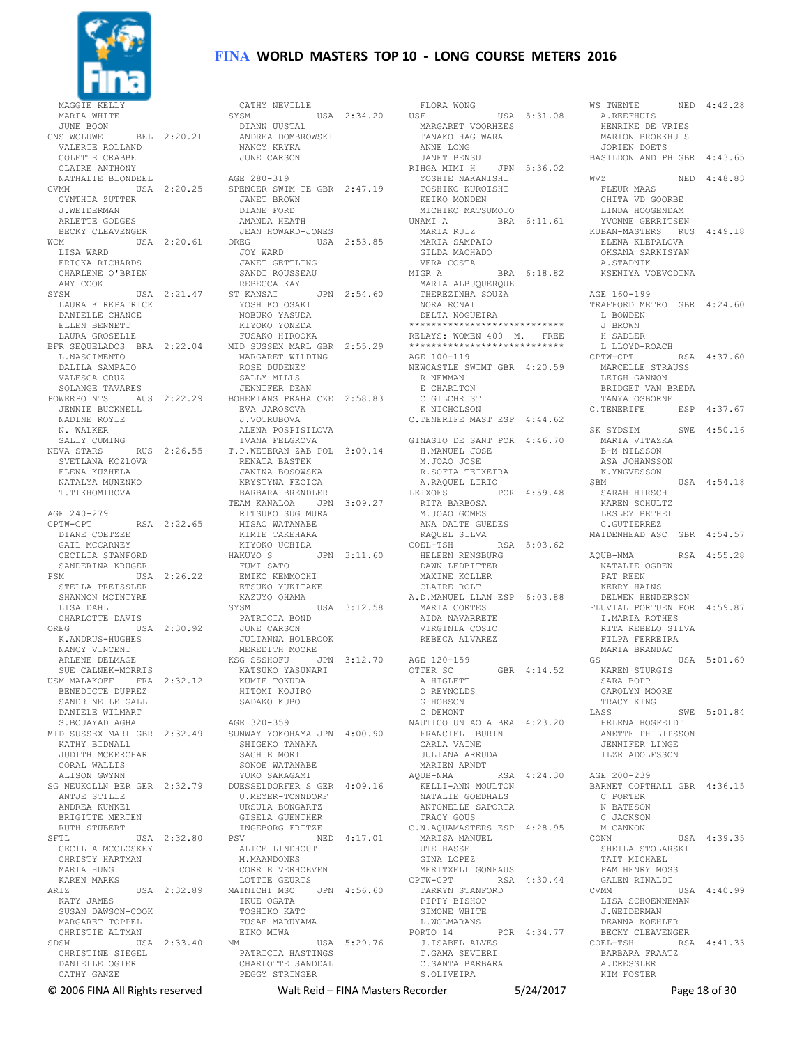

 MARIA WHITE JUNE BOON<br>CNS WOLUWE BEL 2:20.21 VALERIE ROLLAND COLETTE CRABBE CLAIRE ANTHONY NATHALIE BLONDEEL CVMM USA 2:20.25 CYNTHIA ZUTTER J.WEIDERMAN ARLETTE GODGES BECKY CLEAVENGER WCM USA 2:20.61 LISA WARD ERICKA RICHARDS CHARLENE O'BRIEN AMY COOK SYSM USA 2:21.47 LAURA KIRKPATRICK DANIELLE CHANCE ELLEN BENNETT LAURA GROSELLE L.NASCIMENTO DALILA SAMPAIO VALESCA CRUZ SOLANGE TAVARES POWERPOINTS AUS 2:22.29 JENNIE BUCKNELL NADINE ROYLE N. WALKER SALLY CUMING NEVA STARS RUS 2:26.55 SVETLANA KOZLOVA ELENA KUZHELA NATALYA MUNENKO T.TIKHOMIROVA AGE 240-279 CPTW-CPT RSA 2:22.65 DIANE COETZEE GAIL MCCARNEY CECILIA STANFORD SANDERINA KRUGER PSM USA 2:26.22 STELLA PREISSLER SHANNON MCINTYRE LISA DAHL CHARLOTTE DAVIS OREG USA 2:30.92 K.ANDRUS-HUGHES NANCY VINCENT ARLENE DELMAGE SUE CALNEK-MORRIS USM MALAKOFF FRA 2:32.12 BENEDICTE DUPREZ SANDRINE LE GALL. DANIELE WILMART S.BOUAYAD AGHA MID SUSSEX MARL GBR 2:32.49 KATHY BIDNALL JUDITH MCKERCHAR CORAL WALLIS ALISON GWYNN SG NEUKOLLN BER GER 2:32.79 ANTJE STILLE ANDREA KUNKEL BRIGITTE MERTEN RUTH STUBERT SFTL USA 2:32.80 CECILIA MCCLOSKEY CHRISTY HARTMAN MARIA HUNG KAREN MARKS<br>ARIZ USA 2:32.89 KATY JAMES SUSAN DAWSON-COOK MARGARET TOPPEL CHRISTIE ALTMAN SDSM USA 2:33.40 CHRISTINE SIEGEL DANIELLE OGIER CATHY GANZE

BFR SEQUELADOS BRA 2:22.04 MID SUSSEX MARL GBR 2:55.29 CATHY NEVILLE<br>SYSM USA 2:34.20<br>DIANN UUSTAL ANDREA DOMBROWSKI NANCY KRYKA JUNE CARSON AGE 280-319 SPENCER SWIM TE GBR 2:47.19 JANET BROWN DIANE FORD AMANDA HEATH JEAN HOWARD-JONES USA 2:53.85 JOY WARD JANET GETTLING SANDI ROUSSEAU REBECCA KAY ST KANSAI JPN 2:54.60 YOSHIKO OSAKI NOBUKO YASUDA KIYOKO YONEDA FUSAKO HIROOKA MARGARET WILDING ROSE DUDENEY SALLY MILLS JENNIFER DEAN BOHEMIANS PRAHA CZE 2:58.83 EVA JAROSOVA J.VOTRUBOVA ALENA POSPISILOVA IVANA FELGROVA T.P.WETERAN ZAB POL 3:09.14 RENATA BASTEK JANINA BOSOWSKA KRYSTYNA FECICA BARBARA BRENDLER TEAM KANALOA JPN 3:09.27 RITSUKO SUGIMURA MISAO WATANABE KIMIE TAKEHARA KIYOKO UCHIDA<br>HAKUYO S JPN 3:11.60 FUMI SATO EMIKO KEMMOCHI ETSUKO YUKITAKE KAZUYO OHAMA SYSM USA 3:12.58 PATRICIA BOND JUNE CARSON JULIANNA HOLBROOK MEREDITH MOORE<br>KSG SSSHOFU JPN 3:12.70 KSG SSSHOFU JPN 3:12.70 KATSUKO YASUNARI KUMIE TOKUDA HITOMI KOJIRO SADAKO KUBO AGE 320-359 SUNWAY YOKOHAMA JPN 4:00.90 SHIGEKO TANAKA SACHIE MORI SONOE WATANABE YUKO SAKAGAMI DUESSELDORFER S GER 4:09.16 U.MEYER-TONNDORF URSULA BONGARTZ GISELA GUENTHER INGEBORG FRITZE PSV NED 4:17.01 ALICE LINDHOUT M.MAANDONKS CORRIE VERHOEVEN LOTTIE GEURTS MAINICHI MSC JPN 4:56.60 IKUE OGATA TOSHIKO KATO FUSAE MARUYAMA EIKO MIWA MM USA 5:29.76 PATRICIA HASTINGS CHARLOTTE SANDDAL PEGGY STRINGER

 FLORA WONG USA 5:31.08 MARGARET VOORHEES TANAKO HAGIWARA ANNE LONG JANET BENSU<br>RIHGA MIMI H JPN 5:36.02 YOSHIE NAKANISHI TOSHIKO KUROISHI KEIKO MONDEN MICHIKO MATSUMOTO<br>UNAMI A BRA BRA 6:11.61 MARIA RUIZ MARIA SAMPAIO GILDA MACHADO VERA COSTA MIGR A BRA 6:18.82 MARIA ALBUQUERQUE THEREZINHA SOUZA NORA RONAI DELTA NOGUEIRA \*\*\*\*\*\*\*\*\*\*\*\*\*\*\*\*\*\*\*\*\*\*\*\*\*\*\*\* RELAYS: WOMEN 400 M. FREE \*\*\*\*\*\*\*\*\*\*\*\*\*\*\*\*\*\*\*\*\*\*\*\*\*\*\*\* AGE 100-119 NEWCASTLE SWIMT GBR 4:20.59 R NEWMAN E CHARLTON C GILCHRIST K NICHOLSON C.TENERIFE MAST ESP 4:44.62 GINASIO DE SANT POR 4:46.70 H.MANUEL JOSE M.JOAO JOSE R.SOFIA TEIXEIRA A.RAQUEL LIRIO LEIXOES POR 4:59.48 RITA BARBOSA M.JOAO GOMES ANA DALTE GUEDES RAQUEL SILVA<br>OEL-TSH RSA 5:03.62  $COEL-TSH$  HELEEN RENSBURG DAWN LEDBITTER MAXINE KOLLER CLAIRE ROLT A.D.MANUEL LLAN ESP 6:03.88 MARIA CORTES AIDA NAVARRETE VIRGINIA COSIO REBECA ALVAREZ AGE 120-159 OTTER SC GBR 4:14.52 A HIGLETT O REYNOLDS G HOBSON C DEMONT NAUTICO UNIAO A BRA 4:23.20 FRANCIELI BURIN CARLA VAINE<br>JULIANA ARRUDA JULIANA ARRUDA MARIEN ARNDT AQUB-NMA RSA 4:24.30 KELLI-ANN MOULTON NATALIE GOEDHALS ANTONELLE SAPORTA TRACY GOUS C.N.AQUAMASTERS ESP 4:28.95 MARISA MANUEL UTE HASSE GINA LOPEZ MERITXELL GONFAUS<br>CPTW-CPT RSA RSA  $4:30.44$  TARRYN STANFORD PIPPY BISHOP SIMONE WHITE L.WOLMARANS PORTO 14 POR 4:34.77 J.ISABEL ALVES T.GAMA SEVIERI C.SANTA BARBARA S.OLIVEIRA

 A.REEFHUIS HENRIKE DE VRIES MARION BROEKHUIS JORIEN DOETS BASILDON AND PH GBR 4:43.65 WVZ NED 4:48.83 FLEUR MAAS CHITA VD GOORBE LINDA HOOGENDAM YVONNE GERRITSEN KUBAN-MASTERS RUS 4:49.18 ELENA KLEPALOVA OKSANA SARKISYAN A.STADNIK KSENIYA VOEVODINA AGE 160-199 TRAFFORD METRO GBR 4:24.60 L BOWDEN J BROWN H SADLER L LLOYD-ROACH CPTW-CPT RSA 4:37.60 MARCELLE STRAUSS LEIGH GANNON BRIDGET VAN BREDA TANYA OSBORNE C.TENERIFE ESP 4:37.67 SK SYDSTM SWE 4:50.16 MARIA VITAZKA B-M NILSSON ASA JOHANSSON K.YNGVESSON SBM USA 4:54.18 SARAH HIRSCH KAREN SCHULTZ LESLEY BETHEL C.GUTIERREZ MAIDENHEAD ASC GBR 4:54.57 AQUB-NMA RSA 4:55.28 NATALIE OGDEN PAT REEN KERRY HAINS DELWEN HENDERSON FLUVIAL PORTUEN POR 4:59.87 I.MARIA ROTHES RITA REBELO SILVA FILPA FERREIRA MARIA BRANDAO  $GS$  USA  $5 \cdot 01.69$  KAREN STURGIS SARA BOPP CAROLYN MOORE TRACY KING LASS SWE 5:01.84 HELENA HOGFELDT ANETTE PHILIPSSON JENNIFER LINGE ILZE ADOLFSSON AGE 200-239 BARNET COPTHALL GBR 4:36.15 C PORTER N BATESON C JACKSON M CANNON CONN USA 4:39.35 SHEILA STOLARSKI TAIT MICHAEL PAM HENRY MOSS GALEN RINALDI USA 4:40.99 LISA SCHOENNEMAN J.WEIDERMAN DEANNA KOEHLER BECKY CLEAVENGER<br>COEL-TSH RSP RSA 4:41.33 BARBARA FRAATZ A.DRESSLER KIM FOSTER

WS TWENTE NED 4:42.28

© 2006 FINA All Rights reserved Walt Reid – FINA Masters Recorder 5/24/2017 Page 18 of 30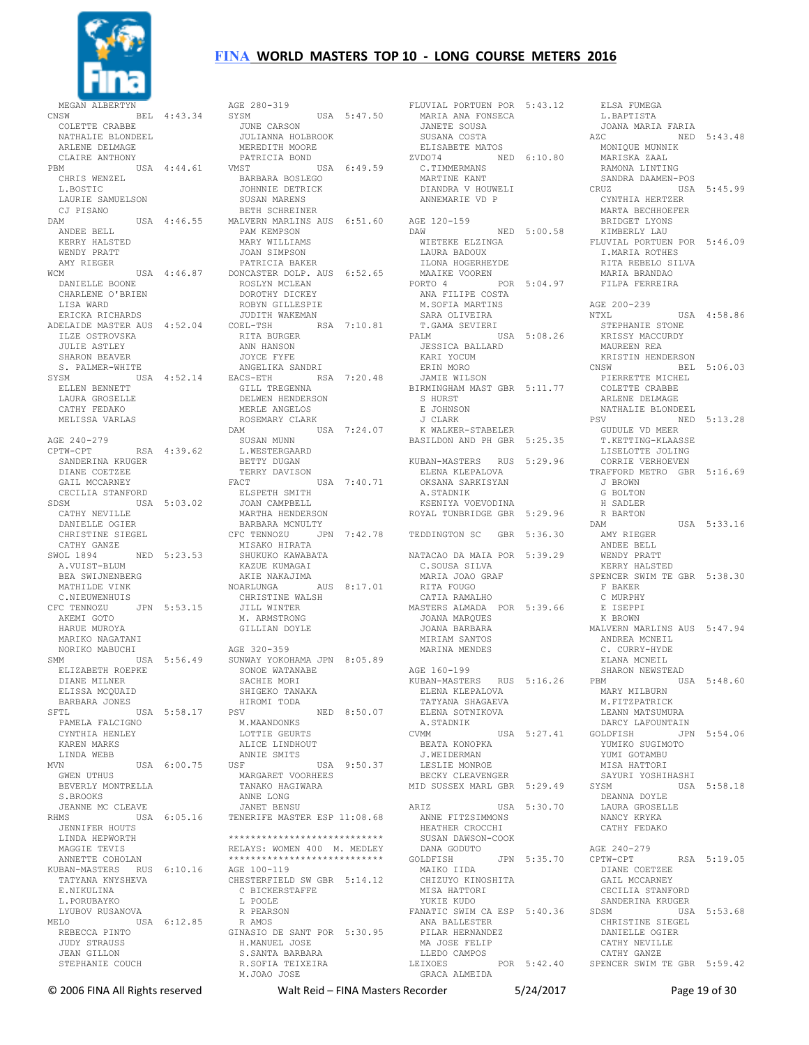

MEGAN ALBERTYN ...<br>BEL 4:43.34 COLETTE CRABBE NATHALIE BLONDEEL ARLENE DELMAGE CLAIRE ANTHONY<br>PRM USA 4:44.61 CHRIS WENZEL L.BOSTIC LAURIE SAMUELSON CJ PISANO ANDEE BELL KERRY HALSTED WENDY PRATT AMY RIEGER WCM USA 4:46.87 DONCASTER DOLP. AUS 6:52.65 DANIELLE BOONE CHARLENE O'BRIEN LISA WARD ERICKA RICHARDS ADELAIDE MASTER AUS 4:52.04 COEL-TSH RSA 7:10.81 ILZE OSTROVSKA JULIE ASTLEY SHARON BEAVER S. PALMER-WHITE SYSM USA 4:52.14 ELLEN BENNETT EACS-ETH RSA 7:20.48 GILL TREGENNA LAURA GROSELLE CATHY FEDAKO MELISSA VARLAS AGE 240-279 CPTW-CPT RSA 4:39.62 SANDERINA KRUGER DIANE COETZEE GAIL MCCARNEY CECILIA STANFORD SDSM USA 5:03.02 CATHY NEVILLE DANIELLE OGIER CHRISTINE SIEGEL CATHY GANZE SWOL 1894 NED 5:23.53 A.VUIST-BLUM BEA SWIJNENBERG MATHILDE VINK C.NIEUWENHUIS CFC TENNOZU JPN 5:53.15 AKEMI GOTO HARUE MUROYA MARIKO NAGATANI NORIKO MABUCHI SMM USA 5:56.49 ELIZABETH ROEPKE DIANE MILNER ELISSA MCOUAID BARBARA JONES SFTL USA 5:58.17 PAMELA FALCIGNO CYNTHIA HENLEY KAREN MARKS LINDA WEBB MVN USA 6:00.75 GWEN UTHUS BEVERLY MONTRELLA S.BROOKS JEANNE MC CLEAVE<br>RHMS USA RHMS USA 6:05.16 TENERIFE MASTER ESP 11:08.68 JENNIFER HOUTS LINDA HEPWORTH MAGGIE TEVIS ANNETTE COHOLAN KUBAN-MASTERS RUS 6:10.16 TATYANA KNYSHEVA E.NIKULINA L. PORUBAYKO LYUBOV RUSANOVA MELO USA 6:12.85 REBECCA PINTO JUDY STRAUSS JEAN GILLON STEPHANIE COUCH

DAM USA 4:46.55 MALVERN MARLINS AUS 6:51.60 AGE 120-159 AGE 280-319<br>SYSM USA 5:47.50 JUNE CARSON JULIANNA HOLBROOK MEREDITH MOORE PATRICIA BOND VMST USA 6:49.59 BARBARA BOSLEGO JOHNNIE DETRICK SUSAN MARENS BETH SCHREINER PAM KEMPSON MARY WILLIAMS JOAN SIMPSON PATRICIA BAKER ROSLYN MCLEAN<br>ROSLYN MCLEAN DOROTHY DICKEY ROBYN GILLESPIE JUDITH WAKEMAN RITA BURGER ANN HANSON JOYCE FYFE ANGELIKA SANDRI DELWEN HENDERSON MERLE ANGELOS ROSEMARY CLARK<br>
DAM USA 7:24.07<br>
SUSAN MUNN<br>
L.WESTERGAARD<br>
BETTY DUGAN TERRY DAVISON FACT USA 7:40.71 ELSPETH SMITH JOAN CAMPBELL MARTHA HENDERSON BARBARA MCNULTY CFC TENNOZU JPN 7:42.78 MISAKO HIRATA SHUKUKO KAWABATA KAZUE KUMAGAI AKIE NAKAJIMA NOARLUNGA AUS 8:17.01 CHRISTINE WALSH JILL WINTER M. ARMSTRONG GILLIAN DOYLE AGE 320-359 SUNWAY YOKOHAMA JPN 8:05.89 SONOE WATANABE SACHIE MORI SHIGEKO TANAKA HIROMI TODA PSV NED 8:50.07 M.MAANDONKS LOTTIE GEURTS ALICE LINDHOUT ANNIE SMITS<br>USF USA 9:50.37 MARGARET VOORHEES TANAKO HAGIWARA ANNE LONG JANET BENSU \*\*\*\*\*\*\*\*\*\*\*\*\*\*\*\*\*\*\*\*\*\*\*\*\*\*\*\* RELAYS: WOMEN 400 M. MEDLEY \*\*\*\*\*\*\*\*\*\*\*\*\*\*\*\*\*\*\*\*\*\*\*\*\*\*\*\* AGE 100-119 CHESTERFIELD SW GBR 5:14.12 C BICKERSTAFFE L POOLE R PEARSON R AMOS GINASIO DE SANT POR 5:30.95 H.MANUEL JOSE H.MANUEL JOSE<br>S.SANTA BARBARA S.SANIA DIRECTION<br>R.SOFIA TEIXEIRA M.JOAO JOSE

FLUVIAL PORTUEN POR 5:43.12 ANA FONSECA<br>MARIA ANA FONSECA<br>TANELE JANETE SOUSA SUSANA COSTA ELISABETE MATOS ZVDO74 NED 6:10.80 C.TIMMERMANS MARTINE KANT DIANDRA V HOUWELI ANNEMARIE VD P DAW NED 5:00.58 KIMBERLY LAU FLUVIAL PORTUEN POR 5:46.09 DAW NED 5:00.58<br>WIETEKE ELZINGA LAURA BADOUX ILONA HOGERHEYDE MAAIKE VOOREN PORTO 4 POR 5:04.97 ANA FILIPE COSTA M.SOFIA MARTINS SARA OLIVEIRA T.GAMA SEVIERI PALM USA 5:08.26 JESSICA BALLARD KARI YOCUM ERIN MORO JAMIE WILSON BIRMINGHAM MAST GBR 5:11.77 S HURST<br>E JOHNSON J CLARK K WALKER-STABELER BASILDON AND PH GBR 5:25.35 KUBAN-MASTERS RUS 5:29.96 ELENA KLEPALOVA OKSANA SARKISYAN A.STADNIK KSENIYA VOEVODINA ROYAL TUNBRIDGE GBR 5:29.96 TEDDINGTON SC GBR 5:36.30 NATACAO DA MAIA POR 5:39.29 C.SOUSA SILVA MARIA JOAO GRAF RITA FOUGO CATIA RAMALHO MASTERS ALMADA POR 5:39.66 JOANA MARQUES JOANA BARBARA MIRIAM SANTOS MARINA MENDES AGE 160-199 KUBAN-MASTERS RUS 5:16.26 ELENA KLEPALOVA TATYANA SHAGAEVA ELENA SOTNIKOVA A.STADNIK CVMM USA 5:27.41 BEATA KONOPKA J.WEIDERMAN LESLIE MONROE BECKY CLEAVENGER MID SUSSEX MARL GBR 5:29.49 ARIZ USA 5:30.70 ANNE FITZSIMMONS HEATHER CROCCHI SUSAN DAWSON-COOK DANA GODUTO GOLDFISH JPN 5:35.70 MAIKO IIDA CHIZUYO KINOSHITA MISA HATTORI YUKIE KUDO FANATIC SWIM CA ESP 5:40.36 ANA BALLESTER<br>ANA BALLESTER<br>ריים PILAR HERNANDEZ MA JOSE FELIP LLEDO CAMPOS<br>LEIXOES LEIXOES POR 5:42.40 SPENCER SWIM TE GBR 5:59.42 GRACA ALMEIDA

 ELSA FUMEGA L.BAPTISTA JOANA MARIA FARIA NED 5:43.48 MONIQUE MUNNIK MARISKA ZAAL RAMONA LINTING SANDRA DAAMEN-POS USA 5:45.99 CYNTHIA HERTZER MARTA BECHHOEFER BRIDGET LYONS I.MARIA ROTHES RITA REBELO SILVA MARIA BRANDAO FILPA FERREIRA AGE 200-239 NTXL USA 4:58.86 STEPHANIE STONE KRISSY MACCURDY MAUREEN REA KRISTIN HENDERSON CNSW BEL 5:06.03 PIERRETTE MICHEL COLETTE CRABBE ARLENE DELMAGE NATHALIE BLONDEEL<br>PSV NED 5:13 28 PSV NED 5:13.28 GUDULE VD MEER T.KETTING-KLAASSE LISELOTTE JOLING CORRIE VERHOEVEN TRAFFORD METRO GBR 5:16.69 J BROWN G BOLTON H SADLER R BARTON DAM USA 5:33.16 AMY RIEGER ANDEE BELL WENDY PRATT KERRY HALSTED SPENCER SWIM TE GBR 5:38.30 F BAKER C MURPHY E ISEPPI K BROWN MALVERN MARLINS AUS 5:47.94 ANDREA MCNEIL C. CURRY-HYDE ELANA MCNETI. SHARON NEWSTEAD  $USA 5:48.60$  MARY MILBURN M. FITZPATRICK LEANN MATSUMURA<br>DARCY LAFOUNTAIN DARCY LAFOUNTAIN GOLDFISH JPN 5:54.06 YUMIKO SUGIMOTO YUMI GOTAMBU MISA HATTORI SAYURI YOSHIHASHI SYSM USA 5:58.18 DEANNA DOYLE LAURA GROSELLE NANCY KRYKA CATHY FEDAKO AGE 240-279<br>CPTW-CPT RSA 5:19.05 DIANE COETZEE GAIL MCCARNEY CECILIA STANFORD SANDERINA KRUGER  $USA 5:53.68$  CHRISTINE SIEGEL DANIELLE OGIER CATHY NEVILLE CATHY GANZE

© 2006 FINA All Rights reserved Walt Reid – FINA Masters Recorder 5/24/2017 Page 19 of 30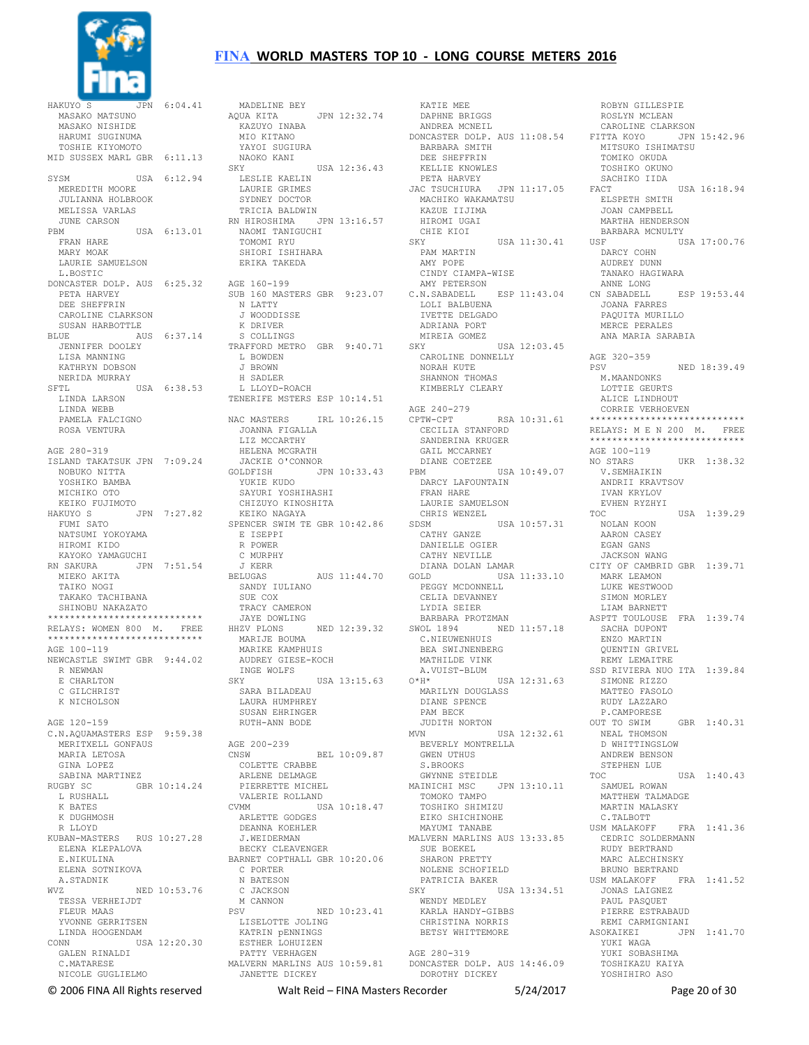

HAKUYO S JPN 6:04.41 MASAKO MATSUNO MASAKO NISHIDE HARUMI SUGINUMA TOSHIE KIYOMOTO  $\begin{tabular}{lllllll} \bf MID \,\, SUSSEX \,\, MARI \,\, GBR & 6:11.13 & \quad NAH \\ \hline \end{tabular}$ SYSM USA 6:12.94 MEREDITH MOORE JULIANNA HOLBROOK MELISSA VARLAS JUNE CARSON PBM USA 6:13.01 FRAN HARE MARY MOAK LAURIE SAMUELSON L. BOSTIC DONCASTER DOLP. AUS 6:25.32 AGE 160-199 PETA HARVEY DEE SHEFFRIN CAROLINE CLARKSON SUSAN HARBOTTLE BLUE AUS 6:37.14 JENNIFER DOOLEY LISA MANNING KATHRYN DOBSON NERIDA MURRAY SFTL USA 6:38.53 LINDA LARSON LINDA WEBB PAMELA FALCIGNO ROSA VENTURA AGE 280-319 ISLAND TAKATSUK JPN 7:09.24 NOBUKO NITTA YOSHIKO BAMBA MICHIKO OTO KEIKO FUJIMOTO HAKUYO S JPN 7:27.82 FUMI SATO NATSUMI YOKOYAMA HIROMI KIDO KAYOKO YAMAGUCHI RN SAKURA JPN 7:51.54 J KERR MIEKO AKITA TAIKO NOGI TAKAKO TACHIBANA SHINOBU NAKAZATO \*\*\*\*\*\*\*\*\*\*\*\*\*\*\*\*\*\*\*\*\*\*\*\* RELAYS: WOMEN 800 M. FREE \*\*\*\*\*\*\*\*\*\*\*\*\*\*\*\*\*\*\*\*\*\*\*\*\*\*\*\* AGE 100-119 NEWCASTLE SWIMT GBR 9:44.02 R NEWMAN E CHARLTON C GILCHRIST K NICHOLSON AGE 120-159 C.N.AQUAMASTERS ESP 9:59.38 MERITXELL GONFAUS MARIA LETOSA GINA LOPEZ SABINA MARTINEZ RUGBY SC GBR 10:14.24 L RUSHALL K BATES K DUGHMOSH R LLOYD KUBAN-MASTERS RUS 10:27.28 ELENA KLEPALOVA E.NIKULINA ELENA SOTNIKOVA A.STADNIK WVZ NED 10:53.76 TESSA VERHEIJDT FLEUR MAAS YVONNE GERRITSEN LINDA HOOGENDAM<br>USA 12:20.30 CONN USA 12:20.30 GALEN RINALDI C.MATARESE NICOLE GUGLIELMO

MADELINE BEY<br>AOUA KITA JPN 12:32.74 KAZUYO INABA MIO KITANO YAYOI SUGIURA NAOKO KANI USA 12:36.43 LESLIE KAELIN LAURIE GRIMES SYDNEY DOCTOR TRICIA BALDWIN RN HIROSHIMA JPN 13:16.57 NAOMI TANIGUCHI TOMOMI RYU SHIORI ISHIHARA ERIKA TAKEDA SUB 160 MASTERS GBR 9:23.07 N LATTY J WOODDISSE K DRIVER<br>S COLLINGS S COLLINGS TRAFFORD METRO GBR 9:40.71 L BOWDEN J BROWN H SADLER L LLOYD-ROACH TENERIFE MSTERS ESP 10:14.51 NAC MASTERS IRL 10:26.15 JOANNA FIGALLA LIZ MCCARTHY HELENA MCGRATH JACKIE O'CONNOR GOLDFISH JPN 10:33.43 YUKIE KUDO SAYURI YOSHIHASHI CHIZUYO KINOSHITA KEIKO NAGAYA SPENCER SWIM TE GBR 10:42.86 E ISEPPI R POWER C MURPHY  $J$  KERR<br>-- $11:44.70$ <br>-- $11:44.70$  SANDY IULIANO SUE COX TRACY CAMERON .<br>JAYE DOWLING<br>HHZV PLONS NED 12:39.32 MARIJE BOUMA MARIKE KAMPHUIS AUDREY GIESE-KOCH INGE WOLFS<br>SKY SKY USA 13:15.63 O\*H\* USA 12:31.63 SARA BILADEAU LAURA HUMPHREY SUSAN EHRINGER RUTH-ANN BODE AGE 200-239  $CNSW$  BEL  $10 \cdot 09.87$ ---<br>COLETTE CRABBE<br>ARLENE DELMAGE ARLENE DELMAGE PIERRETTE MICHEL VALERIE ROLLAND<br>CVMM USI  $USA 10:18.47$  ARLETTE GODGES DEANNA KOEHLER J.WEIDERMAN BECKY CLEAVENGER BARNET COPTHALL GBR 10:20.06 C PORTER N BATESON C JACKSON M CANNON PSV NED 10:23.41 LISELOTTE JOLING KATRIN pENNINGS ESTHER LOHUIZEN PATTY VERHAGEN MALVERN MARLINS AUS 10:59.81 DONCASTER DOLP. AUS 14:46.09 JANETTE DICKEY

 KATIE MEE DAPHNE BRIGGS ANDREA MCNEIL DONCASTER DOLP. AUS 11:08.54 FITTA KOYO JPN 15:42.96 BARBARA SMITH DEE SHEFFRIN<br>KELLIE KNOWLES KELLIE KNOWLES PETA HARVEY JAC TSUCHIURA JPN 11:17.05 MACHIKO WAKAMATSU KAZUE IIJIMA HIROMI UGAI CHIE KIOI<br>SKY  $USA 11:30.41$  PAM MARTIN AMY POPE CINDY CIAMPA-WISE AMY PETERSON C.N.SABADELL ESP 11:43.04 LOLI BALBUENA IVETTE DELGADO ADRIANA PORT MIREIA GOMEZ  $SKY$  USA  $12 \cdot 03$  45 CAROLINE DONNELLY NORAH KUTE SHANNON THOMAS KIMBERLY CLEARY AGE 240-279 CPTW-CPT RSA 10:31.61 CECILIA STANFORD SANDERINA KRUGER GAIL MCCARNEY DIANE COETZEE<br>PBM USA 10:49.07 PBM USA 10:49.07 DARCY LAFOUNTAIN FRAN HARE LAURIE SAMUELSON CHRIS WENZEL SDSM USA 10:57.31 CATHY GANZE DANIELLE OGIER CATHY NEVILLE DIANA DOLAN LAMAR GOLD USA 11:33.10 PEGGY MCDONNELL CELIA DEVANNEY LYDIA SEIER BARBARA PROTZMAN SWOL 1894 NED 11:57.18 C.NIEUWENHUIS BEA SWIJNENBERG MATHILDE VINK A.VUIST-BLUM MARILYN DOUGLASS DIANE SPENCE PAM BECK JUDITH NORTON  $MVN$  USA  $12 \cdot 32.61$  BEVERLY MONTRELLA GWEN UTHUS S.BROOKS GWYNNE STEIDLE MAINICHI MSC JPN 13:10.11 TOMOKO TAMPO TOSHIKO SHIMIZU EIKO SHICHINOHE MAYUMI TANABE MALVERN MARLINS AUS 13:33.85 SUE BOEKEL SHARON PRETTY NOLENE SCHOFIELD PATRICIA BAKER<br>SKY US SKY USA 13:34.51 WENDY MEDLEY KARLA HANDY-GIBBS CHRISTINA NORRIS BETSY WHITTEMORE AGE 280-319 DOROTHY DICKEY

 ROBYN GILLESPIE ROSLYN MCLEAN CAROLINE CLARKSON MITSUKO ISHIMATSU TOMIKO OKUDA TOSHIKO OKUNO SACHIKO IIDA<br>FACT USA 16:18.94 ELSPETH SMITH JOAN CAMPBELL MARTHA HENDERSON BARBARA MCNULTY --<br>USA 17:00.76 DARCY COHN AUDREY DUNN TANAKO HAGIWARA ANNE LONG CN SABADELL ESP 19:53.44 JOANA FARRES PAQUITA MURILLO MERCE PERALES ANA MARIA SARABIA AGE 320-359 PSV NED 18:39.49 M.MAANDONKS LOTTIE GEURTS ALICE LINDHOUT CORRIE VERHOEVEN \*\*\*\*\*\*\*\*\*\*\*\*\*\*\*\*\*\*\*\*\*\*\*\*\*\*\*\* RELAYS: M E N 200 M. FREE \*\*\*\*\*\*\*\*\*\*\*\*\*\*\*\*\*\*\*\*\*\*\*\*\*\*\*\* AGE 100-119 NO STARS UKR 1:38.32 V.SEMHAIKIN ANDRII KRAVTSOV IVAN KRYLOV EVHEN RYZHYI<br>TOC  $TISA$   $1.39.29$  NOLAN KOON AARON CASEY EGAN GANS JACKSON WANG CITY OF CAMBRID GBR 1:39.71 MARK LEAMON LUKE WESTWOOD SIMON MORLEY LIAM BARNETT ASPTT TOULOUSE FRA 1:39.74 SACHA DUPONT ENZO MARTIN QUENTIN GRIVEL REMY LEMAITRE SSD RIVIERA NUO ITA 1:39.84 SIMONE RIZZO MATTEO FASOLO RUDY LAZZARO P.CAMPORESE<br>OUT TO SWIM  $GBR = 1:40.31$  NEAL THOMSON D WHITTINGSLOW ANDREW BENSON STEPHEN LUE<br>TOC TOC USA 1:40.43 SAMUEL ROWAN MATTHEW TALMADGE MARTIN MALASKY C.TALBOTT<br>USM MALAKOFF FRA 1:41.36 CEDRIC SOLDERMANN RUDY BERTRAND MARC ALECHINSKY BRUNO BERTRAND<br>USM MALAKOFF F FRA 1:41.52 JONAS LAIGNEZ PAUL PASQUET PIERRE ESTRABAUD REMI CARMIGNIANI ASOKAIKEI JPN 1:41.70 YUKI WAGA YUKI SOBASHIMA TOSHIKAZU KAIYA YOSHIHIRO ASO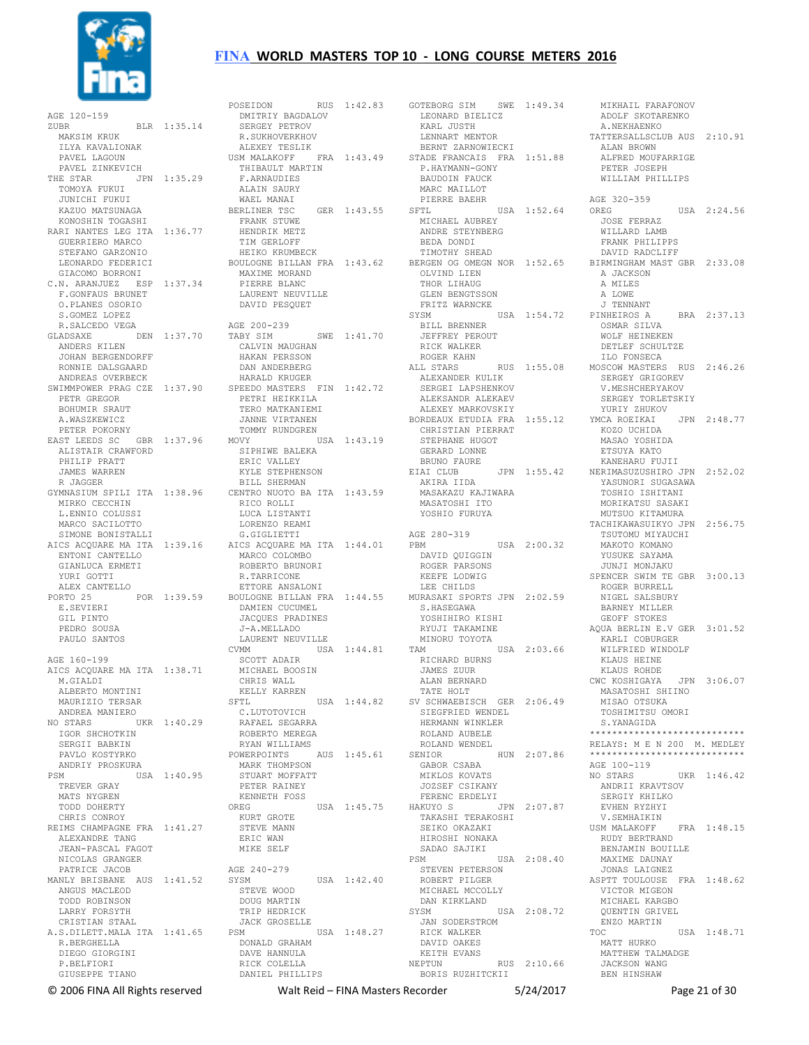

 AGE 120-159 ZUBR BLR 1:35.14 .<br>MAKSIM KRUK ILYA KAVALIONAK PAVEL LAGOUN PAVEL ZINKEVICH THE STAR JPN 1:35.29 TOMOYA FUKUI JUNICHI FUKUI KAZUO MATSUNAGA KONOSHIN TOGASHI RARI NANTES LEG ITA 1:36.77 GUERRIERO MARCO STEFANO GARZONIO LEONARDO FEDERICI GIACOMO BORRONI C.N. ARANJUEZ ESP 1:37.34 F.GONFAUS BRUNET O.PLANES OSORIO S.GOMEZ LOPEZ R.SALCEDO VEGA GLADSAXE DEN 1:37.70 ANDERS KILEN JOHAN BERGENDORFF RONNIE DALSGAARD ANDREAS OVERBECK PETR GREGOR BOHUMIR SRAUT A.WASZKEWICZ PETER POKORNY EAST LEEDS SC GBR 1:37.96 ALISTAIR CRAWFORD PHILIP PRATT JAMES WARREN R JAGGER GYMNASIUM SPILI ITA 1:38.96 MIRKO CECCHIN L.ENNIO COLUSSI MARCO SACILOTTO SIMONE BONISTALLI AICS ACQUARE MA ITA 1:39.16 ENTONI CANTELLO GIANLUCA ERMETI YURI GOTTI ALEX CANTELLO PORTO 25 POR 1:39.59 E.SEVIERI GIL PINTO PEDRO SOUSA PAULO SANTOS AGE 160-199 AICS ACQUARE MA ITA 1:38.71 M. GTALDI ALBERTO MONTINI MAURIZIO TERSAR ANDREA MANIERO NO STARS UKR 1:40.29 IGOR SHCHOTKIN SERGII BABKIN PAVLO KOSTYRKO ANDRIY PROSKURA PSM USA 1:40.95 TREVER GRAY MATS NYGREN TODD DOHERTY CHRIS CONROY REIMS CHAMPAGNE FRA 1:41.27 ALEXANDRE TANG JEAN-PASCAL FAGOT NICOLAS GRANGER PATRICE JACOB MANLY BRISBANE AUS 1:41.52 ANGUS MACLEOD TODD ROBINSON LARRY FORSYTH CRISTIAN STAAL A.S.DILETT.MALA ITA 1:41.65 R.BERGHELLA DIEGO GIORGINI P.BELFIORI GIUSEPPE TIANO

SWIMMPOWER PRAG CZE 1:37.90 SPEEDO MASTERS FIN 1:42.72 POSEIDON RUS 1:42.83 DMITRIY BAGDALOV SERGEY PETROV R.SUKHOVERKHOV ALEXEY TESLIK USM MALAKOFF FRA 1:43.49 THIBAULT MARTIN F.ARNAUDIES ALAIN SAURY WAEL MANAI BERLINER TSC GER 1:43.55 FRANK STUWE HENDRIK METZ TIM GERLOFF HEIKO KRUMBECK BOULOGNE BILLAN FRA 1:43.62 MAXIME MORAND PIERRE BLANC LAURENT NEUVILLE DAVID PESQUET AGE 200-239 TABY SIM SWE 1:41.70 CALVIN MAUGHAN HAKAN PERSSON DAN ANDERBERG HARALD KRUGER PETRI HEIKKILA TERO MATKANIEMI JANNE VIRTANEN TOMMY RUNDGREN MOVY USA 1:43.19 SIPHIWE BALEKA ERIC VALLEY KYLE STEPHENSON BILL SHERMAN CENTRO NUOTO BA ITA 1:43.59 RICO ROLLI LUCA LISTANTI LORENZO REAMI G.GIGLIETTI AICS ACQUARE MA ITA 1:44.01 MARCO COLOMBO ROBERTO BRUNORI R.TARRICONE ETTORE ANSALONI BOULOGNE BILLAN FRA 1:44.55 MURASAKI SPORTS JPN 2:02.59 DAMIEN CUCUMEL JACQUES PRADINES J-A.MELLADO LAURENT NEUVILLE CVMM USA 1:44.81 SCOTT ADAIR MICHAEL BOOSIN CHRIS WALL KELLY KARREN  ${\tt SFTL}$  C.LUTOTOVICH RAFAEL SEGARRA ROBERTO MEREGA RYAN WILLIAMS POWERPOINTS AUS 1:45.61 MARK THOMPSON<br>MARK THOMPSON STUART MOFFATT PETER RAINEY KENNETH FOSS OREG USA 1:45.75 KURT GROTE STEVE MANN ERIC WAN MIKE SELF AGE 240-279 SYSM USA 1:42.40 STEVE WOOD DOUG MARTIN TRIP HEDRICK JACK GROSELLE USA 1:48.27 DONALD GRAHAM DAVE HANNULA RICK COLELLA DANIEL PHILLIPS

GOTEBORG SIM SWE 1:49.34 LEONARD BIELICZ KARL JUSTH LENNART MENTOR BERNT ZARNOWIECKI STADE FRANCAIS FRA 1:51.88 P.HAYMANN-GONY BAUDOIN FAUCK MARC MAILLOT PIERRE BAEHR<br>SFTL  $USA 1:52.64$  MICHAEL AUBREY ANDRE STEYNBERG BEDA DONDI TIMOTHY SHEAD OLVIND LIEN THOR LIHAUG GLEN BENGTSSON FRITZ WARNCKE SYSM USA 1:54.72 BILL BRENNER JEFFREY PEROUT<br>RICK WALKER RICK WALKER ROGER KAHN ALL STARS RUS 1:55.08 ALEXANDER KULIK SERGEI LAPSHENKOV ALEKSANDR ALEKAEV ALEXEY MARKOVSKIY BORDEAUX ETUDIA FRA 1:55.12 CHRISTIAN PIERRAT STEPHANE HUGOT GERARD LONNE BRUNO FAURE<br>EIAI CLUB JPN 1:55.42 AKIRA IIDA MASAKAZU KAJIWARA MASATOSHI ITO YOSHIO FURUYA AGE 280-319 PBM USA 2:00.32 DAVID QUIGGIN ROGER PARSONS KEEFE LODWIG LEE CHILDS S.HASEGAWA YOSHIHIRO KISHI RYUJI TAKAMINE MINORU TOYOTA TAM USA 2:03.66 RICHARD BURNS JAMES ZUUR ALAN BERNARD TATE HOLT SV SCHWAEBISCH GER 2:06.49 SIEGFRIED WENDEL HERMANN WINKLER ROLAND AUBELE ROLAND WENDEL<br>SENIOR HUN 2:07.86 GABOR CSABA MIKLOS KOVATS JOZSEF CSIKANY FERENC ERDELYI HAKUYO S JPN 2:07.87 TAKASHI TERAKOSHI SEIKO OKAZAKI HIROSHI NONAKA SADAO SAJIKI PSM USA 2:08.40 STEVEN PETERSON ROBERT PILGER MICHAEL MCCOLLY DAN KIRKLAND<br>SYSM USA 2:08.72 JAN SODERSTROM RICK WALKER DAVID OAKES KEITH EVANS<br>NEPTUN RUS 2:10.66 BORIS RUZHITCKII

BERGEN OG OMEGN NOR 1:52.65 BIRMINGHAM MAST GBR 2:33.08 MIKHAIL FARAFONOV ADOLF SKOTARENKO A.NEKHAENKO TATTERSALLSCLUB AUS 2:10.91 ALAN BROWN ALFRED MOUFARRIGE PETER JOSEPH WILLIAM PHILLIPS AGE 320-359<br>OREG USA 2:24.56 JOSE FERRAZ WILLARD LAMB FRANK PHILIPPS DAVID RADCLIFF A JACKSON A MILES A LOWE J TENNANT<br>PINHEIROS A BRA 2:37.13 OSMAR SILVA WOLF HEINEKEN DETLEF SCHULTZE ILO FONSECA MOSCOW MASTERS RUS 2:46.26 SERGEY GRIGOREV V.MESHCHERYAKOV SERGEY TORLETSKIY YURIY ZHUKOV<br>MCA ROEIKAI - JPN -2:48-77 YMCA ROEIKAI KOZO UCHIDA MASAO YOSHIDA ETSUYA KATO KANEHARU FUJII NERIMASUZUSHIRO JPN 2:52.02 YASUNORI SUGASAWA TOSHIO ISHITANI MORIKATSU SASAKI MUTSUO KITAMURA TACHIKAWASUIKYO JPN 2:56.75 TSUTOMU MIYAUCHI MAKOTO KOMANO YUSUKE SAYAMA JUNJI MONJAKU SPENCER SWIM TE GBR 3:00.13 ROGER BURRELL NIGEL SALSBURY BARNEY MILLER GEOFF STOKES AQUA BERLIN E.V GER 3:01.52 KARLI COBURGER WILFRIED WINDOLF KLAUS HEINE KLAUS ROHDE CWC KOSHIGAYA JPN 3:06.07 MASATOSHI SHIINO MISAO OTSUKA TOSHIMITSU OMORI S.YANAGIDA \*\*\*\*\*\*\*\*\*\*\*\*\*\*\*\*\*\*\*\*\*\*\*\*\*\*\*\* RELAYS: M E N 200 M. MEDLEY \*\*\*\*\*\*\*\*\*\*\*\*\*\*\*\*\*\*\*\*\*\*\*\*\*\*\*\* AGE 100-119 NO STARS UKR 1:46.42 ANDRII KRAVTSOV SERGIY KHILKO EVHEN RYZHYI V.SEMHAIKIN USM MALAKOFF FRA 1:48.15 RUDY BERTRAND BENJAMIN BOUILLE MAXIME DAUNAY JONAS LAIGNEZ ASPTT TOULOUSE FRA 1:48.62 VICTOR MIGEON MICHAEL KARGBO QUENTIN GRIVEL ENZO MARTIN TOC USA 1:48.71 MATT HURKO MATTHEW TALMADGE JACKSON WANG BEN HINSHAW

© 2006 FINA All Rights reserved Walt Reid – FINA Masters Recorder 5/24/2017 Page 21 of 30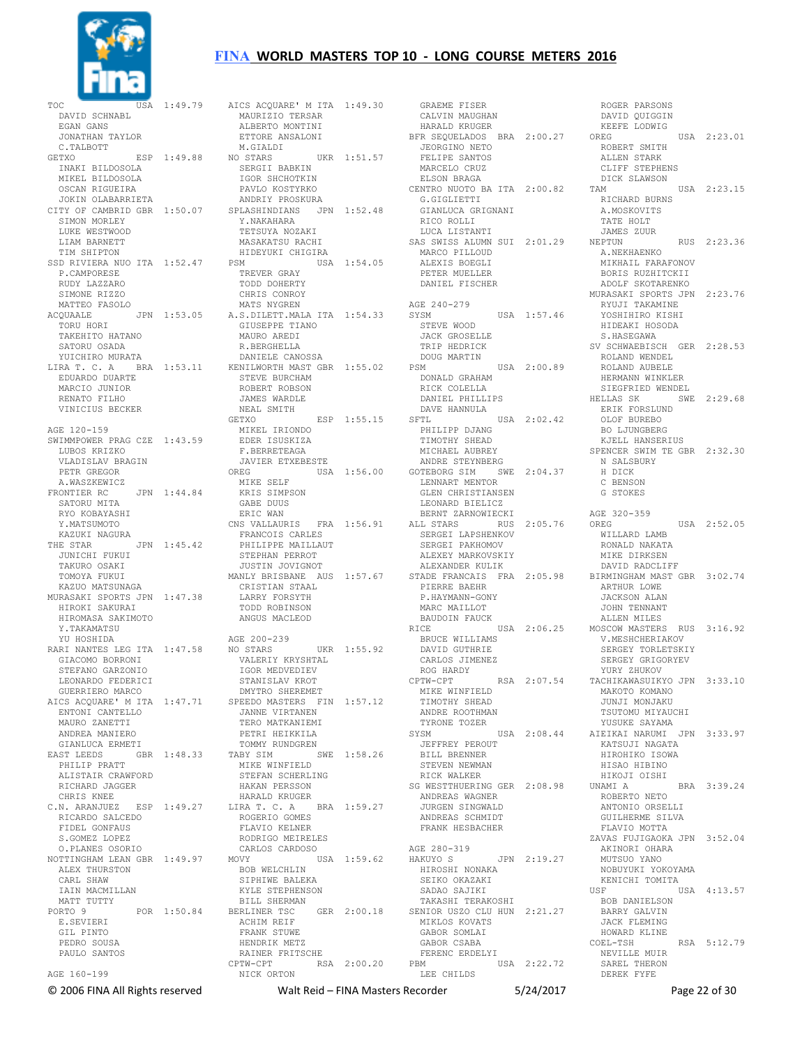

TOC USA 1:49.79 DAVID SCHNABL EGAN GANS JONATHAN TAYLOR C.TALBOTT GETXO ESP 1:49.88 INAKI BILDOSOLA MIKEL BILDOSOLA OSCAN RIGUEIRA JOKIN OLABARRIETA CITY OF CAMBRID GBR 1:50.07 SIMON MORLEY LUKE WESTWOOD LIAM BARNETT TIM SHIPTON SSD RIVIERA NUO ITA 1:52.47 P.CAMPORESE RUDY LAZZARO SIMONE RIZZO MATTEO FASOLO ACQUAALE JPN 1:53.05 TORU HORI TAKEHITO HATANO SATORU OSADA YUICHIRO MURATA LIRA T. C. A BRA 1:53.11 EDUARDO DUARTE MARCIO JUNIOR RENATO FILHO VINICIUS BECKER AGE 120-159 SWIMMPOWER PRAG CZE 1:43.59 LUBOS KRIZKO VLADISLAV BRAGIN PETR GREGOR A.WASZKEWICZ<br>FRONTIER RC JPN 1:44.84 SATORU MITA RYO KOBAYASHI Y.MATSUMOTO KAZUKI NAGURA THE STAR JPN 1:45.42 JUNICHI FUKUI TAKURO OSAKI TOMOYA FUKUI KAZUO MATSUNAGA MURASAKI SPORTS JPN 1:47.38 HIROKI SAKURAI HIROMASA SAKIMOTO Y.TAKAMATSU YU HOSHIDA STEFANO GARZONIO LEONARDO FEDERICI GUERRIERO MARCO ENTONI CANTELLO MAURO ZANETTI ANDREA MANIERO GIANLUCA ERMETI EAST LEEDS GBR 1:48.33 PHILIP PRATT ALISTAIR CRAWFORD RICHARD JAGGER CHRIS KNEE C.N. ARANJUEZ ESP 1:49.27 RICARDO SALCEDO FIDEL GONFAUS S.GOMEZ LOPEZ O.PLANES OSORIO NOTTINGHAM LEAN GBR 1:49.97 ALEX THURSTON CARL SHAW IAIN MACMILLAN MATT TUTTY<br>PORTO 9 POR 1:50.84 E.SEVIERI GIL PINTO PEDRO SOUSA PAULO SANTOS AGE 160-199

RARI NANTES LEG ITA 1:47.58 GIACOMO BORRONI NO STARS UKR 1:55.92 VALERIY KRYSHTAL AICS ACQUARE' M ITA 1:47.71 SPEEDO MASTERS FIN 1:57.12 AICS ACQUARE' M ITA 1:49.30 MAURIZIO TERSAR ALBERTO MONTINI ETTORE ANSALONI M.GIALDI<br>NO STARS UKR  $1:51.57$  SERGII BABKIN IGOR SHCHOTKIN PAVLO KOSTYRKO ANDRIY PROSKURA SPLASHINDIANS JPN 1:52.48 Y.NAKAHARA TETSUYA NOZAKI MASAKATSU RACHI HIDEYUKI CHIGIRA PSM USA 1:54.05 TREVER GRAY TODD DOHERTY CHRIS CONROY MATS NYGREN A.S.DILETT.MALA ITA 1:54.33 GIUSEPPE TIANO MAURO AREDI R.BERGHELLA DANIELE CANOSSA KENILWORTH MAST GBR 1:55.02 STEVE BURCHAM ROBERT ROBSON JAMES WARDLE NEAL SMITH<br>GETXO  $ESP$  1:55.15 MIKEL IRIONDO EDER ISUSKIZA F.BERRETEAGA JAVIER ETXEBESTE<br>OREG USA USA 1:56.00 MIKE SELF KRIS SIMPSON GABE DUUS ERIC WAN CNS VALLAURIS FRA 1:56.91 FRANCOIS CARLES PHILIPPE MAILLAUT STEPHAN PERROT JUSTIN JOVIGNOT MANLY BRISBANE AUS 1:57.67 CRISTIAN STAAL LARRY FORSYTH TODD ROBINSON ANGUS MACLEOD AGE 200-239 IGOR MEDVEDIEV STANISLAV KROT DMYTRO SHEREMET JANNE VIRTANEN TERO MATKANIEMI PETRI HEIKKILA TOMMY RUNDGREN<br>TABY SIM SWE 1:58.26 MIKE WINFIELD STEFAN SCHERLING HAKAN PERSSON HARALD KRUGER LIRA T. C. A BRA 1:59.27 ROGERIO GOMES FLAVIO KELNER RODRIGO MEIRELES CARLOS CARDOSO<br>MOVY U! USA 1:59.62 BOB WELCHLIN SIPHIWE BALEKA KYLE STEPHENSON BILL SHERMAN BERLINER TSC GER 2:00.18 ACHIM REIF FRANK STUWE HENDRIK METZ RAINER FRITSCHE<br>CPTW-CPT RSA RSA 2:00.20 NICK ORTON

 GRAEME FISER CALVIN MAUGHAN HARALD KRUGER BFR SEQUELADOS BRA 2:00.27 JEORGINO NETO FELIPE SANTOS MARCELO CRUZ ELSON BRAGA CENTRO NUOTO BA ITA 2:00.82 G.GIGLIETTI GIANLUCA GRIGNANI RICO ROLLI LUCA LISTANTI SAS SWISS ALUMN SUI 2:01.29 MARCO PILLOUD ALEXIS BOEGLI PETER MUELLER DANIEL FISCHER AGE 240-279 SYSM USA 1:57.46 STEVE WOOD JACK GROSELLE TRIP HEDRICK DOUG MARTIN<br>PSM PSM USA 2:00.89 DONALD GRAHAM RICK COLELLA DANIEL PHILLIPS DAVE HANNULA<br>SETL USA 2:02.42 PHILIPP DJANG TIMOTHY SHEAD MICHAEL AUBREY ANDRE STEYNBERG GOTEBORG SIM SWE 2:04.37 LENNART MENTOR GLEN CHRISTIANSEN LEONARD BIELICZ BERNT ZARNOWIECKI ALL STARS RUS 2:05.76 SERGEI LAPSHENKOV SERGEI PAKHOMOV ALEXEY MARKOVSKIY ALEXANDER KULIK STADE FRANCAIS FRA 2:05.98 PIERRE BAEHR P.HAYMANN-GONY MARC MATILOT BAUDOIN FAUCK<br>RICE USA 2:06.25 BRUCE WILLIAMS DAVID GUTHRIE<br>CARLOS JIMENEZ CARLOS JIMENEZ ROG HARDY CPTW-CPT RSA 2:07.54 MIKE WINFIELD TIMOTHY SHEAD ANDRE ROOTHMAN TYRONE TOZER SYSM USA 2:08.44 JEFFREY PEROUT BILL BRENNER STEVEN NEWMAN RICK WALKER SG WESTTHUERING GER 2:08.98 ANDREAS WAGNER JURGEN SINGWALD ANDREAS SCHMIDT FRANK HESBACHER AGE 280-319<br>HAKUYO S JPN 2:19.27 HIROSHI NONAKA SEIKO OKAZAKI SADAO SAJIKI TAKASHI TERAKOSHI SENIOR USZO CLU HUN 2:21.27 MIKLOS KOVATS GABOR SOMLAI GABOR CSABA FERENC ERDELYI<br>PBM US USA 2:22.72 ---<br>LEE CHILDS

 DAVID QUIGGIN KEEFE LODWIG<br>OREG  $TISA$  2:23.01 ROBERT SMITH ALLEN STARK CLIFF STEPHENS DICK SLAWSON<br>TAM USA 2:23.15 RICHARD BURNS A.MOSKOVITS TATE HOLT JAMES ZUUR<br>NEPTUN RUS 2:23.36 A.NEKHAENKO MIKHAIL FARAFONOV BORIS RUZHITCKII ADOLF SKOTARENKO MURASAKI SPORTS JPN 2:23.76 RYUJI TAKAMINE YOSHIHIRO KISHI HIDEAKI HOSODA S.HASEGAWA SV SCHWAEBISCH GER 2:28.53 ROLAND WENDEL ROLAND AUBELE HERMANN WINKLER SIEGFRIED WENDEL<br>HELLAS SK SWE 2:29.68<br>ERIK FORSLUND<br>OLOF BUREBO BO LJUNGBERG KJELL HANSERIUS SPENCER SWIM TE GBR 2:32.30 N SALSBURY H DICK C BENSON G STOKES AGE 320-359 OREG USA 2:52.05 WILLARD LAMB RONALD NAKATA MIKE DIRKSEN DAVID RADCLIFF BIRMINGHAM MAST GBR 3:02.74 ARTHUR LOWE JACKSON ALAN JOHN TENNANT ALLEN MILES MOSCOW MASTERS RUS 3:16.92 V.MESHCHERIAKOV SERGEY TORLETSKIY SERGEY GRIGORYEV YURY ZHUKOV TACHIKAWASUIKYO JPN 3:33.10 MAKOTO KOMANO JUNJI MONJAKU TSUTOMU MIYAUCHI YUSUKE SAYAMA AIEIKAI NARUMI JPN 3:33.97 KATSUJI NAGATA HIROHIKO ISOWA HISAO HIBINO HIKOJI OISHI<br>UNAMI A BRA 3:39.24 ROBERTO NETO ANTONIO ORSELLI GUILHERME SILVA FLAVIO MOTTA ZAVAS FUJIGAOKA JPN 3:52.04 AKINORI OHARA MUTSUO YANO NOBUYUKI YOKOYAMA KENICHI TOMITA<br>USF USA 4:13.57 BOB DANIELSON BARRY GALVIN JACK FLEMING HOWARD KLINE<br>COEL-TSH RSA 5:12.79 NEVILLE MUIR SAREL THERON DEREK FYFE

ROGER PARSONS

© 2006 FINA All Rights reserved Walt Reid – FINA Masters Recorder 5/24/2017 Page 22 of 30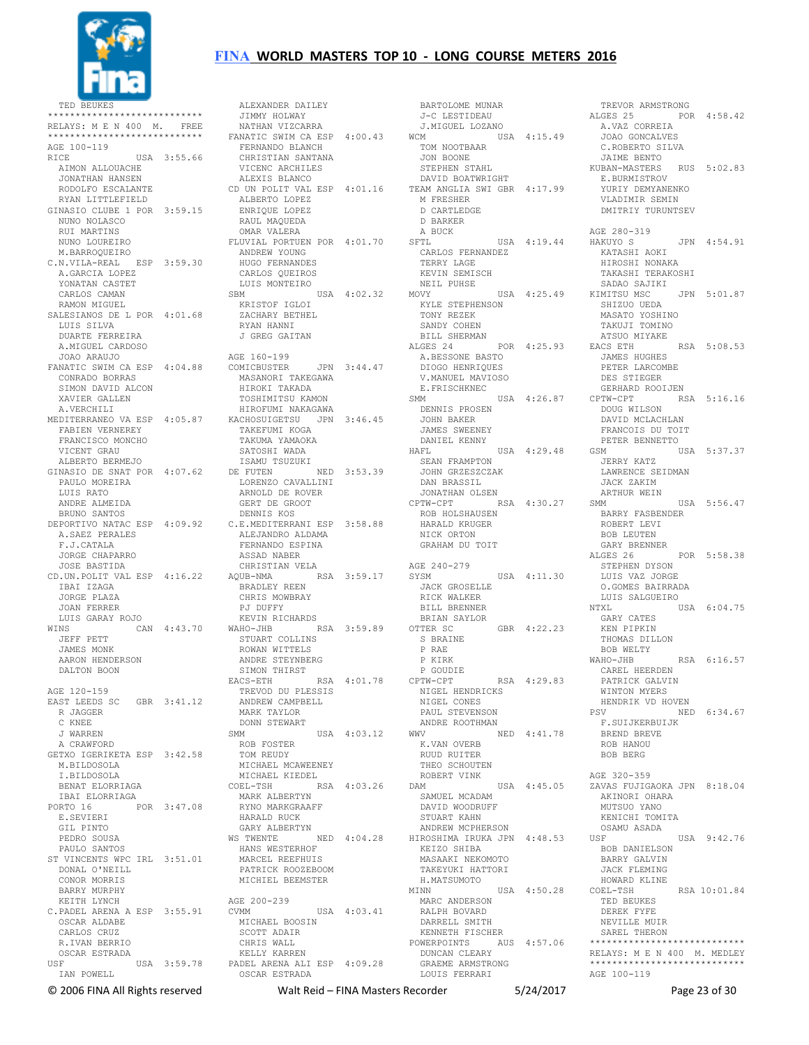

TED BEUKES \*\*\*\*\*\*\*\*\*\*\*\*\*\*\*\*\*\*\*\*\*\*\*\*\*\*\*\* RELAYS: M E N 400 M. FREE<br>\*\*\*\*\*\*\*\*\*\*\*\*\*\*\*\*\*\*\*\*\*\*\*\*\*\*\*\* AGE 100-119 AGE 100-119<br>RICE USA 3:55.66 AIMON ALLOUACHE JONATHAN HANSEN RODOLFO ESCALANTE RYAN LITTLEFIELD GINASIO CLUBE 1 POR 3:59.15 NUNO NOLASCO RUI MARTINS NUNO LOUREIRO M.BARROQUEIRO C.N.VILA-REAL ESP 3:59.30 ANDREW YOUNG HUGO FERNANDES A.GARCIA LOPEZ YONATAN CASTET CARLOS CAMAN RAMON MIGUEL SALESIANOS DE L POR 4:01.68 LUIS SILVA DUARTE FERREIRA A.MIGUEL CARDOSO JOAO ARAUJO FANATIC SWIM CA ESP 4:04.88 CONRADO BORRAS SIMON DAVID ALCON XAVIER GALLEN A.VERCHILI MEDITERRANEO VA ESP 4:05.87 KACHOSUIGETSU JPN 3:46.45 FABIEN VERNEREY FRANCISCO MONCHO VICENT GRAU ALBERTO BERMEJO GINASIO DE SNAT POR 4:07.62 DE FUTEN NED 3:53.39 PAULO MOREIRA LUIS RATO ANDRE ALMEIDA BRUNO SANTOS DEPORTIVO NATAC ESP 4:09.92 C.E.MEDITERRANI ESP 3:58.88 A.SAEZ PERALES F.J.CATALA JORGE CHAPARRO JOSE BASTIDA CD.UN.POLIT VAL ESP 4:16.22 AQUB-NMA RSA 3:59.17 IBAI IZAGA JORGE PLAZA JOAN FERRER LUIS GARAY ROJO<br>WINS CA CAN 4:43.70 JEFF PETT JAMES MONK AARON HENDERSON DALTON BOON AGE 120-159 EAST LEEDS SC GBR 3:41.12 R JAGGER C KNEE J WARREN A CRAWFORD GETXO IGERIKETA ESP 3:42.58 M.BILDOSOLA I.BILDOSOLA BENAT ELORRIAGA IBAI ELORRIAGA PORTO 16 POR 3:47.08 E.SEVIERI GIL PINTO PEDRO SOUSA PAULO SANTOS ST VINCENTS WPC IRL 3:51.01 DONAL O'NEILL CONOR MORRIS BARRY MURPHY KEITH LYNCH C.PADEL ARENA A ESP 3:55.91 OSCAR ALDABE CARLOS CRUZ R.IVAN BERRIO OSCAR ESTRADA USA 3:59.78 IAN POWELL

 ALEXANDER DAILEY JIMMY HOLWAY NATHAN VIZCARRA FANATIC SWIM CA ESP 4:00.43 WCM FERNANDO BLANCH CHRISTIAN SANTANA VICENC ARCHILES ALEXIS BLANCO CD UN POLIT VAL ESP 4:01.16 ALBERTO LOPEZ ENRIQUE LOPEZ RAUL MAQUEDA OMAR VALERA FLUVIAL PORTUEN POR 4:01.70 CARLOS QUEIROS LUIS MONTEIRO<br>SBM USA 4:02.32 SBM USA 4:02.32 KRISTOF IGLOI ZACHARY BETHEL RYAN HANNI J GREG GAITAN AGE 160-199 JPN 3:44.47 MASANORI TAKEGAWA HIROKI TAKADA TOSHIMITSU KAMON HIROFUMI NAKAGAWA TAKEFUMI KOGA TAKUMA YAMAOKA SATOSHI WADA ISAMU TSUZUKI LORENZO CAVALLINI ARNOLD DE ROVER GERT DE GROOT DENNIS KOS ALEJANDRO ALDAMA FERNANDO ESPINA ASSAD NABER CHRISTIAN VELA BRADLEY REEN CHRIS MOWBRAY PJ DUFFY KEVIN RICHARDS WAHO-JHB RSA 3:59.89 STUART COLLINS ROWAN WITTELS ANDRE STEYNBERG SIMON THIRST EACS-ETH RSA 4:01.78 P GOUDIE TREVOD DU PLESSIS<br>TREVOD DU PLESSIS<br>ANDREW CAMPRIII ANDREW CAMPBELL MARK TAYLOR DONN STEWART SMM USA 4:03.12 ROB FOSTER TOM REUDY MICHAEL MCAWEENEY MICHAEL KIEDEL COEL-TSH RSA 4:03.26 MARK ALBERTYN RYNO MARKGRAAFF HARALD RUCK GARY ALBERTYN WS TWENTE NED 4:04.28 HIROSHIMA IRUKA JPN 4:48.53 HANS WESTERHOF MARCEL REEFHUIS PATRICK ROOZEBOOM MICHIEL BEEMSTER AGE 200-239 USA 4:03.41 MICHAEL BOOSIN SCOTT ADAIR CHRIS WALL KELLY KARREN PADEL ARENA ALI ESP 4:09.28 OSCAR ESTRADA

 BARTOLOME MUNAR J-C LESTIDEAU J.MIGUEL LOZANO WCM USA 4:15.49 A.VAZ CORREIA JOAO GONCALVES TOM NOOTBAAR JON BOONE STEPHEN STAHL DAVID BOATWRIGHT TEAM ANGLIA SWI GBR 4:17.99 M FRESHER D CARTLEDGE D BARKER A BUCK SFTL USA 4:19.44 CARLOS FERNANDEZ<br>TERRY LAGE TERRY LAGE KEVIN SEMISCH NEIL PUHSE<br>MOVY MOVY USA 4:25.49 KIMITSU MSC JPN 5:01.87 KYLE STEPHENSON TONY REZEK SANDY COHEN BILL SHERMAN ALGES 24 POR 4:25.93 EACS ETH RSA 5:08.53 A.BESSONE BASTO DIOGO HENRIQUES V.MANUEL MAVIOSO E.FRISCHKNEC SMM USA 4:26.87 DENNIS PROSEN JOHN BAKER JAMES SWEENEY DANIEL KENNY HAFL USA 4:29.48 SEAN FRAMPTON JOHN GRZESZCZAK DAN BRASSIL JONATHAN OLSEN CPTW-CPT RSA 4:30.27 ROB HOLSHAUSEN<br>ROB HOLSHAUSEN<br>HARAAS HARALD KRUGER NICK ORTON GRAHAM DU TOIT AGE 240-279<br>SYSM USA 4:11.30 JACK GROSELLE RICK WALKER BILL BRENNER BRIAN SAYLOR<br>OTTER SC GBR 4:22.23 S BRAINE P RAE P KIRK P KING<br>P GOUDIE<br>
The RSA 4:29.83 NIGEL HENDRICKS NIGEL CONES PAUL STEVENSON ANDRE ROOTHMAN WWV NED 4:41.78 K.VAN OVERB RUUD RUITER THEO SCHOUTEN ROBERT VINK DAM USA 4:45.05 SAMUEL MCADAM DAVID WOODRUFF STUART KAHN ANDREW MCPHERSON KEIZO SHIBA MASAAKI NEKOMOTO TAKEYUKI HATTORI H.MATSUMOTO MINN USA 4:50.28 COEL-TSH MARC ANDERSON RALPH BOVARD DARRELL SMITH KENNETH FISCHER POWERPOINTS AUS 4:57.06 DUNCAN CLEARY GRAEME ARMSTRONG<br>LOUIS FRAGGE LOUIS FERRARI

 TREVOR ARMSTRONG ALGES 25 POR 4:58.42 C.ROBERTO SILVA JAIME BENTO KUBAN-MASTERS RUS 5:02.83 E.BURMISTROV YURIY DEMYANENKO VLADIMIR SEMIN DMITRIY TURUNTSEV AGE 280-319 JPN 4:54.91 KATASHI AOKI HIROSHI NONAKA TAKASHI TERAKOSHI SADAO SAJIKI SHIZUO UEDA MASATO YOSHINO TAKUJI TOMINO ATSUO MIYAKE JAMES HUGHES PETER LARCOMBE DES STIEGER GERHARD ROOIJEN CPTW-CPT RSA 5:16.16 DOUG WILSON DAVID MCLACHLAN FRANCOIS DU TOIT PETER BENNETTO USA 5:37.37 JERRY KATZ LAWRENCE SEIDMAN JACK ZAKIM ARTHUR WEIN USA 5:56.47 BARRY FASBENDER ROBERT LEVI BOB LEUTEN GARY BRENNER ALGES 26 POR 5:58.38 STEPHEN DYSON LUIS VAZ JORGE O.GOMES BAIRRADA LUIS SALGUEIRO<br>NTXL USA 6:04.75 GARY CATES KEN PIPKIN THOMAS DILLON BOB WELTY WAHO-JHB RSA 6:16.57 CAREL HEERDEN PATRICK GALVIN WINTON MYERS HENDRIK VD HOVEN NED 6:34.67 ...<br>F.SUIJKERBUIJK BREND BREVE ROB HANOU BOB BERG AGE 320-359 ZAVAS FUJIGAOKA JPN 8:18.04 AKINORI OHARA MUTSUO YANO KENICHI TOMITA OSAMU ASADA USA 9:42.76 BOB DANIELSON BARRY GALVIN JACK FLEMING HOWARD KLINE RSA 10:01.84 TED BEUKES DEREK FYFE NEVILLE MIITR SAREL THERON \*\*\*\*\*\*\*\*\*\*\*\*\*\*\*\*\*\*\*\*\*\*\*\*\*\*\*\* RELAYS: M E N 400 M. MEDLEY \*\*\*\*\*\*\*\*\*\*\*\*\*\*\*\*\*\*\*\*\*\*\*\*\*\*\*\* AGE 100-119

© 2006 FINA All Rights reserved Walt Reid – FINA Masters Recorder 5/24/2017 Page 23 of 30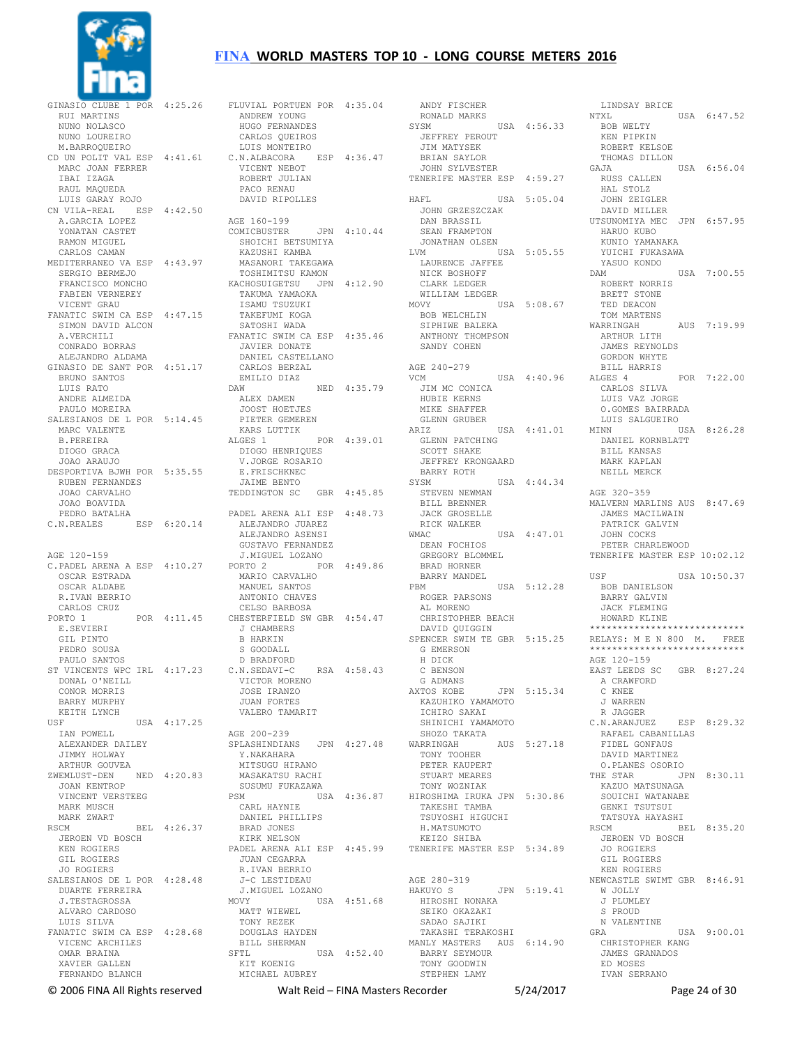

GINASIO CLUBE 1 POR 4:25.26 RUI MARTINS NUNO NOLASCO NUNO LOUREIRO M.BARROQUEIRO CD UN POLIT VAL ESP 4:41.61 MARC JOAN FERRER IBAI IZAGA RAUL MAQUEDA LUIS GARAY ROJO CN VILA-REAL ESP 4:42.50 A.GARCIA LOPEZ YONATAN CASTET RAMON MIGUEL CARLOS CAMAN MEDITERRANEO VA ESP 4:43.97 SERGIO BERMEJO FRANCISCO MONCHO FABIEN VERNEREY VICENT GRAU FANATIC SWIM CA ESP 4:47.15 SIMON DAVID ALCON A.VERCHILI CONRADO BORRAS ALEJANDRO ALDAMA GINASIO DE SANT POR 4:51.17 BRUNO SANTOS LUIS RATO ANDRE ALMEIDA PAULO MOREIRA SALESIANOS DE L POR 5:14.45 MARC VALENTE B.PEREIRA DIOGO GRACA JOAO ARAUJO DESPORTIVA BJWH POR 5:35.55 RUBEN FERNANDES JOAO CARVALHO JOAO BOAVIDA PEDRO BATALHA C.N.REALES ESP 6:20.14 AGE 120-159 C.PADEL ARENA A ESP 4:10.27 OSCAR ESTRADA OSCAR ALDABE R.IVAN BERRIO CARLOS CRUZ PORTO 1 POR 4:11.45 E.SEVIERI GIL PINTO PEDRO SOUSA PAULO SANTOS ST VINCENTS WPC IRL 4:17.23 DONAL O'NEILL CONOR MORRIS BARRY MURPHY KEITH LYNCH<br>USE  $USA = 4:17.25$  IAN POWELL ALEXANDER DAILEY JIMMY HOLWAY ARTHUR GOUVEA ZWEMLUST-DEN NED 4:20.83 JOAN KENTROP VINCENT VERSTEEG MARK MUSCH MARK ZWART RSCM BEL 4:26.37 JEROEN VD BOSCH KEN ROGIERS GIL ROGIERS JO ROGIERS SALESIANOS DE L POR 4:28.48 DUARTE FERREIRA J.TESTAGROSSA ALVARO CARDOSO LUIS SILVA FANATIC SWIM CA ESP 4:28.68 VICENC ARCHILES OMAR BRAINA XAVIER GALLEN FERNANDO BLANCH

FLUVIAL PORTUEN POR 4:35.04 ANDREW YOUNG HUGO FERNANDES CARLOS QUEIROS LUIS MONTEIRO C.N.ALBACORA ESP 4:36.47 VICENT NEBOT ROBERT JULIAN PACO RENAU DAVID RIPOLLES AGE 160-199<br>COMICBUSTER JPN 4:10.44 SHOICHI BETSUMIYA KAZUSHI KAMBA MASANORI TAKEGAWA TOSHIMITSU KAMON KACHOSUIGETSU JPN 4:12.90 TAKUMA YAMAOKA ISAMU TSUZUKI TAKEFUMI KOGA SATOSHI WADA FANATIC SWIM CA ESP 4:35.46 JAVIER DONATE DANIEL CASTELLANO CARLOS BERZAL EMILIO DIAZ<br>naw NED 4:35.79 ALEX DAMEN JOOST HOETJES PIETER GEMEREN KARS LUTTIK ALGES 1 POR 4:39.01 DIOGO HENRIQUES V.JORGE ROSARIO E.FRISCHKNEC JAIME BENTO TEDDINGTON SC GBR 4:45.85 PADEL ARENA ALI ESP 4:48.73 ALEJANDRO JUAREZ ALEJANDRO ASENSI GUSTAVO FERNANDEZ J.MIGUEL LOZANO PORTO 2 POR 4:49.86 MARIO CARVALHO MANUEL SANTOS ANTONIO CHAVES CELSO BARBOSA CHESTERFIELD SW GBR 4:54.47 J CHAMBERS B HARKIN S GOODALL D BRADFORD<br>C.N.SEDAVI-C RSA 4:58.43 VICTOR MORENO JOSE IRANZO JUAN FORTES VALERO TAMARIT AGE 200-239 SPLASHINDIANS JPN 4:27.48 Y.NAKAHARA MITSUGU HIRANO MASAKATSU RACHI SUSUMU FUKAZAWA USA 4:36.87 CARL HAYNIE DANIEL PHILLIPS BRAD JONES KIRK NELSON PADEL ARENA ALI ESP 4:45.99 JUAN CEGARRA R.IVAN BERRIO J-C LESTIDEAU J.MIGUEL LOZANO MOVY USA 4:51.68 MATT WIEWEL TONY REZEK DOUGLAS HAYDEN BILL SHERMAN SFTL USA 4:52.40 KIT KOENIG MICHAEL AUBREY

 ANDY FISCHER RONALD MARKS<br>SYSM USA 4:56.33 JEFFREY PEROUT JIM MATYSEK BRIAN SAYLOR JOHN SYLVESTER TENERIFE MASTER ESP 4:59.27 HAFL USA 5:05.04 JOHN GRZESZCZAK DAN BRASSIL SEAN FRAMPTON JONATHAN OLSEN  $IISA$  5:05.55 LAURENCE JAFFEE NICK BOSHOFF CLARK LEDGER<br>WILLIAM LEDGER WILLIAM LEDGER MOVY USA 5:08.67 BOB WELCHLIN SIPHIWE BALEKA ANTHONY THOMPSON SANDY COHEN AGE 240-279 USA 4:40.96 JIM MC CONICA HUBIE KERNS MIKE SHAFFER GLENN GRUBER<br>ARTZ USA 4:41.01 US<br>GLENN PATCHING<br>COST SCOTT SHAKE<br>JEFFREY KRONGAARD JEFFREY KRONGAARD BARRY ROTH SYSM USA 4:44.34 STEVEN NEWMAN BILL BRENNER<br>JACK GROSELLE JACK GROSELLE RICK WALKER WMAC USA 4:47.01 DEAN FOCHIOS GREGORY BLOMMEL BRAD HORNER BARRY MANDEL<br>PRM  $USA 5:12.28$  ROGER PARSONS AL MORENO CHRISTOPHER BEACH DAVID QUIGGIN SPENCER SWIM TE GBR 5:15.25 G EMERSON H DICK C BENSON G ADMANS AXTOS KOBE JPN 5:15.34 KAZUHIKO YAMAMOTO ICHIRO SAKAI SHINICHI YAMAMOTO<br>SHOZO TAKATA SHOZO TAKATA WARRINGAH AUS 5:27.18 TONY TOOHER PETER KAUPERT STUART MEARES TONY WOZNIAK HIROSHIMA IRUKA JPN 5:30.86 TAKESHI TAMBA TSUYOSHI HIGUCHI H.MATSUMOTO KEIZO SHIBA TENERIFE MASTER ESP 5:34.89 AGE 280-319<br>HAKUYO S JPN 5:19.41 HIROSHI NONAKA SEIKO OKAZAKI SADAO SAJIKI TAKASHI TERAKOSHI MANLY MASTERS AUS 6:14.90 BARRY SEYMOUR TONY GOODWIN STEPHEN LAMY

LINDSAY BRICE<br>NTXL USA 6:47.52 BOB WELTY KEN PIPKIN ROBERT KELSOE THOMAS DILLON<br>GAJA USA 6:56.04 RUSS CALLEN HAL STOLZ JOHN ZEIGLER DAVID MILLER UTSUNOMIYA MEC JPN 6:57.95 HARUO KUBO KUNIO YAMANAKA YUICHI FUKASAWA YASUO KONDO DAM USA 7:00.55 ROBERT NORRIS BRETT STONE TED DEACON TOM MARTENS<br>WARRINGAH AUS 7:19.99 ARTHUR LITH JAMES REYNOLDS GORDON WHYTE BILL HARRIS ALGES 4 POR 7:22.00 CARLOS SILVA LUIS VAZ JORGE O.GOMES BAIRRADA LUIS SALGUEIRO MINN USA 8:26.28 DANIEL KORNBLATT BILL KANSAS MARK KAPLAN NEILL MERCK AGE 320-359 MALVERN MARLINS AUS 8:47.69 JAMES MACILWAIN PATRICK GALVIN JOHN COCKS PETER CHARLEWOOD TENERIFE MASTER ESP 10:02.12 USF USF USA 10:50.37 BOB DANIELSON BARRY GALVIN JACK FLEMING HOWARD KLINE \*\*\*\*\*\*\*\*\*\*\*\*\*\*\*\*\*\*\*\*\*\*\*\*\*\*\*\* RELAYS: M E N 800 M. FREE \*\*\*\*\*\*\*\*\*\*\*\*\*\*\*\*\*\*\*\*\*\*\*\*\*\*\*\* AGE 120-159 EAST LEEDS SC GBR 8:27.24 A CRAWFORD C KNEE J WARREN R JAGGER C.N.ARANJUEZ ESP 8:29.32 RAFAEL CABANILLAS FIDEL GONFAUS DAVID MARTINEZ O.PLANES OSORIO<br>THE STAR  $TPN$   $8 \cdot 30$  11 KAZUO MATSUNAGA SOUICHI WATANABE GENKI TSUTSUI TATSUYA HAYASHI RSCM BEL 8:35.20 JEROEN VD BOSCH JO ROGIERS GIL ROGIERS KEN ROGIERS NEWCASTLE SWIMT GBR 8:46.91 W JOLLY J PLUMLEY S PROUD N VALENTINE GRA USA 9:00.01 CHRISTOPHER KANG JAMES GRANADOS ED MOSES IVAN SERRANO

© 2006 FINA All Rights reserved Walt Reid – FINA Masters Recorder 5/24/2017 Page 24 of 30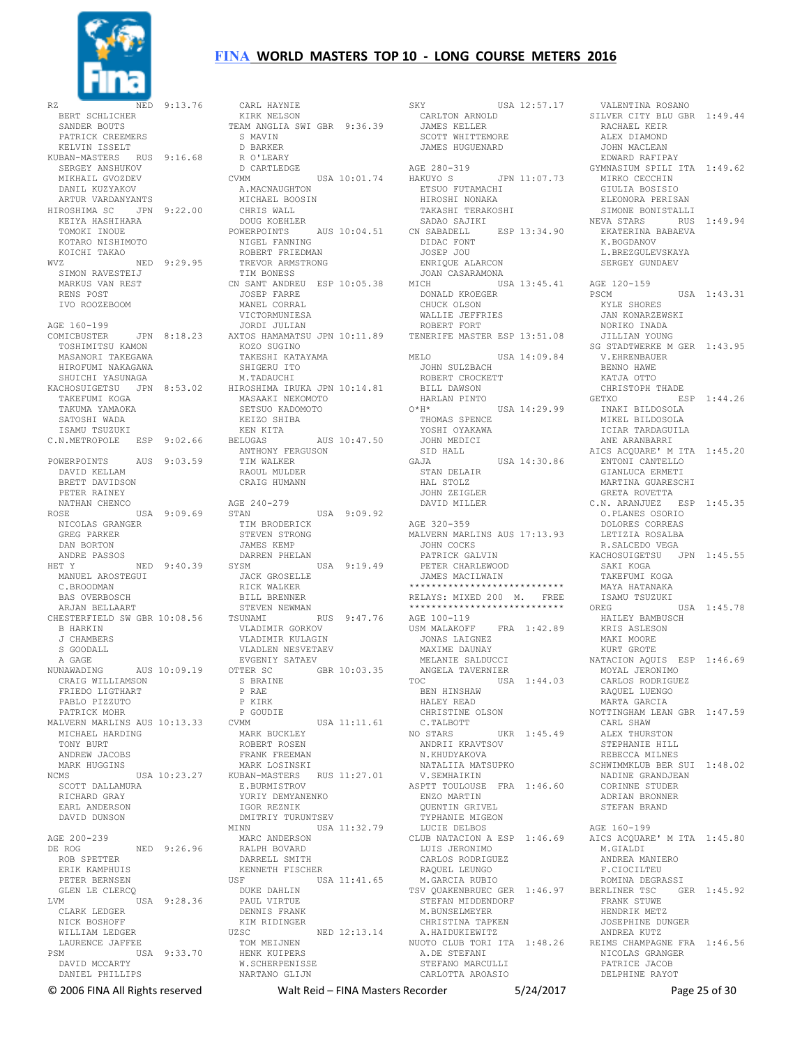

RZ NED 9:13.76 .<br>BERT SCHLICHER SANDER BOUTS PATRICK CREEMERS KELVIN ISSELT KUBAN-MASTERS RUS 9:16.68 SERGEY ANSHUKOV MIKHAIL GVOZDEV DANIL KUZYAKOV ARTUR VARDANYANTS HIROSHIMA SC JPN 9:22.00 KEIYA HASHIHARA TOMOKI INOUE KOTARO NISHIMOTO KOICHI TAKAO WVZ NED 9:29.95 SIMON RAVESTEIJ MARKUS VAN REST RENS POST IVO ROOZEBOOM AGE 160-199 COMICBUSTER JPN 8:18.23 TOSHIMITSU KAMON MASANORI TAKEGAWA HIROFUMI NAKAGAWA SHUICHI YASUNAGA KACHOSUIGETSU JPN 8:53.02 TAKEFUMI KOGA TAKUMA YAMAOKA SATOSHI WADA ISAMU TSUZUKI C.N.METROPOLE ESP 9:02.66 POWERPOINTS AUS 9:03.59 DAVID KELLAM BRETT DAVIDSON PETER RAINEY NATHAN CHENCO ROSE USA 9:09.69 NICOLAS GRANGER GREG PARKER DAN BORTON ANDRE PASSOS HET Y NED 9:40.39 MANUEL AROSTEGUI C.BROODMAN BAS OVERBOSCH ARJAN BELLAART CHESTERFIELD SW GBR 10:08.56 B HARKIN J CHAMBERS S GOODALL A GAGE NUNAWADING AUS 10:09.19 CRAIG WILLIAMSON FRIEDO LIGTHART PABLO PIZZUTO PATRICK MOHR MALVERN MARLINS AUS 10:13.33 MICHAEL HARDING TONY BURT<br>ANDREW JACOBS ANDREW JACOBS MARK HUGGINS NCMS USA 10:23.27 SCOTT DALLAMURA RICHARD GRAY EARL ANDERSON DAVID DUNSON AGE 200-239 DE ROG NED 9:26.96 ROB SPETTER ERIK KAMPHUIS PETER BERNSEN GLEN LE CLERCQ LVM USA 9:28.36 CLARK LEDGER NICK BOSHOFF WILLIAM LEDGER LAURENCE JAFFEE PSM USA 9:33.70 DAVID MCCARTY DANIEL PHILLIPS

 CARL HAYNIE KIRK NELSON TEAM ANGLIA SWI GBR 9:36.39 S MAVIN D BARKER R O'LEARY D CARTLEDGE CVMM USA 10:01.74 A.MACNAUGHTON MICHAEL BOOSIN CHRIS WALL DOUG KOEHLER POWERPOINTS AUS 10:04.51 NIGEL FANNING ROBERT FRIEDMAN TREVOR ARMSTRONG TIM BONESS CN SANT ANDREU ESP 10:05.38 JOSEP FARRE MANEL CORRAL VICTORMUNIESA JORDI JULIAN AXTOS HAMAMATSU JPN 10:11.89 KOZO SUGINO TAKESHI KATAYAMA SHIGERU ITO M.TADAUCHI HIROSHIMA IRUKA JPN 10:14.81 MASAAKI NEKOMOTO SETSUO KADOMOTO KEIZO SHIBA KEN KITA<br>BELUGAS BELUGAS AUS 10:47.50 ANTHONY FERGUSON TIM WALKER RAOUL MULDER CRAIG HUMANN AGE 240-279<br>STAN USA 9:09.92 TIM BRODERICK STEVEN STRONG JAMES KEMP DARREN PHELAN SYSM USA 9:19.49 JACK GROSELLE RICK WALKER BILL BRENNER STEVEN NEWMAN TSUNAMI RUS 9:47.76 VLADIMIR GORKOV VLADIMIR KULAGIN VLADLEN NESVETAEV EVGENIY SATAEV OTTER SC GBR 10:03.35 S BRAINE P RAE P KIRK P GOUDIE<br>CVMM CVMM USA 11:11.61 MARK BUCKLEY ROBERT ROSEN FRANK FREEMAN MARK LOSINSKI KUBAN-MASTERS RUS 11:27.01 E.BURMISTROV YURIY DEMYANENKO IGOR REZNIK DMITRIY TURUNTSEV MINN USA 11:32.79 MARC ANDERSON RALPH BOVARD DARRELL SMITH KENNETH FISCHER<br>USE USA 11:41.65 DUKE DAHLIN PAUL VIRTUE DENNIS FRANK KIM RIDINGER UZSC NED 12:13.14 TOM MEIJNEN HENK KUIPERS W.SCHERPENISSE NARTANO GLIJN

SKY USA 12:57.17 CARLTON ARNOLD JAMES KELLER SCOTT WHITTEMORE JAMES HUGUENARD AGE 280-319<br>HAKUYO S JPN 11:07.73 ETSUO FUTAMACHI HIROSHI NONAKA TAKASHI TERAKOSHI SADAO SAJIKI CN SABADELL ESP 13:34.90 DIDAC FONT JOSEP JOU ENRIQUE ALARCON JOAN CASARAMONA MICH USA 13:45.41 AGE 120-159 DONALD KROEGER CHUCK OLSON WALLIE JEFFRIES ROBERT FORT TENERIFE MASTER ESP 13:51.08 MELO USA 14:09.84 JOHN SULZBACH ROBERT CROCKETT BILL DAWSON HARLAN PINTO<br>O\*H\* USA 14:29.99 THOMAS SPENCE YOSHI OYAKAWA JOHN MEDICI SID HALL<br>GAJA GAJA USA 14:30.86 STAN DELAIR HAL STOLZ JOHN ZEIGLER DAVID MILLER AGE 320-359 MALVERN MARLINS AUS 17:13.93 JOHN COCKS PATRICK GALVIN PETER CHARLEWOOD JAMES MACILWAIN \*\*\*\*\*\*\*\*\*\*\*\*\*\*\*\*\*\*\*\*\*\*\*\*\*\*\*\* RELAYS: MIXED 200 M. FREE \*\*\*\*\*\*\*\*\*\*\*\*\*\*\*\*\*\*\*\*\*\*\*\*\*\*\*\* AGE 100-119<br>USM MALAKOEE  $FRA$  1:42.89 JONAS LAIGNEZ MAXIME DAUNAY MELANIE SALDUCCI ANGELA TAVERNIER<br>TOC USA USA 1:44.03 BEN HINSHAW HALEY READ CHRISTINE OLSON C.TALBOTT NO STARS UKR 1:45.49 ANDRII KRAVTSOV N.KHUDYAKOVA NATALIIA MATSUPKO V.SEMHAIKIN ASPTT TOULOUSE FRA 1:46.60 ENZO MARTIN QUENTIN GRIVEL TYPHANIE MIGEON LUCIE DELBOS CLUB NATACION A ESP 1:46.69 LUIS JERONIMO CARLOS RODRIGUEZ RAQUEL LEUNGO M.GARCIA RUBIO TSV QUAKENBRUEC GER 1:46.97 STEFAN MIDDENDORF M.BUNSELMEYER CHRISTINA TAPKEN A.HAIDUKIEWITZ NUOTO CLUB TORI ITA 1:48.26 REIMS CHAMPAGNE FRA 1:46.56 A.DE STEFANI STEFANO MARCULLI CARLOTTA AROASIO

 VALENTINA ROSANO SILVER CITY BLU GBR 1:49.44 RACHAEL KEIR ALEX DIAMOND JOHN MACLEAN EDWARD RAFIPAY GYMNASIUM SPILI ITA 1:49.62 MIRKO CECCHIN GIULIA BOSISIO ELEONORA PERISAN SIMONE BONISTALLI NEVA STARS RUS 1:49.94 EKATERINA BABAEVA K.BOGDANOV L. BREZGULEVSKAYA SERGEY GUNDAEV PSCM USA 1:43.31 KYLE SHORES JAN KONARZEWSKI NORIKO INADA JILLIAN YOUNG SG STADTWERKE M GER 1:43.95 V.EHRENBAUER BENNO HAWE KATJA OTTO CHRISTOPH THADE GETXO ESP 1:44.26 INAKI BILDOSOLA MIKEL BILDOSOLA ICIAR TARDAGUILA ANE ARANBARRI AICS ACQUARE' M ITA 1:45.20 ENTONI CANTELLO GIANLUCA ERMETI MARTINA GUARESCHI GRETA ROVETTA C.N. ARANJUEZ ESP 1:45.35 O.PLANES OSORIO DOLORES CORREAS LETIZIA ROSALBA R.SALCEDO VEGA KACHOSUIGETSU JPN 1:45.55 SAKI KOGA TAKEFUMI KOGA MAYA HATANAKA ISAMU TSUZUKI<br>OREG  $TISA$   $1:45.78$  HAILEY BAMBUSCH KRIS ASLESON MAKI MOORE KURT GROTE NATACION AQUIS ESP 1:46.69 MOYAL JERONIMO CARLOS RODRIGUEZ RAQUEL LUENGO MARTA GARCIA NOTTINGHAM LEAN GBR 1:47.59 CARL SHAW ALEX THURSTON STEPHANIE HILL REBECCA MILNES SCHWIMMKLUB BER SUI 1:48.02 NADINE GRANDJEAN CORINNE STUDER ADRIAN BRONNER STEFAN BRAND AGE 160-199 AICS ACQUARE' M ITA 1:45.80 M.GIALDI ANDREA MANIERO F.CIOCILTEU ROMINA DEGRASSI BERLINER TSC GER 1:45.92 FRANK STUWE HENDRIK METZ JOSEPHINE DUNGER ANDREA KUTZ NICOLAS GRANGER PATRICE JACOB DELPHINE RAYOT

© 2006 FINA All Rights reserved Walt Reid – FINA Masters Recorder 5/24/2017 Page 25 of 30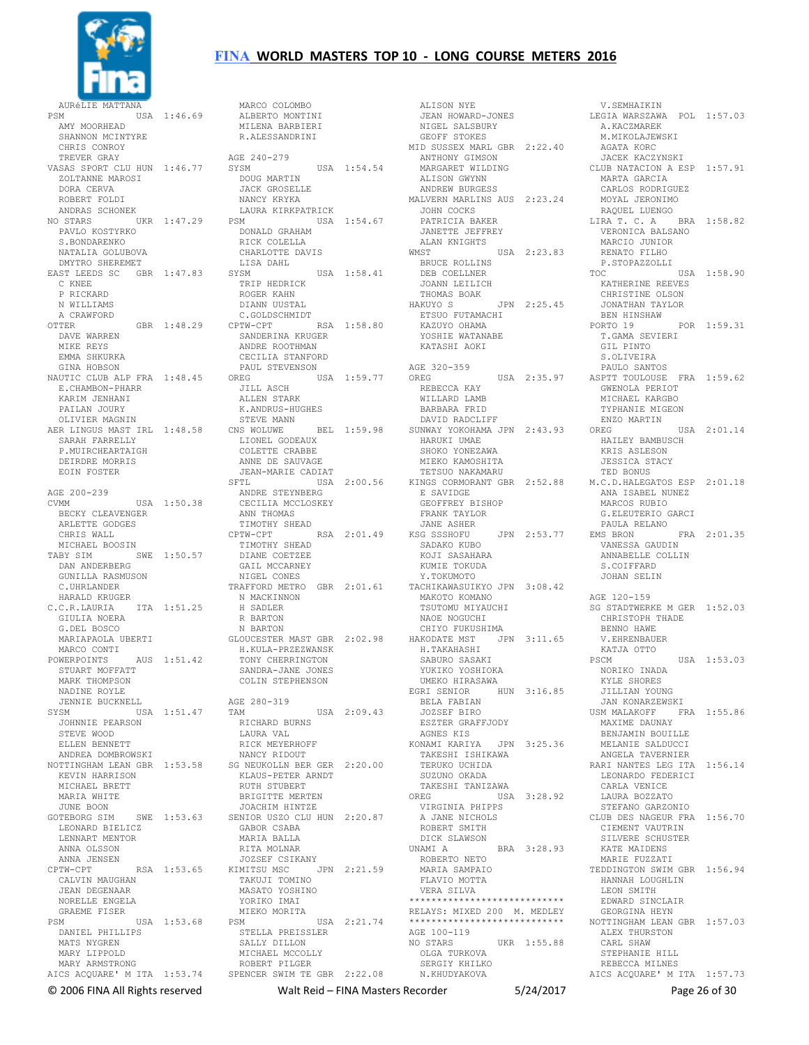

#### AURÉLIE MATTANA USA 1:46.69 AMY MOORHEAD SHANNON MCINTYRE CHRIS CONROY TREVER GRAY VASAS SPORT CLU HUN 1:46.77 ZOLTANNE MAROSI DORA CERVA ROBERT FOLDI ANDRAS SCHONEK NO STARS UKR 1:47.29 PAVLO KOSTYRKO S.BONDARENKO NATALIA GOLUBOVA DMYTRO SHEREMET EAST LEEDS SC GBR 1:47.83 C KNEE P RICKARD N WILLIAMS A CRAWFORD OTTER GBR 1:48.29 DAVE WARREN MIKE REYS EMMA SHKURKA GINA HOBSON NAUTIC CLUB ALP FRA 1:48.45 E.CHAMBON-PHARR KARIM JENHANI PATLAN JOURY OLIVIER MAGNIN AER LINGUS MAST IRL 1:48.58 SARAH FARRELLY P.MUIRCHEARTAIGH DEIRDRE MORRIS EOIN FOSTER AGE 200-239 CVMM USA 1:50.38 BECKY CLEAVENGER ARLETTE GODGES CHRIS WALL MICHAEL BOOSIN TABY SIM SWE 1:50.57 DAN ANDERBERG GUNILLA RASMUSON C.UHRLANDER HARALD KRUGER C.C.R.LAURIA ITA 1:51.25 GIULIA NOERA G.DEL BOSCO MARIAPAOLA UBERTI GLOUCESTER MAST GBR 2:02.98 MARCO CONTI POWERPOINTS AUS 1:51.42 H.KULA-PRZEZWANSK TONY CHERRINGTON STUART MOFFATT MARK THOMPSON NADINE ROYLE JENNIE BUCKNELL SYSM USA 1:51.47 1511<br>JOHNNIE PEARSON STEVE WOOD ELLEN BENNETT ANDREA DOMBROWSKI NOTTINGHAM LEAN GBR 1:53.58 SG NEUKOLLN BER GER 2:20.00 KEVIN HARRISON MICHAEL BRETT MARIA WHITE JUNE BOON<br>GOTEBORG SIM GOTEBORG SIM SWE 1:53.63 LEONARD BIELICZ LENNART MENTOR ANNA OLSSON ANNA JENSEN<br>CPTW-CPT CPTW-CPT RSA 1:53.65 KIMITSU MSC JPN 2:21.59 TAKUJI TOMINO MASATO YOSHINO CALVIN MAUGHAN JEAN DEGENAAR NORELLE ENGELA GRAEME FISER PSM USA 1:53.68 DANIEL PHILLIPS MATS NYGREN MARY LIPPOLD MARY ARMSTRONG AICS ACQUARE' M ITA 1:53.74 SPENCER SWIM TE GBR 2:22.08

# **FINA WORLD MASTERS TOP 10 - LONG COURSE METERS 2016**

 ALBERTO MONTINI MILENA BARBIERI R.ALESSANDRINI AGE 240-279 SYSM USA 1:54.54 DOUG MARTIN JACK GROSELLE NANCY KRYKA LAURA KIRKPATRICK<br>PSM USA USA 1:54.67 DONALD GRAHAM RICK COLELLA CHARLOTTE DAVIS LISA DAHL<br>SYSM  $IISA$  1:58.41 TRIP HEDRICK ROGER KAHN DIANN UUSTAL C.GOLDSCHMIDT CPTW-CPT RSA 1:58.80 SANDERINA KRUGER ANDRE ROOTHMAN CECILIA STANFORD PAUL STEVENSON<br>OREG US USA 1:59.77 OREG JILL ASCH ALLEN STARK K.ANDRUS-HUGHES STEVE MANN CNS WOLUWE BEL 1:59.98 SUNWAY YOKOHAMA JPN 2:43.93 LIONEL GODEAUX COLETTE CRABBE ANNE DE SAUVAGE JEAN-MARIE CADIAT SFTL USA 2:00.56<br>ANDRE STEYNBERG ANDRE STEYNBERG CECILIA MCCLOSKEY ANN THOMAS TIMOTHY SHEAD CPTW-CPT RSA 2:01.49 TIMOTHY SHEAD DIANE COETZEE GAIL MCCARNEY NIGEL CONES TRAFFORD METRO GBR 2:01.61 TACHIKAWASUIKYO JPN 3:08.42 N MACKINNON H SADLER R BARTON N BARTON SANDRA-JANE JONES COLIN STEPHENSON AGE 280-319  $USA 2:09.43$  RICHARD BURNS LAURA VAL RICK MEYERHOFF NANCY RIDOUT KLAUS-PETER ARNDT RUTH STUBERT BRIGITTE MERTEN JOACHIM HINTZE SENIOR USZO CLU HUN 2:20.87 GABOR CSABA MARIA BALLA RITA MOLNAR JOZSEF CSIKANY YORIKO IMAI MIEKO MORITA PSM USA 2:21.74 STELLA PREISSLER SALLY DILLON MICHAEL MCCOLLY ROBERT PILGER

MARCO COLOMBO

 ALISON NYE JEAN HOWARD-JONES NIGEL SALSBURY GEOFF STOKES MID SUSSEX MARL GBR 2:22.40 AGATA KORC ANTHONY GIMSON MARGARET WILDING<br>ALISON GWYNN ALISON GWYNN ANDREW BURGESS MALVERN MARLINS AUS 2:23.24 MOYAL JERONIMO JOHN COCKS PATRICIA BAKER JANETTE JEFFREY ALAN KNIGHTS<br>WMST WMST USA 2:23.83 BRUCE ROLLINS DEB COELLNER JOANN LEILICH THOMAS BOAK HAKUYO S JPN 2:25.45 ETSUO FUTAMACHI KAZUYO OHAMA YOSHIE WATANABE KATASHI AOKI AGE 320-359 OREG USA 2:35.97 REBECCA KAY WILLARD LAMB BARBARA FRID DAVID RADCLIFF HARUKI UMAE SHOKO YONEZAWA MIEKO KAMOSHITA TETSUO NAKAMARU KINGS CORMORANT GBR 2:52.88 E SAVIDGE GEOFFREY BISHOP FRANK TAYLOR<br>JANE ASHER JANE ASHER KSG SSSHOFU JPN 2:53.77 SADAKO KUBO KOJI SASAHARA KUMIE TOKUDA Y.TOKUMOTO MAKOTO KOMANO TSUTOMU MIYAUCHI NAOE NOGUCHI CHIYO FUKUSHIMA HAKODATE MST JPN 3:11.65 H.TAKAHASHI SABURO SASAKI YUKIKO YOSHIOKA UMEKO HIRASAWA EGRI SENIOR HUN 3:16.85 BELA FABIAN JOZSEF BIRO ESZTER GRAFFJODY AGNES KIS KONAMI KARIYA JPN 3:25.36 TAKESHI ISHIKAWA TERUKO UCHIDA SUZUNO OKADA TAKESHI TANIZAWA OREG USA 3:28.92 VIRGINIA PHIPPS A JANE NICHOLS ROBERT SMITH DICK SLAWSON<br>UNAMI A BRA 3:28.93 ROBERTO NETO MARIA SAMPAIO FLAVIO MOTTA VERA SILVA \*\*\*\*\*\*\*\*\*\*\*\*\*\*\*\*\*\*\*\*\*\*\*\*\*\*\*\* RELAYS: MIXED 200 M. MEDLEY \*\*\*\*\*\*\*\*\*\*\*\*\*\*\*\*\*\*\*\*\*\*\*\*\*\*\*\* AGE 100-119<br>NO STARS NO STARS UKR 1:55.88 OLGA TURKOVA SERGIY KHILKO N.KHUDYAKOVA

 V.SEMHAIKIN LEGIA WARSZAWA POL 1:57.03 A.KACZMAREK M.MIKOLAJEWSKI JACEK KACZYNSKI CLUB NATACION A ESP 1:57.91 MARTA GARCIA CARLOS RODRIGUEZ RAQUEL LUENGO LIRA T. C. A BRA 1:58.82 VERONICA BALSANO MARCIO JUNIOR RENATO FILHO P.STOPAZZOLLI USA 1:58.90 KATHERINE REEVES CHRISTINE OLSON<br>JONATHAN TAYLOR JONATHAN TAYLOR BEN HINSHAW PORTO 19 POR 1:59.31 T.GAMA SEVIERI GIL PINTO S.OLIVEIRA PAULO SANTOS ASPTT TOULOUSE FRA 1:59.62 GWENOLA PERIOT MICHAEL KARGBO TYPHANIE MIGEON ENZO MARTIN USA 2:01.14 HAILEY BAMBUSCH KRIS ASLESON JESSICA STACY TED BONUS M.C.D.HALEGATOS ESP 2:01.18 ANA ISABEL NUNEZ MARCOS RUBIO G.ELEUTERIO GARCI PAULA RELANO EMS BRON FRA 2:01.35 VANESSA GAUDIN ANNABELLE COLLIN S. COIFFARD JOHAN SELIN AGE 120-159 SG STADTWERKE M GER 1:52.03 CHRISTOPH THADE BENNO HAWE V.EHRENBAUER KATJA OTTO<br>PSCM  $IISA$  1:53.03 NORIKO INADA KYLE SHORES JILLIAN YOUNG<br>JAN KONARZEWSKI JAN KONARZEWSKI USM MALAKOFF FRA 1:55.86 MAXIME DAUNAY BENJAMIN BOUILLE MELANIE SALDUCCI ANGELA TAVERNIER RARI NANTES LEG ITA 1:56.14 LEONARDO FEDERICI CARLA VENICE LAURA BOZZATO STEFANO GARZONIO CLUB DES NAGEUR FRA 1:56.70 CIEMENT VAUTRIN SILVERE SCHUSTER KATE MAIDENS MARIE FUZZATI TEDDINGTON SWIM GBR 1:56.94 HANNAH LOUGHLIN LEON SMITH EDWARD SINCLAIR GEORGINA HEYN NOTTINGHAM LEAN GBR 1:57.03 ALEX THURSTON CARL SHAW STEPHANIE HILL REBECCA MILNES AICS ACQUARE' M ITA 1:57.73

© 2006 FINA All Rights reserved Walt Reid – FINA Masters Recorder 5/24/2017 Page 26 of 30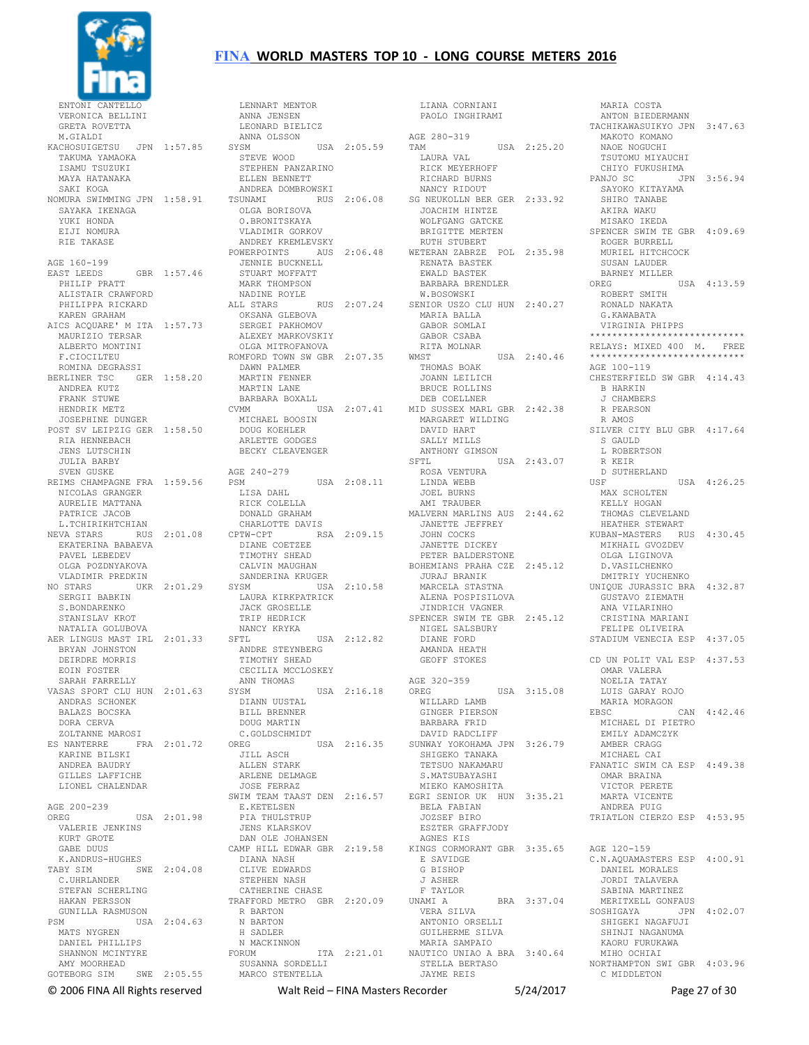

ENTONI VERONICA BELLINI GRETA ROVETTA M.GIALDI KACHOSUIGETSU JPN 1:57.85 SYSM TAKUMA YAMAOKA ISAMU TSUZUKI MAYA HATANAKA SAKI KOGA SAYAKA IKENAGA YUKI HONDA EIJI NOMURA RIE TAKASE AGE 160-199 AGE 160-199 EAST LEEDS GBR 1:57.46 PHILIP PRATT ALISTAIR CRAWFORD PHILIPPA RICKARD KAREN GRAHAM AICS ACQUARE' M ITA 1:57.73 MAURIZIO TERSAR LUS AUguile<br>MAURIZIO TERSAR<br>ALBERTO MONTINI F.CIOCILTEU ROMINA DEGRASSI BERLINER TSC GER 1:58.20 ANDREA KUTZ FRANK STUWE HENDRIK METZ JOSEPHINE DUNGER POST SV LEIPZIG GER 1:58.50 MICHAEL BOOSIN DOUG KOEHLER RIA HENNEBACH JENS LUTSCHIN JULIA BARBY SVEN GUSKE REIMS CHAMPAGNE FRA 1:59.56 NICOLAS GRANGER AURELIE MATTANA PATRICE JACOB L.TCHIRIKHTCHIAN NEVA STARS RUS 2:01.08 EKATERINA BABAEVA PAVEL LEBEDEV OLGA POZDNYAKOVA VLADIMIR PREDKIN NO STARS UKR 2:01.29 SYSM SERGII BABKIN S. BONDARENKO STANISLAV KROT NATALIA GOLUBOVA AER LINGUS MAST IRL 2:01.33 SFTL BRYAN JOHNSTON DEIRDRE MORRIS EOIN FOSTER SARAH FARRELLY VASAS SPORT CLU HUN 2:01.63 ANDRAS SCHONEK BALAZS BOCSKA DORA CERVA ZOLTANNE MAROSI ES NANTERRE FRA 2:01.72 KARINE BILSKI ANDREA BAUDRY GILLES LAFFICHE LIONEL CHALENDAR AGE 200-239<br>OREG USA 2:01.98 VALERIE JENKINS KURT GROTE GABE DUUS K.ANDRUS-HUGHES TABY SIM SWE 2:04.08 C.UHRLANDER STEFAN SCHERLING HAKAN PERSSON GUNILLA RASMUSON PSM USA 2:04.63 R BARTON N BARTON H SADLER MATS NYGREN DANIEL PHILLIPS SHANNON MCINTYRE AMY MOORHEAD GOTEBORG SIM SWE 2:05.55

# **FINA WORLD MASTERS TOP 10 - LONG COURSE METERS 2016**

NOMURA SWIMMING JPN 1:58.91 TSUNAMI RUS 2:06.08 LENNART MENTOR ANNA JENSEN LEONARD BIELICZ ANNA OLSSON  $USA$   $2:05.59$  STEVE WOOD STEPHEN PANZARINO ELLEN BENNETT ANDREA DOMBROWSKI OLGA BORISOVA O.BRONITSKAYA VLADIMIR GORKOV ANDREY KREMLEVSKY<br>POWERPOINTS AUS 2:06.48 POWERPOINTS AUS 2:06.48 JENNIE BUCKNELL STUART MOFFATT MARK THOMPSON NADINE ROYLE<br>ALL STARS RUS 2:07.24 OKSANA GLEBOVA SERGEI PAKHOMOV ALEXEY MARKOVSKIY OLGA MITROFANOVA ROMFORD TOWN SW GBR 2:07.35 DAWN PALMER MARTIN FENNER MARTIN LANE BARBARA BOXALL CVMM USA 2:07.41 MID SUSSEX MARL GBR 2:42.38 ARLETTE GODGES BECKY CLEAVENGER AGE 240-279 PSM USA 2:08.11 LISA DAHL RICK COLELLA DONALD GRAHAM CHARLOTTE DAVIS CPTW-CPT RSA 2:09.15 DIANE COETZEE TIMOTHY SHEAD CALVIN MAUGHAN SANDERINA KRUGER USA 2:10.58 LAURA KIRKPATRICK JACK GROSELLE TRIP HEDRICK NANCY KRYKA USA 2:12.82 ANDRE STEYNBERG TIMOTHY SHEAD CECILIA MCCLOSKEY ANN THOMAS SYSM USA 2:16.18 DIANN UUSTAL BILL BRENNER DOUG MARTIN C.GOLDSCHMIDT USA 2:16.35 JILL ASCH ALLEN STARK ARLENE DELMAGE JOSE FERRAZ SWIM TEAM TAAST DEN 2:16.57 E.KETELSEN EGRI SENIOR UK HUN 3:35.21 BELA FABIAN MARTA VICENTE ANDREA PUIG PIA THULSTRUP JENS KLARSKOV DAN OLE JOHANSEN CAMP HILL EDWAR GBR 2:19.58 KINGS CORMORANT GBR 3:35.65 DIANA NASH CLIVE EDWARDS STEPHEN NASH CATHERINE CHASE TRAFFORD METRO GBR 2:20.09 N MACKINNON FORUM ITA 2:21.01 MARIA SAMPAIO NAUTICO UNIAO A BRA 3:40.64 SUSANNA SORDELLI MARCO STENTELLA

 LIANA CORNIANI PAOLO INGHIRAMI AGE 280-319 TAM USA 2:25.20 LAURA VAL RICK MEYERHOFF RICHARD BURNS NANCY RIDOUT SG NEUKOLLN BER GER 2:33.92 JOACHIM HINTZE WOLFGANG GATCKE BRIGITTE MERTEN RUTH STUBERT WETERAN ZABRZE POL 2:35.98 RENATA BASTEK EWALD BASTEK BARBARA BRENDLER W.BOSOWSKI SENIOR USZO CLU HUN 2:40.27 MARIA BALLA GABOR SOMLAT GABOR CSABA<br>RITA MOLNAR RITA MOLNAR<br>WMST USA 2:40.46<br>THOMAS BOAK<br>JOANN LEILICH BRUCE ROLLINS DEB COELLNER MARGARET WILDING DAVID HART SALLY MILLS ANTHONY GIMSON USA 2:43.07 ROSA VENTURA LINDA WEBB JOEL BURNS AMI TRAUBER MALVERN MARLINS AUS 2:44.62 JANETTE JEFFREY JOHN COCKS JANETTE DICKEY PETER BALDERSTONE BOHEMIANS PRAHA CZE 2:45.12 D.VASILCHENKO JURAJ BRANIK MARCELA STASTNA ALENA POSPISILOVA JINDRICH VAGNER SPENCER SWIM TE GBR 2:45.12 NIGEL SALSBURY DIANE FORD AMANDA HEATH GEOFF STOKES AGE 320-359 OREG USA 3:15.08 WILLARD LAMB GINGER PIERSON BARBARA FRID DAVID RADCLIFF SUNWAY YOKOHAMA JPN 3:26.79 SHIGEKO TANAKA TETSUO NAKAMARU S. MATSUBAYASHI MIEKO KAMOSHITA JOZSEF BIRO ESZTER GRAFFJODY AGNES KIS E SAVIDGE G BISHOP J ASHER F TAYLOR<br>UNAMI A BRA 3:37.04 VERA SILVA ANTONIO ORSELLIT GUILHERME SILVA STELLA BERTASO JAYME REIS

 MARIA COSTA ANTON BIEDERMANN TACHIKAWASUIKYO JPN 3:47.63 MAKOTO KOMANO NAOE NOGUCHI TSUTOMU MIYAUCHI CHIYO FUKUSHIMA PANJO SC JPN 3:56.94 SAYOKO KITAYAMA SHIRO TANABE AKIRA WAKU MISAKO IKEDA SPENCER SWIM TE GBR 4:09.69 ROGER BURRELL MURIEL HITCHCOCK SUSAN LAUDER BARNEY MILLER OREG USA 4:13.59 ROBERT SMITH RONALD NAKATA G.KAWABATA VIRGINIA PHIPPS \*\*\*\*\*\*\*\*\*\*\*\*\*\*\*\*\*\*\*\*\*\*\*\*\*\*\*\* RELAYS: MIXED 400 M. FREE \*\*\*\*\*\*\*\*\*\*\*\*\*\*\*\*\*\*\*\*\*\*\*\*\*\*\*\* AGE 100-119 CHESTERFIELD SW GBR 4:14.43 B HARKIN J CHAMBERS R PEARSON R AMOS SILVER CITY BLU GBR 4:17.64 S GAULD L ROBERTSON R KEIR D SUTHERLAND<br>USF  $USA = 4:26.25$  MAX SCHOLTEN KELLY HOGAN THOMAS CLEVELAND HEATHER STEWART KUBAN-MASTERS RUS 4:30.45 MIKHAIL GVOZDEV OLGA LIGINOVA DMITRIY YUCHENKO UNIQUE JURASSIC BRA 4:32.87 GUSTAVO ZIEMATH ANA VILARINHO CRISTINA MARIANI FELIPE OLIVEIRA STADIUM VENECIA ESP 4:37.05 CD UN POLIT VAL ESP 4:37.53 OMAR VALERA NOELIA TATAY LUIS GARAY ROJO MARIA MORAGON<br>EBSC  $CAN$  4:42.46 MICHAEL DI PIETRO EMILY ADAMCZYK AMBER CRAGG MICHAEL CAI FANATIC SWIM CA ESP 4:49.38 OMAR BRAINA VICTOR PERETE TRIATLON CIERZO ESP 4:53.95 AGE 120-159 C.N.AQUAMASTERS ESP 4:00.91 DANIEL MORALES JORDI TALAVERA SABINA MARTINEZ MERITXELL GONFAUS<br>SOSHIGAYA JPN JPN 4:02.07 SHIGEKI NAGAFUJI SHINJI NAGANUMA KAORU FURUKAWA MIHO OCHIAI NORTHAMPTON SWI GBR 4:03.96 C MIDDLETON

© 2006 FINA All Rights reserved Walt Reid – FINA Masters Recorder 5/24/2017 Page 27 of 30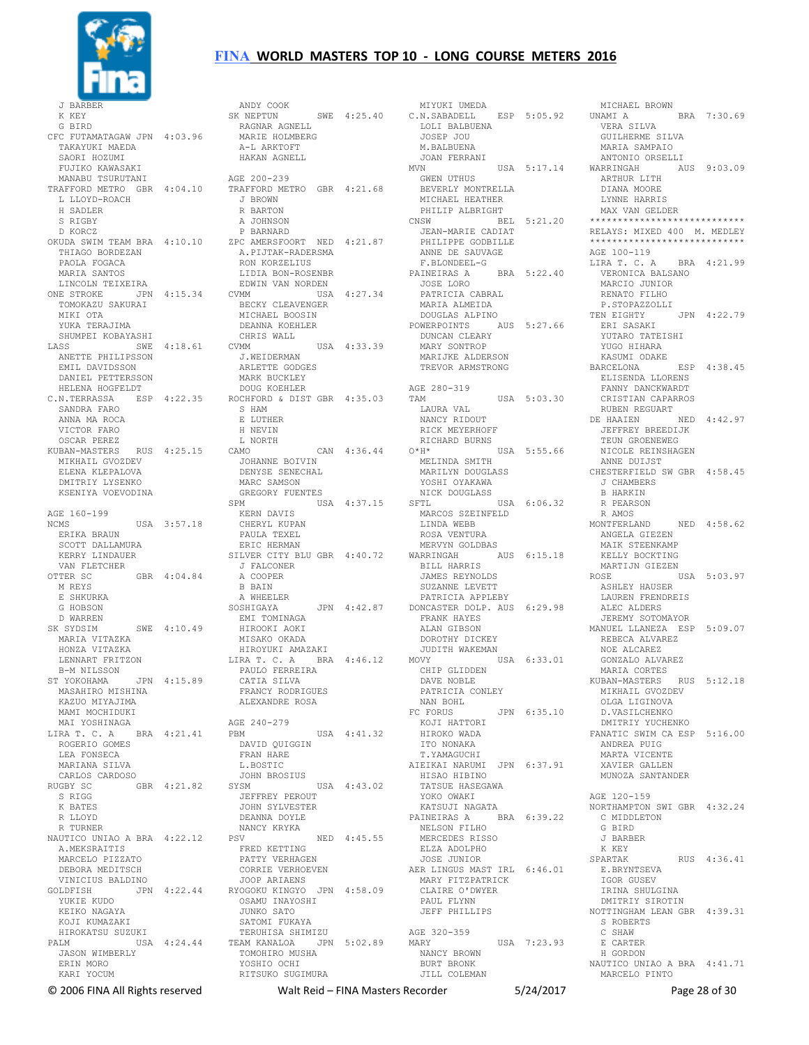

J BARBE K KEY G BIRD CFC FUTAMATAGAW JPN 4:03.96 TAKAYUKI MAEDA SAORI HOZUMI FUJIKO KAWASAKI MANABU TSURUTANI TRAFFORD METRO GBR 4:04.10 L LLOYD-ROACH H SADLER S RIGBY D KORCZ OKUDA SWIM TEAM BRA 4:10.10 THIAGO BORDEZAN PAOLA FOGACA MARIA SANTOS LINCOLN TEIXEIRA TOMOKAZU SAKURAI MIKI OTA YUKA TERAJIMA SHUMPEI KOBAYASHI ANETTE PHILIPSSON EMIL DAVIDSSON DANIEL PETTERSSON HELENA HOGFELDT C.N.TERRASSA ESP 4:22.35 SANDRA FARO ANNA MA ROCA VICTOR FARO OSCAR PEREZ KUBAN-MASTERS RUS 4:25.15 MIKHAIL GVOZDEV ELENA KLEPALOVA DMITRIY LYSENKO KSENIYA VOEVODINA AGE 160-199 NCMS USA 3:57.18 ERIKA BRAUN SCOTT DALLAMURA KERRY LINDAUER VAN FLETCHER<br>OTTER SC GBR 4:04.84 M REYS E SHKURKA G HOBSON D WARREN<br>SK SYDSIM SWE 4:10.49 MARIA VITAZKA HONZA VITAZKA LENNART FRITZON B-M NILSSON ST YOKOHAMA JPN 4:15.89 MASAHIRO MISHINA KAZIIO MTYAJIMA MAMI MOCHIDUKI MAI YOSHINAGA LIRA T. C. A BRA 4:21.41 ROGERIO GOMES LEA FONSECA MARIANA SILVA CARLOS CARDOSO RUGBY SC GBR 4:21.82 S RIGG K BATES R LLOYD R TURNER NAUTICO UNIAO A BRA 4:22.12 A.MEKSRAITIS MARCELO PIZZATO DEBORA MEDITSCH VINICIUS BALDINO<br>GOLDFISH JPN YUKIE KUDO KEIKO NAGAYA KOJI KUMAZAKI HIROKATSU SUZUKI PALM USA 4:24.44 JASON WIMBERLY ERIN MORO KARI YOCUM

ONE STROKE JPN 4:15.34 CVMM USA 4:27.34 LASS SWE 4:18.61 CVMM USA 4:33.39 GOLDFISH JPN 4:22.44 JOOP ARIAENS RYOGOKU KINGYO JPN 4:58.09 ANDY COOK<br>SK NEPTUN SK NEPTUN SWE 4:25.40 C.N.SABADELL ESP 5:05.92 RAGNAR AGNELL MARIE HOLMBERG A-L ARKTOFT HAKAN AGNELL AGE 200-239 TRAFFORD METRO GBR 4:21.68 J BROWN R BARTON A JOHNSON P BARNARD ZPC AMERSFOORT NED 4:21.87 A.PIJTAK-RADERSMA RON KORZELIUS LIDIA BON-ROSENBR EDWIN VAN NORDEN BECKY CLEAVENGER MICHAEL BOOSIN DEANNA KOEHLER CHRIS WALL J.WEIDERMAN ARLETTE GODGES MARK BUCKLEY DOUG KOEHLER ROCHFORD & DIST GBR 4:35.03 S HAM E LUTHER H NEVIN L NORTH<br>CAMO CAN 4:36.44 JOHANNE BOIVIN DENYSE SENECHAL MARC SAMSON<br>GREGORY FUENTES GREGORY FUENTES SPM USA 4:37.15 KERN DAVIS CHERYL KUPAN PAULA TEXEL ERIC HERMAN SILVER CITY BLU GBR 4:40.72 J FALCONER A COOPER B BAIN A WHEELER<br>SOSHIGAYA JPN 4:42.87 EMI TOMINAGA HIROOKI AOKI MISAKO OKADA HIROYUKI AMAZAKI LIRA T. C. A BRA 4:46.12 MOVY USA 6:33.01 PAULO FERREIRA CATIA SILVA FRANCY RODRIGUES ALEXANDRE ROSA AGE 240-279 AGE 240-279 PBM USA 4:41.32 DAVID QUIGGIN FRAN HARE L. BOSTIC JOHN BROSIUS SYSM USA 4:43.02 JEFFREY PEROUT JOHN SYLVESTER DEANNA DOYLE NANCY KRYKA PSV NED 4:45.55 FRED KETTING PATTY VERHAGEN CORRIE VERHOEVEN OSAMU INAYOSHI JUNKO SATO SATOMI FUKAYA TERUHISA SHIMIZU TEAM KANALOA JPN 5:02.89 TOMOHIRO MUSHA<br>VOSUID OCHI YOSHIO OCHI RITSUKO SUGIMURA

 MIYUKI UMEDA LOLI BALBUENA JOSEP JOU M.BALBUENA JOAN FERRANI USA 5:17.14 GWEN UTHUS BEVERLY MONTRELLA MICHAEL HEATHER PHILIP ALBRIGHT JEAN-MARIE CADIAT PHILIPPE GODBILLE ANNE DE SAUVAGE F.BLONDEEL-G PAINEIRAS A BRA 5:22.40 JOSE LORO<br>JOSE LORO PATRICIA CABRAL MARIA ALMEIDA DOUGLAS ALPINO POWERPOINTS AUS 5:27.66 DUNCAN CLEARY MARY SONTROP MARIJKE ALDERSON TREVOR ARMSTRONG AGE 280-319 TAM USA 5:03.30 LAURA VAL NANCY RIDOUT RICK MEYERHOFF RICHARD BURNS O\*H\* USA 5:55.66 NICOLE REINSHAGEN MELINDA SMITH MARILYN DOUGLASS YOSHI OYAKAWA NICK DOUGLASS SFTL USA 6:06.32 MARCOS SZEINFELD LINDA WEBB ROSA VENTURA MERVYN GOLDBAS WARRINGAH AUS 6:15.18 BILL HARRIS JAMES REYNOLDS SUZANNE LEVETT PATRICIA APPLEBY DONCASTER DOLP. AUS 6:29.98 FRANK HAYES ALAN GIBSON DOROTHY DICKEY JUDITH WAKEMAN CHIP GLIDDEN DAVE NOBLE PATRICIA CONLEY<br>NAN BOHL NAN BOHL FC FORUS JPN 6:35.10 KOJI HATTORI HIROKO WADA ITO NONAKA T.YAMAGUCHI AIEIKAI NARUMI JPN 6:37.91 HISAO HIBINO<br>TATSUE HASEGAWA YOKO OWAKI<br>\*\*\* <sup>-</sup> KATSUJI NAGATA PAINEIRAS A BRA 6:39.22 NELSON FILHO MERCEDES RISSO ELZA ADOLPHO JOSE JUNIOR AER LINGUS MAST IRL 6:46.01 MARY FITZPATRICK CLAIRE O'DWYER PAUL FLYNN JEFF PHILLIPS AGE 320-359 MARY USA 7:23.93 NANCY BROWN BURT BRONK JILL COLEMAN

CNSW BEL 5:21.20 \*\*\*\*\*\*\*\*\*\*\*\*\*\*\*\*\*\*\*\*\*\*\*\*\*\*\*\* UNAMI A BRA 7:30.69 VERA SILVA GUILHERME SILVA MARIA SAMPAIO ANTONIO ORSELLI<br>WARRINGAH A AUS 9:03.09 ARTHUR LITH DIANA MOORE LYNNE HARRIS MAX VAN GELDER RELAYS: MIXED 400 M. MEDLEY  $**********$ AGE 100-119 LIRA T. C. A BRA 4:21.99 VERONICA BALSANO MARCIO JUNIOR RENATO FILHO P.STOPAZZOLLI<br>TEN EIGHTY JPN 4:22.79 ERI SASAKI YUTARO TATEISHI YUGO HIHARA KASUMI ODAKE BARCELONA ELISENDA LLORENS FANNY DANCKWARDT CRISTIAN CAPARROS RUBEN REGUART<br>E HAAIEN 1970 NED 4:42 97 DE HAAIEN JEFFREY BREEDIJK TEUN GROENEWEG ANNE DUIJST CHESTERFIELD SW GBR 4:58.45 J CHAMBERS B HARKIN R PEARSON R AMOS MONTFERLAND NED 4:58.62 ANGELA GIEZEN MAIK STEENKAMP KELLY BOCKTING MARTIJN GIEZEN<br>ROSE USA 5:03.97 ASHLEY HAUSER LAUREN FRENDREIS ALEC ALDERS JEREMY SOTOMAYOR MANUEL LLANEZA ESP 5:09.07 REBECA ALVAREZ NOE ALCAREZ GONZALO ALVAREZ MARIA CORTES KUBAN-MASTERS RUS 5:12.18 MIKHAIL GVOZDEV OLGA LIGINOVA D.VASILCHENKO DMITRIY YUCHENKO FANATIC SWIM CA ESP 5:16.00 ANDREA PUIG MARTA VICENTE XAVIER GALLEN MUNOZA SANTANDER AGE 120-159 NORTHAMPTON SWI GBR 4:32.24 C MIDDLETON G BIRD J BARBER K KEY SPARTAK RUS 4:36.41 E.BRYNTSEVA IGOR GUSEV IRINA SHULGINA DMITRIY SIROTIN NOTTINGHAM LEAN GBR 4:39.31 S ROBERTS C SHAW E CARTER H GORDON NAUTICO UNIAO A BRA 4:41.71 MARCELO PINTO

MICHAEL BROWN

© 2006 FINA All Rights reserved Walt Reid – FINA Masters Recorder 5/24/2017 Page 28 of 30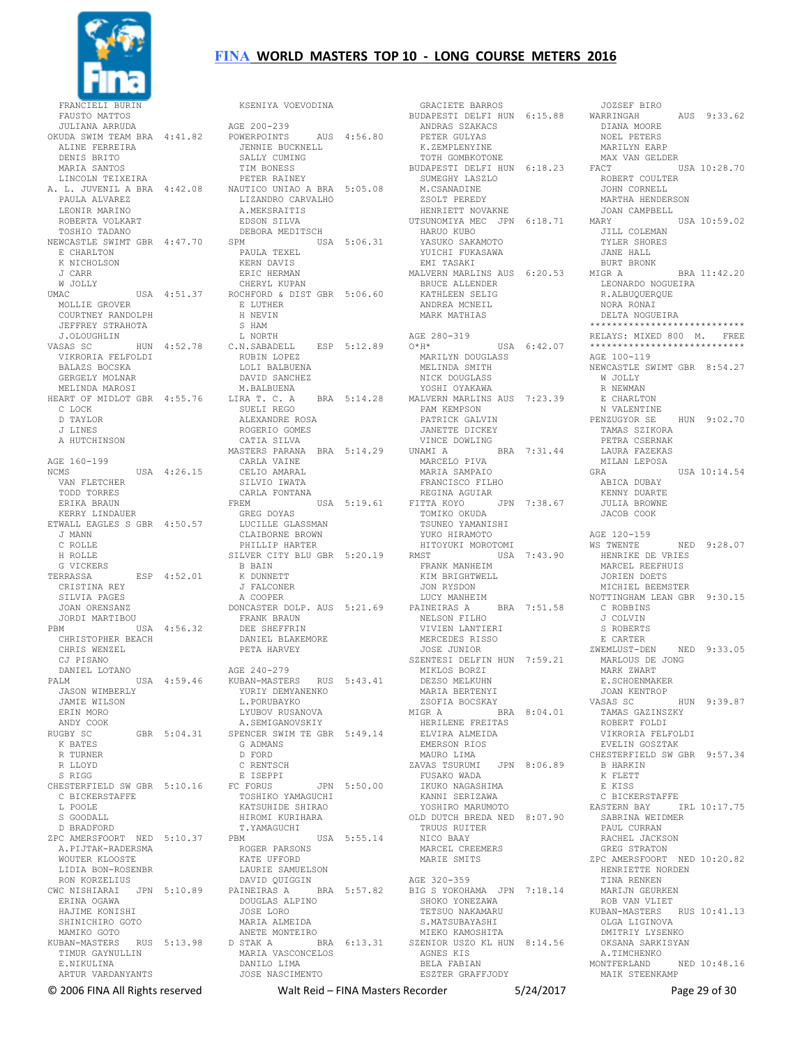

 FAUSTO MATTOS JULIANA ARRUDA OKUDA SWIM TEAM BRA 4:41.82 ALINE FERREIRA DENIS BRITO MARIA SANTOS LINCOLN TEIXEIRA A. L. JUVENIL A BRA 4:42.08 PAULA ALVAREZ LEONIR MARINO ROBERTA VOLKART TOSHIO TADANO NEWCASTLE SWIMT GBR 4:47.70 E CHARLTON K NICHOLSON J CARR W JOLLY USA 4:51.37 MOLLIE GROVER COURTNEY RANDOLPH JEFFREY STRAHOTA J.OLOUGHLIN<br>VASAS SC VIKRORIA FELFOLDI BALAZS BOCSKA GERGELY MOLNAR MELINDA MAROSI D TAYLOR J LINES A HUTCHINSON AGE 160-199 NCMS USA 4:26.15 VAN FLETCHER TODD TORRES ERIKA BRAUN KERRY LINDAUER ETWALL EAGLES S GBR 4:50.57 J MANN C ROLLE H ROLLE G VICKERS<br>TERRASSA ESP 4:52.01 CRISTINA REY SILVIA PAGES JOAN ORENSANZ JORDI MARTIBOU<br>PRM U  $USA = 4:56.32$  CHRISTOPHER BEACH CHRIS WENZEL CJ PISANO DANIEL LOTANO PALM USA 4:59.46 JASON WIMBERLY JAMIE WILSON ERIN MORO ANDY COOK<br>RUGBY SC GBR 5:04.31 K BATES R TURNER R LLOYD S RIGG CHESTERFIELD SW GBR 5:10.16 C BICKERSTAFFE L POOLE S GOODALL D BRADFORD ZPC AMERSFOORT NED 5:10.37 A.PIJTAK-RADERSMA WOUTER KLOOSTE LIDIA BON-ROSENBR RON KORZELIUS CWC NISHIARAI JPN 5:10.89 ERINA OGAWA HAJIME KONISHI SHINICHIRO GOTO MAMIKO GOTO KUBAN-MASTERS RUS 5:13.98 TIMUR GAYNULLIN E.NIKULINA ARTUR VARDANYANTS

VASAS SC HUN 4:52.78 C.N.SABADELL ESP 5:12.89 HEART OF MIDLOT GBR 4:55.76 C LOCK LIRA T. C. A BRA 5:14.28 SUELI REGO KSENIYA VOEVODINA AGE 200-239 POWERPOINTS AUS 4:56.80 JENNIE BUCKNELL SALLY CUMING TIM BONESS PETER RAINEY NAUTICO UNIAO A BRA 5:05.08 LIZANDRO CARVALHO A.MEKSRAITIS EDSON SILVA DEBORA MEDITSCH  $USA 5:06.31$  PAULA TEXEL KERN DAVIS ERIC HERMAN CHERYL KUPAN ROCHFORD & DIST GBR 5:06.60 E LUTHER H NEVIN S HAM L NORTH RUBIN LOPEZ<br>LOLI BALBUENA DAVID SANCHEZ M.BALBUENA ALEXANDRE ROSA ROGERIO GOMES CATIA SILVA MASTERS PARANA BRA 5:14.29 CARLA VAINE CELIO AMARAL SILVIO IWATA CARLA FONTANA FREM USA 5:19.61 GREG DOYAS LUCILLE GLASSMAN CLAIBORNE BROWN PHILLIP HARTER SILVER CITY BLU GBR 5:20.19 B BAIN K DUNNETT J FALCONER A COOPER DONCASTER DOLP. AUS 5:21.69 FRANK BRAUN DEE SHEFFRIN DANIEL BLAKEMORE PETA HARVEY AGE 240-279 KUBAN-MASTERS RUS 5:43.41 YURIY DEMYANENKO L. PORUBAYKO LYUBOV RUSANOVA A.SEMIGANOVSKIY SPENCER SWIM TE GBR 5:49.14 G ADMANS D FORD C RENTSCH E ISEPPI FC FORUS JPN 5:50.00 TOSHIKO YAMAGUCHI KATSUHIDE SHIRAO HIROMI KURIHARA T.YAMAGUCHI PBM USA 5:55.14 ROGER PARSONS KATE UFFORD LAURIE SAMUELSON DAVID QUIGGIN PAINEIRAS A BRA 5:57.82 DOUGLAS ALPINO JOSE LORO MARIA ALMEIDA ANETE MONTEIRO D STAK A BRA 6:13.31 SZENIOR USZO KL HUN 8:14.56 MARIA VASCONCELOS<br>DANILO LIMA DANILO LIMA JOSE NASCIMENTO

 GRACIETE BARROS BUDAPESTI DELFI HUN 6:15.88 ANDRAS SZAKACS PETER GULYAS K.ZEMPLENYINE TOTH GOMBKOTONE BUDAPESTI DELFI HUN 6:18.23 SUMEGHY LASZLO M.CSANADINE ZSOLT PEREDY HENRIETT NOVAKNE UTSUNOMIYA MEC JPN 6:18.71 HARUO KUBO YASUKO SAKAMOTO YUICHI FUKASAWA EMI TASAKI MALVERN MARLINS AUS 6:20.53 BRUCE ALLENDER KATHLEEN SELIG ANDREA MCNEIL MARK MATHIAS AGE 280-319<br>O\*H\* USA 6:42.07 MARILYN DOUGLASS MELINDA SMITH NICK DOUGLASS YOSHI OYAKAWA MALVERN MARLINS AUS 7:23.39 PAM KEMPSON PATRICK GALVIN JANETTE DICKEY VINCE DOWLING UNAMI A BRA 7:31.44 MARCELO PIVA MARIA SAMPAIO FRANCISCO FILHO REGINA AGUIAR FITTA KOYO JPN 7:38.67 TOMIKO OKUDA TSUNEO YAMANISHI YUKO HIRAMOTO HITOYUKI MOROTOMI<br>RMST USA 7:43.90 RMST USA 7:43.90 FRANK MANHEIM KIM BRIGHTWELL JON RYSDON LUCY MANHEIM PAINEIRAS A BRA 7:51.58 NELSON FILHO VIVIEN LANTIERI MERCEDES RISSO JOSE JUNIOR SZENTESI DELFIN HUN 7:59.21 MIKLOS BORZI DEZSO MELKUHN MARIA BERTENYI ZSOFIA BOCSKAY<br>MIGR A BRA 8:04.01 HERILENE FREITAS ELVIRA ALMEIDA EMERSON RIOS MAURO LIMA ZAVAS TSURUMI JPN 8:06.89 FUSAKO WADA IKUKO NAGASHIMA KANNI SERIZAWA YOSHIRO MARUMOTO OLD DUTCH BREDA NED 8:07.90 TRUUS RUITER NICO BAAY MARCEL CREEMERS MARIE SMITS AGE 320-359 BIG S YOKOHAMA JPN 7:18.14 SHOKO YONEZAWA TETSUO NAKAMARU S.MATSUBAYASHI MIEKO KAMOSHITA AGNES KIS BELA FABIAN ESZTER GRAFFJODY

 JOZSEF BIRO AUS 9:33.62 DIANA MOORE NOEL PETERS MARILYN EARP MAX VAN GELDER<br>FACT USA 10:28.70 ROBERT COULTER JOHN CORNELL MARTHA HENDERSON JOAN CAMPBELL USA 10:59.02 JILL COLEMAN TYLER SHORES JANE HALL BURT BRONK<br>MIGR A  $RRA 11:42.20$  LEONARDO NOGUEIRA R.ALBUQUERQUE NORA RONAI DELTA NOGUEIRA \*\*\*\*\*\*\*\*\*\*\*\*\*\*\*\*\*\*\*\*\*\*\*\*\*\*\*\* RELAYS: MIXED 800 M. FREE \*\*\*\*\*\*\*\*\*\*\*\*\*\*\*\*\*\*\*\*\*\*\*\*\*\*\*\* AGE 100-119 NEWCASTLE SWIMT GBR 8:54.27 W JOLLY R NEWMAN E CHARLTON<br>N VALENTINE PENZUGYOR SE HUN 9:02.70 TAMAS SZIKORA PETRA CSERNAK LAURA FAZEKAS MILAN LEPOSA GRA USA 10:14.54 ABICA DUBAY KENNY DUARTE JULIA BROWNE JACOB COOK AGE 120-159 WS TWENTE NED 9:28.07 HENRIKE DE VRIES MARCEL REEFHUIS JORIEN DOETS MICHIEL BEEMSTER NOTTINGHAM LEAN GBR 9:30.15 C ROBBINS J COLVIN S ROBERTS E CARTER<br>ZWEMLUST-DEN NED 9:33.05 MARLOUS DE JONG MARK ZWART E.SCHOENMAKER JOAN KENTROP VASAS SC HUN 9:39.87 TAMAS GAZINSZKY ROBERT FOLDI VIKRORIA FELFOLDI EVELIN GOSZTAK CHESTERFIELD SW GBR 9:57.34 B HARKIN K FLETT E KISS C BICKERSTAFFE EASTERN BAY IRL 10:17.75 SABRINA WEIDMER PAUL CURRAN RACHEL JACKSON GREG STRATON ZPC AMERSFOORT NED 10:20.82 HENRIETTE NORDEN TINA RENKEN MARIJN GEURKEN ROB VAN VLIET KUBAN-MASTERS RUS 10:41.13 OLGA LIGINOVA DMITRIY LYSENKO OKSANA SARKISYAN A.TIMCHENKO MONTFERLAND NED 10:48.16 MAIK STEENKAMP

© 2006 FINA All Rights reserved Walt Reid – FINA Masters Recorder 5/24/2017 Page 29 of 30